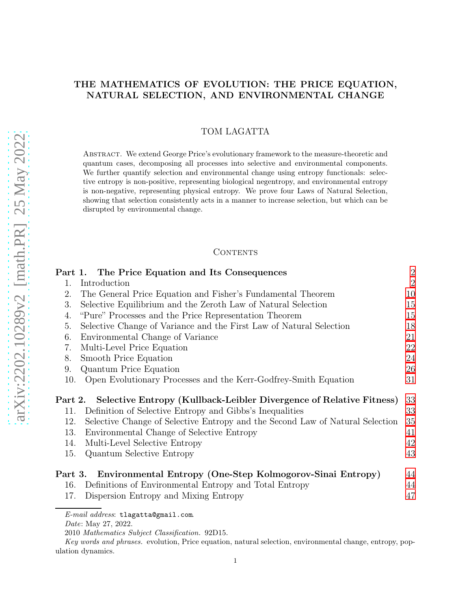# THE MATHEMATICS OF EVOLUTION: THE PRICE EQUATION, NATURAL SELECTION, AND ENVIRONMENTAL CHANGE

# TOM LAGATTA

Abstract. We extend George Price's evolutionary framework to the measure-theoretic and quantum cases, decomposing all processes into selective and environmental components. We further quantify selection and environmental change using entropy functionals: selective entropy is non-positive, representing biological negentropy, and environmental entropy is non-negative, representing physical entropy. We prove four Laws of Natural Selection, showing that selection consistently acts in a manner to increase selection, but which can be disrupted by environmental change.

### CONTENTS

|                | Part 1. The Price Equation and Its Consequences                                                                                 | $\overline{2}$ |  |  |
|----------------|---------------------------------------------------------------------------------------------------------------------------------|----------------|--|--|
| $\mathbf{1}$ . | $\overline{2}$<br>Introduction                                                                                                  |                |  |  |
| 2.             | The General Price Equation and Fisher's Fundamental Theorem                                                                     |                |  |  |
| 3.             | Selective Equilibrium and the Zeroth Law of Natural Selection                                                                   |                |  |  |
| 4.             | "Pure" Processes and the Price Representation Theorem                                                                           |                |  |  |
| 5.             | Selective Change of Variance and the First Law of Natural Selection                                                             |                |  |  |
| 6.             | Environmental Change of Variance                                                                                                | 21             |  |  |
| 7.             | Multi-Level Price Equation                                                                                                      |                |  |  |
| 8.             | Smooth Price Equation                                                                                                           | 24             |  |  |
| 9.             | Quantum Price Equation                                                                                                          | 26             |  |  |
| 10.            | Open Evolutionary Processes and the Kerr-Godfrey-Smith Equation                                                                 | 31             |  |  |
|                |                                                                                                                                 | 33             |  |  |
| Part 2.<br>11. | Selective Entropy (Kullback-Leibler Divergence of Relative Fitness)<br>Definition of Selective Entropy and Gibbs's Inequalities | 33             |  |  |
| 12.            |                                                                                                                                 | 35             |  |  |
| 13.            | Selective Change of Selective Entropy and the Second Law of Natural Selection                                                   | 41             |  |  |
|                | Environmental Change of Selective Entropy                                                                                       |                |  |  |
| 14.            | Multi-Level Selective Entropy                                                                                                   | 42             |  |  |
| 15.            | <b>Quantum Selective Entropy</b>                                                                                                | 43             |  |  |
|                | Environmental Entropy (One-Step Kolmogorov-Sinai Entropy)<br>Part 3.                                                            |                |  |  |
| 16.            | Definitions of Environmental Entropy and Total Entropy                                                                          | 44             |  |  |
| 17.            | Dispersion Entropy and Mixing Entropy                                                                                           | 47             |  |  |
|                |                                                                                                                                 |                |  |  |

*E-mail address*: tlagatta@gmail.com.

*Date*: May 27, 2022.

<sup>2010</sup> *Mathematics Subject Classification.* 92D15.

*Key words and phrases.* evolution, Price equation, natural selection, environmental change, entropy, population dynamics.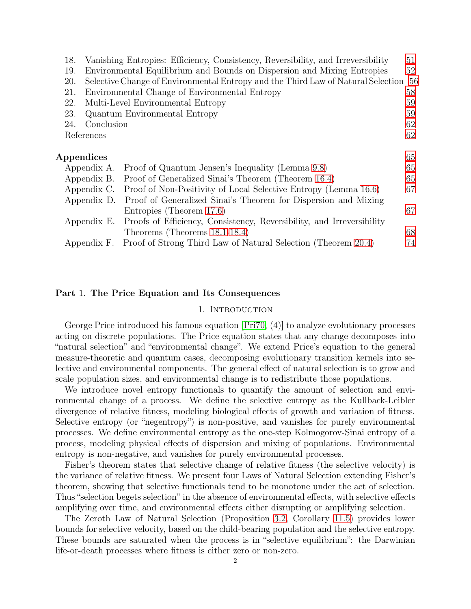| 18.        |             | Vanishing Entropies: Efficiency, Consistency, Reversibility, and Irreversibility | 51   |
|------------|-------------|----------------------------------------------------------------------------------|------|
| 19.        |             | Environmental Equilibrium and Bounds on Dispersion and Mixing Entropies          | 52   |
| 20.        |             | Selective Change of Environmental Entropy and the Third Law of Natural Selection | - 56 |
| 21.        |             | Environmental Change of Environmental Entropy                                    | 58   |
| 22.        |             | Multi-Level Environmental Entropy                                                | 59   |
| 23.        |             | Quantum Environmental Entropy                                                    | 59   |
| 24.        | Conclusion  |                                                                                  | 62   |
|            | References  |                                                                                  | 62   |
|            |             |                                                                                  |      |
| Appendices |             |                                                                                  |      |
|            |             | Appendix A. Proof of Quantum Jensen's Inequality (Lemma 9.8)                     | 65   |
|            | Appendix B. | Proof of Generalized Sinai's Theorem (Theorem 16.4)                              | 65   |
|            | Appendix C. | Proof of Non-Positivity of Local Selective Entropy (Lemma 16.6)                  | 67   |
|            | Appendix D. | Proof of Generalized Sinai's Theorem for Dispersion and Mixing                   |      |
|            |             | Entropies (Theorem 17.6)                                                         | 67   |
|            | Appendix E. | Proofs of Efficiency, Consistency, Reversibility, and Irreversibility            |      |
|            |             | Theorems (Theorems 18.1-18.4)                                                    | 68   |
|            |             | Appendix F. Proof of Strong Third Law of Natural Selection (Theorem 20.4)        | 74   |

# <span id="page-1-1"></span><span id="page-1-0"></span>Part 1. The Price Equation and Its Consequences

## 1. INTRODUCTION

George Price introduced his famous equation [\[Pri70,](#page-63-0) (4)] to analyze evolutionary processes acting on discrete populations. The Price equation states that any change decomposes into "natural selection" and "environmental change". We extend Price's equation to the general measure-theoretic and quantum cases, decomposing evolutionary transition kernels into selective and environmental components. The general effect of natural selection is to grow and scale population sizes, and environmental change is to redistribute those populations.

We introduce novel entropy functionals to quantify the amount of selection and environmental change of a process. We define the selective entropy as the Kullback-Leibler divergence of relative fitness, modeling biological effects of growth and variation of fitness. Selective entropy (or "negentropy") is non-positive, and vanishes for purely environmental processes. We define environmental entropy as the one-step Kolmogorov-Sinai entropy of a process, modeling physical effects of dispersion and mixing of populations. Environmental entropy is non-negative, and vanishes for purely environmental processes.

Fisher's theorem states that selective change of relative fitness (the selective velocity) is the variance of relative fitness. We present four Laws of Natural Selection extending Fisher's theorem, showing that selective functionals tend to be monotone under the act of selection. Thus "selection begets selection" in the absence of environmental effects, with selective effects amplifying over time, and environmental effects either disrupting or amplifying selection.

The Zeroth Law of Natural Selection (Proposition [3.2,](#page-14-2) Corollary [11.5\)](#page-34-1) provides lower bounds for selective velocity, based on the child-bearing population and the selective entropy. These bounds are saturated when the process is in "selective equilibrium": the Darwinian life-or-death processes where fitness is either zero or non-zero.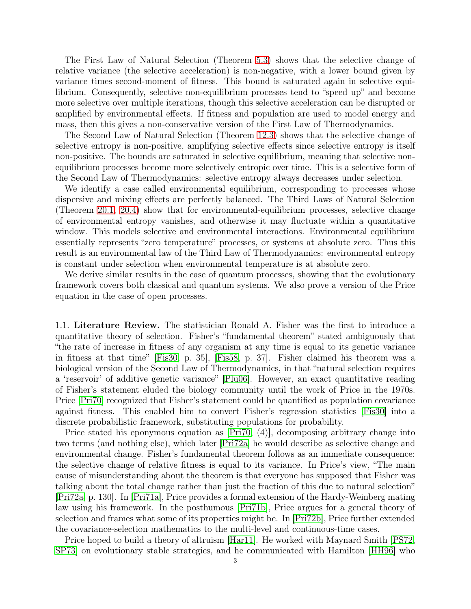The First Law of Natural Selection (Theorem [5.3\)](#page-19-0) shows that the selective change of relative variance (the selective acceleration) is non-negative, with a lower bound given by variance times second-moment of fitness. This bound is saturated again in selective equilibrium. Consequently, selective non-equilibrium processes tend to "speed up" and become more selective over multiple iterations, though this selective acceleration can be disrupted or amplified by environmental effects. If fitness and population are used to model energy and mass, then this gives a non-conservative version of the First Law of Thermodynamics.

The Second Law of Natural Selection (Theorem [12.3\)](#page-35-0) shows that the selective change of selective entropy is non-positive, amplifying selective effects since selective entropy is itself non-positive. The bounds are saturated in selective equilibrium, meaning that selective nonequilibrium processes become more selectively entropic over time. This is a selective form of the Second Law of Thermodynamics: selective entropy always decreases under selection.

We identify a case called environmental equilibrium, corresponding to processes whose dispersive and mixing effects are perfectly balanced. The Third Laws of Natural Selection (Theorem [20.1,](#page-55-1) [20.4\)](#page-56-0) show that for environmental-equilibrium processes, selective change of environmental entropy vanishes, and otherwise it may fluctuate within a quantitative window. This models selective and environmental interactions. Environmental equilibrium essentially represents "zero temperature" processes, or systems at absolute zero. Thus this result is an environmental law of the Third Law of Thermodynamics: environmental entropy is constant under selection when environmental temperature is at absolute zero.

We derive similar results in the case of quantum processes, showing that the evolutionary framework covers both classical and quantum systems. We also prove a version of the Price equation in the case of open processes.

1.1. Literature Review. The statistician Ronald A. Fisher was the first to introduce a quantitative theory of selection. Fisher's "fundamental theorem" stated ambiguously that "the rate of increase in fitness of any organism at any time is equal to its genetic variance in fitness at that time" [\[Fis30,](#page-61-2) p. 35], [\[Fis58,](#page-61-3) p. 37]. Fisher claimed his theorem was a biological version of the Second Law of Thermodynamics, in that "natural selection requires a 'reservoir' of additive genetic variance" [\[Plu06\]](#page-63-1). However, an exact quantitative reading of Fisher's statement eluded the biology community until the work of Price in the 1970s. Price [\[Pri70\]](#page-63-0) recognized that Fisher's statement could be quantified as population covariance against fitness. This enabled him to convert Fisher's regression statistics [\[Fis30\]](#page-61-2) into a discrete probabilistic framework, substituting populations for probability.

Price stated his eponymous equation as [\[Pri70,](#page-63-0) (4)], decomposing arbitrary change into two terms (and nothing else), which later [\[Pri72a\]](#page-63-2) he would describe as selective change and environmental change. Fisher's fundamental theorem follows as an immediate consequence: the selective change of relative fitness is equal to its variance. In Price's view, "The main cause of misunderstanding about the theorem is that everyone has supposed that Fisher was talking about the total change rather than just the fraction of this due to natural selection" [\[Pri72a,](#page-63-2) p. 130]. In [\[Pri71a\]](#page-63-3), Price provides a formal extension of the Hardy-Weinberg mating law using his framework. In the posthumous [\[Pri71b\]](#page-63-4), Price argues for a general theory of selection and frames what some of its properties might be. In [\[Pri72b\]](#page-63-5), Price further extended the covariance-selection mathematics to the multi-level and continuous-time cases.

Price hoped to build a theory of altruism [\[Har11\]](#page-62-0). He worked with Maynard Smith [\[PS72,](#page-63-6) [SP73\]](#page-63-7) on evolutionary stable strategies, and he communicated with Hamilton [\[HH96\]](#page-62-1) who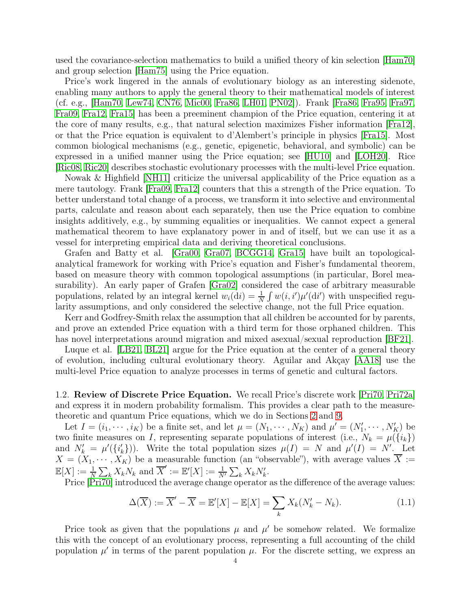used the covariance-selection mathematics to build a unified theory of kin selection [\[Ham70\]](#page-62-2) and group selection [\[Ham75\]](#page-62-3) using the Price equation.

Price's work lingered in the annals of evolutionary biology as an interesting sidenote, enabling many authors to apply the general theory to their mathematical models of interest (cf. e.g., [\[Ham70,](#page-62-2) [Lew74,](#page-62-4) [CN76,](#page-61-4) [Mic00,](#page-62-5) [Fra86,](#page-61-5) [LH01,](#page-62-6) [PN02\]](#page-63-8)). Frank [\[Fra86,](#page-61-5) [Fra95,](#page-61-6) [Fra97,](#page-62-7) [Fra09,](#page-62-8) [Fra12,](#page-62-9) [Fra15\]](#page-62-10) has been a preeminent champion of the Price equation, centering it at the core of many results, e.g., that natural selection maximizes Fisher information [\[Fra12\]](#page-62-9), or that the Price equation is equivalent to d'Alembert's principle in physics [\[Fra15\]](#page-62-10). Most common biological mechanisms (e.g., genetic, epigenetic, behavioral, and symbolic) can be expressed in a unified manner using the Price equation; see [\[HU10\]](#page-62-11) and [\[LOH20\]](#page-62-12). Rice [\[Ric08,](#page-63-9) [Ric20\]](#page-63-10) describes stochastic evolutionary processes with the multi-level Price equation.

Nowak & Highfield [\[NH11\]](#page-62-13) criticize the universal applicability of the Price equation as a mere tautology. Frank [\[Fra09,](#page-62-8) [Fra12\]](#page-62-9) counters that this a strength of the Price equation. To better understand total change of a process, we transform it into selective and environmental parts, calculate and reason about each separately, then use the Price equation to combine insights additively, e.g., by summing equalities or inequalities. We cannot expect a general mathematical theorem to have explanatory power in and of itself, but we can use it as a vessel for interpreting empirical data and deriving theoretical conclusions.

Grafen and Batty et al. [\[Gra00,](#page-62-14) [Gra07,](#page-62-15) [BCGG14,](#page-61-7) [Gra15\]](#page-62-16) have built an topologicalanalytical framework for working with Price's equation and Fisher's fundamental theorem, based on measure theory with common topological assumptions (in particular, Borel measurability). An early paper of Grafen [\[Gra02\]](#page-62-17) considered the case of arbitrary measurable populations, related by an integral kernel  $w_i(\mathrm{d}i) = \frac{1}{N} \int w(i, i') \mu'(\mathrm{d}i')$  with unspecified regularity assumptions, and only considered the selective change, not the full Price equation.

Kerr and Godfrey-Smith relax the assumption that all children be accounted for by parents, and prove an extended Price equation with a third term for those orphaned children. This has novel interpretations around migration and mixed asexual/sexual reproduction [\[BF21\]](#page-61-8).

Luque et al. [\[LB21,](#page-62-18) [BL21\]](#page-61-9) argue for the Price equation at the center of a general theory of evolution, including cultural evolutionary theory. Aguilar and Akçay [\[AA18\]](#page-61-10) use the multi-level Price equation to analyze processes in terms of genetic and cultural factors.

<span id="page-3-0"></span>1.2. Review of Discrete Price Equation. We recall Price's discrete work [\[Pri70,](#page-63-0) [Pri72a\]](#page-63-2) and express it in modern probability formalism. This provides a clear path to the measuretheoretic and quantum Price equations, which we do in Sections [2](#page-9-0) and [9.](#page-25-0)

Let  $I = (i_1, \dots, i_K)$  be a finite set, and let  $\mu = (N_1, \dots, N_K)$  and  $\mu' = (N'_1, \dots, N'_K)$  be two finite measures on I, representing separate populations of interest (i.e.,  $N_k = \mu({i_k})$ ) and  $N'_k = \mu'(\{i'_k\})$ . Write the total population sizes  $\mu(I) = N$  and  $\mu'(I) = N'$ . Let  $X = (X_1, \dots, X_K)$  be a measurable function (an "observable"), with average values  $\overline{X}$  :=  $\mathbb{E}[X] := \frac{1}{N} \sum_{k} X_k N_k$  and  $\overline{X}' := \mathbb{E}'[X] := \frac{1}{N'} \sum_{k} X_k N'_k$ .

Price [\[Pri70\]](#page-63-0) introduced the average change operator as the difference of the average values:

$$
\Delta(\overline{X}) := \overline{X}' - \overline{X} = \mathbb{E}'[X] - \mathbb{E}[X] = \sum_{k} X_k (N'_k - N_k). \tag{1.1}
$$

Price took as given that the populations  $\mu$  and  $\mu'$  be somehow related. We formalize this with the concept of an evolutionary process, representing a full accounting of the child population  $\mu'$  in terms of the parent population  $\mu$ . For the discrete setting, we express an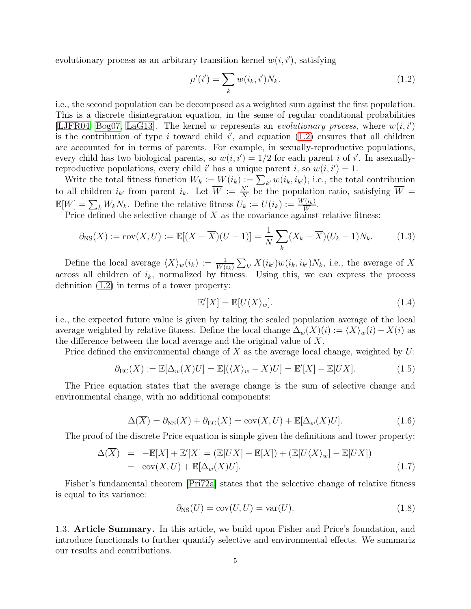evolutionary process as an arbitrary transition kernel  $w(i, i')$ , satisfying

<span id="page-4-0"></span>
$$
\mu'(i') = \sum_{k} w(i_k, i') N_k. \tag{1.2}
$$

i.e., the second population can be decomposed as a weighted sum against the first population. This is a discrete disintegration equation, in the sense of regular conditional probabilities [\[LJFR04,](#page-62-19) [Bog07,](#page-61-11) [LaG13\]](#page-62-20). The kernel w represents an evolutionary process, where  $w(i, i')$ is the contribution of type i toward child  $i'$ , and equation  $(1.2)$  ensures that all children are accounted for in terms of parents. For example, in sexually-reproductive populations, every child has two biological parents, so  $w(i, i') = 1/2$  for each parent i of i'. In asexuallyreproductive populations, every child i' has a unique parent i, so  $w(i, i') = 1$ .

Write the total fitness function  $W_k := W(i_k) := \sum_{k'} w(i_k, i_{k'})$ , i.e., the total contribution to all children  $i_{k'}$  from parent  $i_k$ . Let  $\overline{W} := \frac{N'}{N}$  be the population ratio, satisfying  $\overline{W} =$  $\mathbb{E}[W] = \sum_{k} W_k N_k$ . Define the relative fitness  $U_k := U(i_k) := \frac{W(i_k)}{\overline{W}}$ .

Price defined the selective change of  $X$  as the covariance against relative fitness:

$$
\partial_{\text{NS}}(X) := \text{cov}(X, U) := \mathbb{E}[(X - \overline{X})(U - 1)] = \frac{1}{N} \sum_{k} (X_k - \overline{X})(U_k - 1)N_k. \tag{1.3}
$$

Define the local average  $\langle X \rangle_w(i_k) := \frac{1}{W(i_k)} \sum_{k'} X(i_{k'}) w(i_k, i_{k'}) N_k$ , i.e., the average of X across all children of  $i_k$ , normalized by fitness. Using this, we can express the process definition [\(1.2\)](#page-4-0) in terms of a tower property:

$$
\mathbb{E}'[X] = \mathbb{E}[U\langle X \rangle_w].\tag{1.4}
$$

i.e., the expected future value is given by taking the scaled population average of the local average weighted by relative fitness. Define the local change  $\Delta_w(X)(i) := \langle X \rangle_w(i) - X(i)$  as the difference between the local average and the original value of  $X$ .

Price defined the environmental change of X as the average local change, weighted by  $U$ :

$$
\partial_{\rm EC}(X) := \mathbb{E}[\Delta_w(X)U] = \mathbb{E}[(\langle X \rangle_w - X)U] = \mathbb{E}'[X] - \mathbb{E}[UX]. \tag{1.5}
$$

The Price equation states that the average change is the sum of selective change and environmental change, with no additional components:

$$
\Delta(\overline{X}) = \partial_{\text{NS}}(X) + \partial_{\text{EC}}(X) = \text{cov}(X, U) + \mathbb{E}[\Delta_w(X)U]. \tag{1.6}
$$

The proof of the discrete Price equation is simple given the definitions and tower property:

<span id="page-4-1"></span>
$$
\Delta(\overline{X}) = -\mathbb{E}[X] + \mathbb{E}'[X] = (\mathbb{E}[UX] - \mathbb{E}[X]) + (\mathbb{E}[U\langle X\rangle_w] - \mathbb{E}[UX])
$$
  
= cov(X, U) + \mathbb{E}[\Delta\_w(X)U]. \t(1.7)

Fisher's fundamental theorem [\[Pri72a\]](#page-63-2) states that the selective change of relative fitness is equal to its variance:

$$
\partial_{\rm NS}(U) = \text{cov}(U, U) = \text{var}(U). \tag{1.8}
$$

1.3. Article Summary. In this article, we build upon Fisher and Price's foundation, and introduce functionals to further quantify selective and environmental effects. We summariz our results and contributions.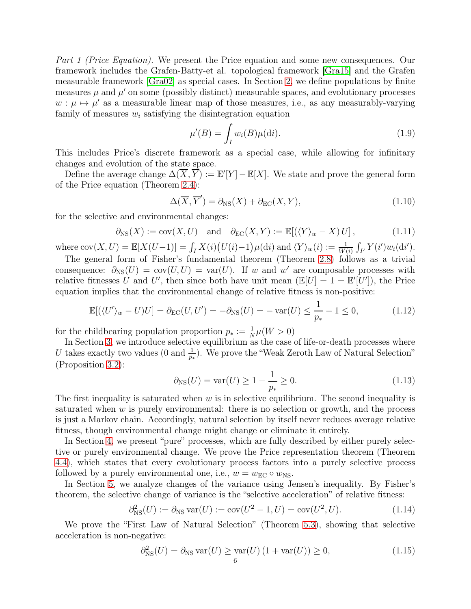Part 1 (Price Equation). We present the Price equation and some new consequences. Our framework includes the Grafen-Batty-et al. topological framework [\[Gra15\]](#page-62-16) and the Grafen measurable framework [\[Gra02\]](#page-62-17) as special cases. In Section [2,](#page-9-0) we define populations by finite measures  $\mu$  and  $\mu'$  on some (possibly distinct) measurable spaces, and evolutionary processes  $w: \mu \mapsto \mu'$  as a measurable linear map of those measures, i.e., as any measurably-varying family of measures  $w_i$  satisfying the disintegration equation

$$
\mu'(B) = \int_{I} w_i(B)\mu(\mathrm{d}i). \tag{1.9}
$$

This includes Price's discrete framework as a special case, while allowing for infinitary changes and evolution of the state space.

Define the average change  $\Delta(\overline{X}, \overline{Y}) := \mathbb{E}'[Y] - \mathbb{E}[X]$ . We state and prove the general form of the Price equation (Theorem [2.4\)](#page-12-0):

$$
\Delta(\overline{X}, \overline{Y}') = \partial_{\rm NS}(X) + \partial_{\rm EC}(X, Y),\tag{1.10}
$$

for the selective and environmental changes:

$$
\partial_{\text{NS}}(X) := \text{cov}(X, U) \quad \text{and} \quad \partial_{\text{EC}}(X, Y) := \mathbb{E}[(\langle Y \rangle_w - X) U], \tag{1.11}
$$

where  $cov(X, U) = \mathbb{E}[X(U-1)] = \int_I X(i) (U(i)-1) \mu(\mathrm{d}i)$  and  $\langle Y \rangle_w(i) := \frac{1}{W(i)} \int_{I'} Y(i') w_i(\mathrm{d}i').$ 

The general form of Fisher's fundamental theorem (Theorem [2.8\)](#page-13-0) follows as a trivial consequence:  $\partial_{\text{NS}}(U) = \text{cov}(U, U) = \text{var}(U)$ . If w and w' are composable processes with relative fitnesses U and U', then since both have unit mean  $(\mathbb{E}[U] = 1 = \mathbb{E}'[U'])$ , the Price equation implies that the environmental change of relative fitness is non-positive:

$$
\mathbb{E}[(\langle U' \rangle_w - U)U] = \partial_{\text{EC}}(U, U') = -\partial_{\text{NS}}(U) = -\operatorname{var}(U) \le \frac{1}{p_*} - 1 \le 0,
$$
\n(1.12)

for the childbearing population proportion  $p_* := \frac{1}{N}\mu(W > 0)$ 

In Section [3,](#page-14-0) we introduce selective equilibrium as the case of life-or-death processes where U takes exactly two values (0 and  $\frac{1}{p_*}$ ). We prove the "Weak Zeroth Law of Natural Selection" (Proposition [3.2\)](#page-14-2):

<span id="page-5-0"></span>
$$
\partial_{\text{NS}}(U) = \text{var}(U) \ge 1 - \frac{1}{p_*} \ge 0.
$$
\n(1.13)

The first inequality is saturated when  $w$  is in selective equilibrium. The second inequality is saturated when  $w$  is purely environmental: there is no selection or growth, and the process is just a Markov chain. Accordingly, natural selection by itself never reduces average relative fitness, though environmental change might change or eliminate it entirely.

In Section [4,](#page-14-1) we present "pure" processes, which are fully described by either purely selective or purely environmental change. We prove the Price representation theorem (Theorem [4.4\)](#page-16-0), which states that every evolutionary process factors into a purely selective process followed by a purely environmental one, i.e.,  $w = w_{EC} \circ w_{NS}$ .

In Section [5,](#page-17-0) we analyze changes of the variance using Jensen's inequality. By Fisher's theorem, the selective change of variance is the "selective acceleration" of relative fitness:

$$
\partial_{\rm NS}^2(U) := \partial_{\rm NS} \, \text{var}(U) := \text{cov}(U^2 - 1, U) = \text{cov}(U^2, U). \tag{1.14}
$$

We prove the "First Law of Natural Selection" (Theorem [5.3\)](#page-19-0), showing that selective acceleration is non-negative:

<span id="page-5-1"></span>
$$
\partial_{\rm NS}^2(U) = \partial_{\rm NS} \operatorname{var}(U) \ge \operatorname{var}(U) \left(1 + \operatorname{var}(U)\right) \ge 0,\tag{1.15}
$$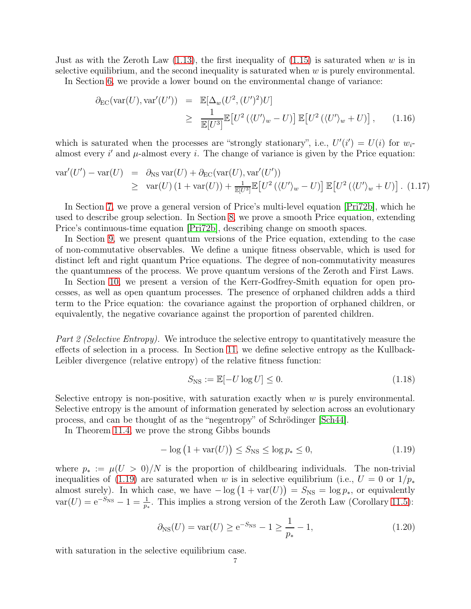Just as with the Zeroth Law  $(1.13)$ , the first inequality of  $(1.15)$  is saturated when w is in selective equilibrium, and the second inequality is saturated when  $w$  is purely environmental.

In Section [6,](#page-20-0) we provide a lower bound on the environmental change of variance:

$$
\partial_{\rm EC}(\text{var}(U), \text{var}'(U')) = \mathbb{E}[\Delta_w(U^2, (U')^2)U]
$$
  
\n
$$
\geq \frac{1}{\mathbb{E}[U^3]}\mathbb{E}[U^2(\langle U' \rangle_w - U)] \mathbb{E}[U^2(\langle U' \rangle_w + U)], \quad (1.16)
$$

which is saturated when the processes are "strongly stationary", i.e.,  $U'(i') = U(i)$  for  $w_i$ almost every  $i'$  and  $\mu$ -almost every i. The change of variance is given by the Price equation:

$$
\operatorname{var}'(U') - \operatorname{var}(U) = \partial_{\text{NS}} \operatorname{var}(U) + \partial_{\text{EC}} (\operatorname{var}(U), \operatorname{var}'(U'))
$$
  
\n
$$
\geq \operatorname{var}(U) \left(1 + \operatorname{var}(U)\right) + \frac{1}{\mathbb{E}[U^3]} \mathbb{E}\left[U^2 \left(\langle U' \rangle_w - U\right)\right] \mathbb{E}\left[U^2 \left(\langle U' \rangle_w + U\right)\right]. \tag{1.17}
$$

In Section [7,](#page-21-0) we prove a general version of Price's multi-level equation [\[Pri72b\]](#page-63-5), which he used to describe group selection. In Section [8,](#page-23-0) we prove a smooth Price equation, extending Price's continuous-time equation [\[Pri72b\]](#page-63-5), describing change on smooth spaces.

In Section [9,](#page-25-0) we present quantum versions of the Price equation, extending to the case of non-commutative observables. We define a unique fitness observable, which is used for distinct left and right quantum Price equations. The degree of non-commutativity measures the quantumness of the process. We prove quantum versions of the Zeroth and First Laws.

In Section [10,](#page-30-0) we present a version of the Kerr-Godfrey-Smith equation for open processes, as well as open quantum processes. The presence of orphaned children adds a third term to the Price equation: the covariance against the proportion of orphaned children, or equivalently, the negative covariance against the proportion of parented children.

Part 2 (Selective Entropy). We introduce the selective entropy to quantitatively measure the effects of selection in a process. In Section [11,](#page-32-1) we define selective entropy as the Kullback-Leibler divergence (relative entropy) of the relative fitness function:

$$
S_{\rm NS} := \mathbb{E}[-U \log U] \le 0. \tag{1.18}
$$

Selective entropy is non-positive, with saturation exactly when  $w$  is purely environmental. Selective entropy is the amount of information generated by selection across an evolutionary process, and can be thought of as the "negentropy" of Schrödinger [\[Sch44\]](#page-63-11).

In Theorem [11.4,](#page-33-0) we prove the strong Gibbs bounds

<span id="page-6-0"></span>
$$
-\log\left(1+\text{var}(U)\right) \le S_{\text{NS}} \le \log p_* \le 0,\tag{1.19}
$$

where  $p_* := \mu(U > 0)/N$  is the proportion of childbearing individuals. The non-trivial inequalities of [\(1.19\)](#page-6-0) are saturated when w is in selective equilibrium (i.e.,  $U = 0$  or  $1/p_*$ almost surely). In which case, we have  $-\log(1 + \text{var}(U)) = S_{\text{NS}} = \log p_*$ , or equivalently  $var(U) = e^{-S_{NS}} - 1 = \frac{1}{p_*}$ . This implies a strong version of the Zeroth Law (Corollary [11.5\)](#page-34-1):

$$
\partial_{\rm NS}(U) = \text{var}(U) \ge e^{-S_{\rm NS}} - 1 \ge \frac{1}{p_*} - 1,\tag{1.20}
$$

with saturation in the selective equilibrium case.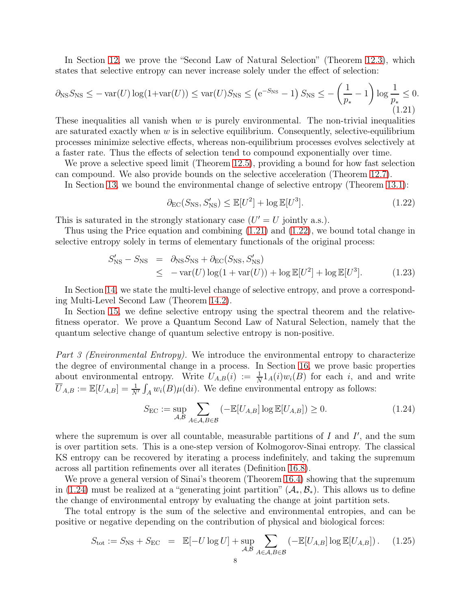In Section [12,](#page-34-0) we prove the "Second Law of Natural Selection" (Theorem [12.3\)](#page-35-0), which states that selective entropy can never increase solely under the effect of selection:

<span id="page-7-0"></span>
$$
\partial_{\text{NS}} S_{\text{NS}} \le -\text{var}(U) \log(1 + \text{var}(U)) \le \text{var}(U) S_{\text{NS}} \le \left( e^{-S_{\text{NS}}} - 1 \right) S_{\text{NS}} \le -\left( \frac{1}{p_*} - 1 \right) \log \frac{1}{p_*} \le 0. \tag{1.21}
$$

These inequalities all vanish when  $w$  is purely environmental. The non-trivial inequalities are saturated exactly when  $w$  is in selective equilibrium. Consequently, selective-equilibrium processes minimize selective effects, whereas non-equilibrium processes evolves selectively at a faster rate. Thus the effects of selection tend to compound exponentially over time.

We prove a selective speed limit (Theorem [12.5\)](#page-37-0), providing a bound for how fast selection can compound. We also provide bounds on the selective acceleration (Theorem [12.7\)](#page-38-0).

In Section [13,](#page-40-0) we bound the environmental change of selective entropy (Theorem [13.1\)](#page-40-1):

<span id="page-7-1"></span>
$$
\partial_{\rm EC}(S_{\rm NS}, S'_{\rm NS}) \le \mathbb{E}[U^2] + \log \mathbb{E}[U^3].\tag{1.22}
$$

This is saturated in the strongly stationary case  $(U' = U$  jointly a.s.).

Thus using the Price equation and combining [\(1.21\)](#page-7-0) and [\(1.22\)](#page-7-1), we bound total change in selective entropy solely in terms of elementary functionals of the original process:

$$
S'_{\rm NS} - S_{\rm NS} = \partial_{\rm NS} S_{\rm NS} + \partial_{\rm EC}(S_{\rm NS}, S'_{\rm NS})
$$
  
\n
$$
\leq -\text{var}(U)\log(1 + \text{var}(U)) + \log \mathbb{E}[U^2] + \log \mathbb{E}[U^3].
$$
 (1.23)

In Section [14,](#page-41-0) we state the multi-level change of selective entropy, and prove a corresponding Multi-Level Second Law (Theorem [14.2\)](#page-42-1).

In Section [15,](#page-42-0) we define selective entropy using the spectral theorem and the relativefitness operator. We prove a Quantum Second Law of Natural Selection, namely that the quantum selective change of quantum selective entropy is non-positive.

Part 3 (Environmental Entropy). We introduce the environmental entropy to characterize the degree of environmental change in a process. In Section [16,](#page-43-1) we prove basic properties about environmental entropy. Write  $U_{A,B}(i) := \frac{1}{N} 1_A(i) w_i(B)$  for each i, and and write  $\overline{U}_{A,B} := \mathbb{E}[U_{A,B}] = \frac{1}{N'} \int_A w_i(B) \mu(\mathrm{d}i)$ . We define environmental entropy as follows:

<span id="page-7-2"></span>
$$
S_{\rm EC} := \sup_{\mathcal{A}, \mathcal{B}} \sum_{A \in \mathcal{A}, B \in \mathcal{B}} \left( -\mathbb{E}[U_{A,B}] \log \mathbb{E}[U_{A,B}] \right) \ge 0. \tag{1.24}
$$

where the supremum is over all countable, measurable partitions of  $I$  and  $I'$ , and the sum is over partition sets. This is a one-step version of Kolmogorov-Sinai entropy. The classical KS entropy can be recovered by iterating a process indefinitely, and taking the supremum across all partition refinements over all iterates (Definition [16.8\)](#page-45-2).

We prove a general version of Sinai's theorem (Theorem [16.4\)](#page-45-0) showing that the supremum in [\(1.24\)](#page-7-2) must be realized at a "generating joint partition"  $(\mathcal{A}_{*}, \mathcal{B}_{*})$ . This allows us to define the change of environmental entropy by evaluating the change at joint partition sets.

The total entropy is the sum of the selective and environmental entropies, and can be positive or negative depending on the contribution of physical and biological forces:

$$
S_{\text{tot}} := S_{\text{NS}} + S_{\text{EC}} = \mathbb{E}[-U \log U] + \sup_{\mathcal{A}, \mathcal{B}} \sum_{A \in \mathcal{A}, B \in \mathcal{B}} (-\mathbb{E}[U_{A,B}] \log \mathbb{E}[U_{A,B}]). \quad (1.25)
$$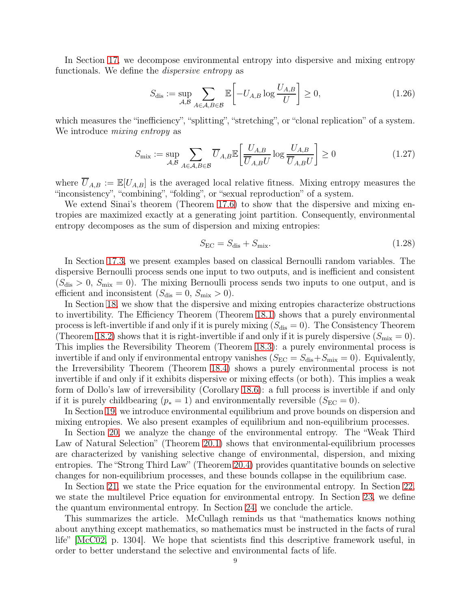In Section [17,](#page-46-0) we decompose environmental entropy into dispersive and mixing entropy functionals. We define the dispersive entropy as

$$
S_{\text{dis}} := \sup_{\mathcal{A}, \mathcal{B}} \sum_{A \in \mathcal{A}, B \in \mathcal{B}} \mathbb{E} \left[ -U_{A,B} \log \frac{U_{A,B}}{U} \right] \ge 0, \tag{1.26}
$$

which measures the "inefficiency", "splitting", "stretching", or "clonal replication" of a system. We introduce *mixing entropy* as

$$
S_{\text{mix}} := \sup_{\mathcal{A}, \mathcal{B}} \sum_{A \in \mathcal{A}, B \in \mathcal{B}} \overline{U}_{A, B} \mathbb{E} \left[ \frac{U_{A, B}}{\overline{U}_{A, B} U} \log \frac{U_{A, B}}{\overline{U}_{A, B} U} \right] \ge 0 \tag{1.27}
$$

where  $\overline{U}_{A,B} := \mathbb{E}[U_{A,B}]$  is the averaged local relative fitness. Mixing entropy measures the "inconsistency", "combining", "folding", or "sexual reproduction" of a system.

We extend Sinai's theorem (Theorem [17.6\)](#page-48-0) to show that the dispersive and mixing entropies are maximized exactly at a generating joint partition. Consequently, environmental entropy decomposes as the sum of dispersion and mixing entropies:

$$
S_{\rm EC} = S_{\rm dis} + S_{\rm mix}.\tag{1.28}
$$

In Section [17.3,](#page-49-0) we present examples based on classical Bernoulli random variables. The dispersive Bernoulli process sends one input to two outputs, and is inefficient and consistent  $(S_{\text{dis}} > 0, S_{\text{mix}} = 0)$ . The mixing Bernoulli process sends two inputs to one output, and is efficient and inconsistent  $(S_{dis} = 0, S_{mix} > 0)$ .

In Section [18,](#page-50-0) we show that the dispersive and mixing entropies characterize obstructions to invertibility. The Efficiency Theorem (Theorem [18.1\)](#page-50-1) shows that a purely environmental process is left-invertible if and only if it is purely mixing  $(S_{dis} = 0)$ . The Consistency Theorem (Theorem [18.2\)](#page-50-3) shows that it is right-invertible if and only if it is purely dispersive  $(S_{\text{mix}} = 0)$ . This implies the Reversibility Theorem (Theorem [18.3\)](#page-50-4): a purely environmental process is invertible if and only if environmental entropy vanishes  $(S_{EC} = S_{dis} + S_{mix} = 0)$ . Equivalently, the Irreversibility Theorem (Theorem [18.4\)](#page-50-2) shows a purely environmental process is not invertible if and only if it exhibits dispersive or mixing effects (or both). This implies a weak form of Dollo's law of irreversibility (Corollary [18.6\)](#page-51-1): a full process is invertible if and only if it is purely childbearing ( $p_* = 1$ ) and environmentally reversible ( $S_{\text{EC}} = 0$ ).

In Section [19,](#page-51-0) we introduce environmental equilibrium and prove bounds on dispersion and mixing entropies. We also present examples of equilibrium and non-equilibrium processes.

In Section [20,](#page-55-0) we analyze the change of the environmental entropy. The "Weak Third Law of Natural Selection" (Theorem [20.1\)](#page-55-1) shows that environmental-equilibrium processes are characterized by vanishing selective change of environmental, dispersion, and mixing entropies. The "Strong Third Law" (Theorem [20.4\)](#page-56-0) provides quantitative bounds on selective changes for non-equilibrium processes, and these bounds collapse in the equilibrium case.

In Section [21,](#page-57-0) we state the Price equation for the environmental entropy. In Section [22,](#page-58-0) we state the multilevel Price equation for environmental entropy. In Section [23,](#page-58-1) we define the quantum environmental entropy. In Section [24,](#page-61-0) we conclude the article.

This summarizes the article. McCullagh reminds us that "mathematics knows nothing about anything except mathematics, so mathematics must be instructed in the facts of rural life" [\[McC02,](#page-62-21) p. 1304]. We hope that scientists find this descriptive framework useful, in order to better understand the selective and environmental facts of life.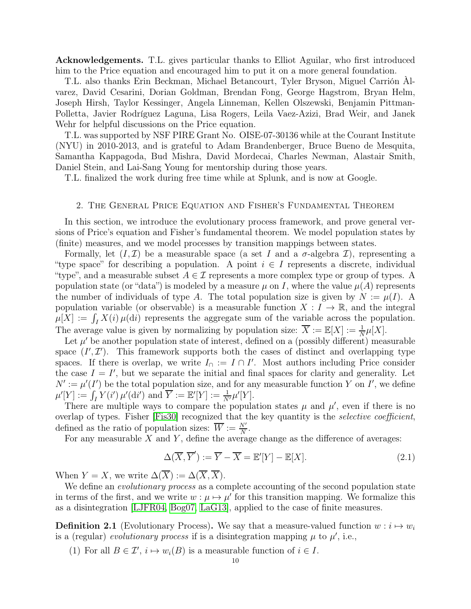Acknowledgements. T.L. gives particular thanks to Elliot Aguilar, who first introduced him to the Price equation and encouraged him to put it on a more general foundation.

T.L. also thanks Erin Beckman, Michael Betancourt, Tyler Bryson, Miguel Carrión Àlvarez, David Cesarini, Dorian Goldman, Brendan Fong, George Hagstrom, Bryan Helm, Joseph Hirsh, Taylor Kessinger, Angela Linneman, Kellen Olszewski, Benjamin Pittman-Polletta, Javier Rodríguez Laguna, Lisa Rogers, Leila Vaez-Azizi, Brad Weir, and Janek Wehr for helpful discussions on the Price equation.

T.L. was supported by NSF PIRE Grant No. OISE-07-30136 while at the Courant Institute (NYU) in 2010-2013, and is grateful to Adam Brandenberger, Bruce Bueno de Mesquita, Samantha Kappagoda, Bud Mishra, David Mordecai, Charles Newman, Alastair Smith, Daniel Stein, and Lai-Sang Young for mentorship during those years.

<span id="page-9-0"></span>T.L. finalized the work during free time while at Splunk, and is now at Google.

#### 2. The General Price Equation and Fisher's Fundamental Theorem

In this section, we introduce the evolutionary process framework, and prove general versions of Price's equation and Fisher's fundamental theorem. We model population states by (finite) measures, and we model processes by transition mappings between states.

Formally, let  $(I, \mathcal{I})$  be a measurable space (a set I and a  $\sigma$ -algebra I), representing a "type space" for describing a population. A point  $i \in I$  represents a discrete, individual "type", and a measurable subset  $A \in \mathcal{I}$  represents a more complex type or group of types. A population state (or "data") is modeled by a measure  $\mu$  on I, where the value  $\mu(A)$  represents the number of individuals of type A. The total population size is given by  $N := \mu(I)$ . A population variable (or observable) is a measurable function  $X: I \to \mathbb{R}$ , and the integral  $\mu[X] := \int_I X(i) \mu(\mathrm{d}i)$  represents the aggregate sum of the variable across the population. The average value is given by normalizing by population size:  $\overline{X} := \mathbb{E}[X] := \frac{1}{N}\mu[X]$ .

Let  $\mu'$  be another population state of interest, defined on a (possibly different) measurable space  $(I',\mathcal{I}')$ . This framework supports both the cases of distinct and overlapping type spaces. If there is overlap, we write  $I_{\cap} := I \cap I'$ . Most authors including Price consider the case  $I = I'$ , but we separate the initial and final spaces for clarity and generality. Let  $N' := \mu'(I')$  be the total population size, and for any measurable function Y on I', we define  $\mu'[Y] := \int_I Y(i') \, \mu'(di')$  and  $\overline{Y} := \mathbb{E}'[Y] := \frac{1}{N'} \mu'[Y].$ 

There are multiple ways to compare the population states  $\mu$  and  $\mu'$ , even if there is no overlap of types. Fisher [\[Fis30\]](#page-61-2) recognized that the key quantity is the *selective coefficient*, defined as the ratio of population sizes:  $\overline{W} := \frac{N'}{N}$ .

For any measurable  $X$  and  $Y$ , define the average change as the difference of averages:

$$
\Delta(\overline{X}, \overline{Y}') := \overline{Y} - \overline{X} = \mathbb{E}'[Y] - \mathbb{E}[X].
$$
\n(2.1)

When  $Y = X$ , we write  $\Delta(\overline{X}) := \Delta(\overline{X}, \overline{X})$ .

We define an *evolutionary process* as a complete accounting of the second population state in terms of the first, and we write  $w : \mu \mapsto \mu'$  for this transition mapping. We formalize this as a disintegration [\[LJFR04,](#page-62-19) [Bog07,](#page-61-11) [LaG13\]](#page-62-20), applied to the case of finite measures.

**Definition 2.1** (Evolutionary Process). We say that a measure-valued function  $w : i \mapsto w_i$ is a (regular) evolutionary process if is a disintegration mapping  $\mu$  to  $\mu'$ , i.e.,

(1) For all  $B \in \mathcal{I}'$ ,  $i \mapsto w_i(B)$  is a measurable function of  $i \in I$ .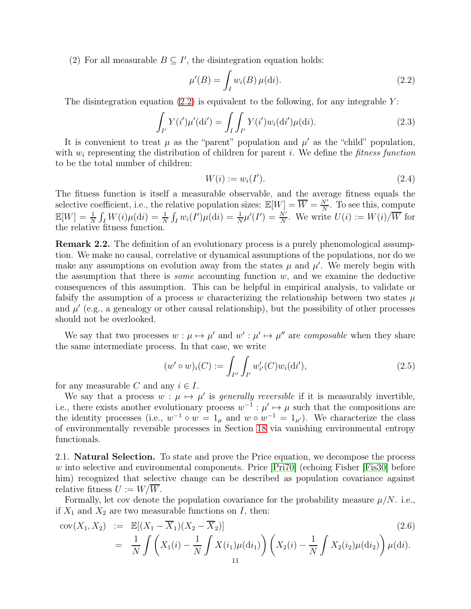(2) For all measurable  $B \subseteq I'$ , the disintegration equation holds:

<span id="page-10-0"></span>
$$
\mu'(B) = \int_{I} w_i(B) \,\mu(\mathrm{d}i). \tag{2.2}
$$

The disintegration equation [\(2.2\)](#page-10-0) is equivalent to the following, for any integrable  $Y$ :

$$
\int_{I'} Y(i')\mu'(di') = \int_{I} \int_{I'} Y(i')w_i(\mathrm{d}i')\mu(\mathrm{d}i). \tag{2.3}
$$

It is convenient to treat  $\mu$  as the "parent" population and  $\mu'$  as the "child" population, with  $w_i$  representing the distribution of children for parent i. We define the *fitness function* to be the total number of children:

$$
W(i) := w_i(I'). \tag{2.4}
$$

The fitness function is itself a measurable observable, and the average fitness equals the selective coefficient, i.e., the relative population sizes:  $\mathbb{E}[W] = \overline{W} = \frac{N'}{N}$  $\frac{N'}{N}$ . To see this, compute  $\mathbb{E}[W] = \frac{1}{N} \int_I W(i) \mu(\mathrm{d}i) = \frac{1}{N} \int_I w_i(I') \mu(\mathrm{d}i) = \frac{1}{N} \mu'(I') = \frac{N'}{N}$ . We write  $U(i) := W(i) / \overline{W}$  for the relative fitness function.

Remark 2.2. The definition of an evolutionary process is a purely phenomological assumption. We make no causal, correlative or dynamical assumptions of the populations, nor do we make any assumptions on evolution away from the states  $\mu$  and  $\mu'$ . We merely begin with the assumption that there is *some* accounting function  $w$ , and we examine the deductive consequences of this assumption. This can be helpful in empirical analysis, to validate or falsify the assumption of a process w characterizing the relationship between two states  $\mu$ and  $\mu'$  (e.g., a genealogy or other causal relationship), but the possibility of other processes should not be overlooked.

We say that two processes  $w : \mu \mapsto \mu'$  and  $w' : \mu' \mapsto \mu''$  are *composable* when they share the same intermediate process. In that case, we write

$$
(w' \circ w)_i(C) := \int_{I''} \int_{I'} w'_{i'}(C)w_i(\mathrm{d}i'), \tag{2.5}
$$

for any measurable C and any  $i \in I$ .

We say that a process  $w : \mu \mapsto \mu'$  is *generally reversible* if it is measurably invertible, i.e., there exists another evolutionary process  $w^{-1}$ :  $\mu' \mapsto \mu$  such that the compositions are the identity processes (i.e.,  $w^{-1} \circ w = 1_{\mu}$  and  $w \circ w^{-1} = 1_{\mu'}$ ). We characterize the class of environmentally reversible processes in Section [18](#page-50-0) via vanishing environmental entropy functionals.

2.1. Natural Selection. To state and prove the Price equation, we decompose the process w into selective and environmental components. Price  $|Pr70|$  (echoing Fisher Fis30) before him) recognized that selective change can be described as population covariance against relative fitness  $U := W/\overline{W}$ .

Formally, let cov denote the population covariance for the probability measure  $\mu/N$ . i.e., if  $X_1$  and  $X_2$  are two measurable functions on I, then:

$$
cov(X_1, X_2) := \mathbb{E}[(X_1 - \overline{X}_1)(X_2 - \overline{X}_2)]
$$
\n
$$
= \frac{1}{N} \int \left( X_1(i) - \frac{1}{N} \int X(i_1)\mu(\mathrm{d}i_1) \right) \left( X_2(i) - \frac{1}{N} \int X_2(i_2)\mu(\mathrm{d}i_2) \right) \mu(\mathrm{d}i).
$$
\n(2.6)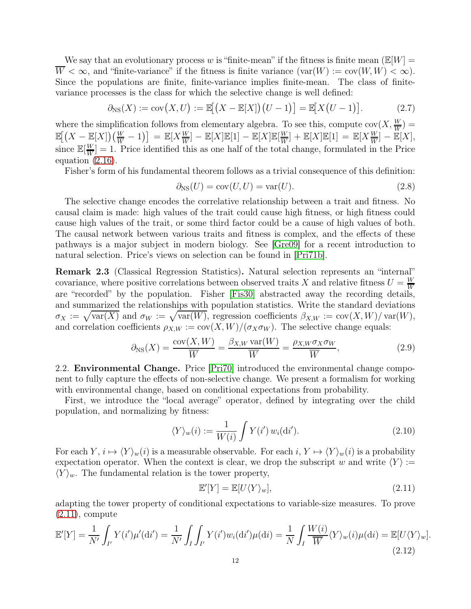We say that an evolutionary process w is "finite-mean" if the fitness is finite mean  $(\mathbb{E}[W])$  $\overline{W} < \infty$ , and "finite-variance" if the fitness is finite variance  $(\text{var}(W) := \text{cov}(W, W) < \infty)$ . Since the populations are finite, finite-variance implies finite-mean. The class of finitevariance processes is the class for which the selective change is well defined:

<span id="page-11-1"></span>
$$
\partial_{\text{NS}}(X) := \text{cov}(X, U) := \mathbb{E}[(X - \mathbb{E}[X])(U - 1)] = \mathbb{E}[X(U - 1)]. \tag{2.7}
$$

where the simplification follows from elementary algebra. To see this, compute  $cov(X, \frac{W}{W})$  $\mathbb{E}[(X - \mathbb{E}[X])(\frac{W}{W} - 1)] = \mathbb{E}[X\frac{W}{W}] - \mathbb{E}[X]\mathbb{E}[1] - \mathbb{E}[X]\mathbb{E}[\frac{W}{W}] + \mathbb{E}[X]\mathbb{E}[1] = \mathbb{E}[X\frac{W}{W}] - \mathbb{E}[X]\mathbb{E}[X]$  $\frac{W}{W}$ ] +  $\mathbb{E}[X]\mathbb{E}[1] = \mathbb{E}[X\frac{W}{W}] - \mathbb{E}[X],$ since  $\mathbb{E}[\frac{W}{W}]$  $\frac{W}{W}$  = 1. Price identified this as one half of the total change, formulated in the Price equation [\(2.16\)](#page-12-1).

Fisher's form of his fundamental theorem follows as a trivial consequence of this definition:

<span id="page-11-2"></span>
$$
\partial_{\rm NS}(U) = \text{cov}(U, U) = \text{var}(U). \tag{2.8}
$$

The selective change encodes the correlative relationship between a trait and fitness. No causal claim is made: high values of the trait could cause high fitness, or high fitness could cause high values of the trait, or some third factor could be a cause of high values of both. The causal network between various traits and fitness is complex, and the effects of these pathways is a major subject in modern biology. See [\[Gre09\]](#page-62-22) for a recent introduction to natural selection. Price's views on selection can be found in [\[Pri71b\]](#page-63-4).

Remark 2.3 (Classical Regression Statistics). Natural selection represents an "internal" covariance, where positive correlations between observed traits X and relative fitness  $U = \frac{W}{W}$ W are "recorded" by the population. Fisher [\[Fis30\]](#page-61-2) abstracted away the recording details, and summarized the relationships with population statistics. Write the standard deviations  $\sigma_X := \sqrt{\text{var}(X)}$  and  $\sigma_W := \sqrt{\text{var}(W)}$ , regression coefficients  $\beta_{X,W} := \text{cov}(X, W)/\text{var}(W)$ , and correlation coefficients  $\rho_{X,W} := \text{cov}(X, W) / (\sigma_X \sigma_W)$ . The selective change equals:

$$
\partial_{\text{NS}}(X) = \frac{\text{cov}(X, W)}{\overline{W}} = \frac{\beta_{X,W} \text{var}(W)}{\overline{W}} = \frac{\rho_{X,W} \sigma_X \sigma_W}{\overline{W}},\tag{2.9}
$$

2.2. Environmental Change. Price [\[Pri70\]](#page-63-0) introduced the environmental change component to fully capture the effects of non-selective change. We present a formalism for working with environmental change, based on conditional expectations from probability.

First, we introduce the "local average" operator, defined by integrating over the child population, and normalizing by fitness:

$$
\langle Y \rangle_w(i) := \frac{1}{W(i)} \int Y(i') w_i(\mathrm{d}i'). \tag{2.10}
$$

For each  $Y, i \mapsto \langle Y \rangle_w(i)$  is a measurable observable. For each  $i, Y \mapsto \langle Y \rangle_w(i)$  is a probability expectation operator. When the context is clear, we drop the subscript w and write  $\langle Y \rangle :=$  $\langle Y \rangle_w$ . The fundamental relation is the tower property,

<span id="page-11-0"></span>
$$
\mathbb{E}'[Y] = \mathbb{E}[U\langle Y\rangle_w],\tag{2.11}
$$

adapting the tower property of conditional expectations to variable-size measures. To prove  $(2.11)$ , compute

$$
\mathbb{E}'[Y] = \frac{1}{N'} \int_{I'} Y(i')\mu'(\mathrm{d}i') = \frac{1}{N'} \int_{I} \int_{I'} Y(i')w_i(\mathrm{d}i')\mu(\mathrm{d}i) = \frac{1}{N} \int_{I} \frac{W(i)}{\overline{W}} \langle Y \rangle_w(i)\mu(\mathrm{d}i) = \mathbb{E}[U\langle Y \rangle_w].
$$
\n(2.12)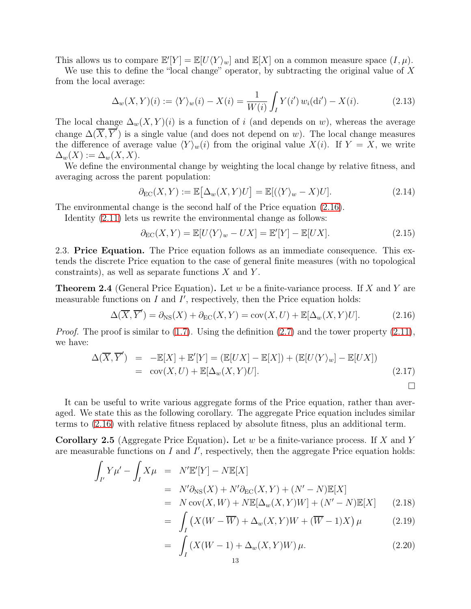This allows us to compare  $\mathbb{E}'[Y] = \mathbb{E}[U\langle Y\rangle_w]$  and  $\mathbb{E}[X]$  on a common measure space  $(I, \mu)$ .

We use this to define the "local change" operator, by subtracting the original value of X from the local average:

$$
\Delta_w(X, Y)(i) := \langle Y \rangle_w(i) - X(i) = \frac{1}{W(i)} \int_I Y(i') w_i(\mathrm{d}i') - X(i). \tag{2.13}
$$

The local change  $\Delta_w(X, Y)(i)$  is a function of i (and depends on w), whereas the average change  $\Delta(\overline{X}, \overline{Y}')$  is a single value (and does not depend on w). The local change measures the difference of average value  $\langle Y \rangle_w(i)$  from the original value  $X(i)$ . If  $Y = X$ , we write  $\Delta_w(X) := \Delta_w(X,X).$ 

We define the environmental change by weighting the local change by relative fitness, and averaging across the parent population:

$$
\partial_{\rm EC}(X,Y) := \mathbb{E}\big[\Delta_w(X,Y)U\big] = \mathbb{E}[(\langle Y \rangle_w - X)U].\tag{2.14}
$$

The environmental change is the second half of the Price equation [\(2.16\)](#page-12-1).

Identity  $(2.11)$  lets us rewrite the environmental change as follows:

$$
\partial_{\rm EC}(X,Y) = \mathbb{E}[U\langle Y\rangle_w - UX] = \mathbb{E}'[Y] - \mathbb{E}[UX].\tag{2.15}
$$

2.3. Price Equation. The Price equation follows as an immediate consequence. This extends the discrete Price equation to the case of general finite measures (with no topological constraints), as well as separate functions  $X$  and  $Y$ .

<span id="page-12-0"></span>**Theorem 2.4** (General Price Equation). Let w be a finite-variance process. If X and Y are measurable functions on  $I$  and  $I'$ , respectively, then the Price equation holds:

<span id="page-12-1"></span>
$$
\Delta(\overline{X}, \overline{Y}') = \partial_{\text{NS}}(X) + \partial_{\text{EC}}(X, Y) = \text{cov}(X, U) + \mathbb{E}[\Delta_w(X, Y)U]. \tag{2.16}
$$

*Proof.* The proof is similar to  $(1.7)$ . Using the definition  $(2.7)$  and the tower property  $(2.11)$ , we have:

$$
\Delta(\overline{X}, \overline{Y}') = -\mathbb{E}[X] + \mathbb{E}'[Y] = (\mathbb{E}[UX] - \mathbb{E}[X]) + (\mathbb{E}[U\langle Y\rangle_w] - \mathbb{E}[UX])
$$
  
= cov(X, U) + \mathbb{E}[\Delta\_w(X, Y)U]. (2.17)

It can be useful to write various aggregate forms of the Price equation, rather than averaged. We state this as the following corollary. The aggregate Price equation includes similar terms to [\(2.16\)](#page-12-1) with relative fitness replaced by absolute fitness, plus an additional term.

<span id="page-12-3"></span>**Corollary 2.5** (Aggregate Price Equation). Let w be a finite-variance process. If X and Y are measurable functions on  $I$  and  $I'$ , respectively, then the aggregate Price equation holds:

<span id="page-12-2"></span>
$$
\int_{I'} Y \mu' - \int_{I} X \mu = N' \mathbb{E}[Y] - N \mathbb{E}[X]
$$
\n
$$
= N' \partial_{\text{NS}}(X) + N' \partial_{\text{EC}}(X, Y) + (N' - N) \mathbb{E}[X]
$$
\n
$$
= N \operatorname{cov}(X, W) + N \mathbb{E}[\Delta_w(X, Y)W] + (N' - N) \mathbb{E}[X] \qquad (2.18)
$$
\n
$$
\int_{I'} (X \times Y) \mathbb{E}[X] \cdot (X \times Y) \mathbb{E}[X] \cdot (2.19)
$$

$$
= \int_{I} \left( X(W - \overline{W}) + \Delta_{w}(X, Y)W + (\overline{W} - 1)X \right) \mu \tag{2.19}
$$

$$
= \int_{I} \left( X(W - 1) + \Delta_{w}(X, Y)W \right) \mu.
$$
 (2.20)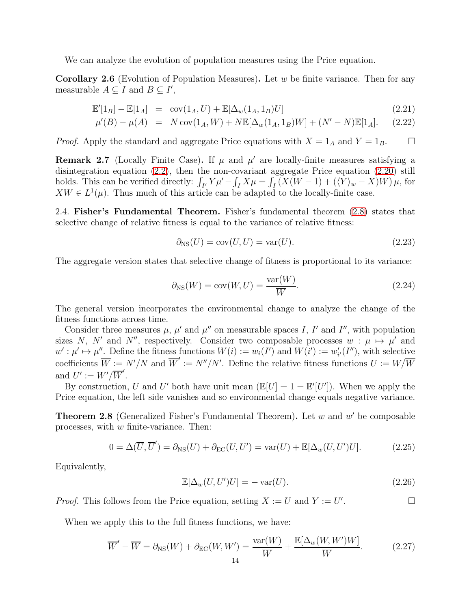We can analyze the evolution of population measures using the Price equation.

**Corollary 2.6** (Evolution of Population Measures). Let w be finite variance. Then for any measurable  $A \subseteq I$  and  $B \subseteq I'$ ,

$$
\mathbb{E}'[1_B] - \mathbb{E}[1_A] = \text{cov}(1_A, U) + \mathbb{E}[\Delta_w(1_A, 1_B)U]
$$
\n(2.21)

$$
\mu'(B) - \mu(A) = N \operatorname{cov}(1_A, W) + N \mathbb{E}[\Delta_w(1_A, 1_B)W] + (N' - N) \mathbb{E}[1_A].
$$
 (2.22)

*Proof.* Apply the standard and aggregate Price equations with  $X = 1_A$  and  $Y = 1_B$ .

**Remark 2.7** (Locally Finite Case). If  $\mu$  and  $\mu'$  are locally-finite measures satisfying a disintegration equation [\(2.2\)](#page-10-0), then the non-covariant aggregate Price equation [\(2.20\)](#page-12-2) still holds. This can be verified directly:  $\int_{I'} Y \mu' - \int_I X \mu = \int_I (X(W - 1) + (\langle Y \rangle_w - X)W) \mu$ , for  $XW \in L^1(\mu)$ . Thus much of this article can be adapted to the locally-finite case.

2.4. Fisher's Fundamental Theorem. Fisher's fundamental theorem [\(2.8\)](#page-11-2) states that selective change of relative fitness is equal to the variance of relative fitness:

$$
\partial_{\rm NS}(U) = \text{cov}(U, U) = \text{var}(U). \tag{2.23}
$$

The aggregate version states that selective change of fitness is proportional to its variance:

$$
\partial_{\rm NS}(W) = \text{cov}(W, U) = \frac{\text{var}(W)}{\overline{W}}.
$$
\n(2.24)

The general version incorporates the environmental change to analyze the change of the fitness functions across time.

Consider three measures  $\mu$ ,  $\mu'$  and  $\mu''$  on measurable spaces I, I' and I'', with population sizes N, N' and N'', respectively. Consider two composable processes  $w : \mu \mapsto \mu'$  and  $w': \mu' \mapsto \mu''$ . Define the fitness functions  $W(i) := w_i(I')$  and  $W(i') := w'_{i'}(I'')$ , with selective coefficients  $\overline{W} := N'/N$  and  $\overline{W}' := N''/N'$ . Define the relative fitness functions  $U := W/\overline{W}$ and  $U' := W'/\overline{W}'$ .

By construction, U and U' both have unit mean  $(\mathbb{E}[U] = 1 = \mathbb{E}'[U'])$ . When we apply the Price equation, the left side vanishes and so environmental change equals negative variance.

<span id="page-13-0"></span>**Theorem 2.8** (Generalized Fisher's Fundamental Theorem). Let  $w$  and  $w'$  be composable processes, with  $w$  finite-variance. Then:

<span id="page-13-1"></span>
$$
0 = \Delta(\overline{U}, \overline{U}') = \partial_{\text{NS}}(U) + \partial_{\text{EC}}(U, U') = \text{var}(U) + \mathbb{E}[\Delta_w(U, U')U]. \tag{2.25}
$$

Equivalently,

$$
\mathbb{E}[\Delta_w(U, U')U] = -\text{var}(U). \tag{2.26}
$$

*Proof.* This follows from the Price equation, setting  $X := U$  and  $Y := U'$ .

When we apply this to the full fitness functions, we have:

$$
\overline{W}' - \overline{W} = \partial_{\text{NS}}(W) + \partial_{\text{EC}}(W, W') = \frac{\text{var}(W)}{\overline{W}} + \frac{\mathbb{E}[\Delta_w(W, W')W]}{\overline{W}}.
$$
 (2.27)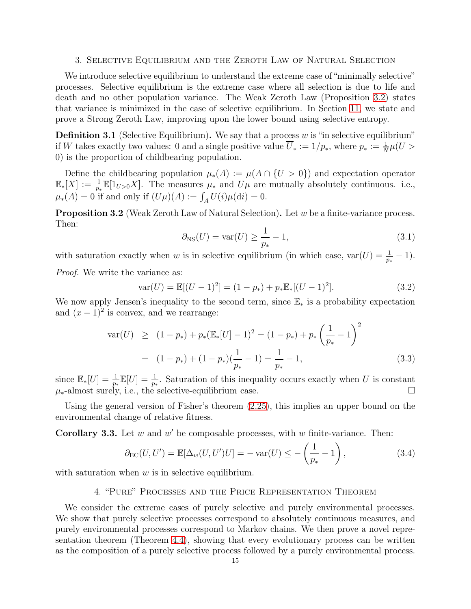## <span id="page-14-0"></span>3. Selective Equilibrium and the Zeroth Law of Natural Selection

We introduce selective equilibrium to understand the extreme case of "minimally selective" processes. Selective equilibrium is the extreme case where all selection is due to life and death and no other population variance. The Weak Zeroth Law (Proposition [3.2\)](#page-14-2) states that variance is minimized in the case of selective equilibrium. In Section [11,](#page-32-1) we state and prove a Strong Zeroth Law, improving upon the lower bound using selective entropy.

**Definition 3.1** (Selective Equilibrium). We say that a process  $w$  is "in selective equilibrium" if W takes exactly two values: 0 and a single positive value  $\overline{U}_* := 1/p_*,$  where  $p_* := \frac{1}{N}\mu(U >$ 0) is the proportion of childbearing population.

Define the childbearing population  $\mu_*(A) := \mu(A \cap \{U > 0\})$  and expectation operator  $\mathbb{E}_*[X] := \frac{1}{p_*} \mathbb{E}[1_{U>0}X]$ . The measures  $\mu_*$  and  $U\mu$  are mutually absolutely continuous. i.e.,  $\mu_*(A) = 0$  if and only if  $(U\mu)(A) := \int_A U(i)\mu(\mathrm{d}i) = 0.$ 

<span id="page-14-2"></span>Proposition 3.2 (Weak Zeroth Law of Natural Selection). Let w be a finite-variance process. Then:

$$
\partial_{\text{NS}}(U) = \text{var}(U) \ge \frac{1}{p_*} - 1,\tag{3.1}
$$

with saturation exactly when w is in selective equilibrium (in which case,  $var(U) = \frac{1}{p_*} - 1$ ).

Proof. We write the variance as:

$$
var(U) = \mathbb{E}[(U-1)^2] = (1-p_*) + p_* \mathbb{E}_*[(U-1)^2].
$$
\n(3.2)

We now apply Jensen's inequality to the second term, since E<sup>∗</sup> is a probability expectation and  $(x-1)^2$  is convex, and we rearrange:

$$
\operatorname{var}(U) \ge (1 - p_*) + p_*(\mathbb{E}_*[U] - 1)^2 = (1 - p_*) + p_* \left(\frac{1}{p_*} - 1\right)^2
$$
  
=  $(1 - p_*) + (1 - p_*)(\frac{1}{p_*} - 1) = \frac{1}{p_*} - 1,$  (3.3)

since  $\mathbb{E}_{*}[U] = \frac{1}{p_*} \mathbb{E}[U] = \frac{1}{p_*}$ . Saturation of this inequality occurs exactly when U is constant  $\mu_*$ -almost surely, i.e., the selective-equilibrium case.

Using the general version of Fisher's theorem [\(2.25\)](#page-13-1), this implies an upper bound on the environmental change of relative fitness.

**Corollary 3.3.** Let  $w$  and  $w'$  be composable processes, with  $w$  finite-variance. Then:

$$
\partial_{\rm EC}(U, U') = \mathbb{E}[\Delta_w(U, U')U] = -\operatorname{var}(U) \le -\left(\frac{1}{p_*} - 1\right),\tag{3.4}
$$

<span id="page-14-1"></span>with saturation when  $w$  is in selective equilibrium.

# 4. "Pure" Processes and the Price Representation Theorem

We consider the extreme cases of purely selective and purely environmental processes. We show that purely selective processes correspond to absolutely continuous measures, and purely environmental processes correspond to Markov chains. We then prove a novel representation theorem (Theorem [4.4\)](#page-16-0), showing that every evolutionary process can be written as the composition of a purely selective process followed by a purely environmental process.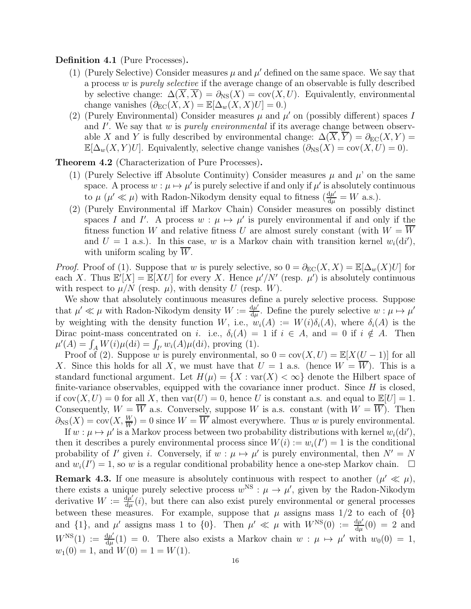Definition 4.1 (Pure Processes).

- (1) (Purely Selective) Consider measures  $\mu$  and  $\mu'$  defined on the same space. We say that a process w is *purely selective* if the average change of an observable is fully described by selective change:  $\Delta(\overline{X}, \overline{X}) = \partial_{\text{NS}}(X) = \text{cov}(X, U)$ . Equivalently, environmental change vanishes  $(\partial_{EC}(X, X) = \mathbb{E}[\Delta_w(X, X)U] = 0.$
- (2) (Purely Environmental) Consider measures  $\mu$  and  $\mu'$  on (possibly different) spaces I and  $I'$ . We say that  $w$  is *purely environmental* if its average change between observable X and Y is fully described by environmental change:  $\Delta(\overline{X}, \overline{Y}) = \partial_{EC}(X, Y) =$  $\mathbb{E}[\Delta_w(X, Y)U]$ . Equivalently, selective change vanishes  $(\partial_{\text{NS}}(X) = \text{cov}(X, U) = 0)$ .

<span id="page-15-0"></span>Theorem 4.2 (Characterization of Pure Processes).

- (1) (Purely Selective iff Absolute Continuity) Consider measures  $\mu$  and  $\mu'$  on the same space. A process  $w : \mu \mapsto \mu'$  is purely selective if and only if  $\mu'$  is absolutely continuous to  $\mu$  ( $\mu' \ll \mu$ ) with Radon-Nikodym density equal to fitness ( $\frac{d\mu'}{d\mu} = W$  a.s.).
- (2) (Purely Environmental iff Markov Chain) Consider measures on possibly distinct spaces I and I'. A process  $w : \mu \mapsto \mu'$  is purely environmental if and only if the fitness function W and relative fitness U are almost surely constant (with  $W = \overline{W}$ and  $U = 1$  a.s.). In this case, w is a Markov chain with transition kernel  $w_i(\mathrm{d}i')$ , with uniform scaling by  $W$ .

*Proof.* Proof of (1). Suppose that w is purely selective, so  $0 = \partial_{EC}(X, X) = \mathbb{E}[\Delta_w(X)U]$  for each X. Thus  $\mathbb{E}[(X)] = \mathbb{E}[XU]$  for every X. Hence  $\mu'/N'$  (resp.  $\mu'$ ) is absolutely continuous with respect to  $\mu/N$  (resp.  $\mu$ ), with density U (resp. W).

We show that absolutely continuous measures define a purely selective process. Suppose that  $\mu' \ll \mu$  with Radon-Nikodym density  $W := \frac{d\mu'}{du}$  $\frac{d\mu'}{d\mu}$ . Define the purely selective  $w:\mu\mapsto\mu'$ by weighting with the density function W, i.e.,  $w_i(A) := W(i)\delta_i(A)$ , where  $\delta_i(A)$  is the Dirac point-mass concentrated on i. i.e.,  $\delta_i(A) = 1$  if  $i \in A$ , and  $= 0$  if  $i \notin A$ . Then  $\mu'(A) = \int_A W(i)\mu(\mathrm{d}i) = \int_{I'} w_i(A)\mu(\mathrm{d}i)$ , proving (1).

Proof of (2). Suppose w is purely environmental, so  $0 = cov(X, U) = \mathbb{E}[X(U - 1)]$  for all X. Since this holds for all X, we must have that  $U = 1$  a.s. (hence  $W = \overline{W}$ ). This is a standard functional argument. Let  $H(\mu) = \{X : \text{var}(X) < \infty\}$  denote the Hilbert space of finite-variance observables, equipped with the covariance inner product. Since  $H$  is closed, if  $cov(X, U) = 0$  for all X, then  $var(U) = 0$ , hence U is constant a.s. and equal to  $\mathbb{E}[U] = 1$ . Consequently,  $W = \overline{W}$  a.s. Conversely, suppose W is a.s. constant (with  $W = \overline{W}$ ). Then  $\partial_{\text{NS}}(X) = \text{cov}(X, \frac{W}{W}) = 0$  since  $W = \overline{W}$  almost everywhere. Thus w is purely environmental.

If  $w: \mu \mapsto \mu'$  is a Markov process between two probability distributions with kernel  $w_i(\mathrm{d}i'),$ then it describes a purely environmental process since  $W(i) := w_i(I') = 1$  is the conditional probability of I' given i. Conversely, if  $w : \mu \mapsto \mu'$  is purely environmental, then  $N' = N$ and  $w_i(I') = 1$ , so w is a regular conditional probability hence a one-step Markov chain.  $\Box$ 

**Remark 4.3.** If one measure is absolutely continuous with respect to another  $(\mu' \ll \mu)$ , there exists a unique purely selective process  $w^{NS}$  :  $\mu \to \mu'$ , given by the Radon-Nikodym derivative  $W := \frac{d\mu'}{du}$  $\frac{d\mu'}{d\mu}(i)$ , but there can also exist purely environmental or general processes between these measures. For example, suppose that  $\mu$  assigns mass  $1/2$  to each of  $\{0\}$ and  $\{1\}$ , and  $\mu'$  assigns mass 1 to  $\{0\}$ . Then  $\mu' \ll \mu$  with  $W^{NS}(0) := \frac{d\mu'}{du}$  $\mu'$  assigns mass 1 to {0}. Then  $\mu' \ll \mu$  with  $W^{NS}(0) := \frac{d\mu'}{d\mu}(0) = 2$  and  $W^{\text{NS}}(1) := \frac{d\mu'}{d\mu}(1) = 0$ . There also exists a Markov chain  $w : \mu \mapsto \mu'$  with  $w_0(0) = 1$ ,  $w_1(0) = 1$ , and  $W(0) = 1 = W(1)$ .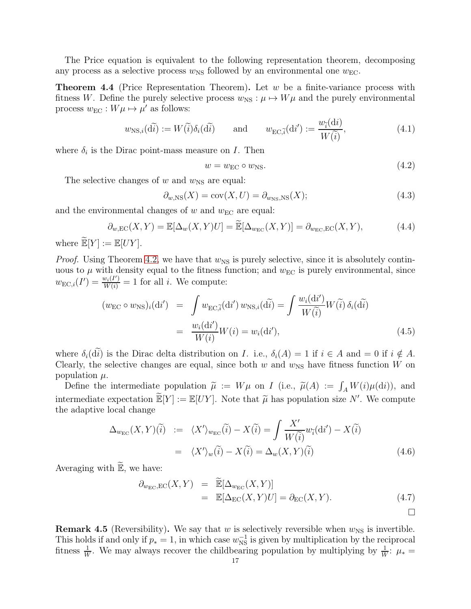The Price equation is equivalent to the following representation theorem, decomposing any process as a selective process  $w_{\text{NS}}$  followed by an environmental one  $w_{\text{EC}}$ .

<span id="page-16-0"></span>**Theorem 4.4** (Price Representation Theorem). Let  $w$  be a finite-variance process with fitness W. Define the purely selective process  $w_{\text{NS}} : \mu \mapsto W\mu$  and the purely environmental process  $w_{\text{EC}} : W\mu \mapsto \mu'$  as follows:

$$
w_{\text{NS},i}(\tilde{\mathbf{d}}\tilde{\mathbf{i}}) := W(\tilde{\mathbf{i}})\delta_i(\tilde{\mathbf{d}}\tilde{\mathbf{i}}) \quad \text{and} \quad w_{\text{EC},\tilde{\mathbf{i}}}(\mathbf{d}\mathbf{i}') := \frac{w_{\tilde{\mathbf{i}}}(\mathbf{d}\mathbf{i})}{W(\tilde{\mathbf{i}})},\tag{4.1}
$$

where  $\delta_i$  is the Dirac point-mass measure on I. Then

$$
w = w_{\rm EC} \circ w_{\rm NS}.\tag{4.2}
$$

 $\sqrt{d}$ 

The selective changes of  $w$  and  $w_{\text{NS}}$  are equal:

$$
\partial_{w,\text{NS}}(X) = \text{cov}(X, U) = \partial_{w_{\text{NS}},\text{NS}}(X); \tag{4.3}
$$

and the environmental changes of  $w$  and  $w_{EC}$  are equal:

$$
\partial_{w,\text{EC}}(X,Y) = \mathbb{E}[\Delta_w(X,Y)U] = \widetilde{\mathbb{E}}[\Delta_{w_{\text{EC}}}(X,Y)] = \partial_{w_{\text{EC}},\text{EC}}(X,Y),\tag{4.4}
$$

where  $\widetilde{\mathbb{E}}[Y] := \mathbb{E}[UY].$ 

*Proof.* Using Theorem [4.2,](#page-15-0) we have that  $w_{\text{NS}}$  is purely selective, since it is absolutely continuous to  $\mu$  with density equal to the fitness function; and  $w_{\text{EC}}$  is purely environmental, since  $w_{\text{EC},i}(I') = \frac{w_i(I')}{W(i)} = 1$  for all *i*. We compute:

$$
(w_{\rm EC} \circ w_{\rm NS})_i(\mathrm{d}i') = \int w_{\rm EC,\tilde{i}}(\mathrm{d}i') w_{\rm NS,i}(\mathrm{d}\tilde{i}) = \int \frac{w_i(\mathrm{d}i')}{W(\tilde{i})} W(\tilde{i}) \delta_i(\mathrm{d}\tilde{i})
$$

$$
= \frac{w_i(\mathrm{d}i')}{W(i)} W(i) = w_i(\mathrm{d}i'), \tag{4.5}
$$

where  $\delta_i(\tilde{d}\tilde{i})$  is the Dirac delta distribution on *I*. i.e.,  $\delta_i(A) = 1$  if  $i \in A$  and = 0 if  $i \notin A$ . Clearly, the selective changes are equal, since both w and  $w_{\text{NS}}$  have fitness function W on population  $\mu$ .

Define the intermediate population  $\tilde{\mu} := W\mu$  on *I* (i.e.,  $\tilde{\mu}(A) := \int_A W(i)\mu(\mathrm{d}i)$ ), and intermediate expectation  $\widetilde{\mathbb{E}}[Y] := \mathbb{E}[UY]$ . Note that  $\widetilde{\mu}$  has population size N'. We compute the adaptive local change

$$
\Delta_{w_{\rm EC}}(X,Y)(\tilde{i}) := \langle X' \rangle_{w_{\rm EC}}(\tilde{i}) - X(\tilde{i}) = \int \frac{X'}{W(\tilde{i})} w_{\tilde{i}}(\mathrm{d}i') - X(\tilde{i})
$$

$$
= \langle X' \rangle_w(\tilde{i}) - X(\tilde{i}) = \Delta_w(X,Y)(\tilde{i}) \tag{4.6}
$$

Averaging with  $\widetilde{\mathbb{E}}$ , we have:

$$
\partial_{w_{\rm EC},\rm EC}(X,Y) = \widetilde{\mathbb{E}}[\Delta_{w_{\rm EC}}(X,Y)] \n= \mathbb{E}[\Delta_{\rm EC}(X,Y)U] = \partial_{\rm EC}(X,Y).
$$
\n(4.7)

**Remark 4.5** (Reversibility). We say that w is selectively reversible when  $w_{\text{NS}}$  is invertible. This holds if and only if  $p_* = 1$ , in which case  $w_{NS}^{-1}$  is given by multiplication by the reciprocal fitness  $\frac{1}{W}$ . We may always recover the childbearing population by multiplying by  $\frac{1}{W}$ :  $\mu_*$  =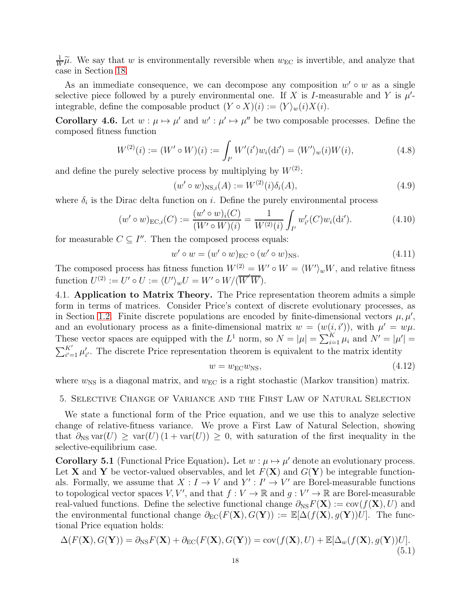1  $\frac{1}{W}\widetilde{\mu}$ . We say that w is environmentally reversible when  $w_{EC}$  is invertible, and analyze that case in Section [18.](#page-50-0)

As an immediate consequence, we can decompose any composition  $w' \circ w$  as a single selective piece followed by a purely environmental one. If X is I-measurable and Y is  $\mu'$ integrable, define the composable product  $(Y \circ X)(i) := \langle Y \rangle_w(i)X(i)$ .

**Corollary 4.6.** Let  $w : \mu \mapsto \mu'$  and  $w' : \mu' \mapsto \mu''$  be two composable processes. Define the composed fitness function

$$
W^{(2)}(i) := (W' \circ W)(i) := \int_{I'} W'(i')w_i(\mathrm{d}i') = \langle W' \rangle_w(i)W(i), \tag{4.8}
$$

and define the purely selective process by multiplying by  $W^{(2)}$ :

$$
(w' \circ w)_{\text{NS},i}(A) := W^{(2)}(i)\delta_i(A), \tag{4.9}
$$

where  $\delta_i$  is the Dirac delta function on *i*. Define the purely environmental process

$$
(w' \circ w)_{\text{EC},i}(C) := \frac{(w' \circ w)_i(C)}{(W' \circ W)(i)} = \frac{1}{W^{(2)}(i)} \int_{I'} w'_{i'}(C)w_i(\text{d}i').
$$
 (4.10)

for measurable  $C \subseteq I''$ . Then the composed process equals:

$$
w' \circ w = (w' \circ w)_{\text{EC}} \circ (w' \circ w)_{\text{NS}}.\tag{4.11}
$$

The composed process has fitness function  $W^{(2)} = W' \circ W = \langle W' \rangle_w W$ , and relative fitness function  $U^{(2)} := U' \circ U := \langle U' \rangle_w U = W' \circ W / (\overline{W}' \overline{W}).$ 

4.1. Application to Matrix Theory. The Price representation theorem admits a simple form in terms of matrices. Consider Price's context of discrete evolutionary processes, as in Section [1.2.](#page-3-0) Finite discrete populations are encoded by finite-dimensional vectors  $\mu, \mu',$ and an evolutionary process as a finite-dimensional matrix  $w = (w(i, i'))$ , with  $\mu' = w\mu$ . These vector spaces are equipped with the  $L^1$  norm, so  $N = |\mu| = \sum_{i=1}^K \mu_i$  and  $N' = |\mu'| =$  $\sum_{i'=1}^{K'} \mu'_{i'}$ . The discrete Price representation theorem is equivalent to the matrix identity

$$
w = w_{\rm EC} w_{\rm NS},\tag{4.12}
$$

<span id="page-17-0"></span>where  $w_{\text{NS}}$  is a diagonal matrix, and  $w_{\text{EC}}$  is a right stochastic (Markov transition) matrix.

#### 5. Selective Change of Variance and the First Law of Natural Selection

We state a functional form of the Price equation, and we use this to analyze selective change of relative-fitness variance. We prove a First Law of Natural Selection, showing that  $\partial_{\text{NS}} \text{var}(U) \geq \text{var}(U) (1 + \text{var}(U)) \geq 0$ , with saturation of the first inequality in the selective-equilibrium case.

<span id="page-17-1"></span>**Corollary 5.1** (Functional Price Equation). Let  $w : \mu \mapsto \mu'$  denote an evolutionary process. Let **X** and **Y** be vector-valued observables, and let  $F(\mathbf{X})$  and  $G(\mathbf{Y})$  be integrable functionals. Formally, we assume that  $X: I \to V$  and  $Y': I' \to V'$  are Borel-measurable functions to topological vector spaces V, V', and that  $f: V \to \mathbb{R}$  and  $g: V' \to \mathbb{R}$  are Borel-measurable real-valued functions. Define the selective functional change  $\partial_{\text{NS}} F(\mathbf{X}) := \text{cov}(f(\mathbf{X}), U)$  and the environmental functional change  $\partial_{EC}(F(X), G(Y)) := \mathbb{E}[\Delta(f(X), g(Y))U]$ . The functional Price equation holds:

$$
\Delta(F(\mathbf{X}), G(\mathbf{Y})) = \partial_{\text{NS}} F(\mathbf{X}) + \partial_{\text{EC}}(F(\mathbf{X}), G(\mathbf{Y})) = \text{cov}(f(\mathbf{X}), U) + \mathbb{E}[\Delta_w(f(\mathbf{X}), g(\mathbf{Y}))U].
$$
\n(5.1)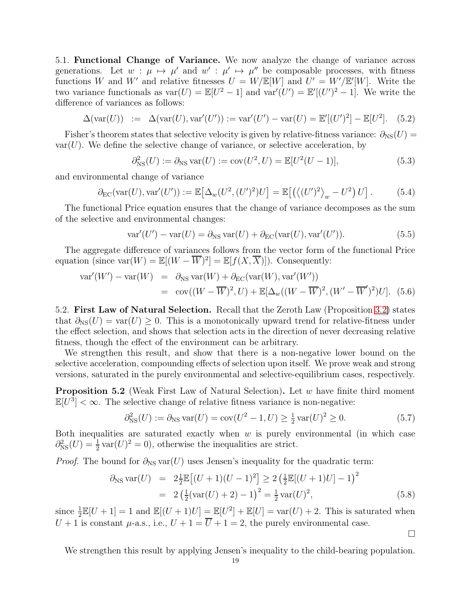5.1. Functional Change of Variance. We now analyze the change of variance across generations. Let  $w : \mu \mapsto \mu'$  and  $w' : \mu' \mapsto \mu''$  be composable processes, with fitness functions W and W' and relative fitnesses  $U = W/\mathbb{E}[W]$  and  $U' = W'/\mathbb{E}'[W]$ . Write the two variance functionals as  $var(U) = \mathbb{E}[U^2 - 1]$  and  $var'(U') = \mathbb{E}[(U')^2 - 1]$ . We write the difference of variances as follows:

$$
\Delta(\text{var}(U)) := \Delta(\text{var}(U), \text{var}'(U')) := \text{var}'(U') - \text{var}(U) = \mathbb{E}'[(U')^2] - \mathbb{E}[U^2]. \tag{5.2}
$$

Fisher's theorem states that selective velocity is given by relative-fitness variance:  $\partial_{NS}(U)$  =  $var(U)$ . We define the selective change of variance, or selective acceleration, by

$$
\partial_{\rm NS}^2(U) := \partial_{\rm NS} \operatorname{var}(U) := \operatorname{cov}(U^2, U) = \mathbb{E}[U^2(U-1)],\tag{5.3}
$$

and environmental change of variance

$$
\partial_{\rm EC}(\text{var}(U),\text{var}'(U')) := \mathbb{E}\big[\Delta_w(U^2,(U')^2)U\big] = \mathbb{E}\big[\big(\langle (U')^2 \rangle_w - U^2\big)U\big].\tag{5.4}
$$

The functional Price equation ensures that the change of variance decomposes as the sum of the selective and environmental changes:

$$
\text{var}'(U') - \text{var}(U) = \partial_{\text{NS}} \text{var}(U) + \partial_{\text{EC}}(\text{var}(U), \text{var}'(U')). \tag{5.5}
$$

The aggregate difference of variances follows from the vector form of the functional Price equation (since var $(W) = \mathbb{E}[(W - \overline{W})^2] = \mathbb{E}[f(X, \overline{X})]$ ). Consequently:

$$
\begin{array}{rcl}\n\text{var}'(W') - \text{var}(W) & = & \partial_{\text{NS}} \text{var}(W) + \partial_{\text{EC}}(\text{var}(W), \text{var}'(W')) \\
& = & \text{cov}((W - \overline{W})^2, U) + \mathbb{E}[\Delta_w((W - \overline{W})^2, (W' - \overline{W}')^2)U]. \tag{5.6}\n\end{array}
$$

5.2. First Law of Natural Selection. Recall that the Zeroth Law (Proposition [3.2\)](#page-14-2) states that  $\partial_{\text{NS}}(U) = \text{var}(U) \geq 0$ . This is a monotonically upward trend for relative-fitness under the effect selection, and shows that selection acts in the direction of never decreasing relative fitness, though the effect of the environment can be arbitrary.

We strengthen this result, and show that there is a non-negative lower bound on the selective acceleration, compounding effects of selection upon itself. We prove weak and strong versions, saturated in the purely environmental and selective-equilibrium cases, respectively.

Proposition 5.2 (Weak First Law of Natural Selection). Let w have finite third moment  $\mathbb{E}[U^3]<\infty$ . The selective change of relative fitness variance is non-negative:

$$
\partial_{\rm NS}^2(U) := \partial_{\rm NS} \, \text{var}(U) = \text{cov}(U^2 - 1, U) \ge \frac{1}{2} \, \text{var}(U)^2 \ge 0. \tag{5.7}
$$

Both inequalities are saturated exactly when  $w$  is purely environmental (in which case  $\partial_{\text{NS}}^2(U) = \frac{1}{2} \text{var}(U)^2 = 0$ , otherwise the inequalities are strict.

*Proof.* The bound for  $\partial_{\text{NS}} \text{var}(U)$  uses Jensen's inequality for the quadratic term:

$$
\partial_{\text{NS}} \text{var}(U) = 2 \frac{1}{2} \mathbb{E} \left[ (U+1)(U-1)^2 \right] \ge 2 \left( \frac{1}{2} \mathbb{E}[(U+1)U] - 1 \right)^2
$$
  
=  $2 \left( \frac{1}{2} (\text{var}(U) + 2) - 1 \right)^2 = \frac{1}{2} \text{var}(U)^2,$  (5.8)

since  $\frac{1}{2}\mathbb{E}[U+1] = 1$  and  $\mathbb{E}[(U+1)U] = \mathbb{E}[U^2] + \mathbb{E}[U] = \text{var}(U) + 2$ . This is saturated when  $U + 1$  is constant  $\mu$ -a.s., i.e.,  $U + 1 = U + 1 = 2$ , the purely environmental case.

 $\Box$ 

We strengthen this result by applying Jensen's inequality to the child-bearing population.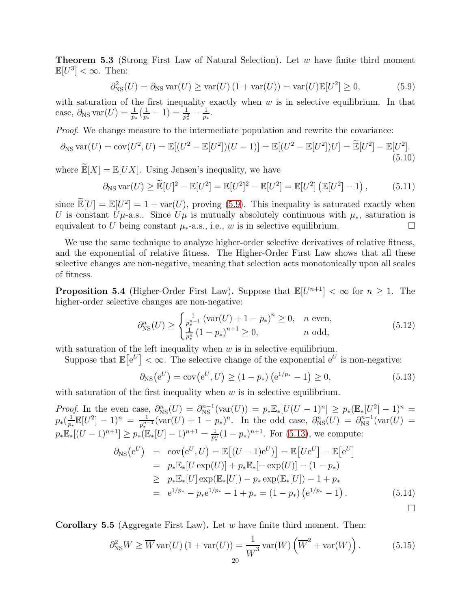<span id="page-19-0"></span>**Theorem 5.3** (Strong First Law of Natural Selection). Let w have finite third moment  $\mathbb{E}[U^3]<\infty$ . Then:

<span id="page-19-1"></span>
$$
\partial_{\rm NS}^2(U) = \partial_{\rm NS} \operatorname{var}(U) \ge \operatorname{var}(U) \left(1 + \operatorname{var}(U)\right) = \operatorname{var}(U) \mathbb{E}[U^2] \ge 0,\tag{5.9}
$$

with saturation of the first inequality exactly when  $w$  is in selective equilibrium. In that case,  $\partial_{\text{NS}} \text{var}(U) = \frac{1}{p_*} (\frac{1}{p_*})$  $\frac{1}{p_*}-1)=\frac{1}{p_*^2}-\frac{1}{p_*}$  $\frac{1}{p_*}.$ 

Proof. We change measure to the intermediate population and rewrite the covariance:

$$
\partial_{\text{NS}} \text{var}(U) = \text{cov}(U^2, U) = \mathbb{E}[(U^2 - \mathbb{E}[U^2])(U - 1)] = \mathbb{E}[(U^2 - \mathbb{E}[U^2])U] = \widetilde{\mathbb{E}}[U^2] - \mathbb{E}[U^2].
$$
\n(5.10)

where  $\widetilde{\mathbb{E}}[X] = \mathbb{E}[UX]$ . Using Jensen's inequality, we have

$$
\partial_{\text{NS}} \operatorname{var}(U) \ge \widetilde{\mathbb{E}}[U]^2 - \mathbb{E}[U^2] = \mathbb{E}[U^2]^2 - \mathbb{E}[U^2] = \mathbb{E}[U^2] \left( \mathbb{E}[U^2] - 1 \right), \tag{5.11}
$$

since  $\mathbb{E}[U] = \mathbb{E}[U^2] = 1 + \text{var}(U)$ , proving [\(5.9\)](#page-19-1). This inequality is saturated exactly when U is constant  $U\mu$ -a.s.. Since  $U\mu$  is mutually absolutely continuous with  $\mu_*$ , saturation is equivalent to U being constant  $\mu_*$ -a.s., i.e., w is in selective equilibrium.

We use the same technique to analyze higher-order selective derivatives of relative fitness, and the exponential of relative fitness. The Higher-Order First Law shows that all these selective changes are non-negative, meaning that selection acts monotonically upon all scales of fitness.

**Proposition 5.4** (Higher-Order First Law). Suppose that  $\mathbb{E}[U^{n+1}] < \infty$  for  $n \geq 1$ . The higher-order selective changes are non-negative:

$$
\partial_{\rm NS}^n(U) \ge \begin{cases} \frac{1}{p_*^{n-1}} \left( \text{var}(U) + 1 - p_* \right)^n \ge 0, & n \text{ even,} \\ \frac{1}{p_*^n} \left( 1 - p_* \right)^{n+1} \ge 0, & n \text{ odd,} \end{cases}
$$
\n(5.12)

with saturation of the left inequality when  $w$  is in selective equilibrium.

Suppose that  $\mathbb{E}[e^U] < \infty$ . The selective change of the exponential  $e^U$  is non-negative:

<span id="page-19-2"></span>
$$
\partial_{\text{NS}}(e^U) = \text{cov}(e^U, U) \ge (1 - p_*) \left( e^{1/p_*} - 1 \right) \ge 0,
$$
\n(5.13)

with saturation of the first inequality when  $w$  is in selective equilibrium.

*Proof.* In the even case,  $\partial_{NS}^n(U) = \partial_{NS}^{n-1}(\text{var}(U)) = p_* \mathbb{E}_*[U(U-1)^n] \geq p_* (\mathbb{E}_*[U^2] - 1)^n =$  $p_*(\frac{1}{n_1})$  $\frac{1}{p_*} \mathbb{E}[U^2] - 1)^n = \frac{1}{p_*^{n_*}}$  $\frac{1}{p_*^{n-1}}(\text{var}(U) + 1 - p_*)^n$ . In the odd case,  $\partial_{\text{NS}}^n(U) = \partial_{\text{NS}}^{n-1}(\text{var}(U) =$  $p_*\mathbb{E}_*[(U-1)^{n+1}] \geq p_*(\mathbb{E}_*[U]-1)^{n+1} = \frac{1}{p_*^n}(1-p_*)^{n+1}$ . For [\(5.13\)](#page-19-2), we compute:

$$
\partial_{\text{NS}}(e^U) = \text{cov}(e^U, U) = \mathbb{E}[(U - 1)e^U] = \mathbb{E}[Ue^U] - \mathbb{E}[e^U]
$$
  
\n
$$
= p_* \mathbb{E}_*[U \exp(U)] + p_* \mathbb{E}_*[-\exp(U)] - (1 - p_*)
$$
  
\n
$$
\geq p_* \mathbb{E}_*[U] \exp(\mathbb{E}_*[U]) - p_* \exp(\mathbb{E}_*[U]) - 1 + p_*
$$
  
\n
$$
= e^{1/p_*} - p_* e^{1/p_*} - 1 + p_* = (1 - p_*) (e^{1/p_*} - 1).
$$
\n(5.14)

**Corollary 5.5** (Aggregate First Law). Let w have finite third moment. Then:

<span id="page-19-3"></span>
$$
\partial_{\text{NS}}^2 W \ge \overline{W} \operatorname{var}(U) \left( 1 + \operatorname{var}(U) \right) = \frac{1}{\overline{W}^3} \operatorname{var}(W) \left( \overline{W}^2 + \operatorname{var}(W) \right). \tag{5.15}
$$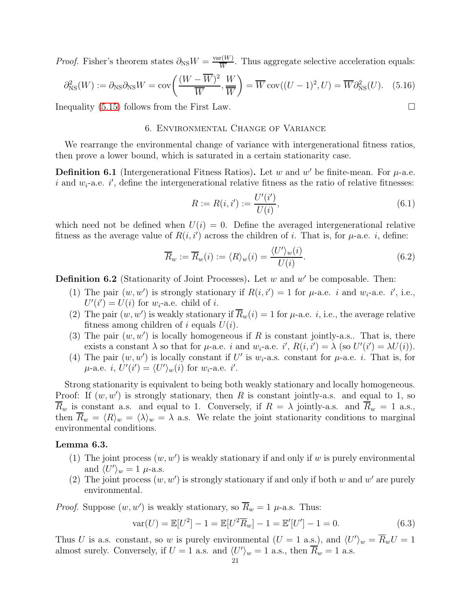*Proof.* Fisher's theorem states  $\partial_{\text{NS}}W = \frac{\text{var}(W)}{\overline{W}}$  $\frac{f(W)}{W}$ . Thus aggregate selective acceleration equals:

$$
\partial_{\text{NS}}^2(W) := \partial_{\text{NS}} \partial_{\text{NS}} W = \text{cov}\left(\frac{(W - \overline{W})^2}{\overline{W}}, \frac{W}{\overline{W}}\right) = \overline{W} \text{cov}((U - 1)^2, U) = \overline{W} \partial_{\text{NS}}^2(U). \tag{5.16}
$$

<span id="page-20-0"></span>Inequality  $(5.15)$  follows from the First Law.

# 6. Environmental Change of Variance

We rearrange the environmental change of variance with intergenerational fitness ratios, then prove a lower bound, which is saturated in a certain stationarity case.

**Definition 6.1** (Intergenerational Fitness Ratios). Let w and w' be finite-mean. For  $\mu$ -a.e. i and  $w_i$ -a.e. i', define the intergenerational relative fitness as the ratio of relative fitnesses:

$$
R := R(i, i') := \frac{U'(i')}{U(i)},\tag{6.1}
$$

which need not be defined when  $U(i) = 0$ . Define the averaged intergenerational relative fitness as the average value of  $R(i, i')$  across the children of i. That is, for  $\mu$ -a.e. i, define:

$$
\overline{R}_w := \overline{R}_w(i) := \langle R \rangle_w(i) = \frac{\langle U' \rangle_w(i)}{U(i)}.
$$
\n(6.2)

**Definition 6.2** (Stationarity of Joint Processes). Let  $w$  and  $w'$  be composable. Then:

- (1) The pair  $(w, w')$  is strongly stationary if  $R(i, i') = 1$  for  $\mu$ -a.e. *i* and  $w_i$ -a.e. *i'*, i.e.,  $U'(i') = U(i)$  for  $w_i$ -a.e. child of i.
- (2) The pair  $(w, w')$  is weakly stationary if  $\overline{R}_w(i) = 1$  for  $\mu$ -a.e. *i*, i.e., the average relative fitness among children of i equals  $U(i)$ .
- (3) The pair  $(w, w')$  is locally homogeneous if R is constant jointly-a.s.. That is, there exists a constant  $\lambda$  so that for  $\mu$ -a.e. i and  $w_i$ -a.e. i',  $R(i, i') = \lambda$  (so  $U'(i') = \lambda U(i)$ ).
- (4) The pair  $(w, w')$  is locally constant if U' is  $w_i$ -a.s. constant for  $\mu$ -a.e. *i*. That is, for  $\mu$ -a.e. *i*,  $U'(i') = \langle U' \rangle_w(i)$  for  $w_i$ -a.e. *i'*.

Strong stationarity is equivalent to being both weakly stationary and locally homogeneous. Proof: If  $(w, w')$  is strongly stationary, then R is constant jointly-a.s. and equal to 1, so  $\overline{R}_w$  is constant a.s. and equal to 1. Conversely, if  $R = \lambda$  jointly-a.s. and  $\overline{R}_w = 1$  a.s., then  $\overline{R}_w = \langle R \rangle_w = \langle \lambda \rangle_w = \lambda$  a.s. We relate the joint stationarity conditions to marginal environmental conditions.

## Lemma 6.3.

- (1) The joint process  $(w, w')$  is weakly stationary if and only if w is purely environmental and  $\langle U' \rangle_w = 1$   $\mu$ -a.s.
- (2) The joint process  $(w, w')$  is strongly stationary if and only if both w and w' are purely environmental.

*Proof.* Suppose  $(w, w')$  is weakly stationary, so  $\overline{R}_w = 1 \mu$ -a.s. Thus:

$$
var(U) = \mathbb{E}[U^2] - 1 = \mathbb{E}[U^2 \overline{R}_w] - 1 = \mathbb{E}'[U'] - 1 = 0.
$$
 (6.3)

Thus U is a.s. constant, so w is purely environmental  $(U = 1 \text{ a.s.})$ , and  $\langle U' \rangle_w = \overline{R}_w U = 1$ almost surely. Conversely, if  $U = 1$  a.s. and  $\langle U' \rangle_w = 1$  a.s., then  $\overline{R}_w = 1$  a.s.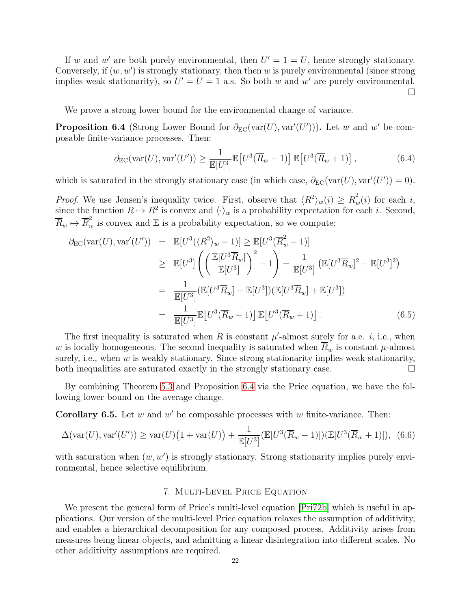If w and w' are both purely environmental, then  $U' = 1 = U$ , hence strongly stationary. Conversely, if  $(w, w')$  is strongly stationary, then then w is purely environmental (since strong implies weak stationarity), so  $U' = U = 1$  a.s. So both w and w' are purely environmental.  $\Box$ 

We prove a strong lower bound for the environmental change of variance.

<span id="page-21-1"></span>**Proposition 6.4** (Strong Lower Bound for  $\partial_{EC}(var(U), var'(U'))$ ). Let w and w' be composable finite-variance processes. Then:

$$
\partial_{\rm EC}(\text{var}(U), \text{var}'(U')) \ge \frac{1}{\mathbb{E}[U^3]} \mathbb{E}\left[U^3(\overline{R}_w - 1)\right] \mathbb{E}\left[U^3(\overline{R}_w + 1)\right],\tag{6.4}
$$

which is saturated in the strongly stationary case (in which case,  $\partial_{EC}(\text{var}(U), \text{var}'(U')) = 0$ ).

*Proof.* We use Jensen's inequality twice. First, observe that  $\langle R^2 \rangle_w(i) \geq \overline{R}_w^2(i)$  for each i, since the function  $R \mapsto R^2$  is convex and  $\langle \cdot \rangle_w$  is a probability expectation for each i. Second,  $\overline{R}_w \mapsto \overline{R}_w^2$  is convex and E is a probability expectation, so we compute:

$$
\partial_{\text{EC}}(\text{var}(U), \text{var}'(U')) = \mathbb{E}[U^3(\langle R^2 \rangle_w - 1)] \ge \mathbb{E}[U^3(\overline{R}_w^2 - 1)]
$$
  
\n
$$
\ge \mathbb{E}[U^3] \left( \left( \frac{\mathbb{E}[U^3 \overline{R}_w]}{\mathbb{E}[U^3]} \right)^2 - 1 \right) = \frac{1}{\mathbb{E}[U^3]} \left( \mathbb{E}[U^3 \overline{R}_w]^2 - \mathbb{E}[U^3]^2 \right)
$$
  
\n
$$
= \frac{1}{\mathbb{E}[U^3]} (\mathbb{E}[U^3 \overline{R}_w] - \mathbb{E}[U^3]) (\mathbb{E}[U^3 \overline{R}_w] + \mathbb{E}[U^3])
$$
  
\n
$$
= \frac{1}{\mathbb{E}[U^3]} \mathbb{E}[U^3(\overline{R}_w - 1)] \mathbb{E}[U^3(\overline{R}_w + 1)]. \qquad (6.5)
$$

The first inequality is saturated when R is constant  $\mu'$ -almost surely for a.e. *i*, i.e., when w is locally homogeneous. The second inequality is saturated when  $\overline{R}_w$  is constant  $\mu$ -almost surely, i.e., when  $w$  is weakly stationary. Since strong stationarity implies weak stationarity, both inequalities are saturated exactly in the strongly stationary case.  $\Box$ 

By combining Theorem [5.3](#page-19-0) and Proposition [6.4](#page-21-1) via the Price equation, we have the following lower bound on the average change.

**Corollary 6.5.** Let  $w$  and  $w'$  be composable processes with  $w$  finite-variance. Then:

$$
\Delta(\text{var}(U), \text{var}'(U')) \ge \text{var}(U)\left(1 + \text{var}(U)\right) + \frac{1}{\mathbb{E}[U^3]} \left(\mathbb{E}[U^3(\overline{R}_w - 1)]) (\mathbb{E}[U^3(\overline{R}_w + 1)]\right), (6.6)
$$

<span id="page-21-0"></span>with saturation when  $(w, w')$  is strongly stationary. Strong stationarity implies purely environmental, hence selective equilibrium.

## 7. Multi-Level Price Equation

We present the general form of Price's multi-level equation  $\text{[Pri72b]}$  $\text{[Pri72b]}$  $\text{[Pri72b]}$  which is useful in applications. Our version of the multi-level Price equation relaxes the assumption of additivity, and enables a hierarchical decomposition for any composed process. Additivity arises from measures being linear objects, and admitting a linear disintegration into different scales. No other additivity assumptions are required.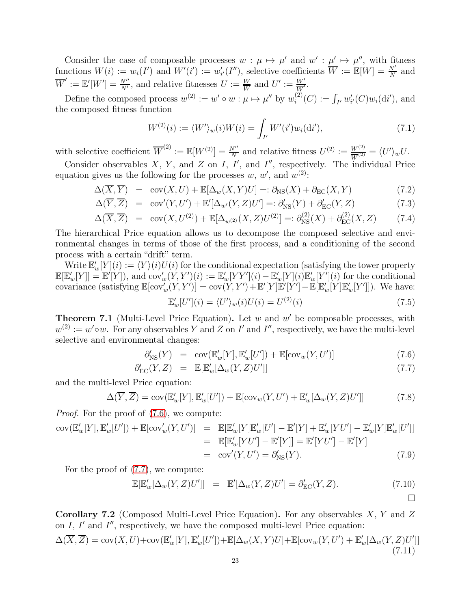Consider the case of composable processes  $w : \mu \mapsto \mu'$  and  $w' : \mu' \mapsto \mu''$ , with fitness functions  $W(i) := w_i(I')$  and  $W'(i') := w'_{i'}(I'')$ , selective coefficients  $\overline{W} := \mathbb{E}[W] = \frac{N'}{N}$  and  $\overline{W}' := \mathbb{E}'[W'] = \frac{N''}{N'}$ , and relative fitnesses  $U := \frac{W}{\overline{W}}$  and  $U' := \frac{W'}{\overline{W}'}$ .

Define the composed process  $w^{(2)} := w' \circ w : \mu \mapsto \mu''$  by  $w_i^{(2)}$  $i^{(2)}(C) := \int_{I'} w'_{i'}(C)w_i(\mathrm{d}i'),$  and the composed fitness function

$$
W^{(2)}(i) := \langle W' \rangle_w(i)W(i) = \int_{I'} W'(i')w_i(\mathrm{d}i'), \tag{7.1}
$$

with selective coefficient  $\overline{W}^{(2)} := \mathbb{E}[W^{(2)}] = \frac{N''}{N}$  and relative fitness  $U^{(2)} := \frac{W^{(2)}}{W^{(2)}} = \langle U' \rangle_w U$ .

Consider observables  $X$ ,  $Y$ , and  $Z$  on  $I$ ,  $I'$ , and  $I''$ , respectively. The individual Price equation gives us the following for the processes  $w, w'$ , and  $w^{(2)}$ .

$$
\Delta(\overline{X}, \overline{Y}) = \text{cov}(X, U) + \mathbb{E}[\Delta_w(X, Y)U] =: \partial_{\text{NS}}(X) + \partial_{\text{EC}}(X, Y) \tag{7.2}
$$

$$
\Delta(\overline{Y}, \overline{Z}) = \text{cov}'(Y, U') + \mathbb{E}'[\Delta_{w'}(Y, Z)U'] =: \partial'_{\text{NS}}(Y) + \partial'_{\text{EC}}(Y, Z) \tag{7.3}
$$

$$
\Delta(\overline{X}, \overline{Z}) = \text{cov}(X, U^{(2)}) + \mathbb{E}[\Delta_{w^{(2)}}(X, Z)U^{(2)}] =: \partial_{\text{NS}}^{(2)}(X) + \partial_{\text{EC}}^{(2)}(X, Z) \tag{7.4}
$$

The hierarchical Price equation allows us to decompose the composed selective and environmental changes in terms of those of the first process, and a conditioning of the second process with a certain "drift" term.

Write  $\mathbb{E}'_w[Y](i) := \langle Y \rangle(i)U(i)$  for the conditional expectation (satisfying the tower property  $\mathbb{E}[\mathbb{E}_w'[Y]] = \mathbb{E}'[Y]),$  and  $\text{cov}_w'(Y, Y')(i) := \mathbb{E}_w'[YY'](i) - \mathbb{E}_w'[Y](i)\mathbb{E}_w'[Y'](i)$  for the conditional covariance (satisfying  $\mathbb{E}[\text{cov}_{w}^{V}(Y, Y')] = \text{cov}(Y, Y') + \mathbb{E}'[Y]\mathbb{E}'[Y'] - \mathbb{E}[\mathbb{E}'_{w}[Y]\mathbb{E}'_{w}[Y']])$ . We have: E ′ ′ ′

$$
\mathbb{E}'_w[U'](i) = \langle U' \rangle_w(i)U(i) = U^{(2)}(i) \tag{7.5}
$$

**Theorem 7.1** (Multi-Level Price Equation). Let  $w$  and  $w'$  be composable processes, with  $w^{(2)} := w' \circ w$ . For any observables Y and Z on I' and I'', respectively, we have the multi-level selective and environmental changes:

<span id="page-22-0"></span>
$$
\partial'_{\text{NS}}(Y) = \text{cov}(\mathbb{E}'_w[Y], \mathbb{E}'_w[U']) + \mathbb{E}[\text{cov}_w(Y, U')]
$$
\n(7.6)

$$
\partial'_{\rm EC}(Y,Z) = \mathbb{E}[\mathbb{E}'_w[\Delta_w(Y,Z)U']] \tag{7.7}
$$

and the multi-level Price equation:

<span id="page-22-1"></span>
$$
\Delta(\overline{Y}, \overline{Z}) = \text{cov}(\mathbb{E}'_w[Y], \mathbb{E}'_w[U']) + \mathbb{E}[\text{cov}_w(Y, U') + \mathbb{E}'_w[\Delta_w(Y, Z)U']]
$$
\n(7.8)

*Proof.* For the proof of  $(7.6)$ , we compute:

$$
cov(\mathbb{E}'_w[Y], \mathbb{E}'_w[U']) + \mathbb{E}[cov'_w(Y, U')] = \mathbb{E}[\mathbb{E}'_w[Y]\mathbb{E}'_w[U'] - \mathbb{E}'[Y] + \mathbb{E}'_w[YU'] - \mathbb{E}'_w[Y]\mathbb{E}'_w[U']]
$$
  
\n
$$
= \mathbb{E}[\mathbb{E}'_w[YU'] - \mathbb{E}'[Y]] = \mathbb{E}'[YU'] - \mathbb{E}'[Y]
$$
  
\n
$$
= cov'(Y, U') = \partial'_{\text{NS}}(Y).
$$
 (7.9)

For the proof of [\(7.7\)](#page-22-0), we compute:

$$
\mathbb{E}[\mathbb{E}'_w[\Delta_w(Y,Z)U']] = \mathbb{E}'[\Delta_w(Y,Z)U'] = \partial'_{\text{EC}}(Y,Z). \tag{7.10}
$$

**Corollary 7.2** (Composed Multi-Level Price Equation). For any observables  $X, Y$  and  $Z$ on  $I$ ,  $I'$  and  $I''$ , respectively, we have the composed multi-level Price equation:  $\Delta(\overline{X}, \overline{Z}) = \text{cov}(X, U) + \text{cov}(\mathbb{E}'_w[Y], \mathbb{E}'_w[U']) + \mathbb{E}[\Delta_w(X, Y)U] + \mathbb{E}[\text{cov}_w(Y, U') + \mathbb{E}'_w[\Delta_w(Y, Z)U']]$ (7.11)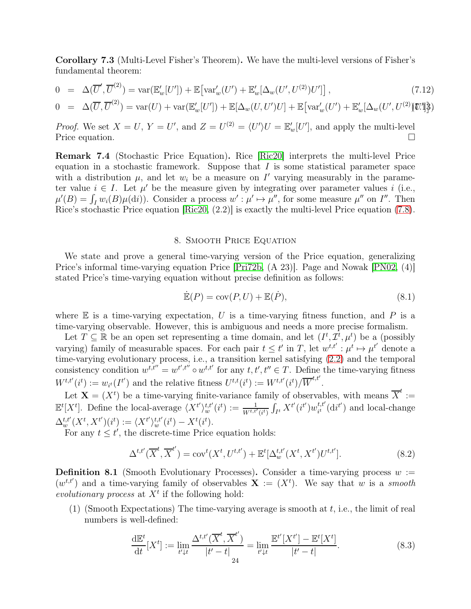Corollary 7.3 (Multi-Level Fisher's Theorem). We have the multi-level versions of Fisher's fundamental theorem:

$$
0 = \Delta(\overline{U}', \overline{U}^{(2)}) = \text{var}(\mathbb{E}'_w[U']) + \mathbb{E}\big[\text{var}'_w(U') + \mathbb{E}'_w[\Delta_w(U', U^{(2)})U']\big],\tag{7.12}
$$

$$
0 = \Delta(\overline{U}, \overline{U}^{(2)}) = \text{var}(U) + \text{var}(\mathbb{E}'_w[U']) + \mathbb{E}[\Delta_w(U, U')U] + \mathbb{E}[\text{var}'_w(U') + \mathbb{E}'_w[\Delta_w(U', U^{(2)})\mathbb{Z}']^{\frac{1}{2}}]
$$

*Proof.* We set  $X = U$ ,  $Y = U'$ , and  $Z = U^{(2)} = \langle U' \rangle U = \mathbb{E}'_w[U']$ , and apply the multi-level Price equation.  $\square$ 

Remark 7.4 (Stochastic Price Equation). Rice [\[Ric20\]](#page-63-10) interprets the multi-level Price equation in a stochastic framework. Suppose that  $I$  is some statistical parameter space with a distribution  $\mu$ , and let  $w_i$  be a measure on  $I'$  varying measurably in the parameter value  $i \in I$ . Let  $\mu'$  be the measure given by integrating over parameter values i (i.e.,  $\mu'(B) = \int_I w_i(B)\mu(\mathrm{d}i)$ . Consider a process  $w' : \mu' \mapsto \mu''$ , for some measure  $\mu''$  on  $I''$ . Then Rice's stochastic Price equation [\[Ric20,](#page-63-10) (2.2)] is exactly the multi-level Price equation [\(7.8\)](#page-22-1).

## 8. Smooth Price Equation

<span id="page-23-0"></span>We state and prove a general time-varying version of the Price equation, generalizing Price's informal time-varying equation Price [\[Pri72b,](#page-63-5) (A 23)]. Page and Nowak [\[PN02,](#page-63-8) (4)] stated Price's time-varying equation without precise definition as follows:

$$
\dot{\mathbb{E}}(P) = \text{cov}(P, U) + \mathbb{E}(\dot{P}),\tag{8.1}
$$

where  $E$  is a time-varying expectation, U is a time-varying fitness function, and P is a time-varying observable. However, this is ambiguous and needs a more precise formalism.

Let  $T \subseteq \mathbb{R}$  be an open set representing a time domain, and let  $(I^t, \mathcal{I}^t, \mu^t)$  be a (possibly varying) family of measurable spaces. For each pair  $t \leq t'$  in T, let  $w^{t,t'} : \mu^t \mapsto \mu^{t'}$  denote a time-varying evolutionary process, i.e., a transition kernel satisfying [\(2.2\)](#page-10-0) and the temporal consistency condition  $w^{t,t''} = w^{t',t''} \circ w^{t,t'}$  for any  $t, t', t'' \in T$ . Define the time-varying fitness  $W^{t,t'}(i^t) := w_{i^t}(I^{t'})$  and the relative fitness  $U^{t,t}(i^t) := W^{t,t'}(i^t)/\overline{W}^{t,t'}.$ 

Let  $\mathbf{X} = (X^t)$  be a time-varying finite-variance family of observables, with means  $\overline{X}^t :=$  $\mathbb{E}^t[X^t]$ . Define the local-average  $\langle X^{t'} \rangle_w^{t,t'}(i^t) := \frac{1}{W^{t,t'}(i^t)} \int_{I^t}^{\cdot} X^{t'}(i^{t'}) w_{i^t}^{t,t'}$  $t_i^{t,t'}(\mathrm{d}i^{t'})$  and local-change  $\Delta_{w}^{t,t'}(X^t, X^{t'})(i^t) := \langle X^{t'} \rangle_{w}^{t,t'}(i^t) - X^{t}(i^t).$ 

For any  $t \leq t'$ , the discrete-time Price equation holds:

<span id="page-23-2"></span>
$$
\Delta^{t,t'}(\overline{X}^t, \overline{X}^{t'}) = \text{cov}^t(X^t, U^{t,t'}) + \mathbb{E}^t[\Delta_{w}^{t,t'}(X^t, X^{t'})U^{t,t'}].
$$
\n(8.2)

<span id="page-23-1"></span>**Definition 8.1** (Smooth Evolutionary Processes). Consider a time-varying process  $w :=$  $(w^{t,t'})$  and a time-varying family of observables  $\mathbf{X} := (X^t)$ . We say that w is a smooth evolutionary process at  $X<sup>t</sup>$  if the following hold:

(1) (Smooth Expectations) The time-varying average is smooth at  $t$ , i.e., the limit of real numbers is well-defined:

<span id="page-23-3"></span>
$$
\frac{d\mathbb{E}^t}{dt}[X^t] := \lim_{t'\downarrow t} \frac{\Delta^{t,t'}(\overline{X}^t, \overline{X}^{t'})}{|t'-t|} = \lim_{t'\downarrow t} \frac{\mathbb{E}^{t'}[X^{t'}] - \mathbb{E}^{t}[X^{t}]}{|t'-t|}.
$$
\n(8.3)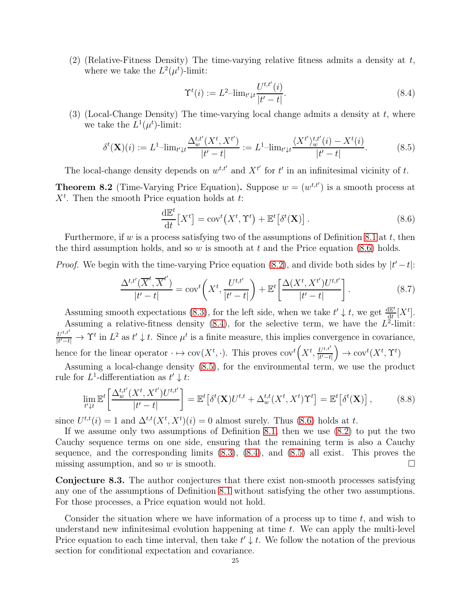(2) (Relative-Fitness Density) The time-varying relative fitness admits a density at  $t$ , where we take the  $L^2(\mu^t)$ -limit:

<span id="page-24-1"></span>
$$
\Upsilon^{t}(i) := L^{2} - \lim_{t' \downarrow t} \frac{U^{t,t'}(i)}{|t'-t|}.
$$
\n(8.4)

(3) (Local-Change Density) The time-varying local change admits a density at  $t$ , where we take the  $L^1(\mu^t)$ -limit:

<span id="page-24-2"></span>
$$
\delta^{t}(\mathbf{X})(i) := L^{1} - \lim_{t' \downarrow t} \frac{\Delta_{w}^{t,t'}(X^{t}, X^{t'})}{|t'-t|} := L^{1} - \lim_{t' \downarrow t} \frac{\langle X^{t'} \rangle_{w}^{t,t'}(i) - X^{t}(i)}{|t'-t|}.
$$
\n(8.5)

The local-change density depends on  $w^{t,t'}$  and  $X^{t'}$  for  $t'$  in an infinitesimal vicinity of  $t$ .

<span id="page-24-3"></span>**Theorem 8.2** (Time-Varying Price Equation). Suppose  $w = (w^{t,t'})$  is a smooth process at  $X<sup>t</sup>$ . Then the smooth Price equation holds at t:

<span id="page-24-0"></span>
$$
\frac{\mathrm{d}\mathbb{E}^t}{\mathrm{d}t}[X^t] = \mathrm{cov}^t(X^t, \Upsilon^t) + \mathbb{E}^t[\delta^t(\mathbf{X})].\tag{8.6}
$$

Furthermore, if w is a process satisfying two of the assumptions of Definition [8.1](#page-23-1) at t, then the third assumption holds, and so  $w$  is smooth at  $t$  and the Price equation [\(8.6\)](#page-24-0) holds.

*Proof.* We begin with the time-varying Price equation [\(8.2\)](#page-23-2), and divide both sides by  $|t'-t|$ :

$$
\frac{\Delta^{t,t'}(\overline{X}^t,\overline{X}^{t'})}{|t'-t|} = \text{cov}^t\bigg(X^t,\frac{U^{t,t'}}{|t'-t|}\bigg) + \mathbb{E}^t\bigg[\frac{\Delta(X^t,X^{t'})U^{t,t'}}{|t'-t|}\bigg].\tag{8.7}
$$

Assuming smooth expectations [\(8.3\)](#page-23-3), for the left side, when we take  $t' \downarrow t$ , we get  $\frac{d\mathbb{E}^t}{dt}$  $\frac{\mathrm{d}\mathbb{E}^t}{\mathrm{d}t}[X^t].$ Assuming a relative-fitness density  $(8.4)$ , for the selective term, we have the  $L^2$ -limit:  $U^{t,t'}$  $\frac{U^{t,t}}{|t'-t|} \to \Upsilon^t$  in  $L^2$  as  $t' \downarrow t$ . Since  $\mu^t$  is a finite measure, this implies convergence in covariance, hence for the linear operator  $\cdot \mapsto \text{cov}(X^t, \cdot)$ . This proves  $\text{cov}^t(X^t, \frac{U^{t,t'}}{|t'-t'}|)$  $|t'-t|$  $\Big) \rightarrow \text{cov}^t(X^t, \Upsilon^t)$ 

Assuming a local-change density [\(8.5\)](#page-24-2), for the environmental term, we use the product rule for  $L^1$ -differentiation as  $t' \downarrow t$ :

$$
\lim_{t'\downarrow t} \mathbb{E}^t \left[ \frac{\Delta_{w}^{t,t'}(X^t, X^{t'}) U^{t,t'}}{|t'-t|} \right] = \mathbb{E}^t \left[ \delta^t(\mathbf{X}) U^{t,t} + \Delta_{w}^{t,t}(X^t, X^t) \Upsilon^t \right] = \mathbb{E}^t \left[ \delta^t(\mathbf{X}) \right],\tag{8.8}
$$

since  $U^{t,t}(i) = 1$  and  $\Delta^{t,t}(X^t, X^t)(i) = 0$  almost surely. Thus [\(8.6\)](#page-24-0) holds at t.

If we assume only two assumptions of Definition [8.1,](#page-23-1) then we use [\(8.2\)](#page-23-2) to put the two Cauchy sequence terms on one side, ensuring that the remaining term is also a Cauchy sequence, and the corresponding limits  $(8.3)$ ,  $(8.4)$ , and  $(8.5)$  all exist. This proves the missing assumption, and so w is smooth.  $\square$ 

Conjecture 8.3. The author conjectures that there exist non-smooth processes satisfying any one of the assumptions of Definition [8.1](#page-23-1) without satisfying the other two assumptions. For those processes, a Price equation would not hold.

Consider the situation where we have information of a process up to time  $t$ , and wish to understand new infinitesimal evolution happening at time  $t$ . We can apply the multi-level Price equation to each time interval, then take  $t' \downarrow t$ . We follow the notation of the previous section for conditional expectation and covariance.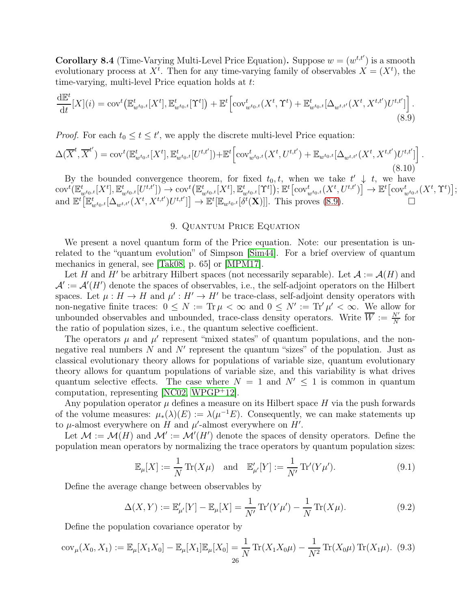**Corollary 8.4** (Time-Varying Multi-Level Price Equation). Suppose  $w = (w^{t,t'})$  is a smooth evolutionary process at  $X^t$ . Then for any time-varying family of observables  $X = (X^t)$ , the time-varying, multi-level Price equation holds at t:

<span id="page-25-1"></span>
$$
\frac{d\mathbb{E}^t}{dt}[X](i) = \text{cov}^t\big(\mathbb{E}^t_{w^{t_0,t}}[X^t], \mathbb{E}^t_{w^{t_0,t}}[\Upsilon^t]\big) + \mathbb{E}^t\Big[\text{cov}^t_{w^{t_0,t}}(X^t, \Upsilon^t) + \mathbb{E}^t_{w^{t_0,t}}[\Delta_{w^{t,t'}}(X^t, X^{t,t'})U^{t,t'}]\Big].
$$
\n(8.9)

*Proof.* For each  $t_0 \le t \le t'$ , we apply the discrete multi-level Price equation:

$$
\Delta(\overline{X}^{t}, \overline{X}^{t'}) = \text{cov}^{t}(\mathbb{E}_{w^{t_0,t}}^{t}[X^{t}], \mathbb{E}_{w^{t_0,t}}^{t}[U^{t,t'}]) + \mathbb{E}^{t}\Big[\text{cov}_{w^{t_0,t}}^{t}(X^{t}, U^{t,t'}) + \mathbb{E}_{w^{t_0,t}}[\Delta_{w^{t,t'}}(X^{t}, X^{t,t'})U^{t,t'}]\Big].
$$
\n(8.10)

By the bounded convergence theorem, for fixed  $t_0, t$ , when we take  $t' \downarrow t$ , we have  $\text{cov}^t(\mathbb{E}^t_{w^{t_0,t}}[X^t], \mathbb{E}^t_{w^{t_0,t}}[U^{t,t'}]) \rightarrow \text{cov}^t\big(\mathbb{E}^t_{w^{t_0,t}}[X^t], \mathbb{E}^t_{w^{t_0,t}}[\Upsilon^t]\big);$   $\mathbb{E}^t\big[\text{cov}^t_{w^{t_0,t}}(X^t, U^{t,t'})\big] \rightarrow \mathbb{E}^t\big[\text{cov}^t_{w^{t_0,t}}(X^t, \Upsilon^t)\big];$ and  $\mathbb{E}^t[\mathbb{E}_{w^{t_0,t}}^t[\Delta_{w^{t,t'}}(X^t, X^{t,t'})U^{t,t'}]] \to \mathbb{E}^t[\mathbb{E}_{w^{t_0,t}}[\delta^t(\mathbf{X})]]$ . This proves [\(8.9\)](#page-25-1).

# 9. QUANTUM PRICE EQUATION

<span id="page-25-0"></span>We present a novel quantum form of the Price equation. Note: our presentation is unrelated to the "quantum evolution" of Simpson [\[Sim44\]](#page-63-12). For a brief overview of quantum mechanics in general, see [\[Tak08,](#page-63-13) p. 65] or [\[MPM17\]](#page-62-23).

Let H and H' be arbitrary Hilbert spaces (not necessarily separable). Let  $\mathcal{A} := \mathcal{A}(H)$  and  $\mathcal{A}' := \mathcal{A}'(H')$  denote the spaces of observables, i.e., the self-adjoint operators on the Hilbert spaces. Let  $\mu : H \to H$  and  $\mu' : H' \to H'$  be trace-class, self-adjoint density operators with non-negative finite traces:  $0 \leq N := \text{Tr } \mu < \infty$  and  $0 \leq N' := \text{Tr}' \mu' < \infty$ . We allow for unbounded observables and unbounded, trace-class density operators. Write  $\overline{W} := \frac{N'}{N}$  for the ratio of population sizes, i.e., the quantum selective coefficient.

The operators  $\mu$  and  $\mu'$  represent "mixed states" of quantum populations, and the nonnegative real numbers  $N$  and  $N'$  represent the quantum "sizes" of the population. Just as classical evolutionary theory allows for populations of variable size, quantum evolutionary theory allows for quantum populations of variable size, and this variability is what drives quantum selective effects. The case where  $N = 1$  and  $N' \leq 1$  is common in quantum computation, representing [\[NC02,](#page-62-24) [WPGP](#page-63-14)<sup>+</sup>12].

Any population operator  $\mu$  defines a measure on its Hilbert space H via the push forwards of the volume measures:  $\mu_*(\lambda)(E) := \lambda(\mu^{-1}E)$ . Consequently, we can make statements up to  $\mu$ -almost everywhere on H and  $\mu'$ -almost everywhere on H'.

Let  $\mathcal{M} := \mathcal{M}(H)$  and  $\mathcal{M}' := \mathcal{M}'(H')$  denote the spaces of density operators. Define the population mean operators by normalizing the trace operators by quantum population sizes:

$$
\mathbb{E}_{\mu}[X] := \frac{1}{N} \operatorname{Tr}(X\mu) \quad \text{and} \quad \mathbb{E}'_{\mu'}[Y] := \frac{1}{N'} \operatorname{Tr}'(Y\mu'). \tag{9.1}
$$

Define the average change between observables by

$$
\Delta(X, Y) := \mathbb{E}'_{\mu'}[Y] - \mathbb{E}_{\mu}[X] = \frac{1}{N'} \text{Tr}'(Y\mu') - \frac{1}{N} \text{Tr}(X\mu). \tag{9.2}
$$

Define the population covariance operator by

$$
cov_{\mu}(X_0, X_1) := \mathbb{E}_{\mu}[X_1 X_0] - \mathbb{E}_{\mu}[X_1] \mathbb{E}_{\mu}[X_0] = \frac{1}{N} \operatorname{Tr}(X_1 X_0 \mu) - \frac{1}{N^2} \operatorname{Tr}(X_0 \mu) \operatorname{Tr}(X_1 \mu).
$$
 (9.3)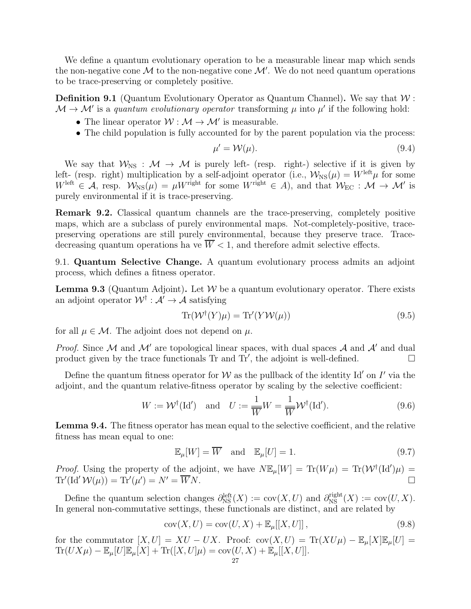We define a quantum evolutionary operation to be a measurable linear map which sends the non-negative cone  $\mathcal M$  to the non-negative cone  $\mathcal M'$ . We do not need quantum operations to be trace-preserving or completely positive.

**Definition 9.1** (Quantum Evolutionary Operator as Quantum Channel). We say that  $W$ :  $\mathcal{M} \to \mathcal{M}'$  is a quantum evolutionary operator transforming  $\mu$  into  $\mu'$  if the following hold:

- The linear operator  $W : \mathcal{M} \to \mathcal{M}'$  is measurable.
- The child population is fully accounted for by the parent population via the process:

$$
\mu' = \mathcal{W}(\mu). \tag{9.4}
$$

We say that  $W_{\text{NS}} : \mathcal{M} \to \mathcal{M}$  is purely left- (resp. right-) selective if it is given by left- (resp. right) multiplication by a self-adjoint operator (i.e.,  $\mathcal{W}_{\text{NS}}(\mu) = W^{\text{left}}\mu$  for some  $W^{\text{left}} \in \mathcal{A}$ , resp.  $\mathcal{W}_{\text{NS}}(\mu) = \mu W^{\text{right}}$  for some  $W^{\text{right}} \in A$ ), and that  $\mathcal{W}_{\text{EC}} : \mathcal{M} \to \mathcal{M}'$  is purely environmental if it is trace-preserving.

Remark 9.2. Classical quantum channels are the trace-preserving, completely positive maps, which are a subclass of purely environmental maps. Not-completely-positive, tracepreserving operations are still purely environmental, because they preserve trace. Tracedecreasing quantum operations ha ve  $\overline{W}$  < 1, and therefore admit selective effects.

9.1. Quantum Selective Change. A quantum evolutionary process admits an adjoint process, which defines a fitness operator.

**Lemma 9.3** (Quantum Adjoint). Let  $W$  be a quantum evolutionary operator. There exists an adjoint operator  $\mathcal{W}^{\dagger} : \mathcal{A}' \to \mathcal{A}$  satisfying

$$
Tr(\mathcal{W}^{\dagger}(Y)\mu) = Tr'(Y\mathcal{W}(\mu))
$$
\n(9.5)

for all  $\mu \in \mathcal{M}$ . The adjoint does not depend on  $\mu$ .

*Proof.* Since M and M' are topological linear spaces, with dual spaces A and A' and dual product given by the trace functionals Tr and Tr', the adjoint is well-defined.  $\square$ 

Define the quantum fitness operator for W as the pullback of the identity Id' on I' via the adjoint, and the quantum relative-fitness operator by scaling by the selective coefficient:

$$
W := \mathcal{W}^{\dagger}(\mathrm{Id}') \quad \text{and} \quad U := \frac{1}{\overline{W}}W = \frac{1}{\overline{W}}\mathcal{W}^{\dagger}(\mathrm{Id}'). \tag{9.6}
$$

Lemma 9.4. The fitness operator has mean equal to the selective coefficient, and the relative fitness has mean equal to one:

$$
\mathbb{E}_{\mu}[W] = \overline{W} \quad \text{and} \quad \mathbb{E}_{\mu}[U] = 1. \tag{9.7}
$$

*Proof.* Using the property of the adjoint, we have  $N \mathbb{E}_{\mu}[W] = \text{Tr}(W\mu) = \text{Tr}(W^{\dagger}(\text{Id}')\mu)$  $\text{Tr}'(\text{Id}'\,\mathcal{W}(\mu)) = \text{Tr}'(\mu') = N' = \overline{W}N.$ 

Define the quantum selection changes  $\partial_{NS}^{left}(X) := cov(X, U)$  and  $\partial_{NS}^{right}(X) := cov(U, X)$ . In general non-commutative settings, these functionals are distinct, and are related by

$$
cov(X, U) = cov(U, X) + \mathbb{E}_{\mu}[[X, U]],
$$
\n(9.8)

for the commutator  $[X, U] = XU - UX$ . Proof: cov $(X, U) = \text{Tr}(XU\mu) - \mathbb{E}_{\mu}[X]\mathbb{E}_{\mu}[U] =$  $\text{Tr}(UX\mu) - \mathbb{E}_{\mu}[U]\mathbb{E}_{\mu}[X] + \text{Tr}([X, U]\mu) = \text{cov}(U, X) + \mathbb{E}_{\mu}[[X, U]].$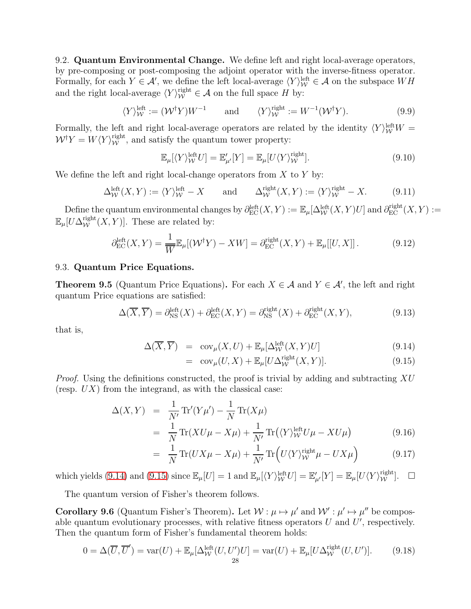9.2. Quantum Environmental Change. We define left and right local-average operators, by pre-composing or post-composing the adjoint operator with the inverse-fitness operator. Formally, for each  $Y \in \mathcal{A}'$ , we define the left local-average  $\langle Y \rangle_W^{\text{left}} \in \mathcal{A}$  on the subspace  $WH$ and the right local-average  $\langle Y \rangle_W^{\text{right}} \in \mathcal{A}$  on the full space H by:

$$
\langle Y \rangle_W^{\text{left}} := (\mathcal{W}^\dagger Y) W^{-1} \qquad \text{and} \qquad \langle Y \rangle_W^{\text{right}} := W^{-1} (\mathcal{W}^\dagger Y). \tag{9.9}
$$

Formally, the left and right local-average operators are related by the identity  $\langle Y \rangle_W^{\text{left}} W =$  $W^{\dagger}Y = W\langle Y\rangle_W^{\text{right}}$ , and satisfy the quantum tower property:

$$
\mathbb{E}_{\mu}[\langle Y \rangle_{\mathcal{W}}^{\text{left}} U] = \mathbb{E}'_{\mu'}[Y] = \mathbb{E}_{\mu}[U \langle Y \rangle_{\mathcal{W}}^{\text{right}}]. \tag{9.10}
$$

We define the left and right local-change operators from  $X$  to  $Y$  by:

$$
\Delta_{\mathcal{W}}^{\text{left}}(X,Y) := \langle Y \rangle_{\mathcal{W}}^{\text{left}} - X \quad \text{and} \quad \Delta_{\mathcal{W}}^{\text{right}}(X,Y) := \langle Y \rangle_{\mathcal{W}}^{\text{right}} - X. \quad (9.11)
$$

Define the quantum environmental changes by  $\partial_{\rm EC}^{\rm left}(X,Y) := \mathbb{E}_{\mu}[\Delta_{\mathcal{W}}^{\rm left}(X,Y)U]$  and  $\partial_{\rm EC}^{\rm right}(X,Y) :=$  $\mathbb{E}_{\mu}[U\Delta_{\mathcal{W}}^{\text{right}}(X,Y)].$  These are related by:

$$
\partial_{\rm EC}^{\rm left}(X,Y) = \frac{1}{\overline{W}} \mathbb{E}_{\mu}[(\mathcal{W}^{\dagger}Y) - XW] = \partial_{\rm EC}^{\rm right}(X,Y) + \mathbb{E}_{\mu}[[U,X]]. \tag{9.12}
$$

### 9.3. Quantum Price Equations.

**Theorem 9.5** (Quantum Price Equations). For each  $X \in \mathcal{A}$  and  $Y \in \mathcal{A}'$ , the left and right quantum Price equations are satisfied:

$$
\Delta(\overline{X}, \overline{Y}) = \partial_{\rm NS}^{\rm left}(X) + \partial_{\rm EC}^{\rm left}(X, Y) = \partial_{\rm NS}^{\rm right}(X) + \partial_{\rm EC}^{\rm right}(X, Y),\tag{9.13}
$$

that is,

<span id="page-27-0"></span>
$$
\Delta(\overline{X}, \overline{Y}) = \text{cov}_{\mu}(X, U) + \mathbb{E}_{\mu}[\Delta_{\mathcal{W}}^{\text{left}}(X, Y)U] \tag{9.14}
$$

$$
= \operatorname{cov}_{\mu}(U, X) + \mathbb{E}_{\mu}[U\Delta_{\mathcal{W}}^{\text{right}}(X, Y)]. \tag{9.15}
$$

*Proof.* Using the definitions constructed, the proof is trivial by adding and subtracting  $XU$ (resp.  $UX$ ) from the integrand, as with the classical case:

$$
\Delta(X,Y) = \frac{1}{N'} \text{Tr}'(Y\mu') - \frac{1}{N} \text{Tr}(X\mu)
$$
  
= 
$$
\frac{1}{N} \text{Tr}(XU\mu - X\mu) + \frac{1}{N'} \text{Tr}(\langle Y \rangle_W^{\text{left}} U\mu - XU\mu)
$$
 (9.16)

$$
= \frac{1}{N} \text{Tr}(UX\mu - X\mu) + \frac{1}{N'} \text{Tr}\left(U\langle Y \rangle_W^{\text{right}}\mu - UX\mu\right) \tag{9.17}
$$

which yields [\(9.14\)](#page-27-0) and [\(9.15\)](#page-27-0) since  $\mathbb{E}_{\mu}[U] = 1$  and  $\mathbb{E}_{\mu}[\langle Y \rangle_{\mathcal{W}}^{\text{left}} U] = \mathbb{E}_{\mu}'[Y] = \mathbb{E}_{\mu}[U \langle Y \rangle_{\mathcal{W}}^{\text{right}}]$ .  $\Box$ 

The quantum version of Fisher's theorem follows.

=

**Corollary 9.6** (Quantum Fisher's Theorem). Let  $W: \mu \mapsto \mu'$  and  $W': \mu' \mapsto \mu''$  be composable quantum evolutionary processes, with relative fitness operators  $U$  and  $U'$ , respectively. Then the quantum form of Fisher's fundamental theorem holds:

$$
0 = \Delta(\overline{U}, \overline{U}') = \text{var}(U) + \mathbb{E}_{\mu}[\Delta_{\mathcal{W}}^{\text{left}}(U, U')U] = \text{var}(U) + \mathbb{E}_{\mu}[U\Delta_{\mathcal{W}}^{\text{right}}(U, U')]. \tag{9.18}
$$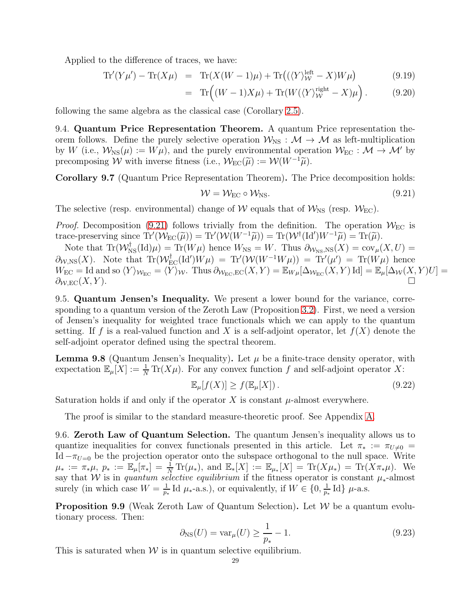Applied to the difference of traces, we have:

$$
\text{Tr}'(Y\mu') - \text{Tr}(X\mu) = \text{Tr}(X(W-1)\mu) + \text{Tr}((\langle Y \rangle_W^{\text{left}} - X)W\mu)
$$
\n(9.19)

$$
= \operatorname{Tr} \left( (W - 1)X\mu \right) + \operatorname{Tr} (W(\langle Y \rangle_W^{\text{right}} - X)\mu \right). \tag{9.20}
$$

following the same algebra as the classical case (Corollary [2.5\)](#page-12-3).

9.4. Quantum Price Representation Theorem. A quantum Price representation theorem follows. Define the purely selective operation  $W_{NS} : \mathcal{M} \to \mathcal{M}$  as left-multiplication by W (i.e.,  $W_{\text{NS}}(\mu) := W\mu$ ), and the purely environmental operation  $W_{\text{EC}} : \mathcal{M} \to \mathcal{M}'$  by precomposing W with inverse fitness (i.e.,  $\mathcal{W}_{EC}(\tilde{\mu}) := \mathcal{W}(W^{-1}\tilde{\mu})$ .

Corollary 9.7 (Quantum Price Representation Theorem). The Price decomposition holds:

<span id="page-28-1"></span>
$$
W = W_{\rm EC} \circ W_{\rm NS}.\tag{9.21}
$$

The selective (resp. environmental) change of W equals that of  $\mathcal{W}_{NS}$  (resp.  $\mathcal{W}_{EC}$ ).

*Proof.* Decomposition [\(9.21\)](#page-28-1) follows trivially from the definition. The operation  $W_{\text{EC}}$  is trace-preserving since  $\text{Tr}'(\mathcal{W}_{\text{EC}}(\tilde{\mu})) = \text{Tr}'(\mathcal{W}(W^{-1}\tilde{\mu})) = \text{Tr}(\mathcal{W}^{\dagger}(\text{Id}')W^{-1}\tilde{\mu}) = \text{Tr}(\tilde{\mu}).$ 

Note that  $\text{Tr}(\mathcal{W}_{NS}^{\dagger}(\text{Id})\mu) = \text{Tr}(W\mu)$  hence  $W_{NS} = W$ . Thus  $\partial_{\mathcal{W}_{NS,NS}}(X) = \text{cov}_{\mu}(X, U) =$  $\partial_{W,NS}(X)$ . Note that  $\text{Tr}(\mathcal{W}_{EC}^{\dagger}(\text{Id}')W\mu) = \text{Tr}'(\mathcal{W}(W^{-1}W\mu)) = \text{Tr}'(\mu') = \text{Tr}(W\mu)$  hence  $W_{\text{EC}} = \text{Id}$  and so  $\langle Y \rangle_{\mathcal{W}_{\text{EC}}} = \langle Y \rangle_{\mathcal{W}}$ . Thus  $\partial_{\mathcal{W}_{\text{EC}},\text{EC}}(X,Y) = \mathbb{E}_{W\mu}[\Delta_{\mathcal{W}_{\text{EC}}}(X,Y) \text{Id}] = \mathbb{E}_{\mu}[\Delta_{\mathcal{W}}(X,Y)U] =$  $\partial_{\mathcal{W},\text{EC}}(X,Y).$ 

9.5. Quantum Jensen's Inequality. We present a lower bound for the variance, corresponding to a quantum version of the Zeroth Law (Proposition [3.2\)](#page-14-2). First, we need a version of Jensen's inequality for weighted trace functionals which we can apply to the quantum setting. If f is a real-valued function and X is a self-adjoint operator, let  $f(X)$  denote the self-adjoint operator defined using the spectral theorem.

<span id="page-28-0"></span>**Lemma 9.8** (Quantum Jensen's Inequality). Let  $\mu$  be a finite-trace density operator, with expectation  $\mathbb{E}_{\mu}[X] := \frac{1}{N} \text{Tr}(X\mu)$ . For any convex function f and self-adjoint operator X:

$$
\mathbb{E}_{\mu}[f(X)] \ge f(\mathbb{E}_{\mu}[X]). \tag{9.22}
$$

Saturation holds if and only if the operator X is constant  $\mu$ -almost everywhere.

The proof is similar to the standard measure-theoretic proof. See Appendix [A.](#page-64-1)

9.6. Zeroth Law of Quantum Selection. The quantum Jensen's inequality allows us to quantize inequalities for convex functionals presented in this article. Let  $\pi_* := \pi_{U \neq 0} =$ Id  $-\pi_{U=0}$  be the projection operator onto the subspace orthogonal to the null space. Write  $\mu_* := \pi_* \mu, \ p_* := \mathbb{E}_{\mu}[\pi_*] = \frac{1}{N} \text{Tr}(\mu_*), \text{ and } \mathbb{E}_*[X] := \mathbb{E}_{\mu_*}[X] = \text{Tr}(X \mu_*) = \text{Tr}(X \pi_* \mu).$  We say that W is in quantum selective equilibrium if the fitness operator is constant  $\mu_*$ -almost surely (in which case  $W = \frac{1}{n}$  $\frac{1}{p_*}$ Id  $\mu_*$ -a.s.), or equivalently, if  $W \in \{0, \frac{1}{p_*}$  $\frac{1}{p_*}$ Id}  $\mu$ -a.s.

**Proposition 9.9** (Weak Zeroth Law of Quantum Selection). Let  $W$  be a quantum evolutionary process. Then:

$$
\partial_{\text{NS}}(U) = \text{var}_{\mu}(U) \ge \frac{1}{p_*} - 1.
$$
\n(9.23)

This is saturated when  $W$  is in quantum selective equilibrium.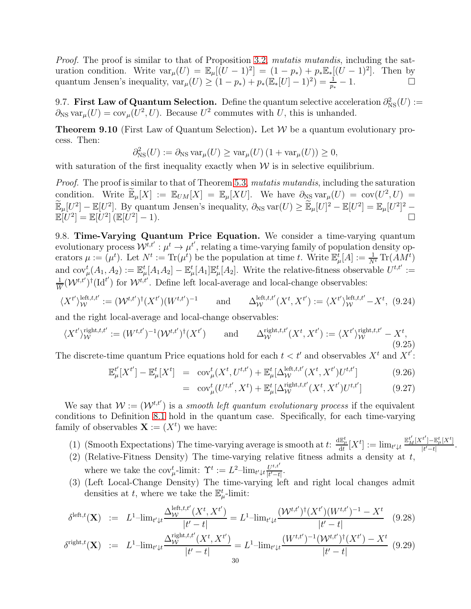Proof. The proof is similar to that of Proposition [3.2,](#page-14-2) mutatis mutandis, including the saturation condition. Write  $var_\mu(U) = \mathbb{E}_{\mu}[(U-1)^2] = (1-p_*) + p_* \mathbb{E}_{*}[(U-1)^2]$ . Then by quantum Jensen's inequality,  $var_{\mu}(U) \geq (1-p_*) + p_*(\mathbb{E}_*[U] - 1)^2 = \frac{1}{p_*} - 1.$ 

9.7. First Law of Quantum Selection. Define the quantum selective acceleration  $\partial_{NS}^2(U)$  :=  $\partial_{\text{NS}} \text{var}_{\mu}(U) = \text{cov}_{\mu}(U^2, U)$ . Because  $U^2$  commutes with U, this is unhanded.

**Theorem 9.10** (First Law of Quantum Selection). Let  $W$  be a quantum evolutionary process. Then:

$$
\partial_{\text{NS}}^2(U) := \partial_{\text{NS}} \operatorname{var}_{\mu}(U) \ge \operatorname{var}_{\mu}(U) \left(1 + \operatorname{var}_{\mu}(U)\right) \ge 0,
$$

with saturation of the first inequality exactly when  $W$  is in selective equilibrium.

Proof. The proof is similar to that of Theorem [5.3,](#page-19-0) mutatis mutandis, including the saturation condition. Write  $\widetilde{\mathbb{E}}_{\mu}[X] := \mathbb{E}_{UM}[X] = \mathbb{E}_{\mu}[XU]$ . We have  $\partial_{NS} \text{var}_{\mu}(U) = \text{cov}(U^2, U) =$  $\widetilde{\mathbb{E}}_{\mu}[U^2] - \mathbb{E}[U^2]$ . By quantum Jensen's inequality,  $\partial_{\text{NS}} \text{var}(U) \geq \widetilde{\mathbb{E}}_{\mu}[U]^2 - \mathbb{E}[U^2] = \mathbb{E}_{\mu}[U^2]^2 \mathbb{E}[U^2]=\mathbb{E}[U^2]\,(\mathbb{E}[U^2])$  $[-1).$ 

9.8. Time-Varying Quantum Price Equation. We consider a time-varying quantum evolutionary process  $\mathcal{W}^{t,t'}: \mu^t \to \mu^{t'}$ , relating a time-varying family of population density operators  $\mu := (\mu^t)$ . Let  $N^t := \text{Tr}(\mu^t)$  be the population at time t. Write  $\mathbb{E}^{\bar{t}}_{\mu}[A] := \frac{1}{N^t} \text{Tr}(AM^t)$ and  $\text{cov}_{\mu}^{t}(A_1, A_2) := \mathbb{E}_{\mu}^{t}[A_1 A_2] - \mathbb{E}_{\mu}^{t}[A_1] \mathbb{E}_{\mu}^{t}[A_2]$ . Write the relative-fitness observable  $U^{t,t'} :=$ 1  $\frac{1}{W}(\mathcal{W}^{t,t'})^{\dagger}(\mathrm{Id}^{t'})$  for  $\mathcal{W}^{t,t'}$ . Define left local-average and local-change observables:

$$
\langle X^{t'} \rangle_{\mathcal{W}}^{\text{left},t,t'} := (\mathcal{W}^{t,t'})^{\dagger} (X^{t'}) (W^{t,t'})^{-1} \quad \text{and} \quad \Delta_{\mathcal{W}}^{\text{left},t,t'} (X^{t}, X^{t'}) := \langle X^{t'} \rangle_{\mathcal{W}}^{\text{left},t,t'} - X^{t}, \tag{9.24}
$$

and the right local-average and local-change observables:

$$
\langle X^{t'}\rangle_{\mathcal{W}}^{\text{right},t,t'} := (W^{t,t'})^{-1}(\mathcal{W}^{t,t'})^{\dagger}(X^{t'}) \quad \text{and} \quad \Delta_{\mathcal{W}}^{\text{right},t,t'}(X^{t}, X^{t'}) := \langle X^{t'}\rangle_{\mathcal{W}}^{\text{right},t,t'} - X^{t}, \tag{9.25}
$$

The discrete-time quantum Price equations hold for each  $t < t'$  and observables  $X<sup>t</sup>$  and  $X<sup>t'</sup>$ :

<span id="page-29-0"></span>
$$
\mathbb{E}_{\mu}^{t'}[X^{t'}] - \mathbb{E}_{\mu}^{t}[X^{t}] = \operatorname{cov}_{\mu}^{t}(X^{t}, U^{t,t'}) + \mathbb{E}_{\mu}^{t}[\Delta_{\mathcal{W}}^{\text{left},t,t'}(X^{t}, X^{t'})U^{t,t'}]
$$
(9.26)

$$
= \operatorname{cov}_{\mu}^{t}(U^{t,t'}, X^{t}) + \mathbb{E}_{\mu}^{t}[\Delta_{\mathcal{W}}^{\text{right},t,t'}(X^{t}, X^{t'})U^{t,t'}] \tag{9.27}
$$

We say that  $W := (W^{t,t'})$  is a smooth left quantum evolutionary process if the equivalent conditions to Definition [8.1](#page-23-1) hold in the quantum case. Specifically, for each time-varying family of observables  $\mathbf{X} := (X^t)$  we have:

- (1) (Smooth Expectations) The time-varying average is smooth at  $t: \frac{d\mathbb{E}_{\mu}^t}{dt}[X^t] := \lim_{t' \downarrow t}$  $\mathbb{E}^{t'}_{M}[X^{t'}]\!-\!\mathbb{E}^{t}_{\mu}[X^{t}]$  $\frac{1-\mathbb{E}_{\mu}[X]}{|t'-t|}.$
- (2) (Relative-Fitness Density) The time-varying relative fitness admits a density at  $t$ , where we take the  $\text{cov}_{\mu}^{t}$ -limit:  $\Upsilon^{t} := L^{2}$ -lim<sub>t'+t</sub> $\frac{U^{t,t'}}{|t'-t'}$  $\frac{U^{i,t}}{|t'-t|}$ .
- (3) (Left Local-Change Density) The time-varying left and right local changes admit densities at t, where we take the  $\mathbb{E}_{\mu}^{t}$ -limit:

$$
\delta^{\text{left},t}(\mathbf{X}) \quad := \quad L^1 - \lim_{t' \downarrow t} \frac{\Delta_{\mathcal{W}}^{\text{left},t,t'}(X^t, X^{t'})}{|t'-t|} = L^1 - \lim_{t' \downarrow t} \frac{(\mathcal{W}^{t,t'})^{\dagger}(X^{t'}) (W^{t,t'})^{-1} - X^t}{|t'-t|} \tag{9.28}
$$
\n
$$
\text{right}_{t'(\mathbf{X})} \qquad \text{with } t \in \mathbb{N}.
$$
\n
$$
\delta^{\text{right},t,t'}(X^t, X^{t'}) = L^1 - \lim_{t' \downarrow t} \frac{(\mathcal{W}^{t,t'})^{\dagger}(X^{t'}) (W^{t,t'})^{-1} - X^t}{(W^{t,t'})^{-1}(\mathcal{W}^{t,t'})^{\dagger}(X^{t'}) - X^t} \tag{9.29}
$$

$$
\delta^{\text{right},t}(\mathbf{X}) \quad := \quad L^1 - \lim_{t' \downarrow t} \frac{\Delta^{\text{right},t,t'}_{\mathcal{W}}(X^t, X^{t'})}{|t'-t|} = L^1 - \lim_{t' \downarrow t} \frac{(W^{t,t'})^{-1}(\mathcal{W}^{t,t'})^{\dagger}(X^{t'}) - X^{t}}{|t'-t|} \tag{9.29}
$$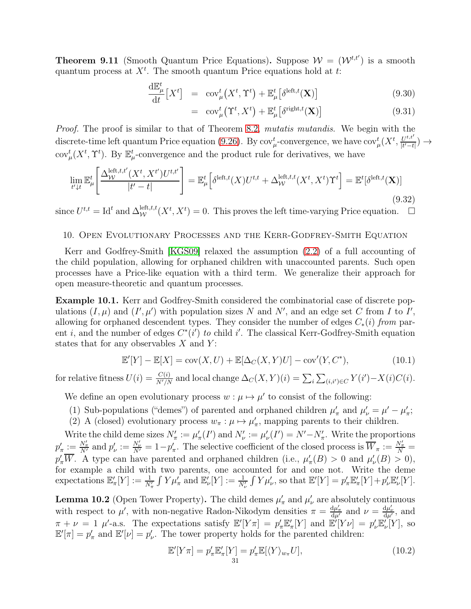**Theorem 9.11** (Smooth Quantum Price Equations). Suppose  $W = (W^{t,t'})$  is a smooth quantum process at  $X<sup>t</sup>$ . The smooth quantum Price equations hold at t:

$$
\frac{\mathrm{d}\mathbb{E}_{\mu}^{t}}{\mathrm{d}t}[X^{t}] = \text{cov}_{\mu}^{t}(X^{t}, \Upsilon^{t}) + \mathbb{E}_{\mu}^{t}[\delta^{\text{left},t}(\mathbf{X})] \tag{9.30}
$$

$$
= \operatorname{cov}_{\mu}^{t}(\Upsilon^{t}, X^{t}) + \mathbb{E}_{\mu}^{t}[\delta^{\operatorname{right}, t}(\mathbf{X})] \tag{9.31}
$$

Proof. The proof is similar to that of Theorem [8.2,](#page-24-3) mutatis mutandis. We begin with the discrete-time left quantum Price equation [\(9.26\)](#page-29-0). By  $cov^t_\mu$ -convergence, we have  $cov^t_\mu(X^t, \frac{U^{t,t'}}{|t'-t)}$  $\frac{U^{i,t}}{|t'-t|}) \rightarrow$ cov<sup>t</sup><sub> $\mu$ </sub>( $X^t$ ,  $\Upsilon^t$ ). By  $\mathbb{E}_{\mu}^t$ -convergence and the product rule for derivatives, we have

$$
\lim_{t'\downarrow t} \mathbb{E}_{\mu}^{t} \left[ \frac{\Delta_{\mathcal{W}}^{\text{left},t,t'}(X^{t}, X^{t'}) U^{t,t'}}{|t'-t|} \right] = \mathbb{E}_{\mu}^{t} \left[ \delta^{\text{left},t}(X) U^{t,t} + \Delta_{\mathcal{W}}^{\text{left},t,t}(X^{t}, X^{t}) \Upsilon^{t} \right] = \mathbb{E}^{t} [\delta^{\text{left},t}(\mathbf{X})] \tag{9.32}
$$

since  $U^{t,t} = \text{Id}^t$  and  $\Delta_{\mathcal{W}}^{\text{left},t,t}(X^t, X^t) = 0$ . This proves the left time-varying Price equation.  $\Box$ 

### <span id="page-30-0"></span>10. Open Evolutionary Processes and the Kerr-Godfrey-Smith Equation

Kerr and Godfrey-Smith [\[KGS09\]](#page-62-25) relaxed the assumption [\(2.2\)](#page-10-0) of a full accounting of the child population, allowing for orphaned children with unaccounted parents. Such open processes have a Price-like equation with a third term. We generalize their approach for open measure-theoretic and quantum processes.

Example 10.1. Kerr and Godfrey-Smith considered the combinatorial case of discrete populations  $(I, \mu)$  and  $(I', \mu')$  with population sizes N and N', and an edge set C from I to I', allowing for orphaned descendent types. They consider the number of edges  $C_*(i)$  from parent i, and the number of edges  $C^*(i')$  to child i'. The classical Kerr-Godfrey-Smith equation states that for any observables  $X$  and  $Y$ :

<span id="page-30-1"></span>
$$
\mathbb{E}'[Y] - \mathbb{E}[X] = \text{cov}(X, U) + \mathbb{E}[\Delta_C(X, Y)U] - \text{cov}'(Y, C^*),\tag{10.1}
$$

for relative fitness  $U(i) = \frac{C(i)}{N'/N}$  and local change  $\Delta_C(X, Y)(i) = \sum_i \sum_{(i,i') \in C} Y(i') - X(i)C(i)$ .

We define an open evolutionary process  $w : \mu \mapsto \mu'$  to consist of the following:

- (1) Sub-populations ("demes") of parented and orphaned children  $\mu'_{\pi}$  and  $\mu'_{\nu} = \mu' \mu'_{\pi}$ ;
- (2) A (closed) evolutionary process  $w_{\pi} : \mu \mapsto \mu'_{\pi}$ , mapping parents to their children.

Write the child deme sizes  $N'_\pi := \mu'_\pi(I')$  and  $N'_\nu := \mu'_\nu(I') = N' - N'_\pi$ . Write the proportions  $p'_\pi := \frac{N'_\pi}{N'}$  and  $p'_\nu := \frac{N'_\nu}{N'} = 1 - p'_\pi$ . The selective coefficient of the closed process is  $\overline{W}_\pi := \frac{N'_\pi}{N}$  $p'_\pi \overline{W}$ . A type can have parented and orphaned children (i.e.,  $\mu'_\pi(B) > 0$  and  $\mu'_\nu(B) > 0$ ), for example a child with two parents, one accounted for and one not. Write the deme expectations  $\mathbb{E}'_{\pi}[Y] := \frac{1}{N'_{\pi}} \int Y \mu'_{\pi}$  and  $\mathbb{E}'_{\nu}[Y] := \frac{1}{N'_{\nu}} \int Y \mu'_{\nu}$ , so that  $\mathbb{E}'[Y] = p'_{\pi} \mathbb{E}'_{\pi}[Y] + p'_{\nu} \mathbb{E}'_{\nu}[Y]$ .

<span id="page-30-2"></span>**Lemma 10.2** (Open Tower Property). The child demes  $\mu'_{\pi}$  and  $\mu'_{\nu}$  are absolutely continuous with respect to  $\mu'$ , with non-negative Radon-Nikodym densities  $\pi = \frac{d\mu'_{\pi}}{d\mu'}$  and  $\nu = \frac{d\mu'_{\nu}}{d\mu'}$ , and  $\pi + \nu = 1$   $\mu'$ -a.s. The expectations satisfy  $\mathbb{E}'[Y\pi] = p'_\pi \mathbb{E}'_\pi[Y]$  and  $\mathbb{E}'[Y\nu] = p'_\nu \mathbb{E}'_\nu[Y]$ , so  $\mathbb{E}'[\pi] = p'_\pi$  and  $\mathbb{E}'[\nu] = p'_\nu$ . The tower property holds for the parented children:

$$
\mathbb{E}'[Y\pi] = p'_{\pi} \mathbb{E}'_{\pi}[Y] = p'_{\pi} \mathbb{E}[\langle Y \rangle_{w_{\pi}} U],
$$
\n(10.2)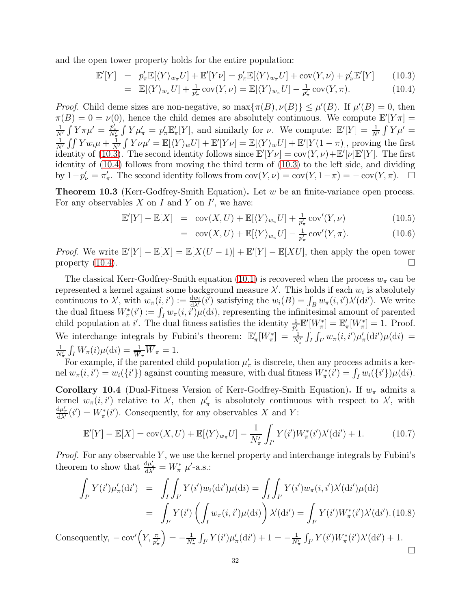and the open tower property holds for the entire population:

<span id="page-31-0"></span>
$$
\mathbb{E}'[Y] = p'_{\pi} \mathbb{E}[\langle Y \rangle_{w_{\pi}} U] + \mathbb{E}'[Y \nu] = p'_{\pi} \mathbb{E}[\langle Y \rangle_{w_{\pi}} U] + \text{cov}(Y, \nu) + p'_{\nu} \mathbb{E}'[Y] \qquad (10.3)
$$

$$
= \mathbb{E}[\langle Y \rangle_{w_{\pi}} U] + \frac{1}{p_{\pi}'} \operatorname{cov}(Y, \nu) = \mathbb{E}[\langle Y \rangle_{w_{\pi}} U] - \frac{1}{p_{\pi}'} \operatorname{cov}(Y, \pi).
$$
 (10.4)

*Proof.* Child deme sizes are non-negative, so  $\max{\pi(B), \nu(B)} \leq \mu'(B)$ . If  $\mu'(B) = 0$ , then  $\pi(B) = 0 = \nu(0)$ , hence the child demes are absolutely continuous. We compute  $\mathbb{E}[Y_{\pi}] =$  $\frac{1}{N'}\int Y\pi\mu' = \frac{p'_\pi}{N'_\pi}\int Y\mu'_\pi = p'_\pi \mathbb{E}'_\pi[Y]$ , and similarly for  $\nu$ . We compute:  $\mathbb{E}'[Y] = \frac{1}{N'}\int Y\mu' =$  $\frac{1}{N'}\int \int Yw_i\mu + \frac{1}{N'}\int Y\nu\mu' = \mathbb{E}[\langle Y\rangle_w U] + \mathbb{E}'[Y\nu] = \mathbb{E}[\langle Y\rangle_w U] + \mathbb{E}'[Y(1-\pi)],$  proving the first identity of  $(10.3)$ . The second identity follows since  $\mathbb{E}'[Y\nu] = \text{cov}(Y,\nu) + \mathbb{E}'[\nu]\mathbb{E}'[Y]$ . The first identity of [\(10.4\)](#page-31-0) follows from moving the third term of [\(10.3\)](#page-31-0) to the left side, and dividing by  $1-p'_\nu = \pi'_\pi$ . The second identity follows from  $cov(Y,\nu) = cov(Y,1-\pi) = -cov(Y,\pi)$ .  $\Box$ 

Theorem 10.3 (Kerr-Godfrey-Smith Equation). Let w be an finite-variance open process. For any observables  $X$  on  $I$  and  $Y$  on  $I'$ , we have:

$$
\mathbb{E}'[Y] - \mathbb{E}[X] = \text{cov}(X, U) + \mathbb{E}[\langle Y \rangle_{w_{\pi}} U] + \frac{1}{p'_{\pi}} \text{cov}'(Y, \nu) \tag{10.5}
$$

$$
= \operatorname{cov}(X, U) + \mathbb{E}[\langle Y \rangle_{w_{\pi}} U] - \frac{1}{p_{\pi}'} \operatorname{cov}'(Y, \pi). \tag{10.6}
$$

*Proof.* We write  $\mathbb{E}'[Y] - \mathbb{E}[X] = \mathbb{E}[X(U-1)] + \mathbb{E}'[Y] - \mathbb{E}[XU]$ , then apply the open tower property  $(10.4)$ .

The classical Kerr-Godfrey-Smith equation [\(10.1\)](#page-30-1) is recovered when the process  $w_{\pi}$  can be represented a kernel against some background measure  $\lambda'$ . This holds if each  $w_i$  is absolutely continuous to  $\lambda'$ , with  $w_{\pi}(i, i') := \frac{dw_i}{d\lambda'}(i')$  satisfying the  $w_i(B) = \int_B w_{\pi}(i, i') \lambda'(di')$ . We write the dual fitness  $W^*_\pi(i') := \int_I w_\pi(i, i') \mu(\mathrm{d}i)$ , representing the infinitesimal amount of parented child population at i'. The dual fitness satisfies the identity  $\frac{1}{p'_\pi} \mathbb{E}'[W^*_\pi] = \mathbb{E}'_\pi[W^*_\pi] = 1$ . Proof. We interchange integrals by Fubini's theorem:  $\mathbb{E}'_{\pi}[W^*_{\pi}] = \frac{1}{N'_{\pi}} \int_I \int_{I'} w_{\pi}(i, i') \mu'_{\pi}(\mathrm{d}i') \mu(\mathrm{d}i) =$  $\frac{1}{N'_\pi} \int_I W_\pi(i) \mu(\mathrm{d}i) = \frac{1}{\overline{W}_\pi} \overline{W}_\pi = 1.$ 

For example, if the parented child population  $\mu'_{\pi}$  is discrete, then any process admits a kernel  $w_{\pi}(i, i') = w_i({i'}\})$  against counting measure, with dual fitness  $W_{\pi}^*(i') = \int_I w_i({i'}\mu(\mathrm{d}i)$ .

Corollary 10.4 (Dual-Fitness Version of Kerr-Godfrey-Smith Equation). If  $w_{\pi}$  admits a kernel  $w_{\pi}(i, i')$  relative to  $\lambda'$ , then  $\mu'_{\pi}$  is absolutely continuous with respect to  $\lambda'$ , with  $\frac{d\mu'_{\pi}}{d\lambda'}(i') = W_{\pi}^*(i')$ . Consequently, for any observables X and Y:

$$
\mathbb{E}'[Y] - \mathbb{E}[X] = \text{cov}(X, U) + \mathbb{E}[\langle Y \rangle_{w_{\pi}} U] - \frac{1}{N'_{\pi}} \int_{I'} Y(i') W_{\pi}^*(i') \lambda'(\text{d}i') + 1. \tag{10.7}
$$

*Proof.* For any observable Y, we use the kernel property and interchange integrals by Fubini's theorem to show that  $\frac{d\mu'_{\pi}}{d\lambda'} = W^*_{\pi} \mu'$ -a.s.:

$$
\int_{I'} Y(i') \mu'_{\pi}(\text{d}i') = \int_{I} \int_{I'} Y(i') w_i(\text{d}i') \mu(\text{d}i) = \int_{I} \int_{I'} Y(i') w_{\pi}(i, i') \lambda'(\text{d}i') \mu(\text{d}i)
$$
\n
$$
= \int_{I'} Y(i') \left( \int_{I} w_{\pi}(i, i') \mu(\text{d}i) \right) \lambda'(\text{d}i') = \int_{I'} Y(i') W_{\pi}^{*}(i') \lambda'(\text{d}i').
$$
\n(10.8)

Consequently,  $-\text{cov}'(Y, \frac{\pi}{p'_\pi})$  $= -\frac{1}{N'_{\pi}} \int_{I'} Y(i') \mu'_{\pi}(\mathrm{d}i') + 1 = -\frac{1}{N'_{\pi}} \int_{I'} Y(i') W_{\pi}^{*}(i') \lambda'(\mathrm{d}i') + 1.$  $\Box$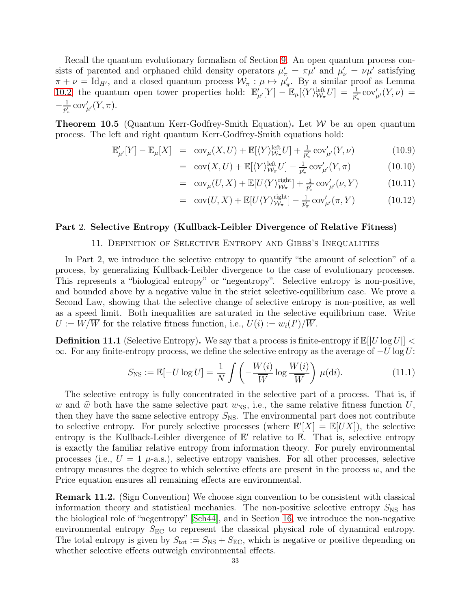Recall the quantum evolutionary formalism of Section [9.](#page-25-0) An open quantum process consists of parented and orphaned child density operators  $\mu'_{\pi} = \pi \mu'$  and  $\mu'_{\nu} = \nu \mu'$  satisfying  $\pi + \nu = \text{Id}_{H'}$ , and a closed quantum process  $\mathcal{W}_{\pi} : \mu \mapsto \mu'_{\pi}$ . By a similar proof as Lemma [10.2,](#page-30-2) the quantum open tower properties hold:  $\mathbb{E}'_{\mu'}[Y] - \mathbb{E}_{\mu}[(Y]_{W_{\pi}}^{\text{left}}U] = \frac{1}{p'_{\pi}} \text{cov}'_{\mu'}(Y,\nu)$  $-\frac{1}{n'}$  $\frac{1}{p'_\pi} \operatorname{cov}'_{\mu'}(Y,\pi).$ 

**Theorem 10.5** (Quantum Kerr-Godfrey-Smith Equation). Let  $W$  be an open quantum process. The left and right quantum Kerr-Godfrey-Smith equations hold:

$$
\mathbb{E}'_{\mu'}[Y] - \mathbb{E}_{\mu}[X] = \text{cov}_{\mu}(X, U) + \mathbb{E}[\langle Y \rangle_{\mathcal{W}_{\pi}}^{\text{left}} U] + \frac{1}{p_{\pi}'} \text{cov}_{\mu'}'(Y, \nu) \tag{10.9}
$$

$$
= \operatorname{cov}(X, U) + \mathbb{E}[\langle Y \rangle_{\mathcal{W}_{\pi}}^{\text{left}} U] - \frac{1}{p'_{\pi}} \operatorname{cov}_{\mu'}'(Y, \pi) \tag{10.10}
$$

$$
= \operatorname{cov}_{\mu}(U, X) + \mathbb{E}[U \langle Y \rangle_{\mathcal{W}_{\pi}}^{\text{right}}] + \frac{1}{p_{\pi}'} \operatorname{cov}_{\mu'}'(\nu, Y) \tag{10.11}
$$

$$
= \operatorname{cov}(U, X) + \mathbb{E}[U \langle Y \rangle_{\mathcal{W}_\pi}^{\text{right}}] - \frac{1}{p_\pi'} \operatorname{cov}_{\mu'}'(\pi, Y) \tag{10.12}
$$

### <span id="page-32-1"></span><span id="page-32-0"></span>Part 2. Selective Entropy (Kullback-Leibler Divergence of Relative Fitness)

### 11. Definition of Selective Entropy and Gibbs's Inequalities

In Part 2, we introduce the selective entropy to quantify "the amount of selection" of a process, by generalizing Kullback-Leibler divergence to the case of evolutionary processes. This represents a "biological entropy" or "negentropy". Selective entropy is non-positive, and bounded above by a negative value in the strict selective-equilibrium case. We prove a Second Law, showing that the selective change of selective entropy is non-positive, as well as a speed limit. Both inequalities are saturated in the selective equilibrium case. Write  $U := W/\overline{W}$  for the relative fitness function, i.e.,  $U(i) := w_i(I')/\overline{W}$ .

**Definition 11.1** (Selective Entropy). We say that a process is finite-entropy if  $\mathbb{E}[|U| \log U|]$  <  $\infty$ . For any finite-entropy process, we define the selective entropy as the average of  $-U \log U$ :

$$
S_{\rm NS} := \mathbb{E}[-U \log U] = \frac{1}{N} \int \left( -\frac{W(i)}{\overline{W}} \log \frac{W(i)}{\overline{W}} \right) \mu(\mathrm{d}i). \tag{11.1}
$$

The selective entropy is fully concentrated in the selective part of a process. That is, if w and  $\hat{w}$  both have the same selective part  $w_{\text{NS}}$ , i.e., the same relative fitness function U, then they have the same selective entropy  $S_{\text{NS}}$ . The environmental part does not contribute to selective entropy. For purely selective processes (where  $\mathbb{E}'[X] = \mathbb{E}[UX]$ ), the selective entropy is the Kullback-Leibler divergence of  $E'$  relative to  $\overline{E}$ . That is, selective entropy is exactly the familiar relative entropy from information theory. For purely environmental processes (i.e.,  $U = 1$   $\mu$ -a.s.), selective entropy vanishes. For all other processes, selective entropy measures the degree to which selective effects are present in the process  $w$ , and the Price equation ensures all remaining effects are environmental.

Remark 11.2. (Sign Convention) We choose sign convention to be consistent with classical information theory and statistical mechanics. The non-positive selective entropy  $S_{\text{NS}}$  has the biological role of "negentropy" [\[Sch44\]](#page-63-11), and in Section [16,](#page-43-1) we introduce the non-negative environmental entropy  $S_{\text{EC}}$  to represent the classical physical role of dynamical entropy. The total entropy is given by  $S_{\text{tot}} := S_{\text{NS}} + S_{\text{EC}}$ , which is negative or positive depending on whether selective effects outweigh environmental effects.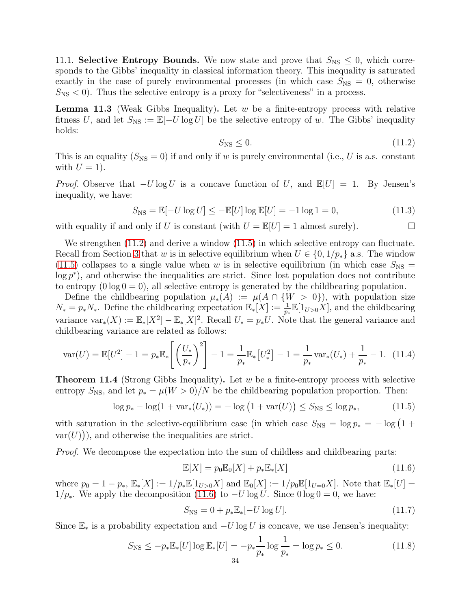11.1. Selective Entropy Bounds. We now state and prove that  $S_{\text{NS}} \leq 0$ , which corresponds to the Gibbs' inequality in classical information theory. This inequality is saturated exactly in the case of purely environmental processes (in which case  $S_{\text{NS}} = 0$ , otherwise  $S_{\rm NS}$  < 0). Thus the selective entropy is a proxy for "selectiveness" in a process.

**Lemma 11.3** (Weak Gibbs Inequality). Let  $w$  be a finite-entropy process with relative fitness U, and let  $S_{\text{NS}} := \mathbb{E}[-U \log U]$  be the selective entropy of w. The Gibbs' inequality holds:

<span id="page-33-1"></span>
$$
S_{\rm NS} \le 0. \tag{11.2}
$$

This is an equality  $(S_{\text{NS}} = 0)$  if and only if w is purely environmental (i.e., U is a.s. constant with  $U = 1$ ).

*Proof.* Observe that  $-U \log U$  is a concave function of U, and  $\mathbb{E}[U] = 1$ . By Jensen's inequality, we have:

$$
S_{\rm NS} = \mathbb{E}[-U \log U] \le -\mathbb{E}[U] \log \mathbb{E}[U] = -1 \log 1 = 0,
$$
 (11.3)

with equality if and only if U is constant (with  $U = \mathbb{E}[U] = 1$  almost surely).

We strengthen  $(11.2)$  and derive a window  $(11.5)$  in which selective entropy can fluctuate. Recall from Section [3](#page-14-0) that w is in selective equilibrium when  $U \in \{0, 1/p_*\}$  a.s. The window [\(11.5\)](#page-33-2) collapses to a single value when w is in selective equilibrium (in which case  $S_{\text{NS}} =$  $log p^*$ , and otherwise the inequalities are strict. Since lost population does not contribute to entropy  $(0 \log 0 = 0)$ , all selective entropy is generated by the childbearing population.

Define the childbearing population  $\mu_*(A) := \mu(A \cap \{W > 0\})$ , with population size  $N_* = p_*N_*$ . Define the childbearing expectation  $\mathbb{E}_*[X] := \frac{1}{p_*} \mathbb{E}[1_{U>0}X]$ , and the childbearing variance  $\text{var}_*(X) := \mathbb{E}_*[X]^2$   $\to \mathbb{E}_*[X]^2$ . Recall  $U_* = p_*U$ . Note that the general variance and childbearing variance are related as follows:

$$
\text{var}(U) = \mathbb{E}[U^2] - 1 = p_* \mathbb{E}_* \left[ \left( \frac{U_*}{p_*} \right)^2 \right] - 1 = \frac{1}{p_*} \mathbb{E}_* [U_*^2] - 1 = \frac{1}{p_*} \text{var}_*(U_*) + \frac{1}{p_*} - 1. \tag{11.4}
$$

<span id="page-33-0"></span>**Theorem 11.4** (Strong Gibbs Inequality). Let  $w$  be a finite-entropy process with selective entropy  $S_{\text{NS}}$ , and let  $p_* = \mu(W > 0)/N$  be the childbearing population proportion. Then:

<span id="page-33-2"></span>
$$
\log p_* - \log(1 + \text{var}_*(U_*)) = -\log(1 + \text{var}(U)) \le S_{\text{NS}} \le \log p_*,\tag{11.5}
$$

with saturation in the selective-equilibrium case (in which case  $S_{\text{NS}} = \log p_* = -\log(1 +$  $var(U)$ ), and otherwise the inequalities are strict.

Proof. We decompose the expectation into the sum of childless and childbearing parts:

<span id="page-33-3"></span>
$$
\mathbb{E}[X] = p_0 \mathbb{E}_0[X] + p_* \mathbb{E}_*[X] \tag{11.6}
$$

where  $p_0 = 1 - p_*$ ,  $\mathbb{E}_*[X] := 1/p_* \mathbb{E}[1_{U>0}X]$  and  $\mathbb{E}_0[X] := 1/p_0 \mathbb{E}[1_{U=0}X]$ . Note that  $\mathbb{E}_*[U] =$ 1/p<sup>\*</sup>. We apply the decomposition [\(11.6\)](#page-33-3) to  $-U \log U$ . Since 0 log 0 = 0, we have:

$$
S_{\rm NS} = 0 + p_* \mathbb{E}_*[-U \log U].
$$
 (11.7)

Since  $\mathbb{E}_*$  is a probability expectation and  $-U \log U$  is concave, we use Jensen's inequality:

$$
S_{\rm NS} \le -p_* \mathbb{E}_*[U] \log \mathbb{E}_*[U] = -p_* \frac{1}{p_*} \log \frac{1}{p_*} = \log p_* \le 0. \tag{11.8}
$$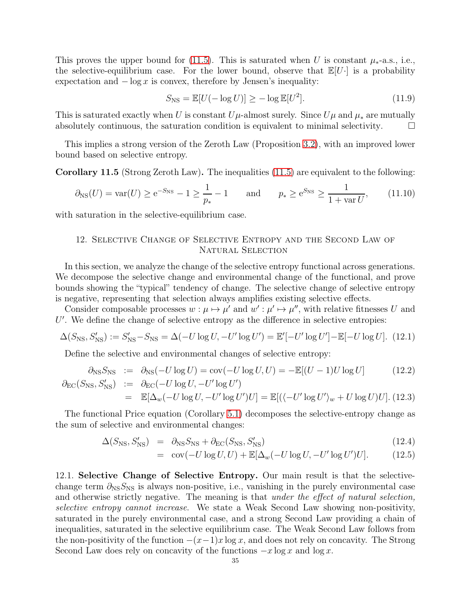This proves the upper bound for [\(11.5\)](#page-33-2). This is saturated when U is constant  $\mu_{*}$ -a.s., i.e., the selective-equilibrium case. For the lower bound, observe that  $\mathbb{E}[U]$  is a probability expectation and  $-\log x$  is convex, therefore by Jensen's inequality:

$$
S_{\rm NS} = \mathbb{E}[U(-\log U)] \ge -\log \mathbb{E}[U^2]. \tag{11.9}
$$

This is saturated exactly when U is constant  $U\mu$ -almost surely. Since  $U\mu$  and  $\mu_*$  are mutually absolutely continuous, the saturation condition is equivalent to minimal selectivity.  $\Box$ 

This implies a strong version of the Zeroth Law (Proposition [3.2\)](#page-14-2), with an improved lower bound based on selective entropy.

<span id="page-34-1"></span>Corollary 11.5 (Strong Zeroth Law). The inequalities [\(11.5\)](#page-33-2) are equivalent to the following:

$$
\partial_{\text{NS}}(U) = \text{var}(U) \ge e^{-S_{\text{NS}}} - 1 \ge \frac{1}{p_*} - 1
$$
 and  $p_* \ge e^{S_{\text{NS}}} \ge \frac{1}{1 + \text{var } U},$  (11.10)

<span id="page-34-0"></span>with saturation in the selective-equilibrium case.

# 12. Selective Change of Selective Entropy and the Second Law of NATURAL SELECTION

In this section, we analyze the change of the selective entropy functional across generations. We decompose the selective change and environmental change of the functional, and prove bounds showing the "typical" tendency of change. The selective change of selective entropy is negative, representing that selection always amplifies existing selective effects.

Consider composable processes  $w : \mu \mapsto \mu'$  and  $w' : \mu' \mapsto \mu''$ , with relative fitnesses U and U'. We define the change of selective entropy as the difference in selective entropies:

$$
\Delta(S_{\rm NS}, S'_{\rm NS}) := S'_{\rm NS} - S_{\rm NS} = \Delta(-U \log U, -U' \log U') = \mathbb{E}'[-U' \log U'] - \mathbb{E}[-U \log U]. \tag{12.1}
$$

Define the selective and environmental changes of selective entropy:

$$
\partial_{\text{NS}} S_{\text{NS}} := \partial_{\text{NS}} (-U \log U) = \text{cov}(-U \log U, U) = -\mathbb{E}[(U - 1)U \log U]
$$
\n
$$
\partial_{\text{EC}}(S_{\text{NS}}, S_{\text{NS}}') := \partial_{\text{EC}}(-U \log U, -U' \log U')
$$
\n(12.2)

$$
= \mathbb{E}[\Delta_w(-U\log U, -U'\log U')U] = \mathbb{E}[(\langle -U'\log U'\rangle_w + U\log U)U]. \tag{12.3}
$$

The functional Price equation (Corollary [5.1\)](#page-17-1) decomposes the selective-entropy change as the sum of selective and environmental changes:

$$
\Delta(S_{\rm NS}, S'_{\rm NS}) = \partial_{\rm NS} S_{\rm NS} + \partial_{\rm EC}(S_{\rm NS}, S'_{\rm NS}) \tag{12.4}
$$

$$
= \operatorname{cov}(-U\log U, U) + \mathbb{E}[\Delta_w(-U\log U, -U'\log U')U]. \tag{12.5}
$$

12.1. Selective Change of Selective Entropy. Our main result is that the selectivechange term  $\partial_{\text{NS}}S_{\text{NS}}$  is always non-positive, i.e., vanishing in the purely environmental case and otherwise strictly negative. The meaning is that *under the effect of natural selection*, selective entropy cannot increase. We state a Weak Second Law showing non-positivity, saturated in the purely environmental case, and a strong Second Law providing a chain of inequalities, saturated in the selective equilibrium case. The Weak Second Law follows from the non-positivity of the function  $-(x-1)x \log x$ , and does not rely on concavity. The Strong Second Law does rely on concavity of the functions  $-x \log x$  and  $\log x$ .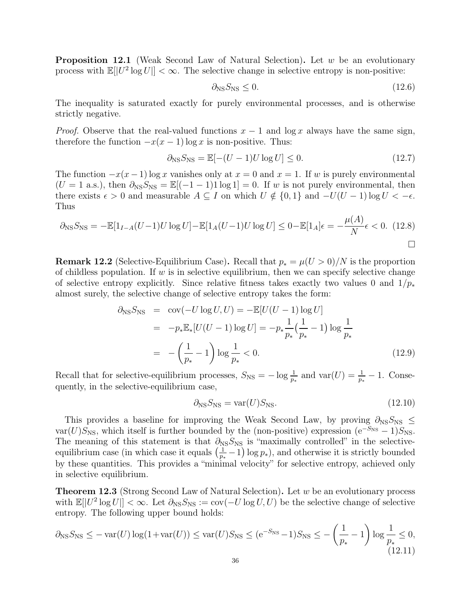**Proposition 12.1** (Weak Second Law of Natural Selection). Let w be an evolutionary process with  $\mathbb{E}[|U^2 \log U|] < \infty$ . The selective change in selective entropy is non-positive:

$$
\partial_{\rm NS} S_{\rm NS} \le 0. \tag{12.6}
$$

The inequality is saturated exactly for purely environmental processes, and is otherwise strictly negative.

*Proof.* Observe that the real-valued functions  $x - 1$  and log x always have the same sign, therefore the function  $-x(x-1)$  log x is non-positive. Thus:

$$
\partial_{\text{NS}} S_{\text{NS}} = \mathbb{E}[-(U-1)U \log U] \le 0. \tag{12.7}
$$

The function  $-x(x-1)$  log x vanishes only at  $x=0$  and  $x=1$ . If w is purely environmental  $(U = 1 \text{ a.s.})$ , then  $\partial_{\text{NS}} S_{\text{NS}} = \mathbb{E}((-1 - 1)1 \log 1) = 0$ . If w is not purely environmental, then there exists  $\epsilon > 0$  and measurable  $A \subseteq I$  on which  $U \notin \{0, 1\}$  and  $-U(U - 1) \log U < -\epsilon$ . Thus

$$
\partial_{\text{NS}} S_{\text{NS}} = -\mathbb{E}[1_{I-A}(U-1)U \log U] - \mathbb{E}[1_A(U-1)U \log U] \le 0 - \mathbb{E}[1_A]\epsilon = -\frac{\mu(A)}{N}\epsilon < 0. \tag{12.8}
$$

**Remark 12.2** (Selective-Equilibrium Case). Recall that  $p_* = \mu(U > 0)/N$  is the proportion of childless population. If  $w$  is in selective equilibrium, then we can specify selective change of selective entropy explicitly. Since relative fitness takes exactly two values 0 and  $1/p_*$ almost surely, the selective change of selective entropy takes the form:

$$
\partial_{\text{NS}} S_{\text{NS}} = \text{cov}(-U \log U, U) = -\mathbb{E}[U(U-1) \log U] \n= -p_* \mathbb{E}_*[U(U-1) \log U] = -p_* \frac{1}{p_*} (\frac{1}{p_*} - 1) \log \frac{1}{p_*} \n= -(\frac{1}{p_*} - 1) \log \frac{1}{p_*} < 0.
$$
\n(12.9)

Recall that for selective-equilibrium processes,  $S_{\text{NS}} = -\log \frac{1}{p_*}$  and  $\text{var}(U) = \frac{1}{p_*} - 1$ . Consequently, in the selective-equilibrium case,

$$
\partial_{\rm NS} S_{\rm NS} = \text{var}(U) S_{\rm NS}.\tag{12.10}
$$

This provides a baseline for improving the Weak Second Law, by proving  $\partial_{NS}S_{NS}$  ≤ var(U)S<sub>NS</sub>, which itself is further bounded by the (non-positive) expression ( $e^{-S_{\text{NS}}} - 1$ )S<sub>NS</sub>. The meaning of this statement is that  $\partial_{\text{NS}}S_{\text{NS}}$  is "maximally controlled" in the selectiveequilibrium case (in which case it equals  $\left(\frac{1}{n}\right)$  $\frac{1}{p_*} - 1$  log  $p_*$ ), and otherwise it is strictly bounded by these quantities. This provides a "minimal velocity" for selective entropy, achieved only in selective equilibrium.

<span id="page-35-0"></span>**Theorem 12.3** (Strong Second Law of Natural Selection). Let  $w$  be an evolutionary process with  $\mathbb{E}[|U^2 \log U|] < \infty$ . Let  $\partial_{\text{NS}} S_{\text{NS}} := \text{cov}(-U \log U, U)$  be the selective change of selective entropy. The following upper bound holds:

$$
\partial_{\text{NS}} S_{\text{NS}} \le -\text{var}(U) \log(1 + \text{var}(U)) \le \text{var}(U) S_{\text{NS}} \le (e^{-S_{\text{NS}}} - 1) S_{\text{NS}} \le -\left(\frac{1}{p_*} - 1\right) \log \frac{1}{p_*} \le 0,
$$
\n(12.11)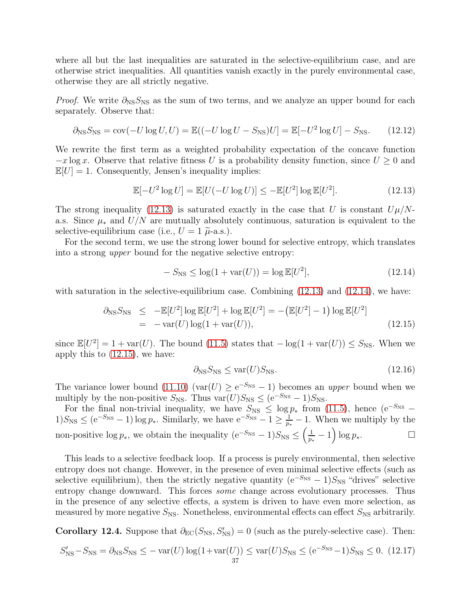where all but the last inequalities are saturated in the selective-equilibrium case, and are otherwise strict inequalities. All quantities vanish exactly in the purely environmental case, otherwise they are all strictly negative.

*Proof.* We write  $\partial_{\text{NS}} S_{\text{NS}}$  as the sum of two terms, and we analyze an upper bound for each separately. Observe that:

$$
\partial_{\text{NS}} S_{\text{NS}} = \text{cov}(-U \log U, U) = \mathbb{E}((-U \log U - S_{\text{NS}})U] = \mathbb{E}[-U^2 \log U] - S_{\text{NS}}.\tag{12.12}
$$

We rewrite the first term as a weighted probability expectation of the concave function  $-x \log x$ . Observe that relative fitness U is a probability density function, since  $U \geq 0$  and  $\mathbb{E}[U] = 1$ . Consequently, Jensen's inequality implies:

<span id="page-36-0"></span>
$$
\mathbb{E}[-U^2 \log U] = \mathbb{E}[U(-U \log U)] \le -\mathbb{E}[U^2] \log \mathbb{E}[U^2]. \tag{12.13}
$$

The strong inequality [\(12.13\)](#page-36-0) is saturated exactly in the case that U is constant  $U\mu/N$ a.s. Since  $\mu_*$  and  $U/N$  are mutually absolutely continuous, saturation is equivalent to the selective-equilibrium case (i.e.,  $U = 1 \tilde{\mu}$ -a.s.).

For the second term, we use the strong lower bound for selective entropy, which translates into a strong upper bound for the negative selective entropy:

<span id="page-36-1"></span>
$$
-S_{\rm NS} \le \log(1 + \text{var}(U)) = \log \mathbb{E}[U^2],\tag{12.14}
$$

with saturation in the selective-equilibrium case. Combining  $(12.13)$  and  $(12.14)$ , we have:

<span id="page-36-2"></span>
$$
\partial_{\text{NS}} S_{\text{NS}} \leq -\mathbb{E}[U^2] \log \mathbb{E}[U^2] + \log \mathbb{E}[U^2] = -(\mathbb{E}[U^2] - 1) \log \mathbb{E}[U^2]
$$
  
= -\text{var}(U) \log(1 + \text{var}(U)), \qquad (12.15)

since  $\mathbb{E}[U^2] = 1 + \text{var}(U)$ . The bound [\(11.5\)](#page-33-0) states that  $-\log(1 + \text{var}(U)) \leq S_{\text{NS}}$ . When we apply this to [\(12.15\)](#page-36-2), we have:

$$
\partial_{\text{NS}} S_{\text{NS}} \le \text{var}(U) S_{\text{NS}}.\tag{12.16}
$$

The variance lower bound [\(11.10\)](#page-34-0) (var $(U) \ge e^{-S_{NS}} - 1$ ) becomes an upper bound when we multiply by the non-positive  $S_{\text{NS}}$ . Thus var $(U)S_{\text{NS}} \leq (e^{-S_{\text{NS}}} - 1)S_{\text{NS}}$ .

For the final non-trivial inequality, we have  $S_{\text{NS}} \leq \log p_*$  from [\(11.5\)](#page-33-0), hence (e<sup>-S<sub>NS</sub></sup> –  $1)S_{\text{NS}} \leq (e^{-S_{\text{NS}}} - 1) \log p_*$ . Similarly, we have  $e^{-S_{\text{NS}}} - 1 \geq \frac{1}{n}$  $\frac{1}{p_*} - 1$ . When we multiply by the non-positive log  $p_*,$  we obtain the inequality  $(e^{-S_{\text{NS}}} - 1)S_{\text{NS}} \leq (\frac{1}{p_*})$  $\frac{1}{p_*}-1\Big)\log p_*$ .

This leads to a selective feedback loop. If a process is purely environmental, then selective entropy does not change. However, in the presence of even minimal selective effects (such as selective equilibrium), then the strictly negative quantity  $(e^{-S_{NS}} - 1)S_{NS}$  "drives" selective entropy change downward. This forces some change across evolutionary processes. Thus in the presence of any selective effects, a system is driven to have even more selection, as measured by more negative  $S_{\text{NS}}$ . Nonetheless, environmental effects can effect  $S_{\text{NS}}$  arbitrarily.

Corollary 12.4. Suppose that  $\partial_{EC}(S_{NS}, S'_{NS}) = 0$  (such as the purely-selective case). Then:

$$
S'_{\rm NS} - S_{\rm NS} = \partial_{\rm NS} S_{\rm NS} \le -\text{var}(U) \log(1 + \text{var}(U)) \le \text{var}(U) S_{\rm NS} \le (e^{-S_{\rm NS}} - 1) S_{\rm NS} \le 0. \tag{12.17}
$$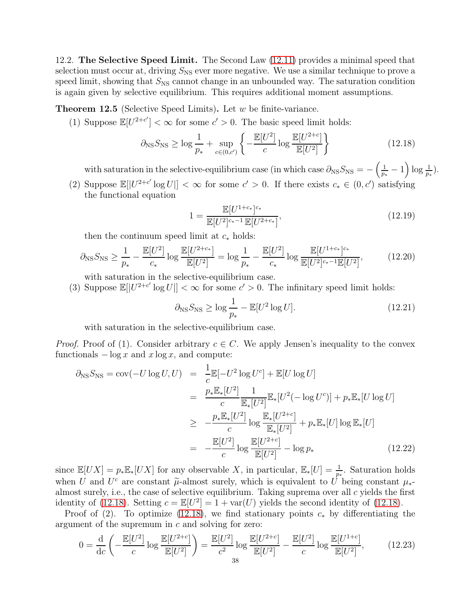12.2. The Selective Speed Limit. The Second Law [\(12.11\)](#page-35-0) provides a minimal speed that selection must occur at, driving  $S_{\text{NS}}$  ever more negative. We use a similar technique to prove a speed limit, showing that  $S_{\text{NS}}$  cannot change in an unbounded way. The saturation condition is again given by selective equilibrium. This requires additional moment assumptions.

**Theorem 12.5** (Selective Speed Limits). Let  $w$  be finite-variance.

(1) Suppose  $\mathbb{E}[U^{2+c'}] < \infty$  for some  $c' > 0$ . The basic speed limit holds:

<span id="page-37-0"></span>
$$
\partial_{\text{NS}} S_{\text{NS}} \ge \log \frac{1}{p_*} + \sup_{c \in (0, c')} \left\{ -\frac{\mathbb{E}[U^2]}{c} \log \frac{\mathbb{E}[U^{2+c}]}{\mathbb{E}[U^2]} \right\} \tag{12.18}
$$

with saturation in the selective-equilibrium case (in which case  $\partial_{\text{NS}}S_{\text{NS}} = -\left(\frac{1}{n}\right)^{1/2}$  $\frac{1}{p_*} - 1 \bigg( \log \frac{1}{p_*} \bigg).$ 

(2) Suppose  $\mathbb{E}[|U^{2+c'}| \log U|] < \infty$  for some  $c' > 0$ . If there exists  $c_* \in (0, c')$  satisfying the functional equation

<span id="page-37-1"></span>
$$
1 = \frac{\mathbb{E}[U^{1+c_*}]^{c_*}}{\mathbb{E}[U^{2}]^{c_*-1}\mathbb{E}[U^{2+c_*}]},
$$
\n(12.19)

then the continuum speed limit at  $c_*$  holds:

<span id="page-37-2"></span>
$$
\partial_{\text{NS}} S_{\text{NS}} \ge \frac{1}{p_*} - \frac{\mathbb{E}[U^2]}{c_*} \log \frac{\mathbb{E}[U^{2+c_*}]}{\mathbb{E}[U^2]} = \log \frac{1}{p_*} - \frac{\mathbb{E}[U^2]}{c_*} \log \frac{\mathbb{E}[U^{1+c_*}]^{c_*}}{\mathbb{E}[U^2]^{c_*-1}\mathbb{E}[U^2]},\tag{12.20}
$$

with saturation in the selective-equilibrium case.

(3) Suppose  $\mathbb{E}[|U^{2+c'}| \log U|] < \infty$  for some  $c' > 0$ . The infinitary speed limit holds:

$$
\partial_{\text{NS}} S_{\text{NS}} \ge \log \frac{1}{p_*} - \mathbb{E}[U^2 \log U]. \tag{12.21}
$$

with saturation in the selective-equilibrium case.

*Proof.* Proof of (1). Consider arbitrary  $c \in C$ . We apply Jensen's inequality to the convex functionals  $-\log x$  and  $x \log x$ , and compute:

$$
\partial_{\text{NS}} S_{\text{NS}} = \text{cov}(-U \log U, U) = \frac{1}{c} \mathbb{E}[-U^2 \log U^c] + \mathbb{E}[U \log U]
$$
  
\n
$$
= \frac{p_* \mathbb{E}_*[U^2]}{c} \frac{1}{\mathbb{E}_*[U^2]} \mathbb{E}_*[U^2(-\log U^c)] + p_* \mathbb{E}_*[U \log U]
$$
  
\n
$$
\geq -\frac{p_* \mathbb{E}_*[U^2]}{c} \log \frac{\mathbb{E}_*[U^{2+c}]}{\mathbb{E}_*[U^2]} + p_* \mathbb{E}_*[U] \log \mathbb{E}_*[U]
$$
  
\n
$$
= -\frac{\mathbb{E}[U^2]}{c} \log \frac{\mathbb{E}[U^{2+c}]}{\mathbb{E}[U^2]} - \log p_* \qquad (12.22)
$$

since  $\mathbb{E}[UX] = p_* \mathbb{E}_*[UX]$  for any observable X, in particular,  $\mathbb{E}_*[U] = \frac{1}{p_*}$ . Saturation holds when U and  $U^c$  are constant  $\tilde{\mu}$ -almost surely, which is equivalent to U being constant  $\mu_*$ -<br>colorest surely i.e. the case of selective equilibrium. Telting suppose even all exicle the first almost surely, i.e., the case of selective equilibrium. Taking suprema over all  $c$  yields the first identity of [\(12.18\)](#page-37-0). Setting  $c = \mathbb{E}[U^2] = 1 + \text{var}(U)$  yields the second identity of (12.18).

Proof of (2). To optimize [\(12.18\)](#page-37-0), we find stationary points  $c_*$  by differentiating the argument of the supremum in c and solving for zero:

$$
0 = \frac{\mathrm{d}}{\mathrm{d}c} \left( -\frac{\mathbb{E}[U^2]}{c} \log \frac{\mathbb{E}[U^{2+c}]}{\mathbb{E}[U^2]} \right) = \frac{\mathbb{E}[U^2]}{c^2} \log \frac{\mathbb{E}[U^{2+c}]}{\mathbb{E}[U^2]} - \frac{\mathbb{E}[U^2]}{c} \log \frac{\mathbb{E}[U^{1+c}]}{\mathbb{E}[U^2]},\tag{12.23}
$$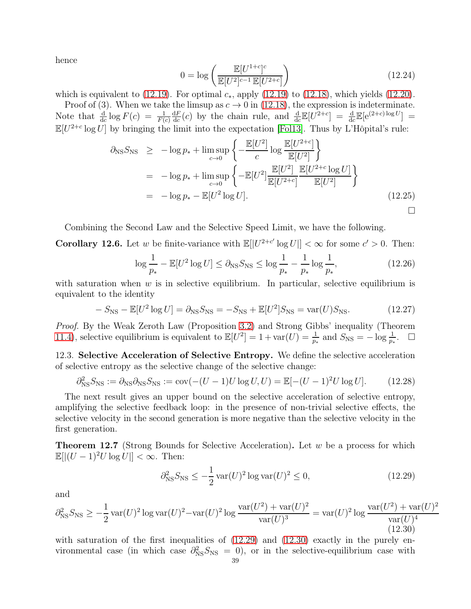hence

$$
0 = \log \left( \frac{\mathbb{E}[U^{1+c}]^c}{\mathbb{E}[U^2]^{c-1} \mathbb{E}[U^{2+c}]} \right)
$$
\n(12.24)

which is equivalent to [\(12.19\)](#page-37-1). For optimal  $c_*,$  apply [\(12.19\)](#page-37-1) to [\(12.18\)](#page-37-0), which yields [\(12.20\)](#page-37-2).

Proof of (3). When we take the limsup as  $c \to 0$  in [\(12.18\)](#page-37-0), the expression is indeterminate. Note that  $\frac{d}{dc} \log F(c) = \frac{1}{F(c)}$  $dF$  $\frac{dF}{dc}(c)$  by the chain rule, and  $\frac{d}{dc}\mathbb{E}[U^{2+c}] = \frac{d}{dc}\mathbb{E}[e^{(2+c)\log U}] =$  $\mathbb{E}[U^{2+c}\log U]$  by bringing the limit into the expectation [\[Fol13\]](#page-61-0). Thus by L'Hôpital's rule:

$$
\partial_{\text{NS}} S_{\text{NS}} \geq -\log p_* + \limsup_{c \to 0} \left\{ -\frac{\mathbb{E}[U^2]}{c} \log \frac{\mathbb{E}[U^{2+c}]}{\mathbb{E}[U^2]} \right\}
$$
  
=  $-\log p_* + \limsup_{c \to 0} \left\{ -\mathbb{E}[U^2] \frac{\mathbb{E}[U^2]}{\mathbb{E}[U^{2+c}]} \frac{\mathbb{E}[U^{2+c} \log U]}{\mathbb{E}[U^2]} \right\}$   
=  $-\log p_* - \mathbb{E}[U^2 \log U].$  (12.25)

Combining the Second Law and the Selective Speed Limit, we have the following.

**Corollary 12.6.** Let w be finite-variance with  $\mathbb{E}[|U^{2+c'}| \log U|] < \infty$  for some  $c' > 0$ . Then:

$$
\log \frac{1}{p_*} - \mathbb{E}[U^2 \log U] \le \partial_{\text{NS}} S_{\text{NS}} \le \log \frac{1}{p_*} - \frac{1}{p_*} \log \frac{1}{p_*},\tag{12.26}
$$

with saturation when  $w$  is in selective equilibrium. In particular, selective equilibrium is equivalent to the identity

$$
-S_{\rm NS} - \mathbb{E}[U^2 \log U] = \partial_{\rm NS} S_{\rm NS} = -S_{\rm NS} + \mathbb{E}[U^2]S_{\rm NS} = \text{var}(U)S_{\rm NS}.
$$
 (12.27)

Proof. By the Weak Zeroth Law (Proposition [3.2\)](#page-14-0) and Strong Gibbs' inequality (Theorem [11.4\)](#page-33-1), selective equilibrium is equivalent to  $\mathbb{E}[U^2] = 1 + \text{var}(U) = \frac{1}{p_*}$  and  $S_{\text{NS}} = -\log \frac{1}{p_*}$ .  $\Box$ 

12.3. Selective Acceleration of Selective Entropy. We define the selective acceleration of selective entropy as the selective change of the selective change:

$$
\partial_{\text{NS}}^2 S_{\text{NS}} := \partial_{\text{NS}} \partial_{\text{NS}} S_{\text{NS}} := \text{cov}(-(U-1)U \log U, U) = \mathbb{E}[-(U-1)^2 U \log U]. \tag{12.28}
$$

The next result gives an upper bound on the selective acceleration of selective entropy, amplifying the selective feedback loop: in the presence of non-trivial selective effects, the selective velocity in the second generation is more negative than the selective velocity in the first generation.

<span id="page-38-2"></span>**Theorem 12.7** (Strong Bounds for Selective Acceleration). Let w be a process for which  $\mathbb{E}[|(U - 1)^2 U \log U|] < \infty$ . Then:

<span id="page-38-0"></span>
$$
\partial_{\rm NS}^2 S_{\rm NS} \le -\frac{1}{2} \operatorname{var}(U)^2 \log \operatorname{var}(U)^2 \le 0,\tag{12.29}
$$

and

<span id="page-38-1"></span>
$$
\partial_{\rm NS}^2 S_{\rm NS} \ge -\frac{1}{2} \operatorname{var}(U)^2 \log \operatorname{var}(U)^2 - \operatorname{var}(U)^2 \log \frac{\operatorname{var}(U^2) + \operatorname{var}(U)^2}{\operatorname{var}(U)^3} = \operatorname{var}(U)^2 \log \frac{\operatorname{var}(U^2) + \operatorname{var}(U)^2}{\operatorname{var}(U)^4} \tag{12.30}
$$

with saturation of the first inequalities of  $(12.29)$  and  $(12.30)$  exactly in the purely environmental case (in which case  $\partial_{NS}^2 S_{NS} = 0$ ), or in the selective-equilibrium case with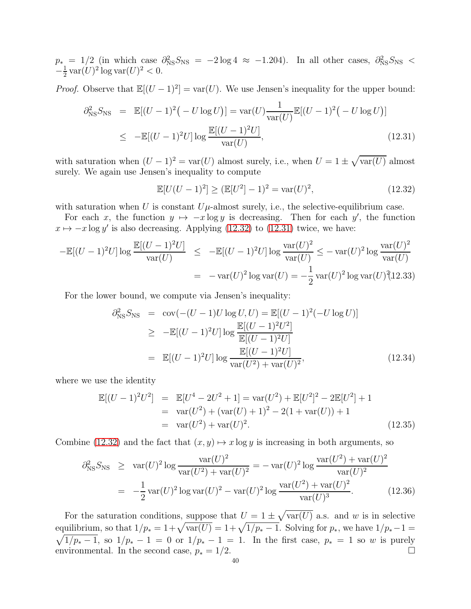$p_*$  = 1/2 (in which case  $\partial_{NS}^2 S_{NS}$  = -2log 4 ≈ -1.204). In all other cases,  $\partial_{NS}^2 S_{NS}$  <  $-\frac{1}{2}$  $\frac{1}{2}$  var $(U)^2$  log var $(U)^2 < 0$ .

*Proof.* Observe that  $\mathbb{E}[(U - 1)^2] = \text{var}(U)$ . We use Jensen's inequality for the upper bound:

<span id="page-39-1"></span>
$$
\partial_{\text{NS}}^2 S_{\text{NS}} = \mathbb{E}[(U-1)^2(-U \log U)] = \text{var}(U) \frac{1}{\text{var}(U)} \mathbb{E}[(U-1)^2(-U \log U)]
$$
  
\n
$$
\leq -\mathbb{E}[(U-1)^2 U] \log \frac{\mathbb{E}[(U-1)^2 U]}{\text{var}(U)},
$$
\n(12.31)

with saturation when  $(U-1)^2 = \text{var}(U)$  almost surely, i.e., when  $U = 1 \pm \sqrt{\text{var}(U)}$  almost surely. We again use Jensen's inequality to compute

<span id="page-39-0"></span>
$$
\mathbb{E}[U(U-1)^2] \ge (\mathbb{E}[U^2]-1)^2 = \text{var}(U)^2,
$$
\n(12.32)

with saturation when U is constant  $U\mu$ -almost surely, i.e., the selective-equilibrium case.

For each x, the function  $y \mapsto -x \log y$  is decreasing. Then for each y', the function  $x \mapsto -x \log y'$  is also decreasing. Applying [\(12.32\)](#page-39-0) to [\(12.31\)](#page-39-1) twice, we have:

$$
-\mathbb{E}[(U-1)^2 U] \log \frac{\mathbb{E}[(U-1)^2 U]}{\text{var}(U)} \le -\mathbb{E}[(U-1)^2 U] \log \frac{\text{var}(U)^2}{\text{var}(U)} \le -\text{var}(U)^2 \log \frac{\text{var}(U)^2}{\text{var}(U)}
$$
  
= -\text{var}(U)^2 \log \text{var}(U) = -\frac{1}{2} \text{var}(U)^2 \log \text{var}(U)^2 (12.33)

For the lower bound, we compute via Jensen's inequality:

$$
\partial_{\text{NS}}^2 S_{\text{NS}} = \text{cov}(-(U-1)U \log U, U) = \mathbb{E}[(U-1)^2(-U \log U)]
$$
  
\n
$$
\geq -\mathbb{E}[(U-1)^2 U] \log \frac{\mathbb{E}[(U-1)^2 U^2]}{\mathbb{E}[(U-1)^2 U]}
$$
  
\n
$$
= \mathbb{E}[(U-1)^2 U] \log \frac{\mathbb{E}[(U-1)^2 U]}{\text{var}(U^2) + \text{var}(U)^2},
$$
\n(12.34)

where we use the identity

$$
\mathbb{E}[(U-1)^2U^2] = \mathbb{E}[U^4 - 2U^2 + 1] = \text{var}(U^2) + \mathbb{E}[U^2]^2 - 2\mathbb{E}[U^2] + 1
$$
  
\n
$$
= \text{var}(U^2) + (\text{var}(U) + 1)^2 - 2(1 + \text{var}(U)) + 1
$$
  
\n
$$
= \text{var}(U^2) + \text{var}(U)^2.
$$
 (12.35)

Combine [\(12.32\)](#page-39-0) and the fact that  $(x, y) \mapsto x \log y$  is increasing in both arguments, so

$$
\partial_{\text{NS}}^2 S_{\text{NS}} \ge \text{var}(U)^2 \log \frac{\text{var}(U)^2}{\text{var}(U^2) + \text{var}(U)^2} = -\text{var}(U)^2 \log \frac{\text{var}(U^2) + \text{var}(U)^2}{\text{var}(U)^2}
$$

$$
= -\frac{1}{2} \text{var}(U)^2 \log \text{var}(U)^2 - \text{var}(U)^2 \log \frac{\text{var}(U^2) + \text{var}(U)^2}{\text{var}(U)^3}.
$$
(12.36)

For the saturation conditions, suppose that  $U = 1 \pm \sqrt{\text{var}(U)}$  a.s. and w is in selective equilibrium, so that  $1/p_* = 1 + \sqrt{\text{var}(U)} = 1 + \sqrt{1/p_* - 1}$ . Solving for  $p_*$ , we have  $1/p_* - 1 =$  $\sqrt{1/p_*-1}$ , so  $1/p_*-1=0$  or  $1/p_*-1=1$ . In the first case,  $p_*=1$  so w is purely environmental. In the second case,  $p_* = 1/2$ .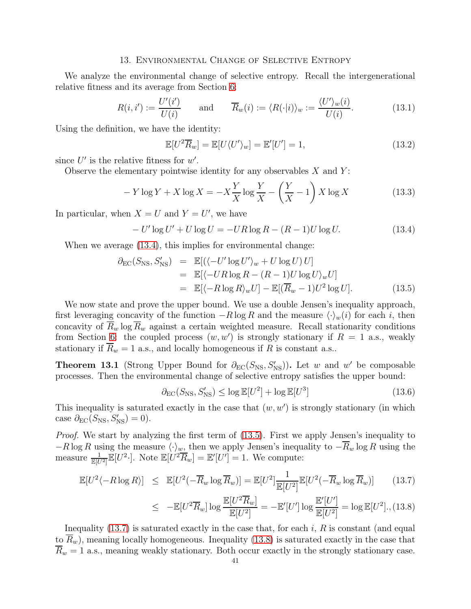#### 13. Environmental Change of Selective Entropy

We analyze the environmental change of selective entropy. Recall the intergenerational relative fitness and its average from Section [6:](#page-20-0)

$$
R(i, i') := \frac{U'(i')}{U(i)} \quad \text{and} \quad \overline{R}_w(i) := \langle R(\cdot|i) \rangle_w := \frac{\langle U' \rangle_w(i)}{U(i)}.
$$
 (13.1)

Using the definition, we have the identity:

$$
\mathbb{E}[U^2 \overline{R}_w] = \mathbb{E}[U \langle U' \rangle_w] = \mathbb{E}'[U'] = 1,
$$
\n(13.2)

since  $U'$  is the relative fitness for  $w'$ .

Observe the elementary pointwise identity for any observables  $X$  and  $Y$ :

$$
-Y\log Y + X\log X = -X\frac{Y}{X}\log\frac{Y}{X} - \left(\frac{Y}{X} - 1\right)X\log X\tag{13.3}
$$

In particular, when  $X = U$  and  $Y = U'$ , we have

<span id="page-40-0"></span>
$$
- U' \log U' + U \log U = -UR \log R - (R - 1)U \log U.
$$
 (13.4)

When we average  $(13.4)$ , this implies for environmental change:

<span id="page-40-1"></span>
$$
\partial_{\text{EC}}(S_{\text{NS}}, S'_{\text{NS}}) = \mathbb{E}[(\langle -U' \log U' \rangle_w + U \log U) U] \n= \mathbb{E}[\langle -UR \log R - (R - 1)U \log U \rangle_w U] \n= \mathbb{E}[\langle -R \log R \rangle_w U] - \mathbb{E}[(\overline{R}_w - 1)U^2 \log U].
$$
\n(13.5)

We now state and prove the upper bound. We use a double Jensen's inequality approach, first leveraging concavity of the function  $-R \log R$  and the measure  $\langle \cdot \rangle_w(i)$  for each i, then concavity of  $\overline{R}_w$  log  $\overline{R}_w$  against a certain weighted measure. Recall stationarity conditions from Section [6:](#page-20-0) the coupled process  $(w, w')$  is strongly stationary if  $R = 1$  a.s., weakly stationary if  $\overline{R}_w = 1$  a.s., and locally homogeneous if R is constant a.s..

<span id="page-40-3"></span>**Theorem 13.1** (Strong Upper Bound for  $\partial_{EC}(S_{NS}, S'_{NS})$ ). Let w and w' be composable processes. Then the environmental change of selective entropy satisfies the upper bound:

$$
\partial_{\rm EC}(S_{\rm NS}, S'_{\rm NS}) \le \log \mathbb{E}[U^2] + \log \mathbb{E}[U^3]
$$
\n(13.6)

This inequality is saturated exactly in the case that  $(w, w')$  is strongly stationary (in which case  $\partial_{EC}(S_{NS}, S'_{NS}) = 0$ ).

Proof. We start by analyzing the first term of [\(13.5\)](#page-40-1). First we apply Jensen's inequality to  $-R \log R$  using the measure  $\langle \cdot \rangle_w$ , then we apply Jensen's inequality to  $-\overline{R}_w \log R$  using the measure  $\frac{1}{\mathbb{E}[U^2]}\mathbb{E}[U^2\cdot]$ . Note  $\mathbb{E}[U^2\overline{R}_w] = \mathbb{E}'[U'] = 1$ . We compute:

<span id="page-40-2"></span>
$$
\mathbb{E}[U^2 \langle -R \log R \rangle] \leq \mathbb{E}[U^2(-\overline{R}_w \log \overline{R}_w)] = \mathbb{E}[U^2] \frac{1}{\mathbb{E}[U^2]} \mathbb{E}[U^2(-\overline{R}_w \log \overline{R}_w)] \qquad (13.7)
$$

$$
\leq -\mathbb{E}[U^2 \overline{R}_w] \log \frac{\mathbb{E}[U^2 \overline{R}_w]}{\mathbb{E}[U^2]} = -\mathbb{E}'[U'] \log \frac{\mathbb{E}'[U']}{\mathbb{E}[U^2]} = \log \mathbb{E}[U^2], (13.8)
$$

Inequality  $(13.7)$  is saturated exactly in the case that, for each i, R is constant (and equal to  $\overline{R}_w$ , meaning locally homogeneous. Inequality [\(13.8\)](#page-40-2) is saturated exactly in the case that  $\overline{R}_w = 1$  a.s., meaning weakly stationary. Both occur exactly in the strongly stationary case.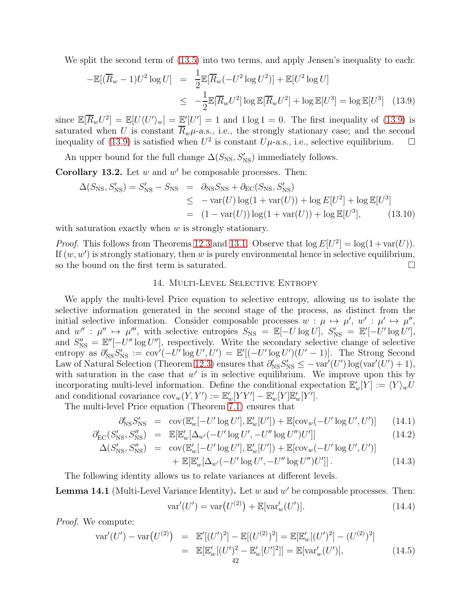We split the second term of  $(13.5)$  into two terms, and apply Jensen's inequality to each:

<span id="page-41-0"></span>
$$
-\mathbb{E}[(\overline{R}_w - 1)U^2 \log U] = \frac{1}{2}\mathbb{E}[\overline{R}_w(-U^2 \log U^2)] + \mathbb{E}[U^2 \log U]
$$
  

$$
\leq -\frac{1}{2}\mathbb{E}[\overline{R}_w U^2] \log \mathbb{E}[\overline{R}_w U^2] + \log \mathbb{E}[U^3] = \log \mathbb{E}[U^3]
$$
(13.9)

since  $\mathbb{E}[\overline{R}_w U^2] = \mathbb{E}[U \langle U' \rangle_w] = \mathbb{E}'[U'] = 1$  and  $1 \log 1 = 0$ . The first inequality of [\(13.9\)](#page-41-0) is saturated when U is constant  $\overline{R}_w \mu$ -a.s., i.e., the strongly stationary case; and the second inequality of [\(13.9\)](#page-41-0) is satisfied when  $U^2$  is constant  $U\mu$ -a.s., i.e., selective equilibrium.  $\Box$ 

An upper bound for the full change  $\Delta(S_{\rm NS}, S'_{\rm NS})$  immediately follows.

**Corollary 13.2.** Let  $w$  and  $w'$  be composable processes. Then:

$$
\Delta(S_{\rm NS}, S'_{\rm NS}) = S'_{\rm NS} - S_{\rm NS} = \partial_{\rm NS} S_{\rm NS} + \partial_{\rm EC}(S_{\rm NS}, S'_{\rm NS}) \leq -\text{var}(U) \log(1 + \text{var}(U)) + \log E[U^2] + \log \mathbb{E}[U^3] = (1 - \text{var}(U)) \log(1 + \text{var}(U)) + \log \mathbb{E}[U^3],
$$
(13.10)

with saturation exactly when  $w$  is strongly stationary.

*Proof.* This follows from Theorems [12.3](#page-35-1) and [13.1.](#page-40-3) Observe that  $\log E[U^2] = \log(1 + \text{var}(U))$ . If  $(w, w')$  is strongly stationary, then w is purely environmental hence in selective equilibrium, so the bound on the first term is saturated.

## 14. Multi-Level Selective Entropy

We apply the multi-level Price equation to selective entropy, allowing us to isolate the selective information generated in the second stage of the process, as distinct from the initial selective information. Consider composable processes  $w : \mu \mapsto \mu'$ ,  $w' : \mu' \mapsto \mu''$ , and  $w''$ :  $\mu'' \mapsto \mu'''$ , with selective entropies  $S_{\text{NS}} = \mathbb{E}[-U \log U]$ ,  $S'_{\text{NS}} = \mathbb{E}'[-U' \log U']$ , and  $S''_{\text{NS}} = \mathbb{E}''[-U'' \log U'']$ , respectively. Write the secondary selective change of selective entropy as  $\partial'_{\text{NS}}S'_{\text{NS}} := \text{cov}'(-U' \log U', U') = \mathbb{E}'[(-U' \log U')(U' - 1)].$  The Strong Second Law of Natural Selection (Theorem [12.3\)](#page-35-1) ensures that  $\partial'_{NS} S'_{NS} \le -\text{var}'(U') \log(\text{var}'(U') + 1),$ with saturation in the case that  $w'$  is in selective equilibrium. We improve upon this by incorporating multi-level information. Define the conditional expectation  $\mathbb{E}'_w[Y] := \langle Y \rangle_w U$ and conditional covariance  $\text{cov}_w(Y, Y') := \mathbb{E}'_w[YY'] - \mathbb{E}'_w[Y]\mathbb{E}'_w[Y']$ .

The multi-level Price equation (Theorem [7.1\)](#page-22-0) ensures that

$$
\partial'_{\rm NS} S'_{\rm NS} = \text{cov}(\mathbb{E}'_w[-U'\log U'], \mathbb{E}'_w[U']) + \mathbb{E}[\text{cov}_w(-U'\log U', U')] \tag{14.1}
$$

$$
\partial'_{\rm EC}(S'_{\rm NS}, S''_{\rm NS}) = \mathbb{E}[\mathbb{E}'_w[\Delta_{w'}(-U'\log U', -U''\log U'')U']] \tag{14.2}
$$

$$
\Delta(S'_{\text{NS}}, S''_{\text{NS}}) = \text{cov}(\mathbb{E}'_{w}[-U'\log U'], \mathbb{E}'_{w}[U']) + \mathbb{E}[\text{cov}_{w}(-U'\log U', U')]
$$
  
+ 
$$
\mathbb{E}[\mathbb{E}'_{w}[\Delta_{w'}(-U'\log U', -U''\log U'')U']].
$$
 (14.3)

The following identity allows us to relate variances at different levels.

**Lemma 14.1** (Multi-Level Variance Identity). Let  $w$  and  $w'$  be composable processes. Then:

<span id="page-41-1"></span>
$$
var'(U') = var(U^{(2)}) + \mathbb{E}[var'_{w}(U')].
$$
\n(14.4)

Proof. We compute:

$$
\operatorname{var}'(U') - \operatorname{var}(U^{(2)}) = \mathbb{E}'[(U')^2] - \mathbb{E}[(U^{(2)})^2] = \mathbb{E}[\mathbb{E}'_w[(U')^2] - (U^{(2)})^2]
$$
  
=  $\mathbb{E}[\mathbb{E}'_w[(U')^2 - \mathbb{E}'_w[U']^2]] = \mathbb{E}[\operatorname{var}'_w(U')],$  (14.5)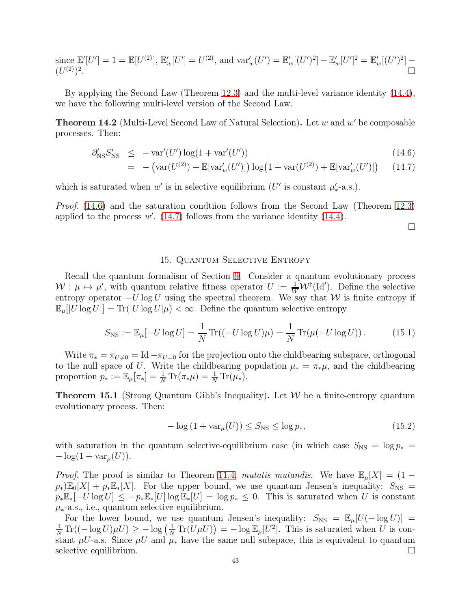since  $\mathbb{E}'[U'] = 1 = \mathbb{E}[U^{(2)}], \mathbb{E}'_w[U'] = U^{(2)}$ , and  $\text{var}'_w(U') = \mathbb{E}'_w[(U')^2] - \mathbb{E}'_w[U']^2 = \mathbb{E}'_w[(U')^2] (U^{(2)})^2$ .

By applying the Second Law (Theorem [12.3\)](#page-35-1) and the multi-level variance identity [\(14.4\)](#page-41-1), we have the following multi-level version of the Second Law.

**Theorem 14.2** (Multi-Level Second Law of Natural Selection). Let  $w$  and  $w'$  be composable processes. Then:

<span id="page-42-0"></span>
$$
\partial'_{\rm NS} S'_{\rm NS} \le -\text{var}'(U') \log(1 + \text{var}'(U')) \tag{14.6}
$$

$$
= -(\text{var}(U^{(2)}) + \mathbb{E}[\text{var}'_w(U')]) \log(1 + \text{var}(U^{(2)}) + \mathbb{E}[\text{var}'_w(U')]) \qquad (14.7)
$$

which is saturated when  $w'$  is in selective equilibrium (U' is constant  $\mu'_{*}$ -a.s.).

Proof. [\(14.6\)](#page-42-0) and the saturation condtiion follows from the Second Law (Theorem [12.3\)](#page-35-1) applied to the process  $w'$ . [\(14.7\)](#page-42-0) follows from the variance identity [\(14.4\)](#page-41-1).

 $\Box$ 

#### 15. Quantum Selective Entropy

<span id="page-42-1"></span>Recall the quantum formalism of Section [9.](#page-25-0) Consider a quantum evolutionary process  $W: \mu \mapsto \mu'$ , with quantum relative fitness operator  $U := \frac{1}{W} \mathcal{W}^{\dagger}(\mathrm{Id}')$ . Define the selective entropy operator  $-U \log U$  using the spectral theorem. We say that W is finite entropy if  $\mathbb{E}_{\mu}[U \log U] = \text{Tr}(|U \log U|\mu) < \infty$ . Define the quantum selective entropy

$$
S_{\rm NS} := \mathbb{E}_{\mu}[-U \log U] = \frac{1}{N} \operatorname{Tr}((-U \log U)\mu) = \frac{1}{N} \operatorname{Tr}(\mu(-U \log U)). \tag{15.1}
$$

Write  $\pi_* = \pi_{U \neq 0} = \text{Id} - \pi_{U=0}$  for the projection onto the childbearing subspace, orthogonal to the null space of U. Write the childbearing population  $\mu_* = \pi_* \mu$ , and the childbearing proportion  $p_* := \mathbb{E}_{\mu}[\pi_*] = \frac{1}{N} \text{Tr}(\pi_* \mu) = \frac{1}{N} \text{Tr}(\mu_*).$ 

**Theorem 15.1** (Strong Quantum Gibb's Inequality). Let  $W$  be a finite-entropy quantum evolutionary process. Then:

$$
-\log\left(1+\text{var}_{\mu}(U)\right) \le S_{\text{NS}} \le \log p_*,\tag{15.2}
$$

with saturation in the quantum selective-equilibrium case (in which case  $S_{\text{NS}} = \log p_* =$  $-\log(1 + \text{var}_{\mu}(U)).$ 

*Proof.* The proof is similar to Theorem [11.4,](#page-33-1) mutatis mutandis. We have  $\mathbb{E}_{\mu}[X] = (1$  $p_*\mathbb{E}_0[X] + p_*\mathbb{E}_*[X]$ . For the upper bound, we use quantum Jensen's inequality:  $S_{\text{NS}} =$  $p_*\mathbb{E}_*[-U\log U] \le -p_*\mathbb{E}_*[U]\log \mathbb{E}_*[U] = \log p_* \le 0$ . This is saturated when U is constant  $\mu_{*}$ -a.s., i.e., quantum selective equilibrium.

For the lower bound, we use quantum Jensen's inequality:  $S_{\text{NS}} = \mathbb{E}_{\mu}[U(-\log U)]$  $\frac{1}{N} \text{Tr}((-\log U)\mu U) \ge -\log \left(\frac{1}{N} \text{Tr}(U\mu U)\right) = -\log \mathbb{E}_{\mu}[U^2]$ . This is saturated when U is constant  $\mu U$ -a.s. Since  $\mu U$  and  $\mu_*$  have the same null subspace, this is equivalent to quantum selective equilibrium.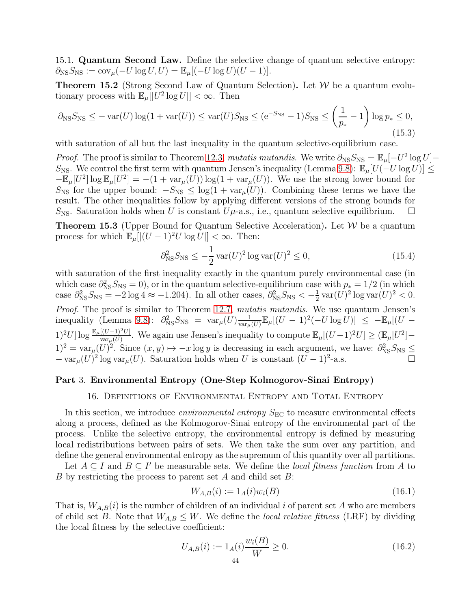15.1. Quantum Second Law. Define the selective change of quantum selective entropy:  $\partial_{\text{NS}}S_{\text{NS}} := \text{cov}_{\mu}(-U \log U, U) = \mathbb{E}_{\mu}[(-U \log U)(U - 1)].$ 

**Theorem 15.2** (Strong Second Law of Quantum Selection). Let  $W$  be a quantum evolutionary process with  $\mathbb{E}_{\mu}[[U^2 \log U]] < \infty$ . Then

$$
\partial_{\text{NS}} S_{\text{NS}} \le -\text{var}(U) \log(1 + \text{var}(U)) \le \text{var}(U) S_{\text{NS}} \le (e^{-S_{\text{NS}}} - 1) S_{\text{NS}} \le \left(\frac{1}{p_*} - 1\right) \log p_* \le 0,
$$
\n(15.3)

with saturation of all but the last inequality in the quantum selective-equilibrium case.

*Proof.* The proof is similar to Theorem [12.3,](#page-35-1) mutatis mutandis. We write  $\partial_{\text{NS}}S_{\text{NS}} = \mathbb{E}_{\mu}[-U^2 \log U] -$ S<sub>NS</sub>. We control the first term with quantum Jensen's inequality (Lemma [9.8\)](#page-28-0):  $\mathbb{E}_{\mu}[U(-U \log U)] \leq$  $-\mathbb{E}_{\mu}[U^2] \log \mathbb{E}_{\mu}[U^2] = -(1 + \text{var}_{\mu}(U)) \log(1 + \text{var}_{\mu}(U)).$  We use the strong lower bound for  $S_{\text{NS}}$  for the upper bound:  $-S_{\text{NS}} \leq \log(1 + \text{var}_{\mu}(U))$ . Combining these terms we have the result. The other inequalities follow by applying different versions of the strong bounds for  $S_{\text{NS}}$ . Saturation holds when U is constant  $U\mu$ -a.s., i.e., quantum selective equilibrium.  $\Box$ 

**Theorem 15.3** (Upper Bound for Quantum Selective Acceleration). Let  $W$  be a quantum process for which  $\mathbb{E}_{\mu}[(U-1)^2U \log U] < \infty$ . Then:

$$
\partial_{\rm NS}^2 S_{\rm NS} \le -\frac{1}{2} \operatorname{var}(U)^2 \log \operatorname{var}(U)^2 \le 0,\tag{15.4}
$$

with saturation of the first inequality exactly in the quantum purely environmental case (in which case  $\partial_{NS}^2 S_{NS} = 0$ , or in the quantum selective-equilibrium case with  $p_* = 1/2$  (in which case  $\partial_{\text{NS}}^2 S_{\text{NS}} = -2 \log 4 \approx -1.204$ ). In all other cases,  $\partial_{\text{NS}}^2 S_{\text{NS}} < -\frac{1}{2}$  $\frac{1}{2}$  var $(U)^2$  log var $(U)^2 < 0$ . Proof. The proof is similar to Theorem [12.7,](#page-38-2) mutatis mutandis. We use quantum Jensen's inequality (Lemma [9.8\)](#page-28-0):  $\partial_{\text{NS}}^2 S_{\text{NS}} = \text{var}_{\mu}(U) \frac{1}{\text{var}_{\mu}}$  $\frac{1}{\text{var}_{\mu}(U)} \mathbb{E}_{\mu}[(U-1)^2(-U\log \bar{U})] \leq -\mathbb{E}_{\mu}[(U-1)]$ 1)<sup>2</sup>U] log  $\frac{\mathbb{E}_{\mu}[(U-1)^2U]}{\text{var}_{\mu}(U)}$ . We again use Jensen's inequality to compute  $\mathbb{E}_{\mu}[(U-1)^2U] \geq (\mathbb{E}_{\mu}[U^2] (1)^2 = \text{var}_{\mu}(U)^2$ . Since  $(x, y) \mapsto -x \log y$  is decreasing in each argument, we have:  $\partial_{NS}^2 S_{NS} \leq$  $-\text{var}_{\mu}(U)^2 \log \text{var}_{\mu}(U)$ . Saturation holds when U is constant  $(U-1)^2$ -a.s.

## <span id="page-43-0"></span>Part 3. Environmental Entropy (One-Step Kolmogorov-Sinai Entropy)

16. Definitions of Environmental Entropy and Total Entropy

In this section, we introduce *environmental entropy*  $S_{EC}$  to measure environmental effects along a process, defined as the Kolmogorov-Sinai entropy of the environmental part of the process. Unlike the selective entropy, the environmental entropy is defined by measuring local redistributions between pairs of sets. We then take the sum over any partition, and define the general environmental entropy as the supremum of this quantity over all partitions.

Let  $A \subseteq I$  and  $B \subseteq I'$  be measurable sets. We define the *local fitness function* from A to B by restricting the process to parent set A and child set  $B$ :

$$
W_{A,B}(i) := 1_A(i)w_i(B)
$$
\n(16.1)

That is,  $W_{A,B}(i)$  is the number of children of an individual i of parent set A who are members of child set B. Note that  $W_{A,B} \leq W$ . We define the *local relative fitness* (LRF) by dividing the local fitness by the selective coefficient:

$$
U_{A,B}(i) := 1_A(i) \frac{w_i(B)}{\overline{W}} \ge 0.
$$
\n(16.2)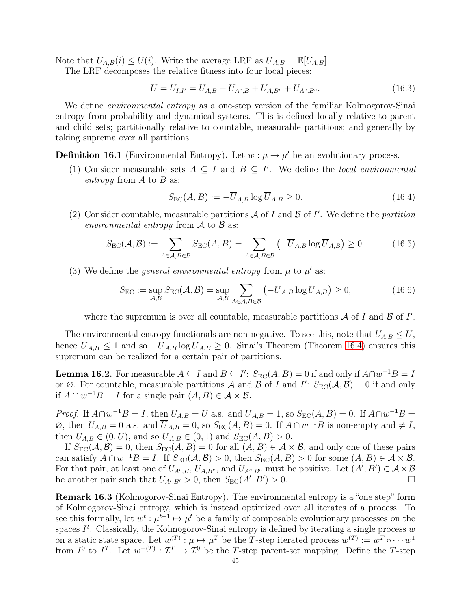Note that  $U_{A,B}(i) \leq U(i)$ . Write the average LRF as  $\overline{U}_{A,B} = \mathbb{E}[U_{A,B}].$ 

The LRF decomposes the relative fitness into four local pieces:

<span id="page-44-1"></span>
$$
U = U_{I,I'} = U_{A,B} + U_{A^c,B} + U_{A,B^c} + U_{A^c,B^c}.
$$
\n(16.3)

We define *environmental entropy* as a one-step version of the familiar Kolmogorov-Sinai entropy from probability and dynamical systems. This is defined locally relative to parent and child sets; partitionally relative to countable, measurable partitions; and generally by taking suprema over all partitions.

# **Definition 16.1** (Environmental Entropy). Let  $w : \mu \to \mu'$  be an evolutionary process.

(1) Consider measurable sets  $A \subseteq I$  and  $B \subseteq I'$ . We define the *local environmental* entropy from  $A$  to  $B$  as:

$$
S_{\rm EC}(A,B) := -\overline{U}_{A,B} \log \overline{U}_{A,B} \ge 0. \tag{16.4}
$$

(2) Consider countable, measurable partitions  $A$  of  $I$  and  $B$  of  $I'$ . We define the *partition* environmental entropy from  $\mathcal A$  to  $\mathcal B$  as:

$$
S_{\rm EC}(\mathcal{A}, \mathcal{B}) := \sum_{A \in \mathcal{A}, B \in \mathcal{B}} S_{\rm EC}(A, B) = \sum_{A \in \mathcal{A}, B \in \mathcal{B}} \left( -\overline{U}_{A,B} \log \overline{U}_{A,B} \right) \ge 0. \tag{16.5}
$$

(3) We define the *general environmental entropy* from  $\mu$  to  $\mu'$  as:

$$
S_{\rm EC} := \sup_{\mathcal{A}, \mathcal{B}} S_{\rm EC}(\mathcal{A}, \mathcal{B}) = \sup_{\mathcal{A}, \mathcal{B}} \sum_{A \in \mathcal{A}, B \in \mathcal{B}} \left( -\overline{U}_{A,B} \log \overline{U}_{A,B} \right) \ge 0, \tag{16.6}
$$

where the supremum is over all countable, measurable partitions  $A$  of  $I$  and  $B$  of  $I'$ .

The environmental entropy functionals are non-negative. To see this, note that  $U_{A,B} \leq U$ , hence  $U_{A,B} \leq 1$  and so  $-U_{A,B} \log U_{A,B} \geq 0$ . Sinai's Theorem (Theorem [16.4\)](#page-45-0) ensures this supremum can be realized for a certain pair of partitions.

<span id="page-44-0"></span>**Lemma 16.2.** For measurable  $A \subseteq I$  and  $B \subseteq I'$ :  $S_{EC}(A, B) = 0$  if and only if  $A \cap w^{-1}B = I$ or  $\emptyset$ . For countable, measurable partitions  $\overline{A}$  and  $\overline{B}$  of  $I$  and  $I'$ :  $S_{EC}(\overline{A}, \overline{B}) = 0$  if and only if  $A \cap w^{-1}B = I$  for a single pair  $(A, B) \in \mathcal{A} \times \mathcal{B}$ .

*Proof.* If  $A \cap w^{-1}B = I$ , then  $U_{A,B} = U$  a.s. and  $\overline{U}_{A,B} = 1$ , so  $S_{EC}(A, B) = 0$ . If  $A \cap w^{-1}B = I$  $\emptyset$ , then  $U_{A,B} = 0$  a.s. and  $\overline{U}_{A,B} = 0$ , so  $S_{EC}(A, B) = 0$ . If  $A \cap w^{-1}B$  is non-empty and  $\neq I$ , then  $U_{A,B} \in (0, U)$ , and so  $\overline{U}_{A,B} \in (0, 1)$  and  $S_{EC}(A, B) > 0$ .

If  $S_{EC}(\mathcal{A}, \mathcal{B}) = 0$ , then  $S_{EC}(A, B) = 0$  for all  $(A, B) \in \mathcal{A} \times \mathcal{B}$ , and only one of these pairs can satisfy  $A \cap w^{-1}B = I$ . If  $S_{EC}(\mathcal{A}, \mathcal{B}) > 0$ , then  $S_{EC}(A, B) > 0$  for some  $(A, B) \in \mathcal{A} \times \mathcal{B}$ . For that pair, at least one of  $U_{A^c,B}$ ,  $U_{A,B^c}$ , and  $U_{A^c,B^c}$  must be positive. Let  $(A',B') \in \mathcal{A} \times \mathcal{B}$ be another pair such that  $U_{A',B'} > 0$ , then  $S_{EC}(A',B') > 0$ .

Remark 16.3 (Kolmogorov-Sinai Entropy). The environmental entropy is a "one step" form of Kolmogorov-Sinai entropy, which is instead optimized over all iterates of a process. To see this formally, let  $w^t: \mu^{t-1} \mapsto \mu^t$  be a family of composable evolutionary processes on the spaces  $I<sup>t</sup>$ . Classically, the Kolmogorov-Sinai entropy is defined by iterating a single process w on a static state space. Let  $w^{(T)}: \mu \mapsto \mu^T$  be the T-step iterated process  $w^{(T)} := w^T \circ \cdots w^1$ from  $I^0$  to  $I^T$ . Let  $w^{-(T)}: \mathcal{I}^T \to \mathcal{I}^0$  be the T-step parent-set mapping. Define the T-step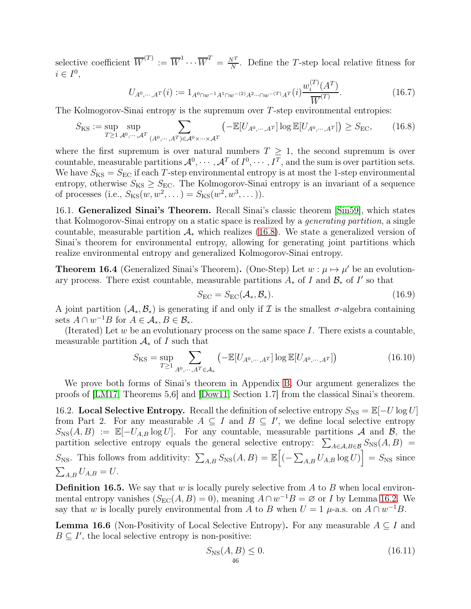selective coefficient  $\overline{W}^{(T)} := \overline{W}^1 \cdots \overline{W}^T = \frac{N^T}{N}$  $\frac{\nabla^2}{N}$ . Define the T-step local relative fitness for  $i \in I^0$ ,

$$
U_{A^0,\dots,A^T}(i) := 1_{A^0 \cap w^{-1}A^1 \cap w^{-(2)}A^2\cdots \cap w^{-(T)}A^T}(i) \frac{w_i^{(T)}(A^T)}{\overline{W}^{(T)}}.
$$
\n(16.7)

The Kolmogorov-Sinai entropy is the supremum over T-step environmental entropies:

<span id="page-45-1"></span>
$$
S_{\rm KS} := \sup_{T \ge 1} \sup_{\mathcal{A}^0, \cdots, \mathcal{A}^T} \sum_{(A^0, \cdots, A^T) \in \mathcal{A}^0 \times \cdots \times \mathcal{A}^T} \left( -\mathbb{E}[U_{A^0, \cdots, A^T}] \log \mathbb{E}[U_{A^0, \cdots, A^T}] \right) \ge S_{\rm EC},\tag{16.8}
$$

where the first supremum is over natural numbers  $T \geq 1$ , the second supremum is over countable, measurable partitions  $\mathcal{A}^0, \cdots, \mathcal{A}^T$  of  $I^0, \cdots, I^T$ , and the sum is over partition sets. We have  $S_{\text{KS}} = S_{\text{EC}}$  if each T-step environmental entropy is at most the 1-step environmental entropy, otherwise  $S_{\text{KS}} \geq S_{\text{EC}}$ . The Kolmogorov-Sinai entropy is an invariant of a sequence of processes (i.e.,  $S_{\text{KS}}(w, w^2, ...) = S_{\text{KS}}(w^2, w^3, ...)$ ).

16.1. Generalized Sinai's Theorem. Recall Sinai's classic theorem [\[Sin59\]](#page-63-0), which states that Kolmogorov-Sinai entropy on a static space is realized by a generating partition, a single countable, measurable partition  $\mathcal{A}_{*}$  which realizes [\(16.8\)](#page-45-1). We state a generalized version of Sinai's theorem for environmental entropy, allowing for generating joint partitions which realize environmental entropy and generalized Kolmogorov-Sinai entropy.

<span id="page-45-0"></span>**Theorem 16.4** (Generalized Sinai's Theorem). (One-Step) Let  $w : \mu \mapsto \mu'$  be an evolutionary process. There exist countable, measurable partitions  $A_*$  of I and  $\mathcal{B}_*$  of I' so that

$$
S_{\rm EC} = S_{\rm EC}(\mathcal{A}_*, \mathcal{B}_*). \tag{16.9}
$$

A joint partition  $(A_*, B_*)$  is generating if and only if  $\mathcal I$  is the smallest  $\sigma$ -algebra containing sets  $A \cap w^{-1}B$  for  $A \in \mathcal{A}_*, B \in \mathcal{B}_*.$ 

(Iterated) Let  $w$  be an evolutionary process on the same space  $I$ . There exists a countable, measurable partition  $A_*$  of I such that

$$
S_{\rm KS} = \sup_{T \ge 1} \sum_{A^0, \cdots, A^T \in \mathcal{A}_*} \left( -\mathbb{E}[U_{A^0, \cdots, A^T}] \log \mathbb{E}[U_{A^0, \cdots, A^T}] \right)
$$
(16.10)

We prove both forms of Sinai's theorem in Appendix [B.](#page-64-0) Our argument generalizes the proofs of [\[LM17,](#page-62-0) Theorems 5,6] and [\[Dow11,](#page-61-1) Section 1.7] from the classical Sinai's theorem.

16.2. Local Selective Entropy. Recall the definition of selective entropy  $S_{\text{NS}} = \mathbb{E}[-U \log U]$ from Part 2. For any measurable  $A \subseteq I$  and  $B \subseteq I'$ , we define local selective entropy  $S_{\rm NS}(A, B) := \mathbb{E}[-U_{A,B} \log U]$ . For any countable, measurable partitions A and B, the partition selective entropy equals the general selective entropy:  $\sum_{A \in \mathcal{A}, B \in \mathcal{B}} S_{NS}(A, B)$  $S_{\text{NS}}$ . This follows from additivity:  $\sum_{A,B} S_{\text{NS}}(A, B) = \mathbb{E}\left[ \left( -\sum_{A,B} U_{A,B} \log U \right) \right] = S_{\text{NS}}$  since  $\sum_{A,B} U_{A,B} = U.$ 

**Definition 16.5.** We say that w is locally purely selective from A to B when local environmental entropy vanishes  $(S_{EC}(A, B) = 0)$ , meaning  $A \cap w^{-1}B = \emptyset$  or I by Lemma [16.2.](#page-44-0) We say that w is locally purely environmental from A to B when  $U = 1$   $\mu$ -a.s. on  $A \cap w^{-1}B$ .

<span id="page-45-2"></span>**Lemma 16.6** (Non-Positivity of Local Selective Entropy). For any measurable  $A \subseteq I$  and  $B \subseteq I'$ , the local selective entropy is non-positive:

<span id="page-45-3"></span>
$$
S_{\rm NS}(A,B) \le 0. \tag{16.11}
$$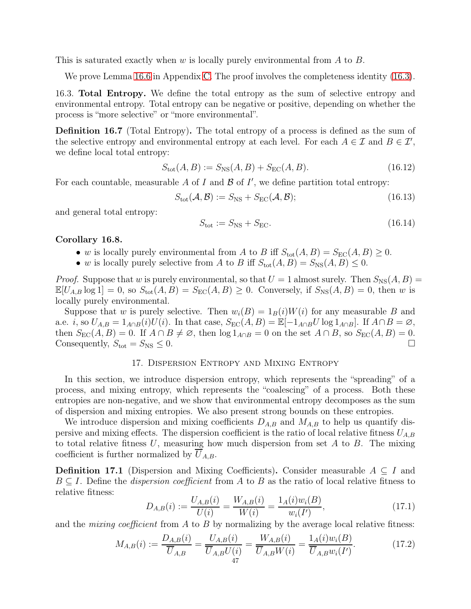This is saturated exactly when w is locally purely environmental from A to B.

We prove Lemma [16.6](#page-45-2) in Appendix [C.](#page-66-0) The proof involves the completeness identity [\(16.3\)](#page-44-1).

16.3. Total Entropy. We define the total entropy as the sum of selective entropy and environmental entropy. Total entropy can be negative or positive, depending on whether the process is "more selective" or "more environmental".

Definition 16.7 (Total Entropy). The total entropy of a process is defined as the sum of the selective entropy and environmental entropy at each level. For each  $A \in \mathcal{I}$  and  $B \in \mathcal{I}'$ , we define local total entropy:

$$
S_{\text{tot}}(A, B) := S_{\text{NS}}(A, B) + S_{\text{EC}}(A, B). \tag{16.12}
$$

For each countable, measurable  $A$  of  $I$  and  $B$  of  $I'$ , we define partition total entropy:

$$
S_{\text{tot}}(\mathcal{A}, \mathcal{B}) := S_{\text{NS}} + S_{\text{EC}}(\mathcal{A}, \mathcal{B}); \tag{16.13}
$$

and general total entropy:

$$
S_{\text{tot}} := S_{\text{NS}} + S_{\text{EC}}.\tag{16.14}
$$

#### Corollary 16.8.

- w is locally purely environmental from A to B iff  $S_{\text{tot}}(A, B) = S_{\text{EC}}(A, B) \geq 0$ .
- w is locally purely selective from A to B iff  $S_{\text{tot}}(A, B) = S_{\text{NS}}(A, B) \leq 0$ .

*Proof.* Suppose that w is purely environmental, so that  $U = 1$  almost surely. Then  $S_{NS}(A, B) =$  $\mathbb{E}[U_{A,B}\log 1] = 0$ , so  $S_{\text{tot}}(A, B) = S_{\text{EC}}(A, B) \geq 0$ . Conversely, if  $S_{\text{NS}}(A, B) = 0$ , then w is locally purely environmental.

Suppose that w is purely selective. Then  $w_i(B) = 1_B(i)W(i)$  for any measurable B and a.e. i, so  $U_{A,B} = 1_{A\cap B}(i)U(i)$ . In that case,  $S_{EC}(A, B) = \mathbb{E}[-1_{A\cap B}U \log 1_{A\cap B}]$ . If  $A\cap B = \emptyset$ , then  $S_{EC}(A, B) = 0$ . If  $A \cap B \neq \emptyset$ , then  $\log 1_{A \cap B} = 0$  on the set  $A \cap B$ , so  $S_{EC}(A, B) = 0$ . Consequently,  $S_{\text{tot}} = S_{\text{NS}} \leq 0$ .

### 17. Dispersion Entropy and Mixing Entropy

In this section, we introduce dispersion entropy, which represents the "spreading" of a process, and mixing entropy, which represents the "coalescing" of a process. Both these entropies are non-negative, and we show that environmental entropy decomposes as the sum of dispersion and mixing entropies. We also present strong bounds on these entropies.

We introduce dispersion and mixing coefficients  $D_{A,B}$  and  $M_{A,B}$  to help us quantify dispersive and mixing effects. The dispersion coefficient is the ratio of local relative fitness  $U_{A,B}$ to total relative fitness  $U$ , measuring how much dispersion from set  $A$  to  $B$ . The mixing coefficient is further normalized by  $U_{A,B}$ .

**Definition 17.1** (Dispersion and Mixing Coefficients). Consider measurable  $A \subseteq I$  and  $B \subseteq I$ . Define the *dispersion coefficient* from A to B as the ratio of local relative fitness to relative fitness:

$$
D_{A,B}(i) := \frac{U_{A,B}(i)}{U(i)} = \frac{W_{A,B}(i)}{W(i)} = \frac{1_A(i)w_i(B)}{w_i(I')},
$$
\n(17.1)

and the *mixing coefficient* from  $A$  to  $B$  by normalizing by the average local relative fitness:

$$
M_{A,B}(i) := \frac{D_{A,B}(i)}{\overline{U}_{A,B}} = \frac{U_{A,B}(i)}{\overline{U}_{A,B}U(i)} = \frac{W_{A,B}(i)}{\overline{U}_{A,B}W(i)} = \frac{1_A(i)w_i(B)}{\overline{U}_{A,B}w_i(I')}.
$$
(17.2)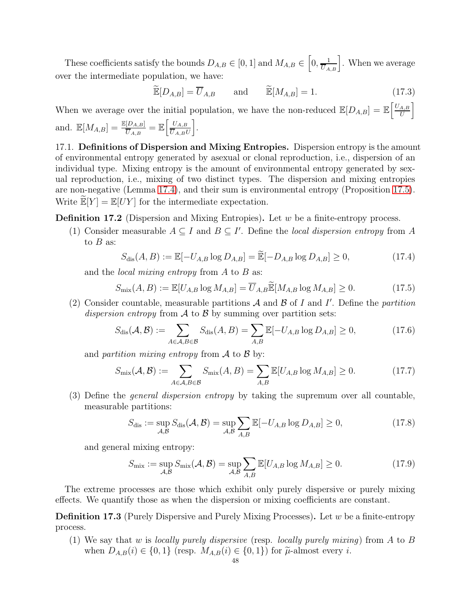These coefficients satisfy the bounds  $D_{A,B} \in [0,1]$  and  $M_{A,B} \in \left[0, \frac{1}{\overline{U}_{A,B}}\right]$ . When we average over the intermediate population, we have:

$$
\widetilde{\mathbb{E}}[D_{A,B}] = \overline{U}_{A,B} \quad \text{and} \quad \widetilde{\mathbb{E}}[M_{A,B}] = 1. \tag{17.3}
$$

When we average over the initial population, we have the non-reduced  $\mathbb{E}[D_{A,B}] = \mathbb{E}\left[\frac{U_{A,B}}{U}\right]$ U i and.  $\mathbb{E}[M_{A,B}] = \frac{\mathbb{E}[D_{A,B}]}{\overline{U}_{A,B}} = \mathbb{E}\left[\frac{U_{A,B}}{\overline{U}_{A,B}l}\right]$  $U_{A,B}U$ i .

17.1. Definitions of Dispersion and Mixing Entropies. Dispersion entropy is the amount of environmental entropy generated by asexual or clonal reproduction, i.e., dispersion of an individual type. Mixing entropy is the amount of environmental entropy generated by sexual reproduction, i.e., mixing of two distinct types. The dispersion and mixing entropies are non-negative (Lemma [17.4\)](#page-48-0), and their sum is environmental entropy (Proposition [17.5\)](#page-48-1). Write  $\mathbb{E}[Y] = \mathbb{E}[UY]$  for the intermediate expectation.

**Definition 17.2** (Dispersion and Mixing Entropies). Let  $w$  be a finite-entropy process.

(1) Consider measurable  $A \subseteq I$  and  $B \subseteq I'$ . Define the *local dispersion entropy* from A to  $B$  as:

$$
S_{\text{dis}}(A, B) := \mathbb{E}[-U_{A,B}\log D_{A,B}] = \widetilde{\mathbb{E}}[-D_{A,B}\log D_{A,B}] \ge 0,
$$
\n(17.4)

and the *local mixing entropy* from  $A$  to  $B$  as:

$$
S_{\text{mix}}(A, B) := \mathbb{E}[U_{A,B} \log M_{A,B}] = \overline{U}_{A,B} \widetilde{\mathbb{E}}[M_{A,B} \log M_{A,B}] \ge 0.
$$
 (17.5)

(2) Consider countable, measurable partitions  $A$  and  $B$  of I and I'. Define the partition dispersion entropy from  $\mathcal A$  to  $\mathcal B$  by summing over partition sets:

$$
S_{\text{dis}}(\mathcal{A}, \mathcal{B}) := \sum_{A \in \mathcal{A}, B \in \mathcal{B}} S_{\text{dis}}(A, B) = \sum_{A, B} \mathbb{E}[-U_{A, B} \log D_{A, B}] \ge 0,
$$
(17.6)

and partition mixing entropy from  $\mathcal A$  to  $\mathcal B$  by:

$$
S_{\text{mix}}(\mathcal{A}, \mathcal{B}) := \sum_{A \in \mathcal{A}, B \in \mathcal{B}} S_{\text{mix}}(A, B) = \sum_{A, B} \mathbb{E}[U_{A, B} \log M_{A, B}] \ge 0.
$$
 (17.7)

(3) Define the *general dispersion entropy* by taking the supremum over all countable, measurable partitions:

$$
S_{\text{dis}} := \sup_{\mathcal{A}, \mathcal{B}} S_{\text{dis}}(\mathcal{A}, \mathcal{B}) = \sup_{\mathcal{A}, \mathcal{B}} \sum_{A, B} \mathbb{E}[-U_{A, B} \log D_{A, B}] \ge 0, \tag{17.8}
$$

and general mixing entropy:

$$
S_{\text{mix}} := \sup_{\mathcal{A}, \mathcal{B}} S_{\text{mix}}(\mathcal{A}, \mathcal{B}) = \sup_{\mathcal{A}, \mathcal{B}} \sum_{A, B} \mathbb{E}[U_{A, B} \log M_{A, B}] \ge 0.
$$
 (17.9)

The extreme processes are those which exhibit only purely dispersive or purely mixing effects. We quantify those as when the dispersion or mixing coefficients are constant.

**Definition 17.3** (Purely Dispersive and Purely Mixing Processes). Let  $w$  be a finite-entropy process.

(1) We say that w is locally purely dispersive (resp. locally purely mixing) from A to B when  $D_{A,B}(i) \in \{0,1\}$  (resp.  $M_{A,B}(i) \in \{0,1\}$ ) for  $\tilde{\mu}$ -almost every *i*.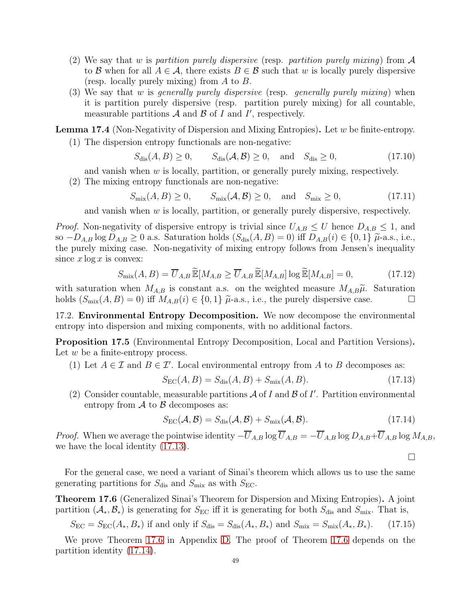- (2) We say that w is partition purely dispersive (resp. partition purely mixing) from  $\mathcal A$ to B when for all  $A \in \mathcal{A}$ , there exists  $B \in \mathcal{B}$  such that w is locally purely dispersive (resp. locally purely mixing) from  $A$  to  $B$ .
- (3) We say that w is *generally purely dispersive* (resp. *generally purely mixing*) when it is partition purely dispersive (resp. partition purely mixing) for all countable, measurable partitions  $A$  and  $B$  of  $I$  and  $I'$ , respectively.

<span id="page-48-0"></span>**Lemma 17.4** (Non-Negativity of Dispersion and Mixing Entropies). Let  $w$  be finite-entropy.

(1) The dispersion entropy functionals are non-negative:

$$
S_{\text{dis}}(A, B) \ge 0, \qquad S_{\text{dis}}(\mathcal{A}, \mathcal{B}) \ge 0, \quad \text{and} \quad S_{\text{dis}} \ge 0,
$$
\n
$$
(17.10)
$$

and vanish when  $w$  is locally, partition, or generally purely mixing, respectively.

(2) The mixing entropy functionals are non-negative:

 $S_{\text{mix}}(A, B) \ge 0,$   $S_{\text{mix}}(\mathcal{A}, \mathcal{B}) \ge 0,$  and  $S_{\text{mix}} \ge 0,$  (17.11)

and vanish when  $w$  is locally, partition, or generally purely dispersive, respectively.

*Proof.* Non-negativity of dispersive entropy is trivial since  $U_{A,B} \leq U$  hence  $D_{A,B} \leq 1$ , and so  $-D_{A,B}$  log  $D_{A,B} \geq 0$  a.s. Saturation holds  $(S_{dis}(A, B) = 0)$  iff  $D_{A,B}(i) \in \{0, 1\}$   $\tilde{\mu}$ -a.s., i.e., the purely mixing case. Non-negativity of mixing entropy follows from Jensen's inequality since  $x \log x$  is convex:

$$
S_{\text{mix}}(A,B) = \overline{U}_{A,B} \widetilde{\mathbb{E}}[M_{A,B} \ge \overline{U}_{A,B} \widetilde{\mathbb{E}}[M_{A,B}] \log \widetilde{\mathbb{E}}[M_{A,B}] = 0, \qquad (17.12)
$$

with saturation when  $M_{A,B}$  is constant a.s. on the weighted measure  $M_{A,B}\tilde{\mu}$ . Saturation holds  $(S_{\text{mix}}(A, B) = 0)$  iff  $M_{A,B}(i) \in \{0, 1\}$   $\tilde{\mu}$ -a.s., i.e., the purely dispersive case. holds  $(S_{\text{mix}}(A, B) = 0)$  iff  $M_{A,B}(i) \in \{0,1\}$   $\tilde{\mu}$ -a.s., i.e., the purely dispersive case.

17.2. Environmental Entropy Decomposition. We now decompose the environmental entropy into dispersion and mixing components, with no additional factors.

<span id="page-48-1"></span>Proposition 17.5 (Environmental Entropy Decomposition, Local and Partition Versions). Let  $w$  be a finite-entropy process.

(1) Let  $A \in \mathcal{I}$  and  $B \in \mathcal{I}'$ . Local environmental entropy from A to B decomposes as:

<span id="page-48-2"></span>
$$
S_{\rm EC}(A, B) = S_{\rm dis}(A, B) + S_{\rm mix}(A, B). \tag{17.13}
$$

(2) Consider countable, measurable partitions  $A$  of I and  $B$  of I'. Partition environmental entropy from  $A$  to  $B$  decomposes as:

<span id="page-48-4"></span>
$$
S_{\rm EC}(\mathcal{A}, \mathcal{B}) = S_{\rm dis}(\mathcal{A}, \mathcal{B}) + S_{\rm mix}(\mathcal{A}, \mathcal{B}).
$$
\n(17.14)

 $\Box$ 

*Proof.* When we average the pointwise identity  $-\overline{U}_{A,B}\log \overline{U}_{A,B} = -\overline{U}_{A,B}\log D_{A,B} + \overline{U}_{A,B}\log M_{A,B}$ , we have the local identity [\(17.13\)](#page-48-2).

For the general case, we need a variant of Sinai's theorem which allows us to use the same generating partitions for  $S_{dis}$  and  $S_{mix}$  as with  $S_{EC}$ .

<span id="page-48-3"></span>Theorem 17.6 (Generalized Sinai's Theorem for Dispersion and Mixing Entropies). A joint partition  $(\mathcal{A}_*, \mathcal{B}_*)$  is generating for  $S_{EC}$  iff it is generating for both  $S_{dis}$  and  $S_{mix}$ . That is,

 $S_{\text{EC}} = S_{\text{EC}}(A_*, B_*)$  if and only if  $S_{\text{dis}} = S_{\text{dis}}(A_*, B_*)$  and  $S_{\text{mix}} = S_{\text{mix}}(A_*, B_*)$ . (17.15)

We prove Theorem [17.6](#page-48-3) in Appendix [D.](#page-66-1) The proof of Theorem [17.6](#page-48-3) depends on the partition identity [\(17.14\)](#page-48-4).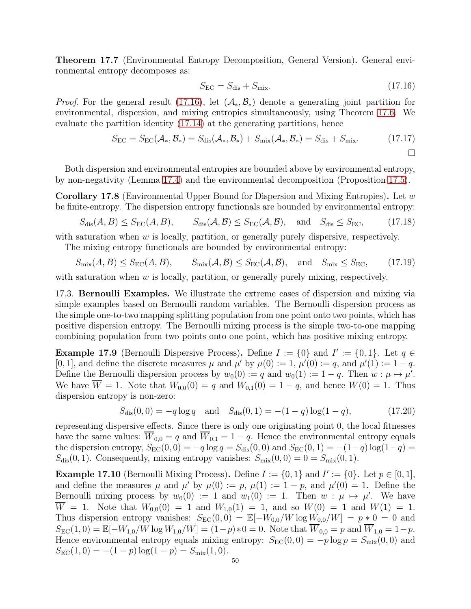<span id="page-49-4"></span>Theorem 17.7 (Environmental Entropy Decomposition, General Version). General environmental entropy decomposes as:

<span id="page-49-0"></span>
$$
S_{\rm EC} = S_{\rm dis} + S_{\rm mix}.\tag{17.16}
$$

*Proof.* For the general result [\(17.16\)](#page-49-0), let  $(A_*,B_*)$  denote a generating joint partition for environmental, dispersion, and mixing entropies simultaneously, using Theorem [17.6.](#page-48-3) We evaluate the partition identity [\(17.14\)](#page-48-4) at the generating partitions, hence

$$
S_{\rm EC} = S_{\rm EC}(\mathcal{A}_*, \mathcal{B}_*) = S_{\rm dis}(\mathcal{A}_*, \mathcal{B}_*) + S_{\rm mix}(\mathcal{A}_*, \mathcal{B}_*) = S_{\rm dis} + S_{\rm mix}.
$$
 (17.17)

Both dispersion and environmental entropies are bounded above by environmental entropy, by non-negativity (Lemma [17.4\)](#page-48-0) and the environmental decomposition (Proposition [17.5\)](#page-48-1).

<span id="page-49-3"></span>**Corollary 17.8** (Environmental Upper Bound for Dispersion and Mixing Entropies). Let w be finite-entropy. The dispersion entropy functionals are bounded by environmental entropy:

$$
S_{\text{dis}}(A, B) \le S_{\text{EC}}(A, B), \qquad S_{\text{dis}}(\mathcal{A}, \mathcal{B}) \le S_{\text{EC}}(\mathcal{A}, \mathcal{B}), \quad \text{and} \quad S_{\text{dis}} \le S_{\text{EC}}, \tag{17.18}
$$

with saturation when  $w$  is locally, partition, or generally purely dispersive, respectively.

The mixing entropy functionals are bounded by environmental entropy:

$$
S_{\text{mix}}(A, B) \le S_{\text{EC}}(A, B), \qquad S_{\text{mix}}(\mathcal{A}, \mathcal{B}) \le S_{\text{EC}}(\mathcal{A}, \mathcal{B}), \quad \text{and} \quad S_{\text{mix}} \le S_{\text{EC}}, \tag{17.19}
$$

with saturation when  $w$  is locally, partition, or generally purely mixing, respectively.

17.3. Bernoulli Examples. We illustrate the extreme cases of dispersion and mixing via simple examples based on Bernoulli random variables. The Bernoulli dispersion process as the simple one-to-two mapping splitting population from one point onto two points, which has positive dispersion entropy. The Bernoulli mixing process is the simple two-to-one mapping combining population from two points onto one point, which has positive mixing entropy.

<span id="page-49-1"></span>**Example 17.9** (Bernoulli Dispersive Process). Define  $I := \{0\}$  and  $I' := \{0, 1\}$ . Let  $q \in$ [0, 1], and define the discrete measures  $\mu$  and  $\mu'$  by  $\mu(0) := 1$ ,  $\mu'(0) := q$ , and  $\mu'(1) := 1 - q$ . Define the Bernoulli dispersion process by  $w_0(0) := q$  and  $w_0(1) := 1 - q$ . Then  $w : \mu \mapsto \mu'$ . We have  $\overline{W} = 1$ . Note that  $W_{0,0}(0) = q$  and  $W_{0,1}(0) = 1 - q$ , and hence  $W(0) = 1$ . Thus dispersion entropy is non-zero:

$$
S_{\text{dis}}(0,0) = -q \log q \quad \text{and} \quad S_{\text{dis}}(0,1) = -(1-q) \log(1-q), \tag{17.20}
$$

representing dispersive effects. Since there is only one originating point 0, the local fitnesses have the same values:  $\overline{W}_{0,0} = q$  and  $\overline{W}_{0,1} = 1 - q$ . Hence the environmental entropy equals the dispersion entropy,  $S_{EC}(0, 0) = -q \log q = S_{dis}(0, 0)$  and  $S_{EC}(0, 1) = -(1-q) \log(1-q)$  $S_{\text{dis}}(0, 1)$ . Consequently, mixing entropy vanishes:  $S_{\text{mix}}(0, 0) = 0 = S_{\text{mix}}(0, 1)$ .

<span id="page-49-2"></span>**Example 17.10** (Bernoulli Mixing Process). Define  $I := \{0, 1\}$  and  $I' := \{0\}$ . Let  $p \in [0, 1]$ , and define the measures  $\mu$  and  $\mu'$  by  $\mu(0) := p$ ,  $\mu(1) := 1 - p$ , and  $\mu'(0) = 1$ . Define the Bernoulli mixing process by  $w_0(0) := 1$  and  $w_1(0) := 1$ . Then  $w : \mu \mapsto \mu'$ . We have  $\overline{W} = 1$ . Note that  $W_{0,0}(0) = 1$  and  $W_{1,0}(1) = 1$ , and so  $W(0) = 1$  and  $W(1) = 1$ . Thus dispersion entropy vanishes:  $S_{EC}(0,0) = \mathbb{E}[-W_{0,0}/W \log W_{0,0}/W] = p * 0 = 0$  and  $S_{\text{EC}}(1,0) = \mathbb{E}[-W_{1,0}/W \log W_{1,0}/W] = (1-p) * 0 = 0.$  Note that  $\overline{W}_{0,0} = p$  and  $\overline{W}_{1,0} = 1-p$ . Hence environmental entropy equals mixing entropy:  $S_{\text{EC}}(0,0) = -p \log p = S_{\text{mix}}(0,0)$  and  $S_{\text{EC}}(1,0) = -(1-p)\log(1-p) = S_{\text{mix}}(1,0).$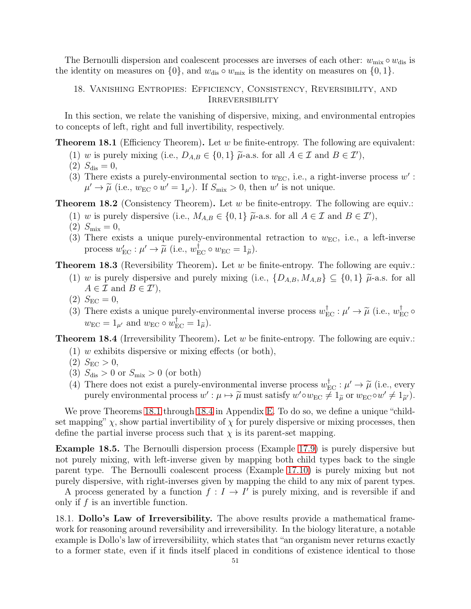The Bernoulli dispersion and coalescent processes are inverses of each other:  $w_{\text{mix}} \circ w_{\text{dis}}$  is the identity on measures on  $\{0\}$ , and  $w_{\text{dis}} \circ w_{\text{mix}}$  is the identity on measures on  $\{0, 1\}$ .

18. Vanishing Entropies: Efficiency, Consistency, Reversibility, and **IRREVERSIBILITY** 

In this section, we relate the vanishing of dispersive, mixing, and environmental entropies to concepts of left, right and full invertibility, respectively.

<span id="page-50-0"></span>**Theorem 18.1** (Efficiency Theorem). Let w be finite-entropy. The following are equivalent:

- (1) w is purely mixing (i.e.,  $D_{A,B} \in \{0,1\}$   $\tilde{\mu}$ -a.s. for all  $A \in \mathcal{I}$  and  $B \in \mathcal{I}'$ ),
- (2)  $S_{\text{dis}} = 0$ ,
- (3) There exists a purely-environmental section to  $w_{EC}$ , i.e., a right-inverse process  $w'$ :  $\mu' \to \tilde{\mu}$  (i.e.,  $w_{\text{EC}} \circ w' = 1_{\mu'}$ ). If  $S_{\text{mix}} > 0$ , then  $w'$  is not unique.

**Theorem 18.2** (Consistency Theorem). Let  $w$  be finite-entropy. The following are equiv.:

- (1) w is purely dispersive (i.e.,  $M_{A,B} \in \{0,1\}$   $\tilde{\mu}$ -a.s. for all  $A \in \mathcal{I}$  and  $B \in \mathcal{I}'$ ),
- (2)  $S_{\text{mix}} = 0$ ,
- (3) There exists a unique purely-environmental retraction to  $w_{EC}$ , i.e., a left-inverse process  $w'_{\text{EC}} : \mu' \to \tilde{\mu}$  (i.e.,  $w_{\text{EC}}^{\dagger} \circ w_{\text{EC}} = 1_{\tilde{\mu}}$ ).

<span id="page-50-2"></span>**Theorem 18.3** (Reversibility Theorem). Let  $w$  be finite-entropy. The following are equiv.:

- (1) w is purely dispersive and purely mixing (i.e.,  $\{D_{A,B}, M_{A,B}\} \subseteq \{0,1\}$   $\tilde{\mu}$ -a.s. for all  $A \in \mathcal{I}$  and  $B \in \mathcal{I}'$ ,
- (2)  $S_{\text{EC}} = 0$ ,
- (3) There exists a unique purely-environmental inverse process  $w_{\text{EC}}^{\dagger} : \mu' \to \tilde{\mu}$  (i.e.,  $w_{\text{EC}}^{\dagger} \circ$  $w_{\text{EC}} = 1_{\mu'}$  and  $w_{\text{EC}} \circ w_{\text{EC}}^{\dagger} = 1_{\tilde{\mu}}$ .

<span id="page-50-1"></span>**Theorem 18.4** (Irreversibility Theorem). Let w be finite-entropy. The following are equiv.:

- $(1)$  w exhibits dispersive or mixing effects (or both),
- (2)  $S_{\text{EC}} > 0$ ,
- (3)  $S_{\text{dis}} > 0$  or  $S_{\text{mix}} > 0$  (or both)
- (4) There does not exist a purely-environmental inverse process  $w_{EC}^{\dagger}$ ;  $\mu' \rightarrow \tilde{\mu}$  (i.e., every purely environmental process  $w': \mu \mapsto \tilde{\mu}$  must satisfy  $w' \circ w_{EC} \neq 1_{\tilde{\mu}}$  or  $w_{EC} \circ w' \neq 1_{\tilde{\mu}'}$ ).

We prove Theorems [18.1](#page-50-0) through [18.4](#page-50-1) in Appendix [E.](#page-67-0) To do so, we define a unique "childset mapping"  $\chi$ , show partial invertibility of  $\chi$  for purely dispersive or mixing processes, then define the partial inverse process such that  $\chi$  is its parent-set mapping.

Example 18.5. The Bernoulli dispersion process (Example [17.9\)](#page-49-1) is purely dispersive but not purely mixing, with left-inverse given by mapping both child types back to the single parent type. The Bernoulli coalescent process (Example [17.10\)](#page-49-2) is purely mixing but not purely dispersive, with right-inverses given by mapping the child to any mix of parent types.

A process generated by a function  $f: I \to I'$  is purely mixing, and is reversible if and only if  $f$  is an invertible function.

18.1. Dollo's Law of Irreversibility. The above results provide a mathematical framework for reasoning around reversibility and irreversibility. In the biology literature, a notable example is Dollo's law of irreversibiliity, which states that "an organism never returns exactly to a former state, even if it finds itself placed in conditions of existence identical to those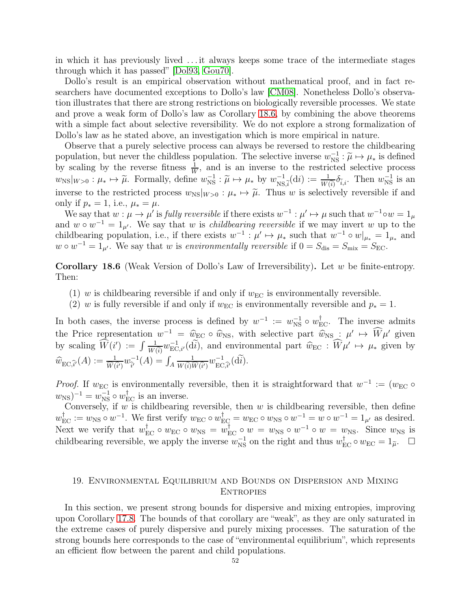in which it has previously lived . . . it always keeps some trace of the intermediate stages through which it has passed" [\[Dol93,](#page-61-2) [Gou70\]](#page-62-1).

Dollo's result is an empirical observation without mathematical proof, and in fact researchers have documented exceptions to Dollo's law [\[CM08\]](#page-61-3). Nonetheless Dollo's observation illustrates that there are strong restrictions on biologically reversible processes. We state and prove a weak form of Dollo's law as Corollary [18.6,](#page-51-0) by combining the above theorems with a simple fact about selective reversibility. We do not explore a strong formalization of Dollo's law as he stated above, an investigation which is more empirical in nature.

Observe that a purely selective process can always be reversed to restore the childbearing population, but never the childless population. The selective inverse  $w_{\text{NS}}^{-1}$ :  $\widetilde{\mu} \mapsto \mu_*$  is defined by scaling by the reverse fitness  $\frac{1}{W}$ , and is an inverse to the restricted selective process  $w_{\rm NS}|_{W>0} : \mu_* \mapsto \tilde{\mu}$ . Formally, define  $w_{\rm NS}^{-1} : \tilde{\mu} \mapsto \mu_*$  by  $w_{\rm NS, \tilde{i}}^{-1}(\mathrm{d}i) := \frac{1}{W(\tilde{i})} \delta_{\tilde{i},i}$ . Then  $w_{\rm NS}^{-1}$  is an inverse to the restricted process  $w_{\text{NS}}|_{W>0} : \mu_* \mapsto \tilde{\mu}$ . Thus w is selectively reversible if and only if  $p_* = 1$ , i.e.,  $\mu_* = \mu$ .

We say that  $w: \mu \to \mu'$  is *fully reversible* if there exists  $w^{-1}: \mu' \mapsto \mu$  such that  $w^{-1} \circ w = 1_{\mu'}$ and  $w \circ w^{-1} = 1_{\mu'}$ . We say that w is *childbearing reversible* if we may invert w up to the childbearing population, i.e., if there exists  $w^{-1}$ :  $\mu' \mapsto \mu_*$  such that  $w^{-1} \circ w|_{\mu_*} = 1_{\mu_*}$  and  $w \circ w^{-1} = 1_{\mu'}$ . We say that w is environmentally reversible if  $0 = S_{\text{dis}} = S_{\text{mix}} = S_{\text{EC}}$ .

<span id="page-51-0"></span>**Corollary 18.6** (Weak Version of Dollo's Law of Irreversibility). Let w be finite-entropy. Then:

- (1) w is childbearing reversible if and only if  $w_{\text{EC}}$  is environmentally reversible.
- (2) w is fully reversible if and only if  $w_{\text{EC}}$  is environmentally reversible and  $p_* = 1$ .

In both cases, the inverse process is defined by  $w^{-1} := w^{-1}_{NS} \circ w_{EC}^{\dagger}$ . The inverse admits the Price representation  $w^{-1} = \hat{w}_{EC} \circ \hat{w}_{NS}$ , with selective part  $\hat{w}_{NS} : \mu' \mapsto \hat{W}\mu'$  given by scaling  $\widehat{W}(i') := \int \frac{1}{W(i)} w_{EC,i'}^{-1}(\widetilde{di})$ , and environmental part  $\widehat{w}_{EC} : \widehat{W}\mu' \mapsto \mu_*$  given by  $\widehat{w}_{\text{EC},\widehat{i}'}(A) := \frac{1}{\widehat{w}(\widehat{i}')} w_{\widehat{i}'}^{-1}(A) = \int_A$  $\frac{1}{W(\widetilde{i})\widehat{W}(\widetilde{i}')}}w_{\mathrm{EC},\widehat{i}'}^{-1}(\mathrm{d}\widetilde{i}).$ 

*Proof.* If  $w_{\text{EC}}$  is environmentally reversible, then it is straightforward that  $w^{-1} := (w_{\text{EC}} \circ$  $w_{\rm NS}$ )<sup>-1</sup> =  $w_{\rm NS}^{-1} \circ w_{\rm EC}^{\dagger}$  is an inverse.

Conversely, if w is childbearing reversible, then w is childbearing reversible, then define  $w_{\text{EC}}^{\dagger} := w_{\text{NS}} \circ w^{-1}$ . We first verify  $w_{\text{EC}} \circ w_{\text{EC}}^{\dagger} = w_{\text{EC}} \circ w_{\text{NS}} \circ w^{-1} = w \circ w^{-1} = 1_{\mu'}$  as desired. Next we verify that  $w_{\text{EC}}^{\dagger} \circ w_{\text{EC}} \circ w_{\text{NS}} = w_{\text{EC}}^{\dagger} \circ w = w_{\text{NS}} \circ w^{-1} \circ w = w_{\text{NS}}$ . Since  $w_{\text{NS}}$  is childbearing reversible, we apply the inverse  $w_{\text{NS}}^{-1}$  on the right and thus  $w_{\text{EC}}^{\dagger} \circ w_{\text{EC}} = 1_{\tilde{\mu}}$ .  $\Box$ 

## 19. Environmental Equilibrium and Bounds on Dispersion and Mixing **ENTROPIES**

In this section, we present strong bounds for dispersive and mixing entropies, improving upon Corollary [17.8.](#page-49-3) The bounds of that corollary are "weak", as they are only saturated in the extreme cases of purely dispersive and purely mixing processes. The saturation of the strong bounds here corresponds to the case of "environmental equilibrium", which represents an efficient flow between the parent and child populations.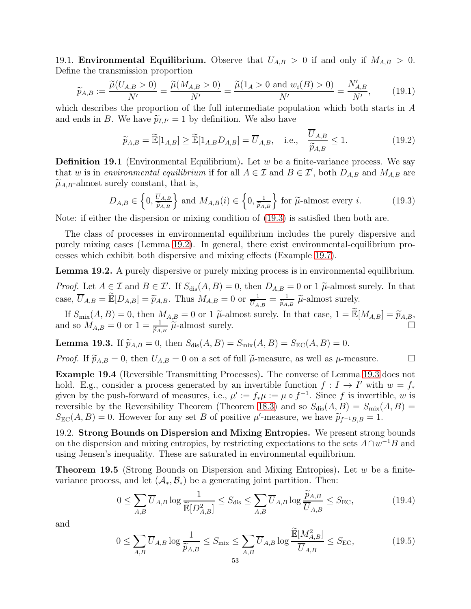19.1. **Environmental Equilibrium.** Observe that  $U_{A,B} > 0$  if and only if  $M_{A,B} > 0$ . Define the transmission proportion

$$
\widetilde{p}_{A,B} := \frac{\widetilde{\mu}(U_{A,B} > 0)}{N'} = \frac{\widetilde{\mu}(M_{A,B} > 0)}{N'} = \frac{\widetilde{\mu}(1_A > 0 \text{ and } w_i(B) > 0)}{N'} = \frac{N'_{A,B}}{N'},\tag{19.1}
$$

which describes the proportion of the full intermediate population which both starts in A and ends in B. We have  $\tilde{p}_{I,I'} = 1$  by definition. We also have

$$
\widetilde{p}_{A,B} = \widetilde{\mathbb{E}}[1_{A,B}] \ge \widetilde{\mathbb{E}}[1_{A,B}D_{A,B}] = \overline{U}_{A,B}, \quad \text{i.e.,} \quad \frac{U_{A,B}}{\widetilde{p}_{A,B}} \le 1. \tag{19.2}
$$

**Definition 19.1** (Environmental Equilibrium). Let w be a finite-variance process. We say that w is in environmental equilibrium if for all  $A \in \mathcal{I}$  and  $B \in \mathcal{I}'$ , both  $D_{A,B}$  and  $M_{A,B}$  are  $\widetilde{\mu}_{A,B}$ -almost surely constant, that is,

<span id="page-52-0"></span>
$$
D_{A,B} \in \left\{0, \frac{\overline{U}_{A,B}}{\widetilde{p}_{A,B}}\right\} \text{ and } M_{A,B}(i) \in \left\{0, \frac{1}{\widetilde{p}_{A,B}}\right\} \text{ for } \widetilde{\mu}\text{-almost every } i. \tag{19.3}
$$

Note: if either the dispersion or mixing condition of [\(19.3\)](#page-52-0) is satisfied then both are.

The class of processes in environmental equilibrium includes the purely dispersive and purely mixing cases (Lemma [19.2\)](#page-52-1). In general, there exist environmental-equilibrium processes which exhibit both dispersive and mixing effects (Example [19.7\)](#page-54-0).

<span id="page-52-1"></span>Lemma 19.2. A purely dispersive or purely mixing process is in environmental equilibrium.

*Proof.* Let  $A \in \mathcal{I}$  and  $B \in \mathcal{I}'$ . If  $S_{\text{dis}}(A, B) = 0$ , then  $D_{A,B} = 0$  or 1  $\widetilde{\mu}$ -almost surely. In that case,  $\overline{U}_{A,B} = \widetilde{\mathbb{E}}[D_{A,B}] = \widetilde{p}_{A,B}$ . Thus  $M_{A,B} = 0$  or  $\frac{1}{\overline{U}_{A,B}} = \frac{1}{\widetilde{p}_{A,B}} \widetilde{\mu}$ -almost surely.

If  $S_{\text{mix}}(A, B) = 0$ , then  $M_{A,B} = 0$  or 1  $\tilde{\mu}$ -almost surely. In that case,  $1 = \tilde{\mathbb{E}}[M_{A,B}] = \tilde{p}_{A,B}$ , and so  $M_{A,B} = 0$  or  $1 = \frac{1}{\tilde{p}_{A,B}} \tilde{\mu}$ -almost surely.

<span id="page-52-2"></span>**Lemma 19.3.** If  $\tilde{p}_{A,B} = 0$ , then  $S_{dis}(A, B) = S_{mix}(A, B) = S_{EC}(A, B) = 0$ .

*Proof.* If  $\widetilde{p}_{A,B} = 0$ , then  $U_{A,B} = 0$  on a set of full  $\widetilde{\mu}$ -measure, as well as  $\mu$ -measure.

Example 19.4 (Reversible Transmitting Processes). The converse of Lemma [19.3](#page-52-2) does not hold. E.g., consider a process generated by an invertible function  $f: I \to I'$  with  $w = f_*$ given by the push-forward of measures, i.e.,  $\mu' := f_*\mu := \mu \circ f^{-1}$ . Since f is invertible, w is reversible by the Reversibility Theorem (Theorem [18.3\)](#page-50-2) and so  $S_{\text{dis}}(A, B) = S_{\text{mix}}(A, B)$  $S_{\text{EC}}(A, B) = 0$ . However for any set B of positive  $\mu'$ -measure, we have  $\widetilde{p}_{f^{-1}B, B} = 1$ .

19.2. Strong Bounds on Dispersion and Mixing Entropies. We present strong bounds on the dispersion and mixing entropies, by restricting expectations to the sets  $A \cap w^{-1}B$  and using Jensen's inequality. These are saturated in environmental equilibrium.

<span id="page-52-5"></span>**Theorem 19.5** (Strong Bounds on Dispersion and Mixing Entropies). Let  $w$  be a finitevariance process, and let  $(\mathcal{A}_*, \mathcal{B}_*)$  be a generating joint partition. Then:

<span id="page-52-3"></span>
$$
0 \le \sum_{A,B} \overline{U}_{A,B} \log \frac{1}{\widetilde{\mathbb{E}}[D_{A,B}^2]} \le S_{\text{dis}} \le \sum_{A,B} \overline{U}_{A,B} \log \frac{\widetilde{p}_{A,B}}{\overline{U}_{A,B}} \le S_{\text{EC}},\tag{19.4}
$$

and

<span id="page-52-4"></span>
$$
0 \le \sum_{A,B} \overline{U}_{A,B} \log \frac{1}{\widetilde{p}_{A,B}} \le S_{\text{mix}} \le \sum_{A,B} \overline{U}_{A,B} \log \frac{\widetilde{\mathbb{E}}[M_{A,B}^2]}{\overline{U}_{A,B}} \le S_{\text{EC}},\tag{19.5}
$$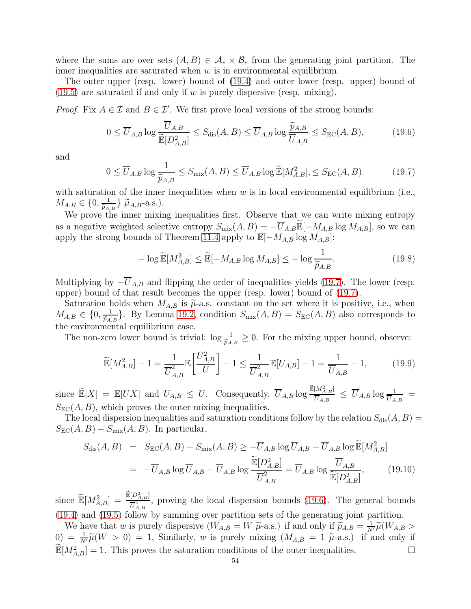where the sums are over sets  $(A, B) \in \mathcal{A}_* \times \mathcal{B}_*$  from the generating joint partition. The inner inequalities are saturated when  $w$  is in environmental equilibrium.

The outer upper (resp. lower) bound of [\(19.4\)](#page-52-3) and outer lower (resp. upper) bound of  $(19.5)$  are saturated if and only if w is purely dispersive (resp. mixing).

*Proof.* Fix  $A \in \mathcal{I}$  and  $B \in \mathcal{I}'$ . We first prove local versions of the strong bounds:

<span id="page-53-1"></span>
$$
0 \le \overline{U}_{A,B} \log \frac{\overline{U}_{A,B}}{\widetilde{\mathbb{E}}[D_{A,B}^2]} \le S_{\text{dis}}(A,B) \le \overline{U}_{A,B} \log \frac{\widetilde{p}_{A,B}}{\overline{U}_{A,B}} \le S_{\text{EC}}(A,B),\tag{19.6}
$$

and

<span id="page-53-0"></span>
$$
0 \le \overline{U}_{A,B} \log \frac{1}{\widetilde{p}_{A,B}} \le S_{\text{mix}}(A,B) \le \overline{U}_{A,B} \log \widetilde{\mathbb{E}}[M_{A,B}^2], \le S_{\text{EC}}(A,B). \tag{19.7}
$$

with saturation of the inner inequalities when  $w$  is in local environmental equilibrium (i.e.,  $M_{A,B} \in \{0, \frac{1}{\widetilde{p}_{A,B}}\}$   $\widetilde{\mu}_{A,B}$ -a.s.).

We prove the inner mixing inequalities first. Observe that we can write mixing entropy as a negative weighted selective entropy  $S_{\text{mix}}(A, B) = -\overline{U}_{A,B}\widetilde{\mathbb{E}}[-M_{A,B}\log M_{A,B}],$  so we can apply the strong bounds of Theorem [11.4](#page-33-1) apply to  $\mathbb{E}[-M_{A,B}\log M_{A,B}]$ :

$$
-\log \widetilde{\mathbb{E}}[M_{A,B}^2] \le \widetilde{\mathbb{E}}[-M_{A,B}\log M_{A,B}] \le -\log \frac{1}{\widetilde{p}_{A,B}}.\tag{19.8}
$$

Multiplying by  $-\overline{U}_{A,B}$  and flipping the order of inequalities yields [\(19.7\)](#page-53-0). The lower (resp. upper) bound of that result becomes the upper (resp. lower) bound of [\(19.7\)](#page-53-0).

Saturation holds when  $M_{A,B}$  is  $\tilde{\mu}$ -a.s. constant on the set where it is positive, i.e., when  $M_{A,B} \in \{0, \frac{1}{\tilde{p}_{A,B}}\}.$  By Lemma [19.2,](#page-52-1) condition  $S_{\text{mix}}(A,B) = S_{\text{EC}}(A,B)$  also corresponds to the environmental equilibrium case.

The non-zero lower bound is trivial:  $\log \frac{1}{\tilde{p}_{A,B}} \geq 0$ . For the mixing upper bound, observe:

$$
\widetilde{\mathbb{E}}[M_{A,B}^2] - 1 = \frac{1}{\overline{U}_{A,B}^2} \mathbb{E}\left[\frac{U_{A,B}^2}{U}\right] - 1 \le \frac{1}{\overline{U}_{A,B}^2} \mathbb{E}[U_{A,B}] - 1 = \frac{1}{\overline{U}_{A,B}} - 1, \quad (19.9)
$$

since  $\widetilde{\mathbb{E}}[X] = \mathbb{E}[UX]$  and  $U_{A,B} \leq U$ . Consequently,  $\overline{U}_{A,B} \log \frac{\widetilde{\mathbb{E}}[M_{A,B}^2]}{\overline{U}_{A,B}}$  $\frac{[M_{A,B}]}{\overline{U}_{A,B}} \,\leq\, \overline{U}_{A,B} \log\frac{1}{\overline{U}_{A,B}} \,\,=$  $S_{\text{EC}}(A, B)$ , which proves the outer mixing inequalities.

The local dispersion inequalities and saturation conditions follow by the relation  $S_{dis}(A, B)$  =  $S_{\text{EC}}(A, B) - S_{\text{mix}}(A, B)$ . In particular,

$$
S_{\text{dis}}(A, B) = S_{\text{EC}}(A, B) - S_{\text{mix}}(A, B) \ge -\overline{U}_{A,B} \log \overline{U}_{A,B} - \overline{U}_{A,B} \log \widetilde{\mathbb{E}}[M_{A,B}^2]
$$
  

$$
= -\overline{U}_{A,B} \log \overline{U}_{A,B} - \overline{U}_{A,B} \log \frac{\widetilde{\mathbb{E}}[D_{A,B}^2]}{\overline{U}_{A,B}^2} = \overline{U}_{A,B} \log \frac{\overline{U}_{A,B}}{\mathbb{E}[D_{A,B}^2]},
$$
(19.10)

since  $\widetilde{\mathbb{E}}[M_{A,B}^2] = \frac{\widetilde{\mathbb{E}}[D_{A,B}^2]}{\overline{U}_{A,B}^2}$  $\frac{U_{A,B}}{U_{A,B}^2}$ , proving the local dispersion bounds [\(19.6\)](#page-53-1). The general bounds [\(19.4\)](#page-52-3) and [\(19.5\)](#page-52-4) follow by summing over partition sets of the generating joint partition.

We have that w is purely dispersive  $(W_{A,B} = W \ \tilde{\mu}$ -a.s.) if and only if  $\tilde{p}_{A,B} = \frac{1}{N'} \tilde{\mu}(W_{A,B} >$  $\widetilde{\mu}(0) = \frac{1}{N'}\widetilde{\mu}(W > 0) = 1$ , Similarly, w is purely mixing  $(M_{A,B} = 1 \widetilde{\mu}$ -a.s.) if and only if  $\widetilde{\mathbb{E}}[M_{A,B}^2] = 1$ . This proves the saturation conditions of the outer inequalities.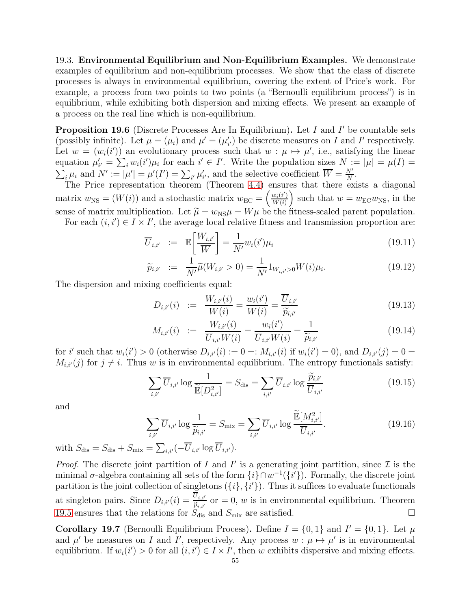19.3. Environmental Equilibrium and Non-Equilibrium Examples. We demonstrate examples of equilibrium and non-equilibrium processes. We show that the class of discrete processes is always in environmental equilibrium, covering the extent of Price's work. For example, a process from two points to two points (a "Bernoulli equilibrium process") is in equilibrium, while exhibiting both dispersion and mixing effects. We present an example of a process on the real line which is non-equilibrium.

<span id="page-54-1"></span>Proposition 19.6 (Discrete Processes Are In Equilibrium). Let I and I' be countable sets (possibly infinite). Let  $\mu = (\mu_i)$  and  $\mu' = (\mu'_{i'})$  be discrete measures on I and I' respectively. Let  $w = (w_i(i'))$  an evolutionary process such that  $w : \mu \mapsto \mu'$ , i.e., satisfying the linear equation  $\mu'_{i'} = \sum_i w_i(i') \mu_i$  for each  $i' \in I'$ . Write the population sizes  $N := |\mu| = \mu(I) =$  $\sum_i \mu_i$  and  $N' := |\mu'| = \mu'(I') = \sum_{i'} \mu'_{i'}$ , and the selective coefficient  $\overline{W} = \frac{N'}{N}$  $\frac{N'}{N}$ .

The Price representation theorem (Theorem [4.4\)](#page-16-0) ensures that there exists a diagonal matrix  $w_{\text{NS}} = (W(i))$  and a stochastic matrix  $w_{\text{EC}} = \left(\frac{w_i(i')}{W(i)}\right)$  $W(i)$ ) such that  $w = w_{\text{EC}}w_{\text{NS}}$ , in the sense of matrix multiplication. Let  $\tilde{\mu} = w_{\text{NS}}\mu = W\mu$  be the fitness-scaled parent population. For each  $(i, i') \in I \times I'$ , the average local relative fitness and transmission proportion are:

$$
\overline{U}_{i,i'} := \mathbb{E}\left[\frac{W_{i,i'}}{\overline{W}}\right] = \frac{1}{N'} w_i(i')\mu_i
$$
\n(19.11)

$$
\widetilde{p}_{i,i'} := \frac{1}{N'} \widetilde{\mu}(W_{i,i'} > 0) = \frac{1}{N'} 1_{W_{i,i'} > 0} W(i) \mu_i.
$$
\n(19.12)

The dispersion and mixing coefficients equal:

$$
D_{i,i'}(i) := \frac{W_{i,i'}(i)}{W(i)} = \frac{w_i(i')}{W(i)} = \frac{\overline{U}_{i,i'}}{\widetilde{p}_{i,i'}}
$$
(19.13)

$$
M_{i,i'}(i) := \frac{W_{i,i'}(i)}{\overline{U}_{i,i'}W(i)} = \frac{w_i(i')}{\overline{U}_{i,i'}W(i)} = \frac{1}{\widetilde{p}_{i,i'}}
$$
(19.14)

for i' such that  $w_i(i') > 0$  (otherwise  $D_{i,i'}(i) := 0 =: M_{i,i'}(i)$  if  $w_i(i') = 0$ ), and  $D_{i,i'}(j) = 0 =$  $M_{i,i'}(j)$  for  $j \neq i$ . Thus w is in environmental equilibrium. The entropy functionals satisfy:

$$
\sum_{i,i'} \overline{U}_{i,i'} \log \frac{1}{\widetilde{\mathbb{E}}[D_{i,i'}^2]} = S_{\text{dis}} = \sum_{i,i'} \overline{U}_{i,i'} \log \frac{\widetilde{p}_{i,i'}}{\overline{U}_{i,i'}}
$$
(19.15)

and

$$
\sum_{i,i'} \overline{U}_{i,i'} \log \frac{1}{\widetilde{p}_{i,i'}} = S_{\text{mix}} = \sum_{i,i'} \overline{U}_{i,i'} \log \frac{\widetilde{\mathbb{E}}[M_{i,i'}^2]}{\overline{U}_{i,i'}}.
$$
(19.16)

with  $S_{\text{dis}} = S_{\text{dis}} + S_{\text{mix}} = \sum_{i,i'} (-\overline{U}_{i,i'} \log \overline{U}_{i,i'}).$ 

*Proof.* The discrete joint partition of I and I' is a generating joint partition, since  $\mathcal{I}$  is the minimal  $\sigma$ -algebra containing all sets of the form  $\{i\} \cap w^{-1}(\{i'\})$ . Formally, the discrete joint partition is the joint collection of singletons  $({i}, {i'})$ . Thus it suffices to evaluate functionals at singleton pairs. Since  $D_{i,i'}(i) = \frac{U_{i,i'}}{\tilde{p}_{i,i'}}$  or  $= 0, w$  is in environmental equilibrium. Theorem [19.5](#page-52-5) ensures that the relations for  $S_{dis}$  and  $S_{mix}$  are satisfied.

<span id="page-54-0"></span>**Corollary 19.7** (Bernoulli Equilibrium Process). Define  $I = \{0, 1\}$  and  $I' = \{0, 1\}$ . Let  $\mu$ and  $\mu'$  be measures on I and I', respectively. Any process  $w : \mu \mapsto \mu'$  is in environmental equilibrium. If  $w_i(i') > 0$  for all  $(i, i') \in I \times I'$ , then w exhibits dispersive and mixing effects.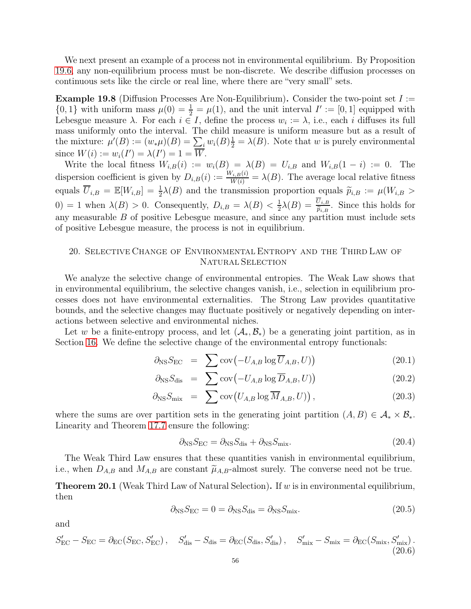We next present an example of a process not in environmental equilibrium. By Proposition [19.6,](#page-54-1) any non-equilibrium process must be non-discrete. We describe diffusion processes on continuous sets like the circle or real line, where there are "very small" sets.

**Example 19.8** (Diffusion Processes Are Non-Equilibrium). Consider the two-point set  $I :=$  $\{0, 1\}$  with uniform mass  $\mu(0) = \frac{1}{2} = \mu(1)$ , and the unit interval  $I' := [0, 1]$  equipped with Lebesgue measure  $\lambda$ . For each  $i \in I$ , define the process  $w_i := \lambda$ , i.e., each i diffuses its full mass uniformly onto the interval. The child measure is uniform measure but as a result of the mixture:  $\mu'(B) := (w_*\mu)(B) = \sum_i w_i(B)^{\frac{1}{2}} = \lambda(B)$ . Note that w is purely environmental since  $W(i) := w_i(I') = \lambda(I') = 1 = \overline{W}$ .

Write the local fitness  $W_{i,B}(i) := w_i(B) = \lambda(B) = U_{i,B}$  and  $W_{i,B}(1-i) := 0$ . The dispersion coefficient is given by  $D_{i,B}(i) := \frac{W_{i,B}(i)}{W(i)} = \lambda(B)$ . The average local relative fitness equals  $\overline{U}_{i,B} = \mathbb{E}[W_{i,B}] = \frac{1}{2}\lambda(B)$  and the transmission proportion equals  $\widetilde{p}_{i,B} := \mu(W_{i,B} >$ 0) = 1 when  $\lambda(B) > 0$ . Consequently,  $D_{i,B} = \lambda(B) < \frac{1}{2}$  $\frac{1}{2}\lambda(B) = \frac{U_{i,B}}{\tilde{p}_{i,B}}$ . Since this holds for any measurable  $B$  of positive Lebesgue measure, and since any partition must include sets of positive Lebesgue measure, the process is not in equilibrium.

## <span id="page-55-1"></span>20. Selective Change of Environmental Entropy and the Third Law of NATURAL SELECTION

We analyze the selective change of environmental entropies. The Weak Law shows that in environmental equilibrium, the selective changes vanish, i.e., selection in equilibrium processes does not have environmental externalities. The Strong Law provides quantitative bounds, and the selective changes may fluctuate positively or negatively depending on interactions between selective and environmental niches.

Let w be a finite-entropy process, and let  $(\mathcal{A}_*, \mathcal{B}_*)$  be a generating joint partition, as in Section [16.](#page-43-0) We define the selective change of the environmental entropy functionals:

$$
\partial_{\text{NS}} S_{\text{EC}} = \sum \text{cov} \big( -U_{A,B} \log \overline{U}_{A,B}, U \big) \tag{20.1}
$$

$$
\partial_{\text{NS}} S_{\text{dis}} = \sum \text{cov} \left( -U_{A,B} \log \overline{D}_{A,B}, U \right) \tag{20.2}
$$

$$
\partial_{\text{NS}} S_{\text{mix}} = \sum \text{cov}\big(U_{A,B} \log \overline{M}_{A,B}, U)\big), \qquad (20.3)
$$

where the sums are over partition sets in the generating joint partition  $(A, B) \in \mathcal{A}_* \times \mathcal{B}_*$ . Linearity and Theorem [17.7](#page-49-4) ensure the following:

$$
\partial_{\rm NS} S_{\rm EC} = \partial_{\rm NS} S_{\rm dis} + \partial_{\rm NS} S_{\rm mix}.\tag{20.4}
$$

The Weak Third Law ensures that these quantities vanish in environmental equilibrium, i.e., when  $D_{A,B}$  and  $M_{A,B}$  are constant  $\tilde{\mu}_{A,B}$ -almost surely. The converse need not be true.

<span id="page-55-2"></span>**Theorem 20.1** (Weak Third Law of Natural Selection). If w is in environmental equilibrium, then

$$
\partial_{\rm NS} S_{\rm EC} = 0 = \partial_{\rm NS} S_{\rm dis} = \partial_{\rm NS} S_{\rm mix}.
$$
\n(20.5)

and

<span id="page-55-0"></span>
$$
S'_{\rm EC} - S_{\rm EC} = \partial_{\rm EC}(S_{\rm EC}, S'_{\rm EC}), \quad S'_{\rm dis} - S_{\rm dis} = \partial_{\rm EC}(S_{\rm dis}, S'_{\rm dis}), \quad S'_{\rm mix} - S_{\rm mix} = \partial_{\rm EC}(S_{\rm mix}, S'_{\rm mix}).
$$
\n(20.6)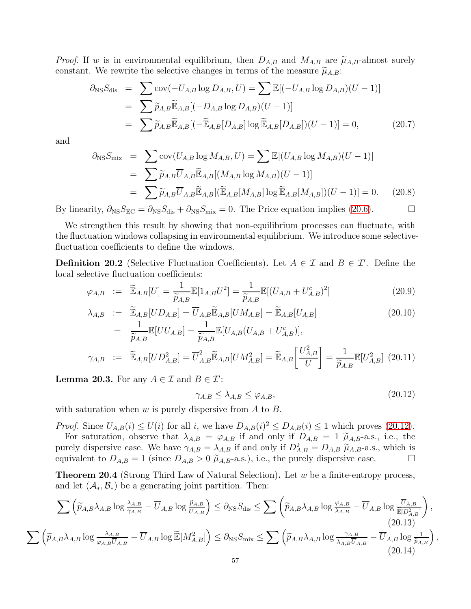*Proof.* If w is in environmental equilibrium, then  $D_{A,B}$  and  $M_{A,B}$  are  $\widetilde{\mu}_{A,B}$ -almost surely constant. We rewrite the selective changes in terms of the measure  $\tilde{\mu}_{A,B}$ :

$$
\partial_{\text{NS}} S_{\text{dis}} = \sum \text{cov}(-U_{A,B} \log D_{A,B}, U) = \sum \mathbb{E}[(-U_{A,B} \log D_{A,B})(U-1)]
$$
  
= 
$$
\sum \widetilde{p}_{A,B} \widetilde{\mathbb{E}}_{A,B}[(-D_{A,B} \log D_{A,B})(U-1)]
$$
  
= 
$$
\sum \widetilde{p}_{A,B} \widetilde{\mathbb{E}}_{A,B}[(-\widetilde{\mathbb{E}}_{A,B}[D_{A,B}] \log \widetilde{\mathbb{E}}_{A,B}[D_{A,B}])(U-1)] = 0,
$$
 (20.7)

and

$$
\partial_{\text{NS}} S_{\text{mix}} = \sum \text{cov}(U_{A,B} \log M_{A,B}, U) = \sum \mathbb{E}[(U_{A,B} \log M_{A,B})(U-1)]
$$
  
= 
$$
\sum \widetilde{p}_{A,B} \overline{U}_{A,B} \widetilde{\mathbb{E}}_{A,B}[(M_{A,B} \log M_{A,B})(U-1)]
$$
  
= 
$$
\sum \widetilde{p}_{A,B} \overline{U}_{A,B} \widetilde{\mathbb{E}}_{A,B}[(\widetilde{\mathbb{E}}_{A,B}[M_{A,B}] \log \widetilde{\mathbb{E}}_{A,B}[M_{A,B}])(U-1)] = 0.
$$
 (20.8)

By linearity,  $\partial_{\text{NS}} S_{\text{EC}} = \partial_{\text{NS}} S_{\text{dis}} + \partial_{\text{NS}} S_{\text{mix}} = 0$ . The Price equation implies [\(20.6\)](#page-55-0).

We strengthen this result by showing that non-equilibrium processes can fluctuate, with the fluctuation windows collapsing in environmental equilibrium. We introduce some selectivefluctuation coefficients to define the windows.

**Definition 20.2** (Selective Fluctuation Coefficients). Let  $A \in \mathcal{I}$  and  $B \in \mathcal{I}'$ . Define the local selective fluctuation coefficients:

$$
\varphi_{A,B} := \widetilde{\mathbb{E}}_{A,B}[U] = \frac{1}{\widetilde{p}_{A,B}} \mathbb{E}[1_{A,B} U^2] = \frac{1}{\widetilde{p}_{A,B}} \mathbb{E}[(U_{A,B} + U_{A,B}^c)^2]
$$
(20.9)

$$
\lambda_{A,B} := \widetilde{\mathbb{E}}_{A,B}[UD_{A,B}] = \overline{U}_{A,B}\widetilde{\mathbb{E}}_{A,B}[UM_{A,B}] = \widetilde{\mathbb{E}}_{A,B}[U_{A,B}]
$$
\n
$$
= \frac{1}{\widetilde{p}_{A,B}}\mathbb{E}[UU_{A,B}] = \frac{1}{\widetilde{p}_{A,B}}\mathbb{E}[U_{A,B}(U_{A,B} + U_{A,B}^c)],
$$
\n
$$
\gamma_{A,B} := \widetilde{\mathbb{E}}_{A,B}[UD_{A,B}^2] = \overline{U}_{A,B}^2\widetilde{\mathbb{E}}_{A,B}[UM_{A,B}^2] = \widetilde{\mathbb{E}}_{A,B}\left[\frac{U_{A,B}^2}{U}\right] = \frac{1}{\widetilde{p}_{A,B}}\mathbb{E}[U_{A,B}^2] \quad (20.11)
$$

<span id="page-56-3"></span>**Lemma 20.3.** For any  $A \in \mathcal{I}$  and  $B \in \mathcal{I}'$ :

<span id="page-56-0"></span>
$$
\gamma_{A,B} \le \lambda_{A,B} \le \varphi_{A,B},\tag{20.12}
$$

,

with saturation when  $w$  is purely dispersive from  $A$  to  $B$ .

*Proof.* Since  $U_{A,B}(i) \leq U(i)$  for all i, we have  $D_{A,B}(i) \leq D_{A,B}(i) \leq 1$  which proves [\(20.12\)](#page-56-0). For saturation, observe that  $\lambda_{A,B} = \varphi_{A,B}$  if and only if  $D_{A,B} = 1 \tilde{\mu}_{A,B}$ -a.s., i.e., the purely dispersive case. We have  $\gamma_{A,B} = \lambda_{A,B}$  if and only if  $D_{A,B}^2 = D_{A,B} \tilde{\mu}_{A,B}$ -a.s., which is equivalent to  $D_{A,B} = 1$  (since  $D_{A,B} > 0$   $\tilde{\mu}_{A,B}$ -a.s.), i.e., the purely dispersive case.

<span id="page-56-4"></span>**Theorem 20.4** (Strong Third Law of Natural Selection). Let  $w$  be a finite-entropy process, and let  $(\mathcal{A}_*, \mathcal{B}_*)$  be a generating joint partition. Then:

<span id="page-56-2"></span><span id="page-56-1"></span>
$$
\sum \left( \widetilde{p}_{A,B} \lambda_{A,B} \log \frac{\lambda_{A,B}}{\gamma_{A,B}} - \overline{U}_{A,B} \log \frac{\widetilde{p}_{A,B}}{\overline{U}_{A,B}} \right) \le \partial_{\text{NS}} S_{\text{dis}} \le \sum \left( \widetilde{p}_{A,B} \lambda_{A,B} \log \frac{\varphi_{A,B}}{\lambda_{A,B}} - \overline{U}_{A,B} \log \frac{\overline{U}_{A,B}}{\overline{\mathbb{E}}[D_{A,B}^2]} \right),
$$
\n
$$
\sum \left( \widetilde{p}_{A,B} \lambda_{A,B} \log \frac{\lambda_{A,B}}{\varphi_{A,B} \overline{U}_{A,B}} - \overline{U}_{A,B} \log \widetilde{\mathbb{E}}[M_{A,B}^2] \right) \le \partial_{\text{NS}} S_{\text{mix}} \le \sum \left( \widetilde{p}_{A,B} \lambda_{A,B} \log \frac{\gamma_{A,B}}{\lambda_{A,B} \overline{U}_{A,B}} - \overline{U}_{A,B} \log \frac{1}{\widetilde{p}_{A,B}} \right)
$$
\n
$$
(20.13)
$$
\n
$$
(20.14)
$$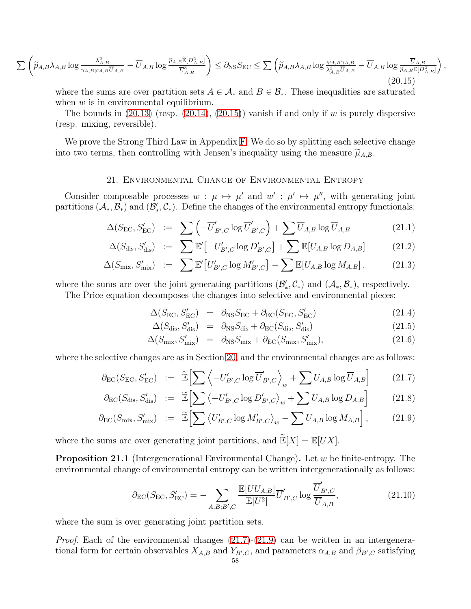$$
\sum \left( \widetilde{p}_{A,B} \lambda_{A,B} \log \frac{\lambda_{A,B}^2}{\gamma_{A,B} \varphi_{A,B} \overline{U}_{A,B}} - \overline{U}_{A,B} \log \frac{\widetilde{p}_{A,B} \widetilde{\mathbb{E}}[D_{A,B}^2]}{\overline{U}_{A,B}^3} \right) \le \partial_{\text{NS}} S_{\text{EC}} \le \sum \left( \widetilde{p}_{A,B} \lambda_{A,B} \log \frac{\varphi_{A,B} \gamma_{A,B}}{\lambda_{A,B}^2 \overline{U}_{A,B}} - \overline{U}_{A,B} \log \frac{\overline{U}_{A,B}}{\widetilde{p}_{A,B} \mathbb{E}[D_{A,B}^2]} \right) \tag{20.15}
$$

<span id="page-57-0"></span>where the sums are over partition sets  $A \in \mathcal{A}_{*}$  and  $B \in \mathcal{B}_{*}$ . These inequalities are saturated when  $w$  is in environmental equilibrium.

The bounds in  $(20.13)$  (resp.  $(20.14)$ ,  $(20.15)$ ) vanish if and only if w is purely dispersive (resp. mixing, reversible).

We prove the Strong Third Law in Appendix [F.](#page-73-0) We do so by splitting each selective change into two terms, then controlling with Jensen's inequality using the measure  $\widetilde{\mu}_{A,B}$ .

#### 21. Environmental Change of Environmental Entropy

Consider composable processes  $w : \mu \mapsto \mu'$  and  $w' : \mu' \mapsto \mu''$ , with generating joint partitions  $(\mathcal{A}_*, \mathcal{B}_*)$  and  $(\mathcal{B}_*, \mathcal{C}_*)$ . Define the changes of the environmental entropy functionals:

$$
\Delta(S_{\rm EC}, S_{\rm EC}') \ := \ \sum \left( -\overline{U}'_{B',C} \log \overline{U}'_{B',C} \right) + \sum \overline{U}_{A,B} \log \overline{U}_{A,B} \tag{21.1}
$$

$$
\Delta(S_{\text{dis}}, S'_{\text{dis}}) \quad := \quad \sum \mathbb{E}' \big[ -U'_{B',C} \log D'_{B',C} \big] + \sum \mathbb{E} [U_{A,B} \log D_{A,B}] \tag{21.2}
$$

$$
\Delta(S_{\text{mix}}, S'_{\text{mix}}) \quad := \quad \sum \mathbb{E}' \big[ U'_{B',C} \log M'_{B',C} \big] - \sum \mathbb{E} [U_{A,B} \log M_{A,B}], \tag{21.3}
$$

where the sums are over the joint generating partitions  $(\mathcal{B}'_*, \mathcal{C}_*)$  and  $(\mathcal{A}_*, \mathcal{B}_*)$ , respectively.

The Price equation decomposes the changes into selective and environmental pieces:

$$
\Delta(S_{\rm EC}, S_{\rm EC}') = \partial_{\rm NS} S_{\rm EC} + \partial_{\rm EC}(S_{\rm EC}, S_{\rm EC}') \tag{21.4}
$$

,

$$
\Delta(S_{\rm dis}, S'_{\rm dis}) = \partial_{\rm NS} S_{\rm dis} + \partial_{\rm EC}(S_{\rm dis}, S'_{\rm dis}) \tag{21.5}
$$

$$
\Delta(S_{\rm mix}, S'_{\rm mix}) = \partial_{\rm NS} S_{\rm mix} + \partial_{\rm EC}(S_{\rm mix}, S'_{\rm mix}), \tag{21.6}
$$

where the selective changes are as in Section [20,](#page-55-1) and the environmental changes are as follows:

<span id="page-57-1"></span>
$$
\partial_{\rm EC}(S_{\rm EC}, S_{\rm EC}') := \widetilde{\mathbb{E}} \Big[ \sum \Big\langle -U'_{B',C} \log \overline{U}'_{B',C} \Big\rangle_w + \sum U_{A,B} \log \overline{U}_{A,B} \Big] \tag{21.7}
$$

$$
\partial_{\rm EC}(S_{\rm dis}, S'_{\rm dis}) \ := \ \widetilde{\mathbb{E}} \Big[ \sum \left\langle -U'_{B',C} \log D'_{B',C} \right\rangle_w + \sum U_{A,B} \log D_{A,B} \Big] \tag{21.8}
$$

$$
\partial_{\rm EC}(S_{\rm mix}, S'_{\rm mix}) \; := \; \widetilde{\mathbb{E}} \Big[ \sum \left\langle U'_{B',C} \log M'_{B',C} \right\rangle_w - \sum U_{A,B} \log M_{A,B} \Big] \,, \tag{21.9}
$$

where the sums are over generating joint partitions, and  $\widetilde{\mathbb{E}}[X] = \mathbb{E}[UX]$ .

**Proposition 21.1** (Intergenerational Environmental Change). Let  $w$  be finite-entropy. The environmental change of environmental entropy can be written intergenerationally as follows:

<span id="page-57-2"></span>
$$
\partial_{\rm EC}(S_{\rm EC}, S_{\rm EC}') = -\sum_{A,B;B',C} \frac{\mathbb{E}[UU_{A,B}]}{\mathbb{E}[U^2]} \overline{U}'_{B',C} \log \frac{\overline{U}'_{B',C}}{\overline{U}_{A,B}},\tag{21.10}
$$

where the sum is over generating joint partition sets.

*Proof.* Each of the environmental changes  $(21.7)-(21.9)$  $(21.7)-(21.9)$  $(21.7)-(21.9)$  can be written in an intergenerational form for certain observables  $X_{A,B}$  and  $Y_{B',C}$ , and parameters  $\alpha_{A,B}$  and  $\beta_{B',C}$  satisfying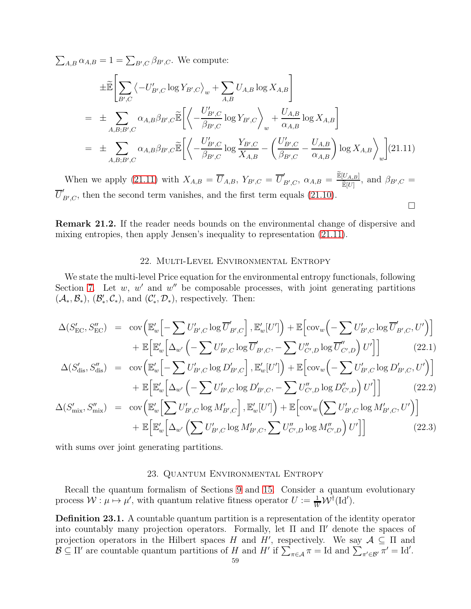$\sum_{A,B} \alpha_{A,B} = 1 = \sum_{B',C} \beta_{B',C}$ . We compute:

<span id="page-58-0"></span>
$$
\pm \widetilde{\mathbb{E}} \left[ \sum_{B',C} \left\langle -U'_{B',C} \log Y_{B',C} \right\rangle_{w} + \sum_{A,B} U_{A,B} \log X_{A,B} \right]
$$
\n
$$
= \pm \sum_{A,B;B',C} \alpha_{A,B} \beta_{B',C} \widetilde{\mathbb{E}} \left[ \left\langle -\frac{U'_{B',C}}{\beta_{B',C}} \log Y_{B',C} \right\rangle_{w} + \frac{U_{A,B}}{\alpha_{A,B}} \log X_{A,B} \right]
$$
\n
$$
= \pm \sum_{A,B;B',C} \alpha_{A,B} \beta_{B',C} \widetilde{\mathbb{E}} \left[ \left\langle -\frac{U'_{B',C}}{\beta_{B',C}} \log \frac{Y_{B',C}}{X_{A,B}} - \left( \frac{U'_{B',C}}{\beta_{B',C}} - \frac{U_{A,B}}{\alpha_{A,B}} \right) \log X_{A,B} \right\rangle_{w} \right] (21.11)
$$

When we apply [\(21.11\)](#page-58-0) with  $X_{A,B} = \overline{U}_{A,B}, Y_{B',C} = \overline{U}'_A$  $B',C, \ \alpha_{A,B} = \frac{\widetilde{\mathbb{E}}[U_{A,B}]}{\widetilde{\mathbb{E}}[U]}$  $\frac{\mathbb{E}[U]}{\widetilde{\mathbb{E}}[U]},$  and  $\beta_{B',C} =$  $\overline{U}'_j$  $E_{B',C}$ , then the second term vanishes, and the first term equals [\(21.10\)](#page-57-2).  $\Box$ 

Remark 21.2. If the reader needs bounds on the environmental change of dispersive and mixing entropies, then apply Jensen's inequality to representation [\(21.11\)](#page-58-0).

#### 22. Multi-Level Environmental Entropy

We state the multi-level Price equation for the environmental entropy functionals, following Section [7.](#page-21-0) Let  $w, w'$  and  $w''$  be composable processes, with joint generating partitions  $(\mathcal{A}_*, \mathcal{B}_*)$ ,  $(\mathcal{B}_*, \mathcal{C}_*)$ , and  $(\mathcal{C}_*, \mathcal{D}_*)$ , respectively. Then:

$$
\Delta(S'_{\text{EC}}, S''_{\text{EC}}) = \text{cov}\left(\mathbb{E}'_w \left[ -\sum U'_{B',C} \log \overline{U}'_{B',C} \right], \mathbb{E}'_w[U'] \right) + \mathbb{E} \left[ \text{cov}_w \left( -\sum U'_{B',C} \log \overline{U}'_{B',C}, U' \right) \right]
$$

$$
+ \mathbb{E} \left[ \mathbb{E}'_w \left[ \Delta_{w'} \left( -\sum U'_{B',C} \log \overline{U}'_{B',C}, -\sum U''_{C',D} \log \overline{U}'_{C',D} \right) U' \right] \right] \tag{22.1}
$$

$$
\Delta(S'_{\text{dis}}, S''_{\text{dis}}) = \text{cov}\left(\mathbb{E}'_w \left[ -\sum U'_{B',C} \log D'_{B',C} \right], \mathbb{E}'_w[U'] \right) + \mathbb{E}\left[\text{cov}_w \left( -\sum U'_{B',C} \log D'_{B',C}, U' \right) \right] + \mathbb{E}\left[\mathbb{E}'_w \left[ \Delta_{w'} \left( -\sum U'_{B',C} \log D'_{B',C}, -\sum U''_{C',D} \log D''_{C',D} \right) U' \right] \right]
$$
(22.2)

$$
\Delta(S'_{\text{mix}}, S''_{\text{mix}}) = \text{cov}\Big(\mathbb{E}'_{w}\Big[\sum_{b'} U'_{B',C} \log M'_{B',C}\Big], \mathbb{E}'_{w}[U']\Big) + \mathbb{E}\Big[\text{cov}_{w}\Big(\sum_{b',c'} U'_{B',C} \log M'_{B',C}, U'\Big)\Big] + \mathbb{E}\Big[\mathbb{E}'_{w}\Big[\Delta_{w'}\Big(\sum_{b',c'} U'_{B',C} \log M'_{B',C}, \sum_{b'} U''_{C',D} \log M''_{C',D}\Big) U'\Big]\Big]
$$
(22.3)

with sums over joint generating partitions.

## 23. Quantum Environmental Entropy

Recall the quantum formalism of Sections [9](#page-25-0) and [15.](#page-42-1) Consider a quantum evolutionary process  $W: \mu \mapsto \mu'$ , with quantum relative fitness operator  $U := \frac{1}{W} \mathcal{W}^{\dagger}(\text{Id}').$ 

Definition 23.1. A countable quantum partition is a representation of the identity operator into countably many projection operators. Formally, let  $\Pi$  and  $\Pi'$  denote the spaces of projection operators in the Hilbert spaces H and H', respectively. We say  $A \subseteq \Pi$  and  $\mathcal{B} \subseteq \Pi'$  are countable quantum partitions of H and H' if  $\sum_{\pi \in \mathcal{A}} \pi = \text{Id}$  and  $\sum_{\pi' \in \mathcal{B}'} \pi' = \text{Id}'$ .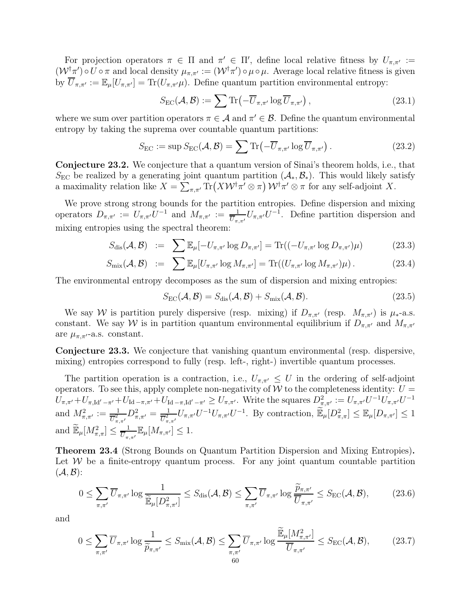For projection operators  $\pi \in \Pi$  and  $\pi' \in \Pi'$ , define local relative fitness by  $U_{\pi,\pi'} :=$  $(\mathcal{W}^\dagger \pi') \circ U \circ \pi$  and local density  $\mu_{\pi,\pi'} := (\mathcal{W}^\dagger \pi') \circ \mu \circ \mu$ . Average local relative fitness is given by  $\overline{U}_{\pi,\pi'} := \mathbb{E}_{\mu}[U_{\pi,\pi'}] = \text{Tr}(U_{\pi,\pi'}\mu)$ . Define quantum partition environmental entropy:

$$
S_{\rm EC}(\mathcal{A}, \mathcal{B}) := \sum \text{Tr}\left(-\overline{U}_{\pi,\pi'} \log \overline{U}_{\pi,\pi'}\right),\tag{23.1}
$$

where we sum over partition operators  $\pi \in A$  and  $\pi' \in \mathcal{B}$ . Define the quantum environmental entropy by taking the suprema over countable quantum partitions:

$$
S_{\rm EC} := \sup S_{\rm EC}(\mathcal{A}, \mathcal{B}) = \sum \text{Tr} \left( -\overline{U}_{\pi, \pi'} \log \overline{U}_{\pi, \pi'} \right). \tag{23.2}
$$

Conjecture 23.2. We conjecture that a quantum version of Sinai's theorem holds, i.e., that  $S_{\text{EC}}$  be realized by a generating joint quantum partition  $(\mathcal{A}_*, \mathcal{B}_*)$ . This would likely satisfy a maximality relation like  $X = \sum_{\pi,\pi'} \text{Tr}\left(X\mathcal{W}^\dagger \pi' \otimes \pi\right) \mathcal{W}^\dagger \pi' \otimes \pi$  for any self-adjoint X.

We prove strong strong bounds for the partition entropies. Define dispersion and mixing operators  $D_{\pi,\pi'} := U_{\pi,\pi'}U^{-1}$  and  $M_{\pi,\pi'} := \frac{1}{\overline{U}_{\pi,\pi'}}U_{\pi,\pi'}U^{-1}$ . Define partition dispersion and mixing entropies using the spectral theorem:

$$
S_{\text{dis}}(\mathcal{A}, \mathcal{B}) \quad := \quad \sum \mathbb{E}_{\mu}[-U_{\pi, \pi'} \log D_{\pi, \pi'}] = \text{Tr}((-U_{\pi, \pi'} \log D_{\pi, \pi'})\mu) \tag{23.3}
$$

$$
S_{\text{mix}}(\mathcal{A}, \mathcal{B}) \quad := \quad \sum \mathbb{E}_{\mu}[U_{\pi, \pi'} \log M_{\pi, \pi'}] = \text{Tr}((U_{\pi, \pi'} \log M_{\pi, \pi'})\mu) \,. \tag{23.4}
$$

The environmental entropy decomposes as the sum of dispersion and mixing entropies:

$$
S_{\rm EC}(\mathcal{A}, \mathcal{B}) = S_{\rm dis}(\mathcal{A}, \mathcal{B}) + S_{\rm mix}(\mathcal{A}, \mathcal{B}).
$$
\n(23.5)

We say W is partition purely dispersive (resp. mixing) if  $D_{\pi,\pi'}$  (resp.  $M_{\pi,\pi'}$ ) is  $\mu_*$ -a.s. constant. We say W is in partition quantum environmental equilibrium if  $D_{\pi,\pi'}$  and  $M_{\pi,\pi'}$ are  $\mu_{\pi,\pi'}$ -a.s. constant.

Conjecture 23.3. We conjecture that vanishing quantum environmental (resp. dispersive, mixing) entropies correspond to fully (resp. left-, right-) invertible quantum processes.

The partition operation is a contraction, i.e.,  $U_{\pi,\pi'} \leq U$  in the ordering of self-adjoint operators. To see this, apply complete non-negativity of  $W$  to the completeness identity:  $U =$  $U_{\pi,\pi'} + U_{\pi,\mathrm{Id}'-\pi'} + U_{\mathrm{Id}-\pi,\pi'} + U_{\mathrm{Id}-\pi,\mathrm{Id}'-\pi'} \geq U_{\pi,\pi'}.$  Write the squares  $D^2_{\pi,\pi'} := U_{\pi,\pi'}U^{-1}U_{\pi,\pi'}U^{-1}$ and  $M^2_{\pi,\pi'} := \frac{1}{\overline{U}^2_{\pi,\pi'}} D^2_{\pi,\pi'} = \frac{1}{\overline{U}^2_{\pi}}$  $\frac{1}{\overline{U}_{\pi,\pi'}^2}U_{\pi,\pi'}U^{-1}U_{\pi,\pi'}U^{-1}$ . By contraction,  $\widetilde{\mathbb{E}}_{\mu}[D^2_{\pi,\pi}] \leq \mathbb{E}_{\mu}[D_{\pi,\pi'}]\leq 1$ and  $\widetilde{\mathbb{E}}_{\mu}[M_{\pi,\pi}^2] \leq \frac{1}{\overline{U}_{\pi}}$  $\frac{1}{\overline{U}_{\pi,\pi'}} \mathbb{E}_{\mu}[M_{\pi,\pi'}] \leq 1.$ 

Theorem 23.4 (Strong Bounds on Quantum Partition Dispersion and Mixing Entropies). Let  $W$  be a finite-entropy quantum process. For any joint quantum countable partition  $(A, B)$ :

<span id="page-59-0"></span>
$$
0 \leq \sum_{\pi,\pi'} \overline{U}_{\pi,\pi'} \log \frac{1}{\widetilde{\mathbb{E}}_{\mu}[D_{\pi,\pi'}^2]} \leq S_{\text{dis}}(\mathcal{A}, \mathcal{B}) \leq \sum_{\pi,\pi'} \overline{U}_{\pi,\pi'} \log \frac{\widetilde{p}_{\pi,\pi'}}{\overline{U}_{\pi,\pi'}} \leq S_{\text{EC}}(\mathcal{A}, \mathcal{B}),\tag{23.6}
$$

and

<span id="page-59-1"></span>
$$
0 \leq \sum_{\pi,\pi'} \overline{U}_{\pi,\pi'} \log \frac{1}{\widetilde{p}_{\pi,\pi'}} \leq S_{\text{mix}}(\mathcal{A}, \mathcal{B}) \leq \sum_{\pi,\pi'} \overline{U}_{\pi,\pi'} \log \frac{\widetilde{\mathbb{E}}_{\mu}[M_{\pi,\pi'}^2]}{\overline{U}_{\pi,\pi'}} \leq S_{\text{EC}}(\mathcal{A}, \mathcal{B}),\tag{23.7}
$$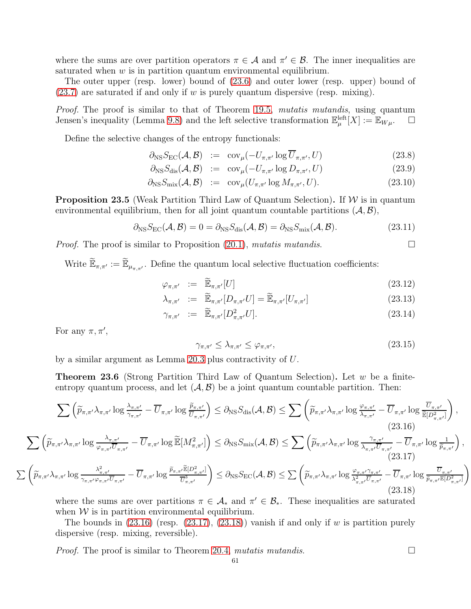where the sums are over partition operators  $\pi \in A$  and  $\pi' \in \mathcal{B}$ . The inner inequalities are saturated when  $w$  is in partition quantum environmental equilibrium.

The outer upper (resp. lower) bound of [\(23.6\)](#page-59-0) and outer lower (resp. upper) bound of  $(23.7)$  are saturated if and only if w is purely quantum dispersive (resp. mixing).

Proof. The proof is similar to that of Theorem [19.5,](#page-52-5) mutatis mutandis, using quantum Jensen's inequality (Lemma [9.8\)](#page-28-0) and the left selective transformation  $\mathbb{E}_{\mu}^{\text{left}}[X] := \mathbb{E}_{W\mu}$ .  $\Box$ 

Define the selective changes of the entropy functionals:

$$
\partial_{\text{NS}} S_{\text{EC}}(\mathcal{A}, \mathcal{B}) \quad := \quad \text{cov}_{\mu}(-U_{\pi, \pi'} \log \overline{U}_{\pi, \pi'}, U) \tag{23.8}
$$

$$
\partial_{\text{NS}} S_{\text{dis}}(\mathcal{A}, \mathcal{B}) \quad := \quad \text{cov}_{\mu}(-U_{\pi, \pi'} \log D_{\pi, \pi'}, U) \tag{23.9}
$$

$$
\partial_{\text{NS}} S_{\text{mix}}(\mathcal{A}, \mathcal{B}) \quad := \quad \text{cov}_{\mu}(U_{\pi, \pi'} \log M_{\pi, \pi'}, U). \tag{23.10}
$$

**Proposition 23.5** (Weak Partition Third Law of Quantum Selection). If  $W$  is in quantum environmental equilibrium, then for all joint quantum countable partitions  $(A, B)$ ,

$$
\partial_{\text{NS}} S_{\text{EC}}(\mathcal{A}, \mathcal{B}) = 0 = \partial_{\text{NS}} S_{\text{dis}}(\mathcal{A}, \mathcal{B}) = \partial_{\text{NS}} S_{\text{mix}}(\mathcal{A}, \mathcal{B}). \tag{23.11}
$$

*Proof.* The proof is similar to Proposition [\(20.1\)](#page-55-2), mutatis mutandis.  $\square$ 

Write  $\widetilde{\mathbb{E}}_{\pi,\pi'} := \widetilde{\mathbb{E}}_{\mu_{\pi,\pi'}}$ . Define the quantum local selective fluctuation coefficients:

$$
\varphi_{\pi,\pi'} \ := \ \widetilde{\mathbb{E}}_{\pi,\pi'}[U] \tag{23.12}
$$

$$
\lambda_{\pi,\pi'} := \widetilde{\mathbb{E}}_{\pi,\pi'}[D_{\pi,\pi'}U] = \widetilde{\mathbb{E}}_{\pi,\pi'}[U_{\pi,\pi'}]
$$
\n(23.13)

$$
\gamma_{\pi,\pi'} \quad := \quad \widetilde{\mathbb{E}}_{\pi,\pi'}[D_{\pi,\pi'}^2 U]. \tag{23.14}
$$

For any  $\pi, \pi',$ 

$$
\gamma_{\pi,\pi'} \le \lambda_{\pi,\pi'} \le \varphi_{\pi,\pi'},\tag{23.15}
$$

by a similar argument as Lemma [20.3](#page-56-3) plus contractivity of U.

**Theorem 23.6** (Strong Partition Third Law of Quantum Selection). Let w be a finiteentropy quantum process, and let  $(\mathcal{A}, \mathcal{B})$  be a joint quantum countable partition. Then:

<span id="page-60-0"></span>
$$
\sum \left( \widetilde{p}_{\pi,\pi'} \lambda_{\pi,\pi'} \log \frac{\lambda_{\pi,\pi'}}{\gamma_{\pi,\pi'}} - \overline{U}_{\pi,\pi'} \log \frac{\widetilde{p}_{\pi,\pi'}}{\overline{U}_{\pi,\pi'}} \right) \leq \partial_{\text{NS}} S_{\text{dis}}(\mathcal{A}, \mathcal{B}) \leq \sum \left( \widetilde{p}_{\pi,\pi'} \lambda_{\pi,\pi'} \log \frac{\varphi_{\pi,\pi'}}{\lambda_{\pi,\pi'}} - \overline{U}_{\pi,\pi'} \log \frac{\overline{U}_{\pi,\pi'}}{\widetilde{\mathbb{E}}[D_{\pi,\pi'}^2]} \right),\tag{23.16}
$$

<span id="page-60-1"></span>
$$
\sum \left( \widetilde{p}_{\pi,\pi'} \lambda_{\pi,\pi'} \log \frac{\lambda_{\pi,\pi'}}{\varphi_{\pi,\pi'} \overline{U}_{\pi,\pi'}} - \overline{U}_{\pi,\pi'} \log \widetilde{\mathbb{E}}[M_{\pi,\pi'}^2] \right) \leq \partial_{\text{NS}} S_{\text{mix}}(\mathcal{A}, \mathcal{B}) \leq \sum \left( \widetilde{p}_{\pi,\pi'} \lambda_{\pi,\pi'} \log \frac{\gamma_{\pi,\pi'}}{\lambda_{\pi,\pi'} \overline{U}_{\pi,\pi'}} - \overline{U}_{\pi,\pi'} \log \frac{1}{\widetilde{p}_{\pi,\pi'}} \right) \tag{23.17}
$$

$$
\sum \left( \widetilde{p}_{\pi,\pi'} \lambda_{\pi,\pi'} \log \frac{\lambda_{\pi,\pi'}^2}{\gamma_{\pi,\pi'} \varphi_{\pi,\pi'} \overline{U}_{\pi,\pi'}} - \overline{U}_{\pi,\pi'} \log \frac{\widetilde{p}_{\pi,\pi'} \widetilde{\mathbb{E}}[D_{\pi,\pi'}^2]}{\overline{U}_{\pi,\pi'}^3} \right) \le \partial_{\mathrm{NS}} S_{\mathrm{EC}}(\mathcal{A}, \mathcal{B}) \le \sum \left( \widetilde{p}_{\pi,\pi'} \lambda_{\pi,\pi'} \log \frac{\varphi_{\pi,\pi'} \gamma_{\pi,\pi'}}{\lambda_{\pi,\pi'}^2 \overline{U}_{\pi,\pi'}} - \overline{U}_{\pi,\pi'} \log \frac{\overline{U}_{\pi,\pi'}}{\widetilde{p}_{\pi,\pi'} \mathbb{E}[D_{\pi,\pi'}^2]} \right) \tag{23.18}
$$

<span id="page-60-2"></span>where the sums are over partitions  $\pi \in A_*$  and  $\pi' \in \mathcal{B}_*$ . These inequalities are saturated when  $W$  is in partition environmental equilibrium.

The bounds in  $(23.16)$  (resp.  $(23.17)$ ,  $(23.18)$ ) vanish if and only if w is partition purely dispersive (resp. mixing, reversible).

*Proof.* The proof is similar to Theorem [20.4,](#page-56-4) mutatis mutandis.  $\square$ 

,

 $\overline{ }$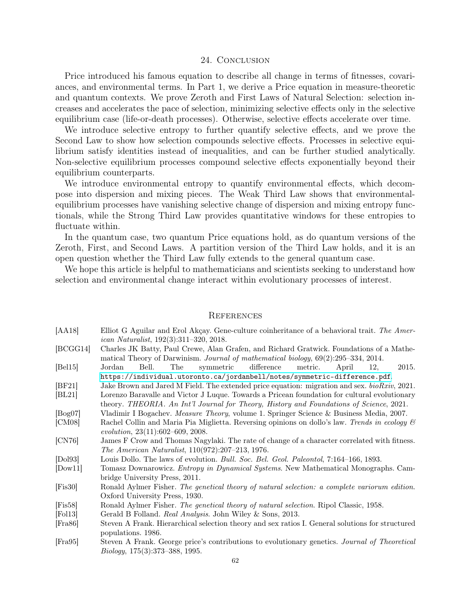## 24. CONCLUSION

Price introduced his famous equation to describe all change in terms of fitnesses, covariances, and environmental terms. In Part 1, we derive a Price equation in measure-theoretic and quantum contexts. We prove Zeroth and First Laws of Natural Selection: selection increases and accelerates the pace of selection, minimizing selective effects only in the selective equilibrium case (life-or-death processes). Otherwise, selective effects accelerate over time.

We introduce selective entropy to further quantify selective effects, and we prove the Second Law to show how selection compounds selective effects. Processes in selective equilibrium satisfy identities instead of inequalities, and can be further studied analytically. Non-selective equilibrium processes compound selective effects exponentially beyond their equilibrium counterparts.

We introduce environmental entropy to quantify environmental effects, which decompose into dispersion and mixing pieces. The Weak Third Law shows that environmentalequilibrium processes have vanishing selective change of dispersion and mixing entropy functionals, while the Strong Third Law provides quantitative windows for these entropies to fluctuate within.

In the quantum case, two quantum Price equations hold, as do quantum versions of the Zeroth, First, and Second Laws. A partition version of the Third Law holds, and it is an open question whether the Third Law fully extends to the general quantum case.

We hope this article is helpful to mathematicians and scientists seeking to understand how selection and environmental change interact within evolutionary processes of interest.

#### **REFERENCES**

<span id="page-61-5"></span><span id="page-61-4"></span><span id="page-61-3"></span><span id="page-61-2"></span><span id="page-61-1"></span><span id="page-61-0"></span>

| [AA18]                  | Elliot G Aguilar and Erol Akçay. Gene-culture coinheritance of a behavioral trait. The Amer-<br><i>ican Naturalist</i> , $192(3):311-320, 2018.$                               |
|-------------------------|--------------------------------------------------------------------------------------------------------------------------------------------------------------------------------|
| [BCGG14]                | Charles JK Batty, Paul Crewe, Alan Grafen, and Richard Gratwick. Foundations of a Mathe-<br>matical Theory of Darwinism. Journal of mathematical biology, 69(2):295-334, 2014. |
| [Bel15]                 | The<br>difference<br>metric.<br>April<br>Bell.<br>symmetric<br>12.<br>2015.<br>Jordan                                                                                          |
|                         | https://individual.utoronto.ca/jordanbell/notes/symmetric-difference.pdf.                                                                                                      |
| [BF21]                  | Jake Brown and Jared M Field. The extended price equation: migration and sex. $bioRxiv$ , 2021.                                                                                |
| BL21                    | Lorenzo Baravalle and Victor J Luque. Towards a Pricean foundation for cultural evolutionary                                                                                   |
|                         | theory. THEORIA. An Int'l Journal for Theory, History and Foundations of Science, 2021.                                                                                        |
| [Bog07]                 | Vladimir I Bogachev. Measure Theory, volume 1. Springer Science & Business Media, 2007.                                                                                        |
| [CM08]                  | Rachel Collin and Maria Pia Miglietta. Reversing opinions on dollo's law. Trends in ecology $\mathcal C$                                                                       |
|                         | evolution, 23(11):602-609, 2008.                                                                                                                                               |
| $\left[$ CN76 $\right]$ | James F Crow and Thomas Nagylaki. The rate of change of a character correlated with fitness.                                                                                   |
|                         | The American Naturalist, 110(972):207-213, 1976.                                                                                                                               |
| [Do193]                 | Louis Dollo. The laws of evolution. Bull. Soc. Bel. Geol. Paleontol, 7:164-166, 1893.                                                                                          |
| [Down1]                 | Tomasz Downarowicz. Entropy in Dynamical Systems. New Mathematical Monographs. Cam-                                                                                            |
|                         | bridge University Press, 2011.                                                                                                                                                 |
| [Fix30]                 | Ronald Aylmer Fisher. The genetical theory of natural selection: a complete variorum edition.                                                                                  |
|                         | Oxford University Press, 1930.                                                                                                                                                 |
| [Fis58]                 | Ronald Aylmer Fisher. The genetical theory of natural selection. Ripol Classic, 1958.                                                                                          |
| $[{\rm Fol13}]$         | Gerald B Folland. Real Analysis. John Wiley & Sons, 2013.                                                                                                                      |
| [Fra86]                 | Steven A Frank. Hierarchical selection theory and sex ratios I. General solutions for structured                                                                               |
|                         | populations. 1986.                                                                                                                                                             |
| [Fra95]                 | Steven A Frank. George price's contributions to evolutionary genetics. Journal of Theoretical                                                                                  |
|                         | <i>Biology</i> , 175(3):373-388, 1995.                                                                                                                                         |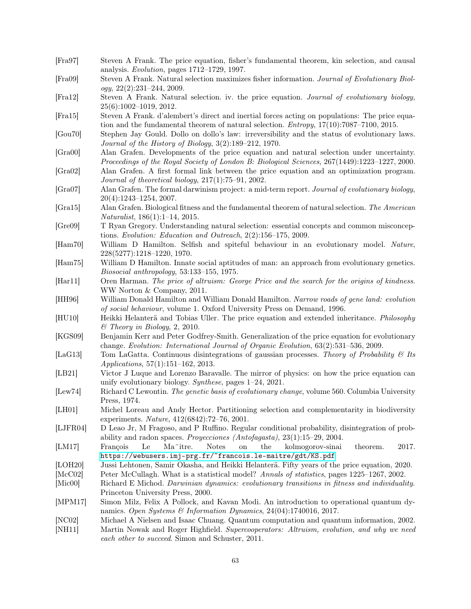<span id="page-62-1"></span><span id="page-62-0"></span>

| [Fra97]                     | Steven A Frank. The price equation, fisher's fundamental theorem, kin selection, and causal<br>analysis. Evolution, pages 1712-1729, 1997.                                                              |
|-----------------------------|---------------------------------------------------------------------------------------------------------------------------------------------------------------------------------------------------------|
| [Fra09]                     | Steven A Frank. Natural selection maximizes fisher information. Journal of Evolutionary Biol-<br>ogy, $22(2):231-244, 2009.$                                                                            |
| [Fra12]                     | Steven A Frank. Natural selection. iv. the price equation. Journal of evolutionary biology,<br>$25(6):1002-1019, 2012.$                                                                                 |
| [Fra15]                     | Steven A Frank. d'alembert's direct and inertial forces acting on populations: The price equa-<br>tion and the fundamental theorem of natural selection. <i>Entropy</i> , $17(10):7087-7100$ , $2015$ . |
| [Gou70]                     | Stephen Jay Gould. Dollo on dollo's law: irreversibility and the status of evolutionary laws.<br>Journal of the History of Biology, 3(2):189-212, 1970.                                                 |
| [Gra00]                     | Alan Grafen. Developments of the price equation and natural selection under uncertainty.<br>Proceedings of the Royal Society of London B: Biological Sciences, 267(1449):1223-1227, 2000.               |
| [Gra02]                     | Alan Grafen. A first formal link between the price equation and an optimization program.<br>Journal of theoretical biology, $217(1)$ :75-91, 2002.                                                      |
| [Gra07]                     | Alan Grafen. The formal darwinism project: a mid-term report. Journal of evolutionary biology,<br>$20(4):1243-1254, 2007.$                                                                              |
| [Gra15]                     | Alan Grafen. Biological fitness and the fundamental theorem of natural selection. The American<br><i>Naturalist</i> , 186(1):1-14, 2015.                                                                |
| [Gre09]                     | T Ryan Gregory. Understanding natural selection: essential concepts and common misconcep-<br>tions. Evolution: Education and Outreach, $2(2)$ :156-175, 2009.                                           |
| $[\text{Ham70}]$            | William D Hamilton. Selfish and spiteful behaviour in an evolutionary model. Nature,<br>228(5277):1218-1220, 1970.                                                                                      |
| $[\text{Ham75}]$            | William D Hamilton. Innate social aptitudes of man: an approach from evolutionary genetics.<br>Biosocial anthropology, 53:133-155, 1975.                                                                |
| [Har11]                     | Oren Harman. The price of altruism: George Price and the search for the origins of kindness.<br>WW Norton & Company, 2011.                                                                              |
| [HH96]                      | William Donald Hamilton and William Donald Hamilton. Narrow roads of gene land: evolution<br>of social behaviour, volume 1. Oxford University Press on Demand, 1996.                                    |
| [HU10]                      | Heikki Helanterä and Tobias Uller. The price equation and extended inheritance. Philosophy<br>$\mathcal E$ Theory in Biology, 2, 2010.                                                                  |
| [KGS09]                     | Benjamin Kerr and Peter Godfrey-Smith. Generalization of the price equation for evolutionary<br>change. Evolution: International Journal of Organic Evolution, 63(2):531-536, 2009.                     |
| [LaG13]                     | Tom LaGatta. Continuous disintegrations of gaussian processes. Theory of Probability & Its<br>Applications, $57(1):151-162$ , 2013.                                                                     |
| [LB21]                      | Victor J Luque and Lorenzo Baravalle. The mirror of physics: on how the price equation can<br>unify evolutionary biology. Synthese, pages 1-24, 2021.                                                   |
| [Law74]                     | Richard C Lewontin. The genetic basis of evolutionary change, volume 560. Columbia University<br>Press, 1974.                                                                                           |
| [LH01]                      | Michel Loreau and Andy Hector. Partitioning selection and complementarity in biodiversity<br>experiments. Nature, 412(6842):72-76, 2001.                                                                |
| [LJFR04]                    | D Leao Jr, M Fragoso, and P Ruffino. Regular conditional probability, disintegration of prob-<br>ability and radon spaces. Proyecciones (Antofagasta), $23(1):15-29$ , $2004$ .                         |
| [LM17]                      | theorem.<br>2017.<br>François<br>Le<br>Ma <sup><math>\hat{ }</math></sup> itre.<br><b>Notes</b><br>the<br>kolmogorov-sinai<br>on<br>https://webusers.imj-prg.fr/~francois.le-maitre/gdt/KS.pdf.         |
| [LOH20]                     | Jussi Lehtonen, Samir Okasha, and Heikki Helanterä. Fifty years of the price equation, 2020.                                                                                                            |
| [McCO2]<br>$[\text{Mic}00]$ | Peter McCullagh. What is a statistical model? Annals of statistics, pages 1225–1267, 2002.<br>Richard E Michod. Darwinian dynamics: evolutionary transitions in fitness and individuality.              |
| [MPM17]                     | Princeton University Press, 2000.<br>Simon Milz, Felix A Pollock, and Kavan Modi. An introduction to operational quantum dy-                                                                            |
| [NC02]                      | namics. Open Systems & Information Dynamics, $24(04):1740016$ , 2017.<br>Michael A Nielsen and Isaac Chuang. Quantum computation and quantum information, 2002.                                         |
| [NH11]                      | Martin Nowak and Roger Highfield. Supercooperators: Altruism, evolution, and why we need<br>each other to succeed. Simon and Schuster, 2011.                                                            |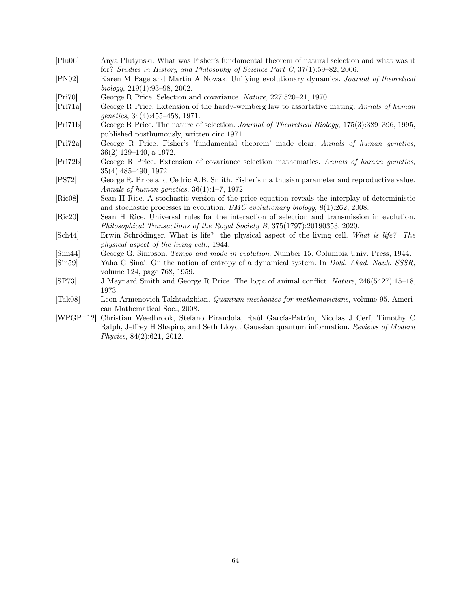- [Plu06] Anya Plutynski. What was Fisher's fundamental theorem of natural selection and what was it for? *Studies in History and Philosophy of Science Part C*, 37(1):59–82, 2006.
- [PN02] Karen M Page and Martin A Nowak. Unifying evolutionary dynamics. *Journal of theoretical biology*, 219(1):93–98, 2002.
- [Pri70] George R Price. Selection and covariance. *Nature*, 227:520–21, 1970.
- [Pri71a] George R Price. Extension of the hardy-weinberg law to assortative mating. *Annals of human genetics*, 34(4):455–458, 1971.
- [Pri71b] George R Price. The nature of selection. *Journal of Theoretical Biology*, 175(3):389–396, 1995, published posthumously, written circ 1971.
- [Pri72a] George R Price. Fisher's 'fundamental theorem' made clear. *Annals of human genetics*, 36(2):129–140, a 1972.
- [Pri72b] George R Price. Extension of covariance selection mathematics. *Annals of human genetics*, 35(4):485–490, 1972.
- [PS72] George R. Price and Cedric A.B. Smith. Fisher's malthusian parameter and reproductive value. *Annals of human genetics*, 36(1):1–7, 1972.
- [Ric08] Sean H Rice. A stochastic version of the price equation reveals the interplay of deterministic and stochastic processes in evolution. *BMC evolutionary biology*, 8(1):262, 2008.
- [Ric20] Sean H Rice. Universal rules for the interaction of selection and transmission in evolution. *Philosophical Transactions of the Royal Society B*, 375(1797):20190353, 2020.
- [Sch44] Erwin Schrödinger. What is life? the physical aspect of the living cell. *What is life? The physical aspect of the living cell.*, 1944.
- [Sim44] George G. Simpson. *Tempo and mode in evolution*. Number 15. Columbia Univ. Press, 1944.
- <span id="page-63-0"></span>[Sin59] Yaha G Sinai. On the notion of entropy of a dynamical system. In *Dokl. Akad. Nauk. SSSR*, volume 124, page 768, 1959.
- [SP73] J Maynard Smith and George R Price. The logic of animal conflict. *Nature*, 246(5427):15–18, 1973.
- [Tak08] Leon Armenovich Takhtadzhian. *Quantum mechanics for mathematicians*, volume 95. American Mathematical Soc., 2008.
- [WPGP+12] Christian Weedbrook, Stefano Pirandola, Raúl García-Patrón, Nicolas J Cerf, Timothy C Ralph, Jeffrey H Shapiro, and Seth Lloyd. Gaussian quantum information. *Reviews of Modern Physics*, 84(2):621, 2012.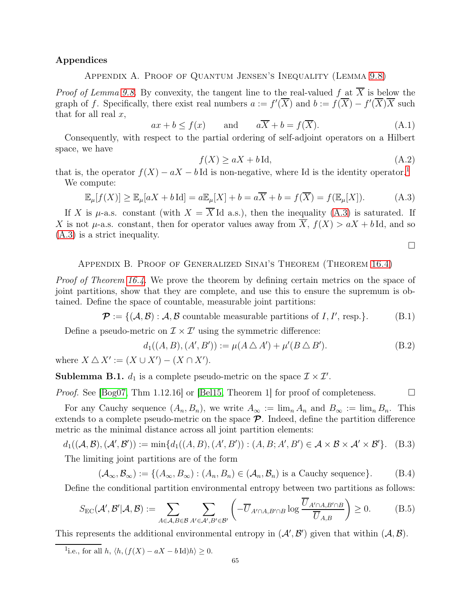## Appendices

Appendix A. Proof of Quantum Jensen's Inequality (Lemma [9.8\)](#page-28-0)

*Proof of Lemma [9.8.](#page-28-0)* By convexity, the tangent line to the real-valued f at  $\overline{X}$  is below the graph of f. Specifically, there exist real numbers  $a := f'(\overline{X})$  and  $b := f(\overline{X}) - f'(\overline{X})\overline{X}$  such that for all real  $x$ ,

$$
ax + b \le f(x)
$$
 and  $a\overline{X} + b = f(\overline{X}).$  (A.1)

Consequently, with respect to the partial ordering of self-adjoint operators on a Hilbert space, we have

$$
f(X) \ge aX + b \operatorname{Id},\tag{A.2}
$$

that is, the operator  $f(X) - aX - bI$ d is non-negative, where Id is the identity operator.<sup>[1](#page-64-1)</sup> We compute:

<span id="page-64-2"></span>
$$
\mathbb{E}_{\mu}[f(X)] \ge \mathbb{E}_{\mu}[aX + b\operatorname{Id}] = a\mathbb{E}_{\mu}[X] + b = a\overline{X} + b = f(\overline{X}) = f(\mathbb{E}_{\mu}[X]). \tag{A.3}
$$

If X is  $\mu$ -a.s. constant (with  $X = X$ Id a.s.), then the inequality [\(A.3\)](#page-64-2) is saturated. If X is not  $\mu$ -a.s. constant, then for operator values away from  $\overline{X}$ ,  $f(X) > aX + b \operatorname{Id}$ , and so [\(A.3\)](#page-64-2) is a strict inequality.

 $\Box$ 

#### <span id="page-64-0"></span>Appendix B. Proof of Generalized Sinai's Theorem (Theorem [16.4\)](#page-45-0)

*Proof of Theorem [16.4.](#page-45-0)* We prove the theorem by defining certain metrics on the space of joint partitions, show that they are complete, and use this to ensure the supremum is obtained. Define the space of countable, measurable joint partitions:

$$
\mathcal{P} := \{ (\mathcal{A}, \mathcal{B}) : \mathcal{A}, \mathcal{B} \text{ countable measurable partitions of } I, I', \text{ resp.} \}. \tag{B.1}
$$

Define a pseudo-metric on  $\mathcal{I} \times \mathcal{I}'$  using the symmetric difference:

$$
d_1((A, B), (A', B')) := \mu(A \bigtriangleup A') + \mu'(B \bigtriangleup B').
$$
 (B.2)

where  $X \triangle X' := (X \cup X') - (X \cap X')$ .

**Sublemma B.1.**  $d_1$  is a complete pseudo-metric on the space  $\mathcal{I} \times \mathcal{I}'$ .

*Proof.* See [\[Bog07,](#page-61-4) Thm 1.12.16] or [\[Bel15,](#page-61-5) Theorem 1] for proof of completeness.  $\Box$ 

For any Cauchy sequence  $(A_n, B_n)$ , we write  $A_\infty := \lim_n A_n$  and  $B_\infty := \lim_n B_n$ . This extends to a complete pseudo-metric on the space  $\mathcal{P}$ . Indeed, define the partition difference metric as the minimal distance across all joint partition elements:

$$
d_1((\mathcal{A}, \mathcal{B}), (\mathcal{A}', \mathcal{B}')) := \min\{d_1((A, B), (A', B')) : (A, B; A', B') \in \mathcal{A} \times \mathcal{B} \times \mathcal{A}' \times \mathcal{B}'\}.
$$
 (B.3) The limiting joint partitions are of the form

$$
(\mathcal{A}_{\infty}, \mathcal{B}_{\infty}) := \{ (A_{\infty}, B_{\infty}) : (A_n, B_n) \in (\mathcal{A}_n, \mathcal{B}_n) \text{ is a Cauchy sequence} \}. \tag{B.4}
$$

Define the conditional partition environmental entropy between two partitions as follows:

<span id="page-64-3"></span>
$$
S_{\rm EC}(\mathcal{A}',\mathcal{B}'|\mathcal{A},\mathcal{B}) := \sum_{A \in \mathcal{A}, B \in \mathcal{B}} \sum_{A' \in \mathcal{A}', B' \in \mathcal{B}'} \left( -\overline{U}_{A' \cap A, B' \cap B} \log \frac{\overline{U}_{A' \cap A, B' \cap B}}{\overline{U}_{A,B}} \right) \ge 0.
$$
 (B.5)

This represents the additional environmental entropy in  $(\mathcal{A}', \mathcal{B}')$  given that within  $(\mathcal{A}, \mathcal{B})$ .

<span id="page-64-1"></span><sup>1</sup>i.e., for all  $h, \langle h, (f(X) - aX - b \, \mathrm{Id})h \rangle \geq 0$ .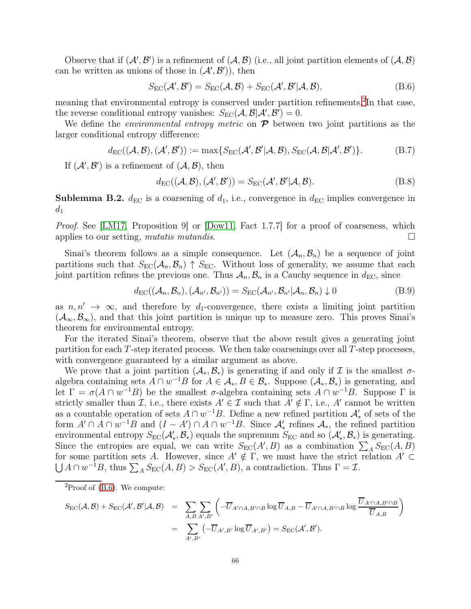Observe that if  $(A', B')$  is a refinement of  $(A, B)$  (i.e., all joint partition elements of  $(A, B)$ ) can be written as unions of those in  $(\mathcal{A}', \mathcal{B}')$ , then

<span id="page-65-1"></span>
$$
S_{\rm EC}(\mathcal{A}', \mathcal{B}') = S_{\rm EC}(\mathcal{A}, \mathcal{B}) + S_{\rm EC}(\mathcal{A}', \mathcal{B}' | \mathcal{A}, \mathcal{B}),
$$
(B.6)

meaning that environmental entropy is conserved under partition refinements.<sup>[2](#page-65-0)</sup>In that case, the reverse conditional entropy vanishes:  $S_{\text{EC}}(\mathcal{A}, \mathcal{B}|\mathcal{A}', \mathcal{B}') = 0$ .

We define the *environmental entropy metric* on  $\mathcal{P}$  between two joint partitions as the larger conditional entropy difference:

<span id="page-65-2"></span>
$$
d_{\rm EC}((\mathcal{A}, \mathcal{B}), (\mathcal{A}', \mathcal{B}')) := \max\{S_{\rm EC}(\mathcal{A}', \mathcal{B}'|\mathcal{A}, \mathcal{B}), S_{\rm EC}(\mathcal{A}, \mathcal{B}|\mathcal{A}', \mathcal{B}')\}.
$$
(B.7)

If  $(\mathcal{A}', \mathcal{B}')$  is a refinement of  $(\mathcal{A}, \mathcal{B})$ , then

$$
d_{\rm EC}((\mathcal{A}, \mathcal{B}), (\mathcal{A}', \mathcal{B}')) = S_{\rm EC}(\mathcal{A}', \mathcal{B}' | \mathcal{A}, \mathcal{B}).
$$
\n(B.8)

**Sublemma B.2.**  $d_{\text{EC}}$  is a coarsening of  $d_1$ , i.e., convergence in  $d_{\text{EC}}$  implies convergence in  $d_1$ 

*Proof.* See [\[LM17,](#page-62-0) Proposition 9] or [\[Dow11,](#page-61-1) Fact 1.7.7] for a proof of coarseness, which applies to our setting, mutatis mutandis.  $\square$ 

Sinai's theorem follows as a simple consequence. Let  $(A_n, B_n)$  be a sequence of joint partitions such that  $S_{EC}(\mathcal{A}_n, \mathcal{B}_n) \uparrow S_{EC}$ . Without loss of generality, we assume that each joint partition refines the previous one. Thus  $A_n, B_n$  is a Cauchy sequence in  $d_{\text{EC}}$ , since

$$
d_{\rm EC}((\mathcal{A}_n, \mathcal{B}_n), (\mathcal{A}_{n'}, \mathcal{B}_{n'})) = S_{\rm EC}(\mathcal{A}_{n'}, \mathcal{B}_{n'} | \mathcal{A}_n, \mathcal{B}_n) \downarrow 0
$$
(B.9)

as  $n, n' \rightarrow \infty$ , and therefore by  $d_1$ -convergence, there exists a limiting joint partition  $(\mathcal{A}_{\infty}, \mathcal{B}_{\infty})$ , and that this joint partition is unique up to measure zero. This proves Sinai's theorem for environmental entropy.

For the iterated Sinai's theorem, observe that the above result gives a generating joint partition for each T-step iterated process. We then take coarsenings over all T-step processes, with convergence guaranteed by a similar argument as above.

We prove that a joint partition  $(\mathcal{A}_*, \mathcal{B}_*)$  is generating if and only if  $\mathcal I$  is the smallest  $\sigma$ algebra containing sets  $A \cap w^{-1}B$  for  $A \in \mathcal{A}_*, B \in \mathcal{B}_*$ . Suppose  $(\mathcal{A}_*, \mathcal{B}_*)$  is generating, and let  $\Gamma = \sigma(A \cap w^{-1}B)$  be the smallest  $\sigma$ -algebra containing sets  $A \cap w^{-1}B$ . Suppose  $\Gamma$  is strictly smaller than I, i.e., there exists  $A' \in \mathcal{I}$  such that  $A' \notin \Gamma$ , i.e., A' cannot be written as a countable operation of sets  $A \cap w^{-1}B$ . Define a new refined partition  $\mathcal{A}'_*$  of sets of the form  $A' \cap A \cap w^{-1}B$  and  $(I - A') \cap A \cap w^{-1}B$ . Since  $\mathcal{A}'_*$  refines  $\mathcal{A}_*$ , the refined partition environmental entropy  $S_{EC}(\mathcal{A}'_*, \mathcal{B}_*)$  equals the supremum  $S_{EC}$  and so  $(\mathcal{A}'_*, \mathcal{B}_*)$  is generating. Since the entropies are equal, we can write  $S_{EC}(A',B)$  as a combination  $\sum_{A} S_{EC}(A, B)$ for some partition sets A. However, since  $A' \notin \Gamma$ , we must have the strict relation  $A' \subset$  $\bigcup A \cap w^{-1}B$ , thus  $\sum_{A} S_{EC}(A, B) > S_{EC}(A', B)$ , a contradiction. Thus  $\Gamma = \mathcal{I}$ .

<span id="page-65-0"></span>
$$
S_{\rm EC}(\mathcal{A}, \mathcal{B}) + S_{\rm EC}(\mathcal{A}', \mathcal{B}'|\mathcal{A}, \mathcal{B}) = \sum_{A, B \ A', B'} \left( -\overline{U}_{A' \cap A, B' \cap B} \log \overline{U}_{A, B} - \overline{U}_{A' \cap A, B' \cap B} \log \frac{\overline{U}_{A' \cap A, B' \cap B}}{\overline{U}_{A, B}} \right)
$$
  
= 
$$
\sum_{A', B'} \left( -\overline{U}_{A', B'} \log \overline{U}_{A', B'} \right) = S_{\rm EC}(\mathcal{A}', \mathcal{B}').
$$

 ${}^{2}$ Proof of [\(B.6\)](#page-65-1). We compute: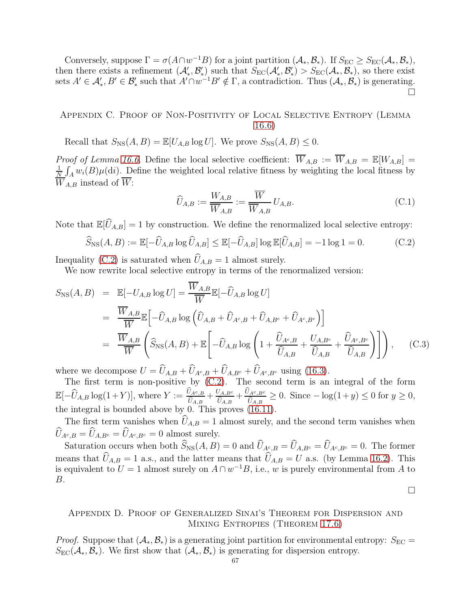Conversely, suppose  $\Gamma = \sigma(A \cap w^{-1}B)$  for a joint partition  $(\mathcal{A}_{*}, \mathcal{B}_{*})$ . If  $S_{EC} \geq S_{EC}(\mathcal{A}_{*}, \mathcal{B}_{*})$ , then there exists a refinement  $(\mathcal{A}'_*, \mathcal{B}'_*)$  such that  $S_{EC}(\mathcal{A}'_*, \mathcal{B}'_*) > S_{EC}(\mathcal{A}_*, \mathcal{B}_*)$ , so there exist sets  $A' \in \mathcal{A}'_*, B' \in \mathcal{B}'_*$  such that  $A' \cap w^{-1}B' \notin \Gamma$ , a contradiction. Thus  $(\mathcal{A}_*, \mathcal{B}_*)$  is generating.  $\Box$ 

<span id="page-66-0"></span>Appendix C. Proof of Non-Positivity of Local Selective Entropy (Lemma [16.6\)](#page-45-2)

Recall that  $S_{\text{NS}}(A, B) = \mathbb{E}[U_{A,B} \log U]$ . We prove  $S_{\text{NS}}(A, B) \leq 0$ .

*Proof of Lemma [16.6.](#page-45-2)* Define the local selective coefficient:  $\overline{W}_{A,B} := \overline{W}_{A,B} = \mathbb{E}[W_{A,B}] =$ 1  $\frac{1}{N}\int_A w_i(B)\mu(\mathrm{d}i)$ . Define the weighted local relative fitness by weighting the local fitness by  $\overline{W}_{A,B}$  instead of  $\overline{W}$ :

$$
\widehat{U}_{A,B} := \frac{W_{A,B}}{\overline{W}_{A,B}} := \frac{\overline{W}}{\overline{W}_{A,B}} U_{A,B}.
$$
\n(C.1)

Note that  $\mathbb{E}[\hat{U}_{A,B}] = 1$  by construction. We define the renormalized local selective entropy:

<span id="page-66-2"></span>
$$
\widehat{S}_{\text{NS}}(A,B) := \mathbb{E}[-\widehat{U}_{A,B}\log\widehat{U}_{A,B}] \le \mathbb{E}[-\widehat{U}_{A,B}]\log\mathbb{E}[\widehat{U}_{A,B}] = -1\log 1 = 0.
$$
 (C.2)

Inequality [\(C.2\)](#page-66-2) is saturated when  $U_{A,B} = 1$  almost surely.

We now rewrite local selective entropy in terms of the renormalized version:

$$
S_{\rm NS}(A, B) = \mathbb{E}[-U_{A,B}\log U] = \frac{\overline{W}_{A,B}}{\overline{W}}\mathbb{E}[-\widehat{U}_{A,B}\log U]
$$
  
\n
$$
= \frac{\overline{W}_{A,B}}{\overline{W}}\mathbb{E}\left[-\widehat{U}_{A,B}\log\left(\widehat{U}_{A,B} + \widehat{U}_{A^c,B} + \widehat{U}_{A,B^c} + \widehat{U}_{A^c,B^c}\right)\right]
$$
  
\n
$$
= \frac{\overline{W}_{A,B}}{\overline{W}}\left(\widehat{S}_{\rm NS}(A, B) + \mathbb{E}\left[-\widehat{U}_{A,B}\log\left(1 + \frac{\widehat{U}_{A^c,B}}{\widehat{U}_{A,B}} + \frac{U_{A,B^c}}{\widehat{U}_{A,B}} + \frac{\widehat{U}_{A^c,B^c}}{\widehat{U}_{A,B}}\right)\right]\right), \quad (C.3)
$$

where we decompose  $U = \widehat{U}_{A,B} + \widehat{U}_{A^c,B} + \widehat{U}_{A,B^c} + \widehat{U}_{A^c,B^c}$  using [\(16.3\)](#page-44-1).

The first term is non-positive by  $(C.2)$ . The second term is an integral of the form  $\mathbb{E}[-\widehat{U}_{A,B}\log(1+Y)],$  where  $Y := \frac{\widehat{U}_{A^c,B}}{\widehat{U}_{A,B}}$  $\frac{\widehat{U}_{A^c,B}}{\widehat{U}_{A,B}} + \frac{U_{A, B^c}}{\widehat{U}_{A,B}} + \frac{\widehat{U}_{A^c,B^c}}{\widehat{U}_{A,B}}$  $\frac{U_A c, B^c}{\widehat{U}_{A,B}} \geq 0$ . Since  $-\log(1+y) \leq 0$  for  $y \geq 0$ , the integral is bounded above by 0. This proves [\(16.11\)](#page-45-3).

The first term vanishes when  $\hat{U}_{A,B} = 1$  almost surely, and the second term vanishes when  $\widehat{U}_{A^c,B} = \widehat{U}_{A,B^c} = \widehat{U}_{A^c,B^c} = 0$  almost surely.

Saturation occurs when both  $\widehat{S}_{NS}(A, B) = 0$  and  $\widehat{U}_{A^c, B} = \widehat{U}_{A, B^c} = \widehat{U}_{A^c, B^c} = 0$ . The former means that  $\hat{U}_{A,B} = 1$  a.s., and the latter means that  $\hat{U}_{A,B} = U$  a.s. (by Lemma [16.2\)](#page-44-0). This is equivalent to  $U = 1$  almost surely on  $A \cap w^{-1}B$ , i.e., w is purely environmental from A to B.

 $\Box$ 

## <span id="page-66-1"></span>Appendix D. Proof of Generalized Sinai's Theorem for Dispersion and Mixing Entropies (Theorem [17.6\)](#page-48-3)

*Proof.* Suppose that  $(A_*, B_*)$  is a generating joint partition for environmental entropy:  $S_{\text{EC}} =$  $S_{\text{EC}}(\mathcal{A}_*, \mathcal{B}_*)$ . We first show that  $(\mathcal{A}_*, \mathcal{B}_*)$  is generating for dispersion entropy.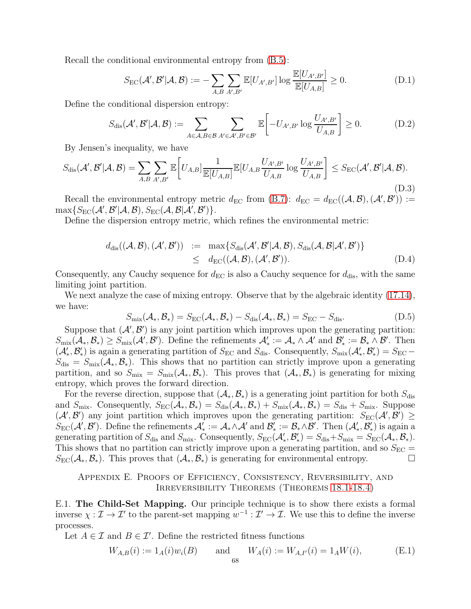Recall the conditional environmental entropy from [\(B.5\)](#page-64-3):

$$
S_{\rm EC}(\mathcal{A}',\mathcal{B}'|\mathcal{A},\mathcal{B}) := -\sum_{A,B} \sum_{A',B'} \mathbb{E}[U_{A',B'}] \log \frac{\mathbb{E}[U_{A',B'}]}{\mathbb{E}[U_{A,B}]} \ge 0.
$$
 (D.1)

Define the conditional dispersion entropy:

$$
S_{\text{dis}}(\mathcal{A}', \mathcal{B}'|\mathcal{A}, \mathcal{B}) := \sum_{A \in \mathcal{A}, B \in \mathcal{B}} \sum_{A' \in \mathcal{A}', B' \in \mathcal{B}'} \mathbb{E}\left[-U_{A',B'} \log \frac{U_{A',B'}}{U_{A,B}}\right] \ge 0.
$$
 (D.2)

By Jensen's inequality, we have

$$
S_{\text{dis}}(\mathcal{A}',\mathcal{B}'|\mathcal{A},\mathcal{B}) = \sum_{A,B} \sum_{A',B'} \mathbb{E}\bigg[U_{A,B}\bigg] \frac{1}{\mathbb{E}[U_{A,B}]} \mathbb{E}[U_{A,B} \frac{U_{A',B'}}{U_{A,B}} \log \frac{U_{A',B'}}{U_{A,B}}\bigg] \le S_{\text{EC}}(\mathcal{A}',\mathcal{B}'|\mathcal{A},\mathcal{B}).
$$
\n(D.3)

Recall the environmental entropy metric  $d_{\text{EC}}$  from [\(B.7\)](#page-65-2):  $d_{\text{EC}} = d_{\text{EC}}((A, \mathcal{B}), (\mathcal{A}', \mathcal{B}')) :=$  $\max\{S_{\rm EC}(\mathcal{A}',\mathcal{B}'|\mathcal{A},\mathcal{B}),S_{\rm EC}(\mathcal{A},\mathcal{B}|\mathcal{A}',\mathcal{B}')\}.$ 

Define the dispersion entropy metric, which refines the environmental metric:

$$
d_{\text{dis}}((\mathcal{A}, \mathcal{B}), (\mathcal{A}', \mathcal{B}')) := \max\{S_{\text{dis}}(\mathcal{A}', \mathcal{B}'|\mathcal{A}, \mathcal{B}), S_{\text{dis}}(\mathcal{A}, \mathcal{B}|\mathcal{A}', \mathcal{B}')\}
$$
  
 
$$
\leq d_{\text{EC}}((\mathcal{A}, \mathcal{B}), (\mathcal{A}', \mathcal{B}')). \tag{D.4}
$$

Consequently, any Cauchy sequence for  $d_{\text{EC}}$  is also a Cauchy sequence for  $d_{\text{dis}}$ , with the same limiting joint partition.

We next analyze the case of mixing entropy. Observe that by the algebraic identity  $(17.14)$ , we have:

$$
S_{\text{mix}}(\mathcal{A}_*, \mathcal{B}_*) = S_{\text{EC}}(\mathcal{A}_*, \mathcal{B}_*) - S_{\text{dis}}(\mathcal{A}_*, \mathcal{B}_*) = S_{\text{EC}} - S_{\text{dis}}.
$$
(D.5)

Suppose that  $(\mathcal{A}', \mathcal{B}')$  is any joint partition which improves upon the generating partition:  $S_{\text{mix}}(\mathcal{A}_*, \mathcal{B}_*) \geq S_{\text{mix}}(\mathcal{A}', \mathcal{B}')$ . Define the refinements  $\mathcal{A}'_* := \mathcal{A}_* \wedge \mathcal{A}'$  and  $\mathcal{B}'_* := \mathcal{B}_* \wedge \mathcal{B}'$ . Then  $(\mathcal{A}'_*, \mathcal{B}'_*)$  is again a generating partition of  $S_{EC}$  and  $S_{dis}$ . Consequently,  $S_{mix}(\mathcal{A}'_*, \mathcal{B}'_*) = S_{EC} S_{\text{dis}} = S_{\text{mix}}(\mathcal{A}_*, \mathcal{B}_*)$ . This shows that no partition can strictly improve upon a generating partition, and so  $S_{\text{mix}} = S_{\text{mix}}(\mathcal{A}_*, \mathcal{B}_*)$ . This proves that  $(\mathcal{A}_*, \mathcal{B}_*)$  is generating for mixing entropy, which proves the forward direction.

For the reverse direction, suppose that  $(\mathcal{A}_*, \mathcal{B}_*)$  is a generating joint partition for both  $S_{\text{dis}}$ and  $S_{\text{mix}}$ . Consequently,  $S_{\text{EC}}(\mathcal{A}_*, \mathcal{B}_*) = S_{\text{dis}}(\mathcal{A}_*, \mathcal{B}_*) + S_{\text{mix}}(\mathcal{A}_*, \mathcal{B}_*) = S_{\text{dis}} + S_{\text{mix}}$ . Suppose  $(\mathcal{A}', \mathcal{B}')$  any joint partition which improves upon the generating partition:  $S_{\text{EC}}(\mathcal{A}', \mathcal{B}') \geq$  $S_{\text{EC}}(\mathcal{A}', \mathcal{B}')$ . Define the refinements  $\mathcal{A}'_* := \mathcal{A}_* \wedge \mathcal{A}'$  and  $\mathcal{B}'_* := \mathcal{B}_* \wedge \mathcal{B}'$ . Then  $(\mathcal{A}'_*, \mathcal{B}'_*)$  is again a generating partition of  $S_{dis}$  and  $S_{mix}$ . Consequently,  $S_{EC}(\mathcal{A}'_*, \mathcal{B}'_*) = S_{dis} + S_{mix} = S_{EC}(\mathcal{A}_*, \mathcal{B}_*)$ . This shows that no partition can strictly improve upon a generating partition, and so  $S_{\text{EC}} =$  $S_{\text{EC}}(\mathcal{A}_*, \mathcal{B}_*)$ . This proves that  $(\mathcal{A}_*, \mathcal{B}_*)$  is generating for environmental entropy.

## <span id="page-67-0"></span>Appendix E. Proofs of Efficiency, Consistency, Reversibility, and Irreversibility Theorems (Theorems [18.1-](#page-50-0)[18.4\)](#page-50-1)

E.1. The Child-Set Mapping. Our principle technique is to show there exists a formal inverse  $\chi : \mathcal{I} \to \mathcal{I}'$  to the parent-set mapping  $w^{-1} : \mathcal{I}' \to \mathcal{I}$ . We use this to define the inverse processes.

Let  $A \in \mathcal{I}$  and  $B \in \mathcal{I}'$ . Define the restricted fitness functions

$$
W_{A,B}(i) := 1_A(i)w_i(B) \quad \text{and} \quad W_A(i) := W_{A,I'}(i) = 1_A W(i), \tag{E.1}
$$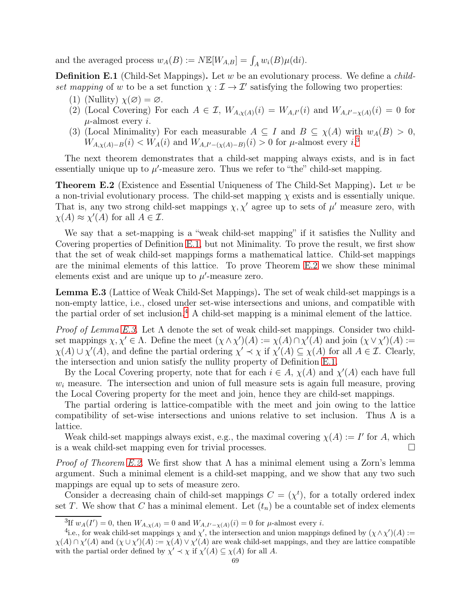and the averaged process  $w_A(B) := N \mathbb{E}[W_{A,B}] = \int_A w_i(B) \mu(\mathrm{d}i)$ .

<span id="page-68-1"></span>**Definition E.1** (Child-Set Mappings). Let  $w$  be an evolutionary process. We define a *child*set mapping of w to be a set function  $\chi : \mathcal{I} \to \mathcal{I}'$  satisfying the following two properties:

- (1) (Nullity)  $\chi(\emptyset) = \emptyset$ .
- (2) (Local Covering) For each  $A \in \mathcal{I}$ ,  $W_{A,\chi(A)}(i) = W_{A,I}(i)$  and  $W_{A,I'-\chi(A)}(i) = 0$  for  $\mu$ -almost every *i*.
- (3) (Local Minimality) For each measurable  $A \subseteq I$  and  $B \subseteq \chi(A)$  with  $w_A(B) > 0$ ,  $W_{A,\chi(A)-B}(i) < W_A(i)$  and  $W_{A,I'-(\chi(A)-B)}(i) > 0$  for  $\mu$ -almost every i.<sup>[3](#page-68-0)</sup>

The next theorem demonstrates that a child-set mapping always exists, and is in fact essentially unique up to  $\mu'$ -measure zero. Thus we refer to "the" child-set mapping.

<span id="page-68-2"></span>Theorem E.2 (Existence and Essential Uniqueness of The Child-Set Mapping). Let w be a non-trivial evolutionary process. The child-set mapping  $\chi$  exists and is essentially unique. That is, any two strong child-set mappings  $\chi, \chi'$  agree up to sets of  $\mu'$  measure zero, with  $\chi(A) \approx \chi'(A)$  for all  $A \in \mathcal{I}$ .

We say that a set-mapping is a "weak child-set mapping" if it satisfies the Nullity and Covering properties of Definition [E.1,](#page-68-1) but not Minimality. To prove the result, we first show that the set of weak child-set mappings forms a mathematical lattice. Child-set mappings are the minimal elements of this lattice. To prove Theorem [E.2](#page-68-2) we show these minimal elements exist and are unique up to  $\mu'$ -measure zero.

<span id="page-68-4"></span>Lemma E.3 (Lattice of Weak Child-Set Mappings). The set of weak child-set mappings is a non-empty lattice, i.e., closed under set-wise intersections and unions, and compatible with the partial order of set inclusion.<sup>[4](#page-68-3)</sup> A child-set mapping is a minimal element of the lattice.

*Proof of Lemma [E.3.](#page-68-4)* Let  $\Lambda$  denote the set of weak child-set mappings. Consider two childset mappings  $\chi, \chi' \in \Lambda$ . Define the meet  $(\chi \wedge \chi')(A) := \chi(A) \cap \chi'(A)$  and join  $(\chi \vee \chi')(A) :=$  $\chi(A) \cup \chi'(A)$ , and define the partial ordering  $\chi' \prec \chi$  if  $\chi'(A) \subseteq \chi(A)$  for all  $A \in \mathcal{I}$ . Clearly, the intersection and union satisfy the nullity property of Definition [E.1.](#page-68-1)

By the Local Covering property, note that for each  $i \in A$ ,  $\chi(A)$  and  $\chi'(A)$  each have full  $w<sub>i</sub>$  measure. The intersection and union of full measure sets is again full measure, proving the Local Covering property for the meet and join, hence they are child-set mappings.

The partial ordering is lattice-compatible with the meet and join owing to the lattice compatibility of set-wise intersections and unions relative to set inclusion. Thus  $\Lambda$  is a lattice.

Weak child-set mappings always exist, e.g., the maximal covering  $\chi(A) := I'$  for A, which is a weak child-set mapping even for trivial processes.  $\Box$ 

*Proof of Theorem [E.2.](#page-68-2)* We first show that  $\Lambda$  has a minimal element using a Zorn's lemma argument. Such a minimal element is a child-set mapping, and we show that any two such mappings are equal up to sets of measure zero.

Consider a decreasing chain of child-set mappings  $C = (\chi^t)$ , for a totally ordered index set T. We show that C has a minimal element. Let  $(t_n)$  be a countable set of index elements

<span id="page-68-0"></span> ${}^{3}\text{If } w_{A}(I')=0$ , then  $W_{A,\chi(A)}=0$  and  $W_{A,I'-\chi(A)}(i)=0$  for  $\mu$ -almost every i.

<span id="page-68-3"></span><sup>4.</sup>e., for weak child-set mappings  $\chi$  and  $\chi'$ , the intersection and union mappings defined by  $(\chi \wedge \chi')(A) :=$  $\chi(A) \cap \chi'(A)$  and  $(\chi \cup \chi')(A) := \chi(A) \vee \chi'(A)$  are weak child-set mappings, and they are lattice compatible with the partial order defined by  $\chi' \prec \chi$  if  $\chi'(A) \subseteq \chi(A)$  for all A.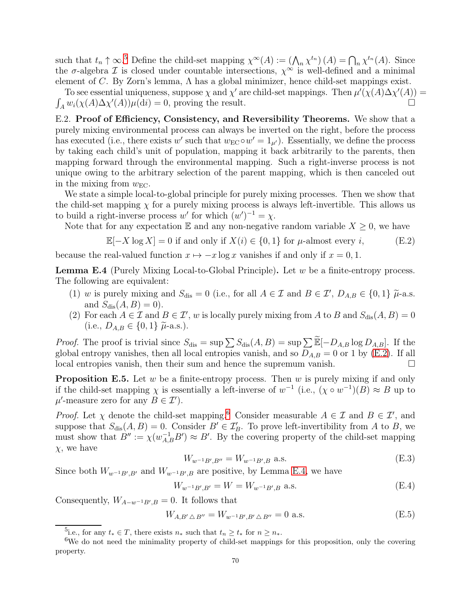such that  $t_n \uparrow \infty$ .<sup>[5](#page-69-0)</sup> Define the child-set mapping  $\chi^{\infty}(A) := (\bigwedge_n \chi^{t_n}(A) = \bigcap_n \chi^{t_n}(A)$ . Since the  $\sigma$ -algebra  $\mathcal I$  is closed under countable intersections,  $\chi^{\infty}$  is well-defined and a minimal element of C. By Zorn's lemma,  $\Lambda$  has a global minimizer, hence child-set mappings exist.

To see essential uniqueness, suppose  $\chi$  and  $\chi'$  are child-set mappings. Then  $\mu'(\chi(A)\Delta\chi'(A))$  =  $\int_A w_i(\chi(A)\Delta\chi'(A))\mu(\mathrm{d}i) = 0$ , proving the result.

E.2. Proof of Efficiency, Consistency, and Reversibility Theorems. We show that a purely mixing environmental process can always be inverted on the right, before the process has executed (i.e., there exists w' such that  $w_{EC} \circ w' = 1_{\mu'}$ ). Essentially, we define the process by taking each child's unit of population, mapping it back arbitrarily to the parents, then mapping forward through the environmental mapping. Such a right-inverse process is not unique owing to the arbitrary selection of the parent mapping, which is then canceled out in the mixing from  $w_{\text{EC}}$ .

We state a simple local-to-global principle for purely mixing processes. Then we show that the child-set mapping  $\chi$  for a purely mixing process is always left-invertible. This allows us to build a right-inverse process w' for which  $(w')^{-1} = \chi$ .

Note that for any expectation  $\mathbb E$  and any non-negative random variable  $X \geq 0$ , we have

<span id="page-69-1"></span>
$$
\mathbb{E}[-X \log X] = 0 \text{ if and only if } X(i) \in \{0, 1\} \text{ for } \mu\text{-almost every } i,
$$
 (E.2)

because the real-valued function  $x \mapsto -x \log x$  vanishes if and only if  $x = 0, 1$ .

<span id="page-69-3"></span>**Lemma E.4** (Purely Mixing Local-to-Global Principle). Let  $w$  be a finite-entropy process. The following are equivalent:

- (1) w is purely mixing and  $S_{\text{dis}} = 0$  (i.e., for all  $A \in \mathcal{I}$  and  $B \in \mathcal{I}'$ ,  $D_{A,B} \in \{0,1\}$   $\tilde{\mu}$ -a.s. and  $S_{dis}(A, B) = 0$ ).
- (2) For each  $A \in \mathcal{I}$  and  $B \in \mathcal{I}'$ , w is locally purely mixing from A to B and  $S_{dis}(A, B) = 0$ (i.e.,  $D_{A,B} \in \{0,1\}$   $\tilde{\mu}$ -a.s.).

*Proof.* The proof is trivial since  $S_{\text{dis}} = \sup \sum S_{\text{dis}}(A, B) = \sup \sum \widetilde{\mathbb{E}}[-D_{A,B} \log D_{A,B}].$  If the global entropy vanishes, then all local entropies vanish, and so  $\overline{D}_{A,B} = 0$  or 1 by [\(E.2\)](#page-69-1). If all local entropies vanish, then their sum and hence the supremum vanish.

**Proposition E.5.** Let  $w$  be a finite-entropy process. Then  $w$  is purely mixing if and only if the child-set mapping  $\chi$  is essentially a left-inverse of  $w^{-1}$  (i.e.,  $(\chi \circ w^{-1})(B) \approx B$  up to  $\mu'$ -measure zero for any  $B \in \mathcal{I}'$ .

*Proof.* Let  $\chi$  denote the child-set mapping.<sup>[6](#page-69-2)</sup> Consider measurable  $A \in \mathcal{I}$  and  $B \in \mathcal{I}'$ , and suppose that  $S_{\text{dis}}(A, B) = 0$ . Consider  $B' \in \mathcal{I}'_B$ . To prove left-invertibility from A to B, we must show that  $B'' := \chi(w_{A,B}^{-1}B') \approx B'$ . By the covering property of the child-set mapping  $\chi$ , we have

$$
W_{w^{-1}B',B''} = W_{w^{-1}B',B} \text{ a.s.}
$$
 (E.3)

Since both  $W_{w^{-1}B',B'}$  and  $W_{w^{-1}B',B}$  are positive, by Lemma [E.4,](#page-69-3) we have

$$
W_{w^{-1}B',B'} = W = W_{w^{-1}B',B} \text{ a.s.}
$$
\n(E.4)

Consequently,  $W_{A-w^{-1}B',B} = 0$ . It follows that

$$
W_{A,B'\Delta B''} = W_{w^{-1}B',B'\Delta B''} = 0 \text{ a.s.}
$$
\n(E.5)

<span id="page-69-0"></span><sup>&</sup>lt;sup>5</sup>i.e., for any  $t_* \in T$ , there exists  $n_*$  such that  $t_n \geq t_*$  for  $n \geq n_*$ .

<span id="page-69-2"></span><sup>&</sup>lt;sup>6</sup>We do not need the minimality property of child-set mappings for this proposition, only the covering property.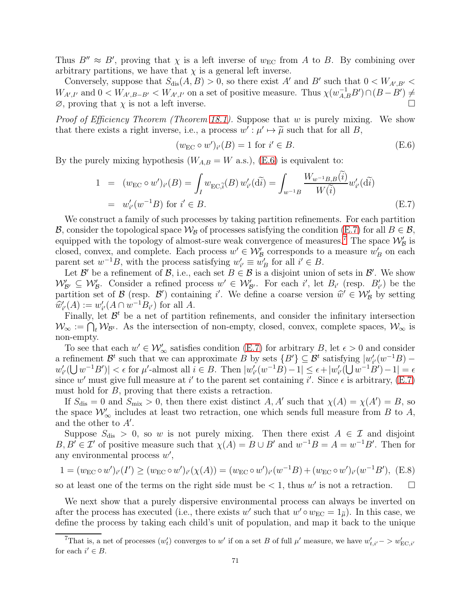Thus  $B'' \approx B'$ , proving that  $\chi$  is a left inverse of  $w_{EC}$  from A to B. By combining over arbitrary partitions, we have that  $\chi$  is a general left inverse.

Conversely, suppose that  $S_{dis}(A, B) > 0$ , so there exist A' and B' such that  $0 < W_{A', B'} <$  $W_{A',I'}$  and  $0 < W_{A',B-B'} < W_{A',I'}$  on a set of positive measure. Thus  $\chi(w_{A,B}^{-1}B') \cap (B-B') \neq$  $\emptyset$ , proving that  $\chi$  is not a left inverse.

*Proof of Efficiency Theorem (Theorem [18.1\)](#page-50-0).* Suppose that w is purely mixing. We show that there exists a right inverse, i.e., a process  $w' : \mu' \mapsto \tilde{\mu}$  such that for all B,

<span id="page-70-0"></span>
$$
(w_{\rm EC} \circ w')_{i'}(B) = 1 \text{ for } i' \in B.
$$
\n(E.6)

By the purely mixing hypothesis  $(W_{A,B} = W \text{ a.s.})$ , [\(E.6\)](#page-70-0) is equivalent to:

<span id="page-70-1"></span>
$$
1 = (w_{\text{EC}} \circ w')_{i'}(B) = \int_{I} w_{\text{EC}, \tilde{i}}(B) w'_{i'}(\tilde{\mathbf{d}i}) = \int_{w^{-1}B} \frac{W_{w^{-1}B, B}(\tilde{i})}{W(\tilde{i})} w'_{i'}(\tilde{\mathbf{d}i})
$$
  
=  $w'_{i'}(w^{-1}B)$  for  $i' \in B$ . (E.7)

We construct a family of such processes by taking partition refinements. For each partition B, consider the topological space  $\mathcal{W}_B$  of processes satisfying the condition [\(E.7\)](#page-70-1) for all  $B \in \mathcal{B}$ , equipped with the topology of almost-sure weak convergence of measures.<sup>[7](#page-70-2)</sup> The space  $\mathcal{W}'_{\mathcal{B}}$  is closed, convex, and complete. Each process  $w' \in \mathcal{W}_{\mathcal{B}}'$  corresponds to a measure  $w'_{B}$  on each parent set  $w^{-1}B$ , with the process satisfying  $w'_{i'} \equiv w'_{B}$  for all  $i' \in B$ .

Let  $\mathcal{B}'$  be a refinement of  $\mathcal{B}$ , i.e., each set  $B \in \mathcal{B}$  is a disjoint union of sets in  $\mathcal{B}'$ . We show  $\mathcal{W}_{\mathcal{B}'} \subseteq \mathcal{W}_{\mathcal{B}}'.$  Consider a refined process  $w' \in \mathcal{W}_{\mathcal{B}'}'.$  For each i', let  $B_{i'}$  (resp.  $B'_{i'}$ ) be the partition set of  $\mathcal{B}$  (resp.  $\mathcal{B}'$ ) containing i'. We define a coarse version  $\hat{w}' \in \mathcal{W}'_B$  by setting  $\hat{w}'(A)$  $\widehat{w}'_{i'}(A) := w'_{i'}(A \cap w^{-1}B_{i'})$  for all A.

Finally, let  $\mathcal{B}^t$  be a net of partition refinements, and consider the infinitary intersection  $\mathcal{W}_{\infty} := \bigcap_{t} \mathcal{W}_{\mathcal{B}^t}$ . As the intersection of non-empty, closed, convex, complete spaces,  $\mathcal{W}_{\infty}$  is non-empty.

To see that each  $w' \in \mathcal{W}'_{\infty}$  satisfies condition [\(E.7\)](#page-70-1) for arbitrary B, let  $\epsilon > 0$  and consider a refinement  $\mathcal{B}^t$  such that we can approximate B by sets  $\{B'\}\subseteq \mathcal{B}^t$  satisfying  $|w'_{i'}(w^{-1}B) |w'_{i'}(\bigcup w^{-1}B')| < \epsilon$  for  $\mu'$ -almost all  $i \in B$ . Then  $|w'_{i'}(w^{-1}B) - 1| \leq \epsilon + |w'_{i'}(\bigcup w^{-1}B') - 1| = \epsilon$ since w' must give full measure at i' to the parent set containing i'. Since  $\epsilon$  is arbitrary, [\(E.7\)](#page-70-1) must hold for B, proving that there exists a retraction.

If  $S_{\text{dis}} = 0$  and  $S_{\text{mix}} > 0$ , then there exist distinct  $A, A'$  such that  $\chi(A) = \chi(A') = B$ , so the space  $\mathcal{W}'_{\infty}$  includes at least two retraction, one which sends full measure from B to A, and the other to  $A'$ .

Suppose  $S_{\text{dis}} > 0$ , so w is not purely mixing. Then there exist  $A \in \mathcal{I}$  and disjoint  $B, B' \in \mathcal{I}'$  of positive measure such that  $\chi(A) = B \cup B'$  and  $w^{-1}B = A = w^{-1}B'$ . Then for any environmental process  $w'$ ,

$$
1 = (w_{\rm EC} \circ w')_{i'}(I') \ge (w_{\rm EC} \circ w')_{i'}(\chi(A)) = (w_{\rm EC} \circ w')_{i'}(w^{-1}B) + (w_{\rm EC} \circ w')_{i'}(w^{-1}B'), \text{ (E.8)}
$$

so at least one of the terms on the right side must be  $< 1$ , thus w' is not a retraction.  $\square$ 

We next show that a purely dispersive environmental process can always be inverted on after the process has executed (i.e., there exists w' such that  $w' \circ w_{EC} = 1_{\tilde{\mu}}$ ). In this case, we define the process by taking each child's unit of population, and map it back to the unique

<span id="page-70-2"></span><sup>&</sup>lt;sup>7</sup>That is, a net of processes  $(w'_t)$  converges to w' if on a set B of full  $\mu'$  measure, we have  $w'_{t,i'}$   $> w'_{EC,i'}$ for each  $i' \in B$ .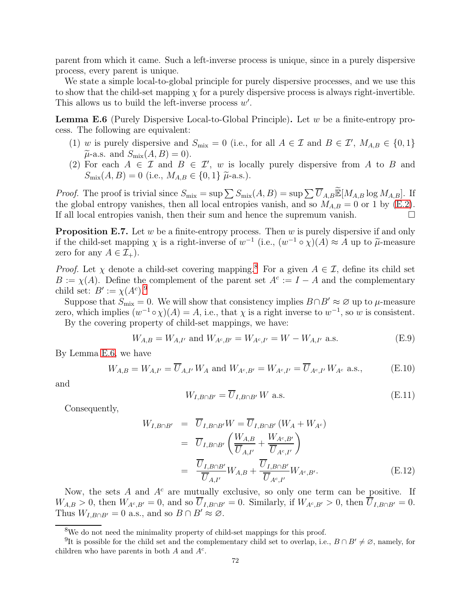parent from which it came. Such a left-inverse process is unique, since in a purely dispersive process, every parent is unique.

We state a simple local-to-global principle for purely dispersive processes, and we use this to show that the child-set mapping  $\chi$  for a purely dispersive process is always right-invertible. This allows us to build the left-inverse process  $w'$ .

<span id="page-71-2"></span>**Lemma E.6** (Purely Dispersive Local-to-Global Principle). Let  $w$  be a finite-entropy process. The following are equivalent:

- (1) w is purely dispersive and  $S_{\text{mix}} = 0$  (i.e., for all  $A \in \mathcal{I}$  and  $B \in \mathcal{I}'$ ,  $M_{A,B} \in \{0,1\}$  $\widetilde{\mu}$ -a.s. and  $S_{\text{mix}}(A, B) = 0$ ).
- (2) For each  $A \in \mathcal{I}$  and  $B \in \mathcal{I}'$ , w is locally purely dispersive from A to B and  $S_{\text{mix}}(A, B) = 0$  (i.e.,  $M_{A, B} \in \{0, 1\}$   $\tilde{\mu}$ -a.s.).

*Proof.* The proof is trivial since  $S_{\text{mix}} = \sup \sum S_{\text{mix}}(A, B) = \sup \sum \overline{U}_{A,B} \widetilde{\mathbb{E}}[M_{A,B} \log M_{A,B}].$  If the global entropy vanishes, then all local entropies vanish, and so  $M_{A,B} = 0$  or 1 by [\(E.2\)](#page-69-1). If all local entropies vanish, then their sum and hence the supremum vanish.  $\square$ 

**Proposition E.7.** Let w be a finite-entropy process. Then w is purely dispersive if and only if the child-set mapping  $\chi$  is a right-inverse of  $w^{-1}$  (i.e.,  $(w^{-1} \circ \chi)(A) \approx A$  up to  $\tilde{\mu}$ -measure zero for any  $A \in \mathcal{I}_+$ ).

*Proof.* Let  $\chi$  denote a child-set covering mapping.<sup>[8](#page-71-0)</sup> For a given  $A \in \mathcal{I}$ , define its child set  $B := \chi(A)$ . Define the complement of the parent set  $A^c := I - A$  and the complementary child set:  $B' := \chi(A^c)^{9}$  $B' := \chi(A^c)^{9}$  $B' := \chi(A^c)^{9}$ .

Suppose that  $S_{\text{mix}} = 0$ . We will show that consistency implies  $B \cap B' \approx \emptyset$  up to  $\mu$ -measure zero, which implies  $(w^{-1} \circ \chi)(A) = A$ , i.e., that  $\chi$  is a right inverse to  $w^{-1}$ , so w is consistent.

By the covering property of child-set mappings, we have:

$$
W_{A,B} = W_{A,I'} \text{ and } W_{A^c,B'} = W_{A^c,I'} = W - W_{A,I'} \text{ a.s.}
$$
 (E.9)

By Lemma [E.6,](#page-71-2) we have

$$
W_{A,B} = W_{A,I'} = \overline{U}_{A,I'} W_A \text{ and } W_{A^c,B'} = W_{A^c,I'} = \overline{U}_{A^c,I'} W_{A^c} \text{ a.s.,}
$$
 (E.10)

and

$$
W_{I,B \cap B'} = \overline{U}_{I,B \cap B'} W \text{ a.s.}
$$
\n(E.11)

Consequently,

$$
W_{I,B\cap B'} = \overline{U}_{I,B\cap B'}W = \overline{U}_{I,B\cap B'}(W_A + W_{A^c})
$$
  
\n
$$
= \overline{U}_{I,B\cap B'}\left(\frac{W_{A,B}}{\overline{U}_{A,I'}} + \frac{W_{A^c,B'}}{\overline{U}_{A^c,I'}}\right)
$$
  
\n
$$
= \frac{\overline{U}_{I,B\cap B'}}{\overline{U}_{A,I'}}W_{A,B} + \frac{\overline{U}_{I,B\cap B'}}{\overline{U}_{A^c,I'}}W_{A^c,B'}.
$$
 (E.12)

Now, the sets A and  $A<sup>c</sup>$  are mutually exclusive, so only one term can be positive. If  $W_{A,B} > 0$ , then  $W_{A^c,B'} = 0$ , and so  $\overline{U}_{I,B \cap B'} = 0$ . Similarly, if  $W_{A^c,B'} > 0$ , then  $\overline{U}_{I,B \cap B'} = 0$ . Thus  $W_{I,B\cap B'} = 0$  a.s., and so  $B \cap B' \approx \emptyset$ .

<span id="page-71-0"></span><sup>8</sup>We do not need the minimality property of child-set mappings for this proof.

<span id="page-71-1"></span><sup>&</sup>lt;sup>9</sup>It is possible for the child set and the complementary child set to overlap, i.e.,  $B \cap B' \neq \emptyset$ , namely, for children who have parents in both  $A$  and  $A<sup>c</sup>$ .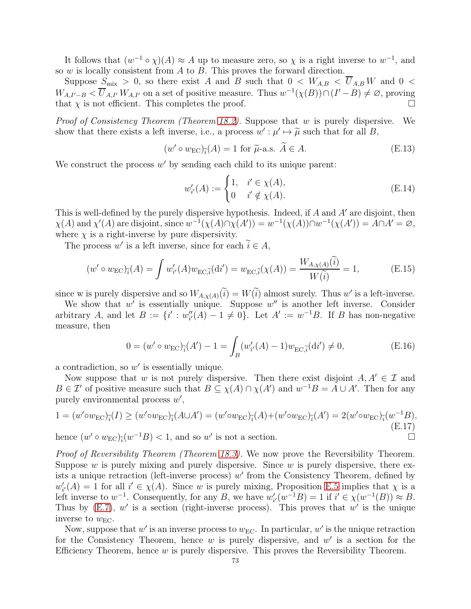It follows that  $(w^{-1} \circ \chi)(A) \approx A$  up to measure zero, so  $\chi$  is a right inverse to  $w^{-1}$ , and so  $w$  is locally consistent from  $A$  to  $B$ . This proves the forward direction.

Suppose  $S_{\text{mix}} > 0$ , so there exist A and B such that  $0 < W_{A,B} < \overline{U}_{A,B} W$  and  $0 <$  $W_{A,I'-B} < \overline{U}_{A,I'} W_{A,I'}$  on a set of positive measure. Thus  $w^{-1}(\chi(B)) \cap (I'-B) \neq \emptyset$ , proving that  $\chi$  is not efficient. This completes the proof.

Proof of Consistency Theorem (Theorem [18.2\)](#page-50-0). Suppose that w is purely dispersive. We show that there exists a left inverse, i.e., a process  $w': \mu' \mapsto \tilde{\mu}$  such that for all B,

$$
(w' \circ w_{\rm EC})_{\tilde{i}}(A) = 1 \text{ for } \tilde{\mu}\text{-a.s. } A \in A. \tag{E.13}
$$

We construct the process  $w'$  by sending each child to its unique parent:

$$
w'_{i'}(A) := \begin{cases} 1, & i' \in \chi(A), \\ 0 & i' \notin \chi(A). \end{cases}
$$
 (E.14)

This is well-defined by the purely dispersive hypothesis. Indeed, if A and  $A'$  are disjoint, then  $\chi(A)$  and  $\chi'(A)$  are disjoint, since  $w^{-1}(\chi(A) \cap \chi(A')) = w^{-1}(\chi(A)) \cap w^{-1}(\chi(A')) = A \cap A' = \emptyset$ , where  $\chi$  is a right-inverse by pure dispersivity.

The process  $w'$  is a left inverse, since for each  $i \in A$ ,

$$
(w' \circ w_{\rm EC})_{\tilde{i}}(A) = \int w'_{i'}(A)w_{\rm EC,\tilde{i}}(\mathrm{d}i') = w_{\rm EC,\tilde{i}}(\chi(A)) = \frac{W_{A,\chi(A)}(i)}{W(\tilde{i})} = 1,
$$
 (E.15)

since w is purely dispersive and so  $W_{A,\chi(A)}(i) = W(i)$  almost surely. Thus w' is a left-inverse.

We show that  $w'$  is essentially unique. Suppose  $w''$  is another left inverse. Consider arbitrary A, and let  $B := \{i' : w''_i(A) - 1 \neq 0\}$ . Let  $A' := w^{-1}B$ . If B has non-negative measure, then

$$
0 = (w' \circ w_{\text{EC}})_{\tilde{i}}(A') - 1 = \int_B (w'_{i'}(A) - 1) w_{\text{EC}, \tilde{i}}(\text{d}i') \neq 0,
$$
 (E.16)

a contradiction, so  $w'$  is essentially unique.

Now suppose that w is not purely dispersive. Then there exist disjoint  $A, A' \in \mathcal{I}$  and  $B \in \mathcal{I}'$  of positive measure such that  $B \subseteq \chi(A) \cap \chi(A')$  and  $w^{-1}B = A \cup A'$ . Then for any purely environmental process  $w'$ ,

$$
1 = (w' \circ w_{\rm EC})_{\tilde{i}}(I) \ge (w' \circ w_{\rm EC})_{\tilde{i}}(A \cup A') = (w' \circ w_{\rm EC})_{\tilde{i}}(A) + (w' \circ w_{\rm EC})_{\tilde{i}}(A') = 2(w' \circ w_{\rm EC})_{\tilde{i}}(w^{-1}B),
$$
\n
$$
\tag{E.17}
$$

hence  $(w' \circ w_{EC})_{\tilde{i}}(w^{-1}B) < 1$ , and so w' is not a section.

Proof of Reversibility Theorem (Theorem [18.3\)](#page-50-1). We now prove the Reversibility Theorem. Suppose  $w$  is purely mixing and purely dispersive. Since  $w$  is purely dispersive, there exists a unique retraction (left-inverse process)  $w'$  from the Consistency Theorem, defined by  $w'_{i'}(A) = 1$  for all  $i' \in \chi(A)$ . Since w is purely mixing, Proposition [E.5](#page-69-0) implies that  $\chi$  is a left inverse to  $w^{-1}$ . Consequently, for any B, we have  $w'_{i'}(w^{-1}B) = 1$  if  $i' \in \chi(w^{-1}(B)) \approx B$ . Thus by  $(E.7)$ , w' is a section (right-inverse process). This proves that w' is the unique inverse to  $w_{\text{EC}}$ .

Now, suppose that  $w'$  is an inverse process to  $w_{EC}$ . In particular,  $w'$  is the unique retraction for the Consistency Theorem, hence  $w$  is purely dispersive, and  $w'$  is a section for the Efficiency Theorem, hence w is purely dispersive. This proves the Reversibility Theorem.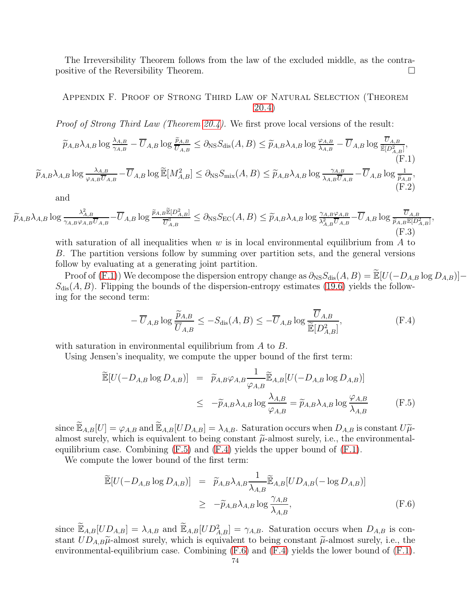The Irreversibility Theorem follows from the law of the excluded middle, as the contrapositive of the Reversibility Theorem.

## Appendix F. Proof of Strong Third Law of Natural Selection (Theorem [20.4\)](#page-56-0)

<span id="page-73-0"></span>Proof of Strong Third Law (Theorem [20.4\)](#page-56-0). We first prove local versions of the result:

$$
\widetilde{p}_{A,B}\lambda_{A,B}\log\frac{\lambda_{A,B}}{\gamma_{A,B}} - \overline{U}_{A,B}\log\frac{\widetilde{p}_{A,B}}{\overline{U}_{A,B}} \leq \partial_{\text{NS}}S_{\text{dis}}(A,B) \leq \widetilde{p}_{A,B}\lambda_{A,B}\log\frac{\varphi_{A,B}}{\lambda_{A,B}} - \overline{U}_{A,B}\log\frac{\overline{U}_{A,B}}{\widetilde{\mathbb{E}}[D_{A,B}^2]},
$$
\n(F.1)\n
$$
\widetilde{p}_{A,B}\lambda_{A,B}\log\frac{\lambda_{A,B}}{\varphi_{A,B}\overline{U}_{A,B}} - \overline{U}_{A,B}\log\widetilde{\mathbb{E}}[M_{A,B}^2] \leq \partial_{\text{NS}}S_{\text{mix}}(A,B) \leq \widetilde{p}_{A,B}\lambda_{A,B}\log\frac{\gamma_{A,B}}{\lambda_{A,B}\overline{U}_{A,B}} - \overline{U}_{A,B}\log\frac{1}{\widetilde{p}_{A,B}},
$$
\n(F.2)

<span id="page-73-5"></span><span id="page-73-4"></span>and

$$
\widetilde{p}_{A,B}\lambda_{A,B}\log\frac{\lambda_{A,B}^2}{\gamma_{A,B}\varphi_{A,B}\overline{U}_{A,B}} - \overline{U}_{A,B}\log\frac{\widetilde{p}_{A,B}\mathbb{\widetilde{E}}[D_{A,B}^2]}{\overline{U}_{A,B}^3} \leq \partial_{\text{NS}}S_{\text{EC}}(A,B) \leq \widetilde{p}_{A,B}\lambda_{A,B}\log\frac{\gamma_{A,B}\varphi_{A,B}}{\lambda_{A,B}^2\overline{U}_{A,B}} - \overline{U}_{A,B}\log\frac{\overline{U}_{A,B}}{\widetilde{p}_{A,B}\mathbb{\mathbb{E}}[D_{A,B}^2]},
$$
\n(F.3)

with saturation of all inequalities when  $w$  is in local environmental equilibrium from  $A$  to B. The partition versions follow by summing over partition sets, and the general versions follow by evaluating at a generating joint partition.

Proof of [\(F.1\)](#page-73-0)) We decompose the dispersion entropy change as  $\partial_{NS}S_{dis}(A, B) = \mathbb{E}[U(-D_{A,B}\log D_{A,B})]$  $S_{\text{dis}}(A, B)$ . Flipping the bounds of the dispersion-entropy estimates [\(19.6\)](#page-53-0) yields the following for the second term:

<span id="page-73-2"></span>
$$
-\overline{U}_{A,B}\log\frac{\widetilde{p}_{A,B}}{\overline{U}_{A,B}} \le -S_{\text{dis}}(A,B) \le -\overline{U}_{A,B}\log\frac{\overline{U}_{A,B}}{\widetilde{\mathbb{E}}[D_{A,B}^2]},\tag{F.4}
$$

with saturation in environmental equilibrium from A to B.

Using Jensen's inequality, we compute the upper bound of the first term:

<span id="page-73-1"></span>
$$
\widetilde{\mathbb{E}}[U(-D_{A,B}\log D_{A,B})] = \widetilde{p}_{A,B}\varphi_{A,B}\frac{1}{\varphi_{A,B}}\widetilde{\mathbb{E}}_{A,B}[U(-D_{A,B}\log D_{A,B})]
$$
\n
$$
\leq -\widetilde{p}_{A,B}\lambda_{A,B}\log\frac{\lambda_{A,B}}{\varphi_{A,B}} = \widetilde{p}_{A,B}\lambda_{A,B}\log\frac{\varphi_{A,B}}{\lambda_{A,B}} \tag{F.5}
$$

since  $\widetilde{\mathbb{E}}_{A,B}[U] = \varphi_{A,B}$  and  $\widetilde{\mathbb{E}}_{A,B}[UD_{A,B}] = \lambda_{A,B}$ . Saturation occurs when  $D_{A,B}$  is constant  $U\widetilde{\mu}$ almost surely, which is equivalent to being constant  $\tilde{\mu}$ -almost surely, i.e., the environmentalequilibrium case. Combining  $(F.5)$  and  $(F.4)$  yields the upper bound of  $(F.1)$ .

We compute the lower bound of the first term:

<span id="page-73-3"></span>
$$
\widetilde{\mathbb{E}}[U(-D_{A,B}\log D_{A,B})] = \widetilde{p}_{A,B}\lambda_{A,B}\frac{1}{\lambda_{A,B}}\widetilde{\mathbb{E}}_{A,B}[UD_{A,B}(-\log D_{A,B})]
$$
\n
$$
\geq -\widetilde{p}_{A,B}\lambda_{A,B}\log\frac{\gamma_{A,B}}{\lambda_{A,B}},
$$
\n(F.6)

since  $\widetilde{\mathbb{E}}_{A,B}[UD_{A,B}] = \lambda_{A,B}$  and  $\widetilde{\mathbb{E}}_{A,B}[UD_{A,B}^2] = \gamma_{A,B}$ . Saturation occurs when  $D_{A,B}$  is constant  $UD_{A,B}\tilde{\mu}$ -almost surely, which is equivalent to being constant  $\tilde{\mu}$ -almost surely, i.e., the environmental-equilibrium case. Combining [\(F.6\)](#page-73-3) and [\(F.4\)](#page-73-2) yields the lower bound of [\(F.1\)](#page-73-0).